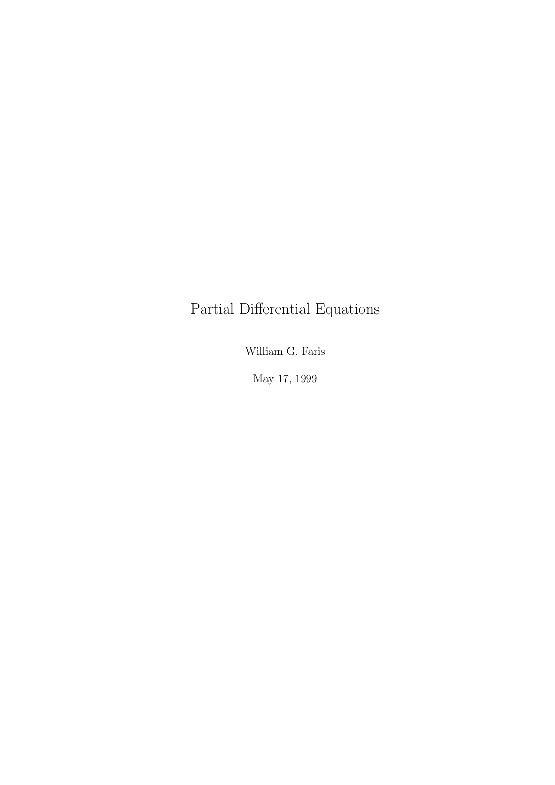# Partial Differential Equations

William G. Faris

May 17, 1999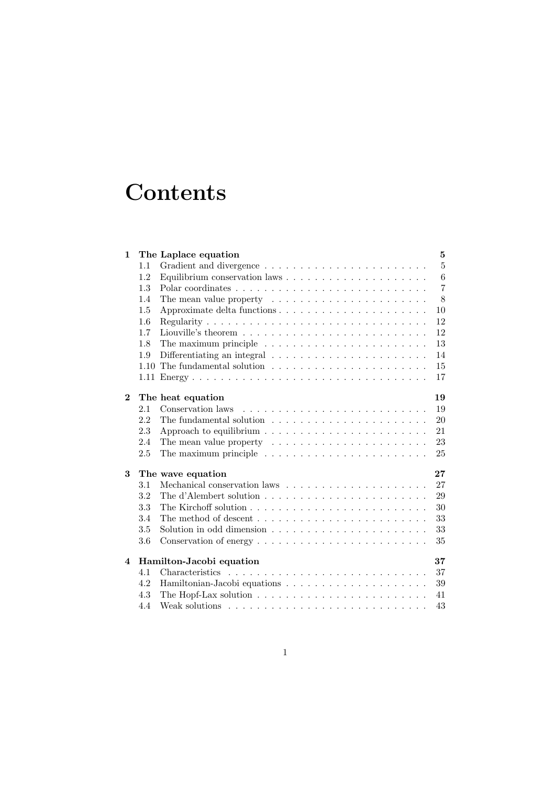# **Contents**

| $\mathbf{1}$   |         | The Laplace equation                                                                                                                                         | 5               |
|----------------|---------|--------------------------------------------------------------------------------------------------------------------------------------------------------------|-----------------|
|                | 1.1     |                                                                                                                                                              | $\overline{5}$  |
|                | 1.2     |                                                                                                                                                              | $6\phantom{.}6$ |
|                | 1.3     |                                                                                                                                                              | $\overline{7}$  |
|                | 1.4     | The mean value property $\dots \dots \dots \dots \dots \dots \dots \dots$                                                                                    | 8               |
|                | 1.5     |                                                                                                                                                              | 10              |
|                | $1.6\,$ |                                                                                                                                                              | 12              |
|                | 1.7     |                                                                                                                                                              | 12              |
|                | 1.8     | The maximum principle $\dots \dots \dots \dots \dots \dots \dots \dots \dots$                                                                                | 13              |
|                | 1.9     | Differentiating an integral $\dots \dots \dots \dots \dots \dots \dots \dots$                                                                                | 14              |
|                |         |                                                                                                                                                              | 15              |
|                |         |                                                                                                                                                              | 17              |
| $\overline{2}$ |         |                                                                                                                                                              | 19              |
|                | 2.1     | The heat equation                                                                                                                                            | 19              |
|                | 2.2     | The fundamental solution $\ldots \ldots \ldots \ldots \ldots \ldots \ldots$                                                                                  | 20              |
|                | 2.3     |                                                                                                                                                              | 21              |
|                | 2.4     |                                                                                                                                                              | 23              |
|                | 2.5     | The mean value property $\dots \dots \dots \dots \dots \dots \dots \dots$<br>The maximum principle $\ldots \ldots \ldots \ldots \ldots \ldots \ldots \ldots$ | 25              |
|                |         |                                                                                                                                                              |                 |
| 3              |         | The wave equation                                                                                                                                            | 27              |
|                | 3.1     |                                                                                                                                                              | 27              |
|                | 3.2     |                                                                                                                                                              | 29              |
|                | 3.3     |                                                                                                                                                              | 30              |
|                | 3.4     |                                                                                                                                                              | 33              |
|                | 3.5     |                                                                                                                                                              | 33              |
|                | 3.6     | Conservation of energy $\dots \dots \dots \dots \dots \dots \dots \dots \dots$                                                                               | 35              |
| 4              |         | Hamilton-Jacobi equation                                                                                                                                     | 37              |
|                | 4.1     |                                                                                                                                                              | 37              |
|                | 4.2     |                                                                                                                                                              | 39              |
|                | 4.3     |                                                                                                                                                              | 41              |
|                | 4.4     |                                                                                                                                                              | 43              |
|                |         |                                                                                                                                                              |                 |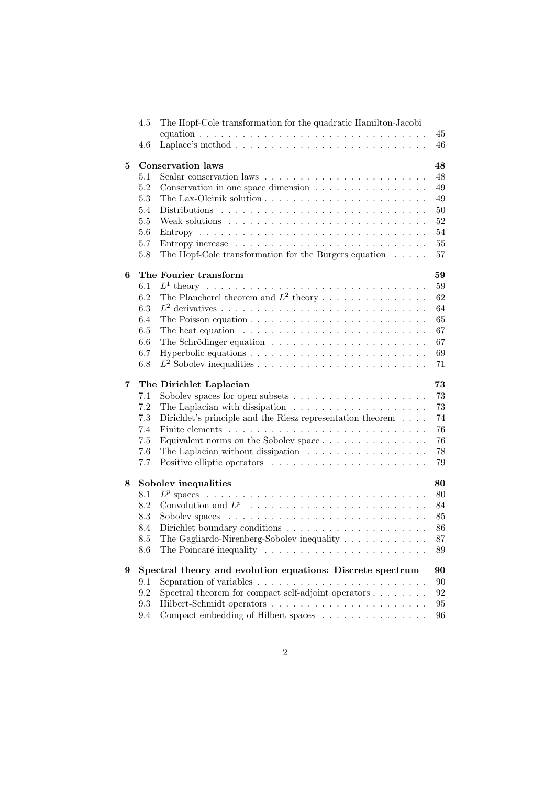|   | 4.5                                                              | The Hopf-Cole transformation for the quadratic Hamilton-Jacobi                                    |  |  |  |
|---|------------------------------------------------------------------|---------------------------------------------------------------------------------------------------|--|--|--|
|   |                                                                  | 45                                                                                                |  |  |  |
|   | 4.6                                                              | Laplace's method $\ldots \ldots \ldots \ldots \ldots \ldots \ldots \ldots \ldots$<br>46           |  |  |  |
| 5 | 48<br><b>Conservation laws</b>                                   |                                                                                                   |  |  |  |
|   | 5.1                                                              | 48                                                                                                |  |  |  |
|   | 5.2                                                              | 49<br>Conservation in one space dimension $\ldots \ldots \ldots \ldots \ldots$                    |  |  |  |
|   | 5.3                                                              | 49<br>The Lax-Oleinik solution $\ldots \ldots \ldots \ldots \ldots \ldots \ldots \ldots$          |  |  |  |
|   | 5.4                                                              | 50                                                                                                |  |  |  |
|   | 5.5                                                              | 52                                                                                                |  |  |  |
|   | 5.6                                                              | $Entropy \dots \dots \dots \dots \dots \dots \dots \dots \dots \dots \dots \dots \dots$<br>54     |  |  |  |
|   | 5.7                                                              | 55                                                                                                |  |  |  |
|   | 5.8                                                              | The Hopf-Cole transformation for the Burgers equation $\ldots \ldots$<br>57                       |  |  |  |
| 6 |                                                                  | 59<br>The Fourier transform                                                                       |  |  |  |
|   | 6.1                                                              | 59                                                                                                |  |  |  |
|   | 6.2                                                              | The Plancherel theorem and $L^2$ theory<br>62                                                     |  |  |  |
|   | 6.3                                                              | 64                                                                                                |  |  |  |
|   | 6.4                                                              | 65                                                                                                |  |  |  |
|   | 6.5                                                              | 67<br>The heat equation $\ldots \ldots \ldots \ldots \ldots \ldots \ldots \ldots$                 |  |  |  |
|   | 6.6                                                              | 67                                                                                                |  |  |  |
|   | 6.7                                                              | 69                                                                                                |  |  |  |
|   | 6.8                                                              | 71                                                                                                |  |  |  |
|   |                                                                  |                                                                                                   |  |  |  |
| 7 |                                                                  | 73<br>The Dirichlet Laplacian                                                                     |  |  |  |
|   | 7.1                                                              | 73                                                                                                |  |  |  |
|   | 7.2                                                              | 73                                                                                                |  |  |  |
|   | 7.3                                                              | Dirichlet's principle and the Riesz representation theorem<br>$\hfill\ldots$ $\hfill\ldots$<br>74 |  |  |  |
|   | 7.4                                                              | 76                                                                                                |  |  |  |
|   | 7.5                                                              | Equivalent norms on the Sobolev space $\ldots \ldots \ldots \ldots \ldots$<br>76                  |  |  |  |
|   | 7.6                                                              | The Laplacian without dissipation $\ldots \ldots \ldots \ldots \ldots$<br>78                      |  |  |  |
|   | 7.7                                                              | 79                                                                                                |  |  |  |
| 8 | Sobolev inequalities<br>80                                       |                                                                                                   |  |  |  |
|   | 8.1                                                              | 80                                                                                                |  |  |  |
|   | 8.2                                                              | 84                                                                                                |  |  |  |
|   | 8.3                                                              | 85                                                                                                |  |  |  |
|   | 8.4                                                              | 86                                                                                                |  |  |  |
|   | 8.5                                                              | The Gagliardo-Nirenberg-Sobolev inequality $\dots \dots \dots \dots$<br>87                        |  |  |  |
|   | 8.6                                                              | The Poincaré inequality $\dots \dots \dots \dots \dots \dots \dots \dots \dots$<br>89             |  |  |  |
| 9 | Spectral theory and evolution equations: Discrete spectrum<br>90 |                                                                                                   |  |  |  |
|   | 9.1                                                              | Separation of variables $\ldots \ldots \ldots \ldots \ldots \ldots \ldots \ldots$<br>90           |  |  |  |
|   | 9.2                                                              | Spectral theorem for compact self-adjoint operators $\ldots \ldots$<br>92                         |  |  |  |
|   | 9.3                                                              | 95                                                                                                |  |  |  |
|   | 9.4                                                              | Compact embedding of Hilbert spaces<br>96                                                         |  |  |  |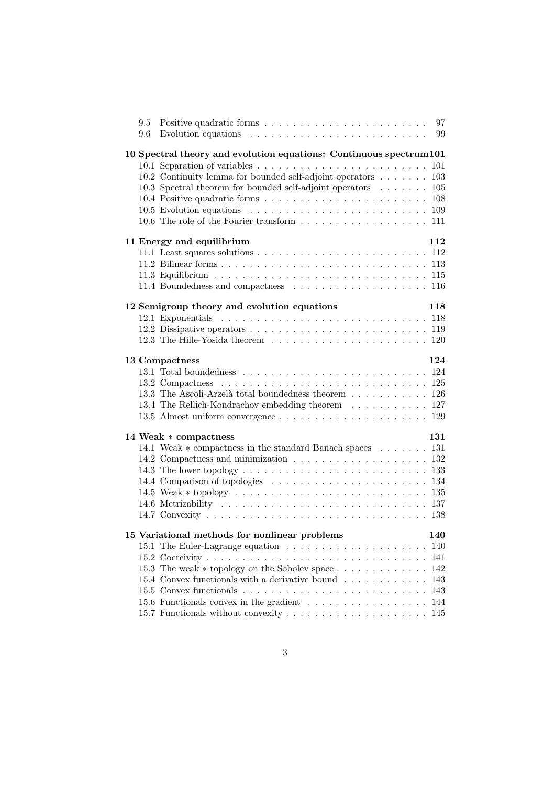| $9.5\,$ | 97                                                                                                 |
|---------|----------------------------------------------------------------------------------------------------|
| 9.6     | Evolution equations $\ldots \ldots \ldots \ldots \ldots \ldots \ldots \ldots$<br>99                |
|         | 10 Spectral theory and evolution equations: Continuous spectrum101                                 |
|         | 10.1 Separation of variables $\ldots \ldots \ldots \ldots \ldots \ldots \ldots \ldots \ldots 101$  |
|         | 10.2 Continuity lemma for bounded self-adjoint operators 103                                       |
|         | 10.3 Spectral theorem for bounded self-adjoint operators 105                                       |
|         |                                                                                                    |
|         | $10.5$ Evolution equations $\ldots \ldots \ldots \ldots \ldots \ldots \ldots \ldots \ldots 109$    |
|         | 10.6 The role of the Fourier transform $\dots \dots \dots \dots \dots \dots \dots \dots \dots 111$ |
|         |                                                                                                    |
|         | 11 Energy and equilibrium<br>112                                                                   |
|         |                                                                                                    |
|         |                                                                                                    |
|         |                                                                                                    |
|         |                                                                                                    |
|         |                                                                                                    |
|         | 12 Semigroup theory and evolution equations<br>118                                                 |
|         |                                                                                                    |
|         |                                                                                                    |
|         |                                                                                                    |
|         | 13 Compactness<br>124                                                                              |
|         |                                                                                                    |
|         |                                                                                                    |
|         | 13.3 The Ascoli-Arzelà total boundedness theorem 126                                               |
|         | 13.4 The Rellich-Kondrachov embedding theorem 127                                                  |
|         |                                                                                                    |
|         |                                                                                                    |
|         | 14 Weak * compactness<br>131                                                                       |
|         | 14.1 Weak $*$ compactness in the standard Banach spaces 131                                        |
|         |                                                                                                    |
|         |                                                                                                    |
|         |                                                                                                    |
|         |                                                                                                    |
|         |                                                                                                    |
|         |                                                                                                    |
|         | 15 Variational methods for nonlinear problems<br>140                                               |
|         | 140                                                                                                |
|         | 141                                                                                                |
|         | 15.3 The weak $*$ topology on the Sobolev space<br>142                                             |
|         | 15.4 Convex functionals with a derivative bound<br>143                                             |
|         | 143                                                                                                |
|         | 144                                                                                                |
|         |                                                                                                    |
|         |                                                                                                    |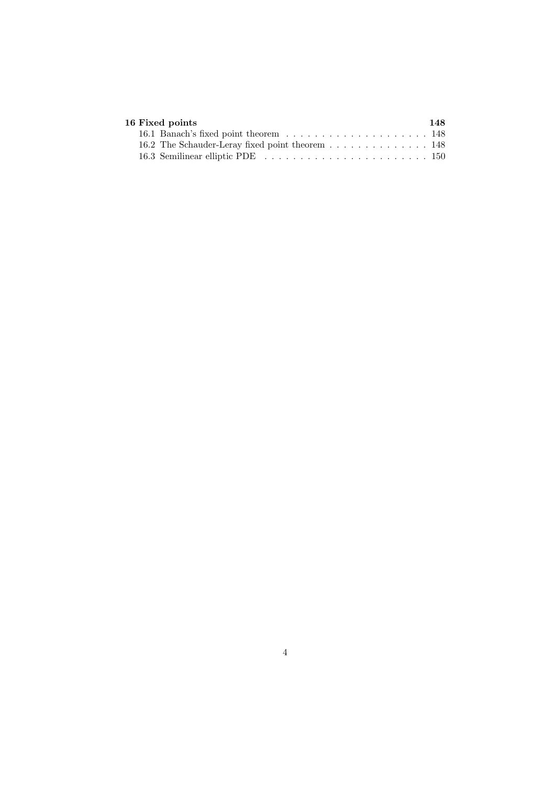| 16 Fixed points |                                                 |  |  |  |
|-----------------|-------------------------------------------------|--|--|--|
|                 |                                                 |  |  |  |
|                 | 16.2 The Schauder-Leray fixed point theorem 148 |  |  |  |
|                 |                                                 |  |  |  |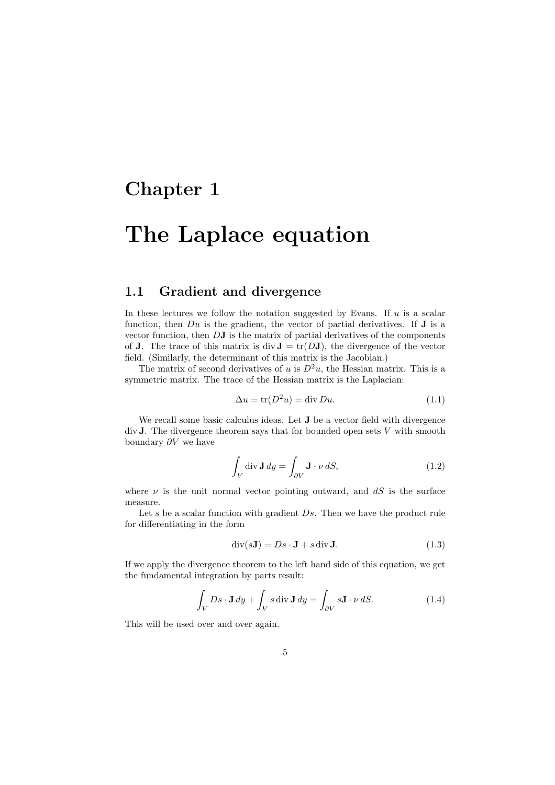### Chapter 1

## The Laplace equation

#### 1.1 Gradient and divergence

In these lectures we follow the notation suggested by Evans. If  $u$  is a scalar function, then  $Du$  is the gradient, the vector of partial derivatives. If **J** is a vector function, then DJ is the matrix of partial derivatives of the components of **J**. The trace of this matrix is div  $J = \text{tr}(DJ)$ , the divergence of the vector field. (Similarly, the determinant of this matrix is the Jacobian.)

The matrix of second derivatives of u is  $D^2u$ , the Hessian matrix. This is a symmetric matrix. The trace of the Hessian matrix is the Laplacian:

$$
\Delta u = \text{tr}(D^2 u) = \text{div } Du. \tag{1.1}
$$

We recall some basic calculus ideas. Let **J** be a vector field with divergence  $\overline{\text{div }J}$ . The divergence theorem says that for bounded open sets V with smooth boundary  $\partial V$  we have

$$
\int_{V} \operatorname{div} \mathbf{J} \, dy = \int_{\partial V} \mathbf{J} \cdot \nu \, dS,\tag{1.2}
$$

where  $\nu$  is the unit normal vector pointing outward, and  $dS$  is the surface measure.

Let  $s$  be a scalar function with gradient  $Ds$ . Then we have the product rule for differentiating in the form

$$
\operatorname{div}(s\mathbf{J}) = Ds \cdot \mathbf{J} + s \operatorname{div} \mathbf{J}.\tag{1.3}
$$

If we apply the divergence theorem to the left hand side of this equation, we get the fundamental integration by parts result:

$$
\int_{V} Ds \cdot \mathbf{J} \, dy + \int_{V} s \operatorname{div} \mathbf{J} \, dy = \int_{\partial V} s \mathbf{J} \cdot \nu \, dS. \tag{1.4}
$$

This will be used over and over again.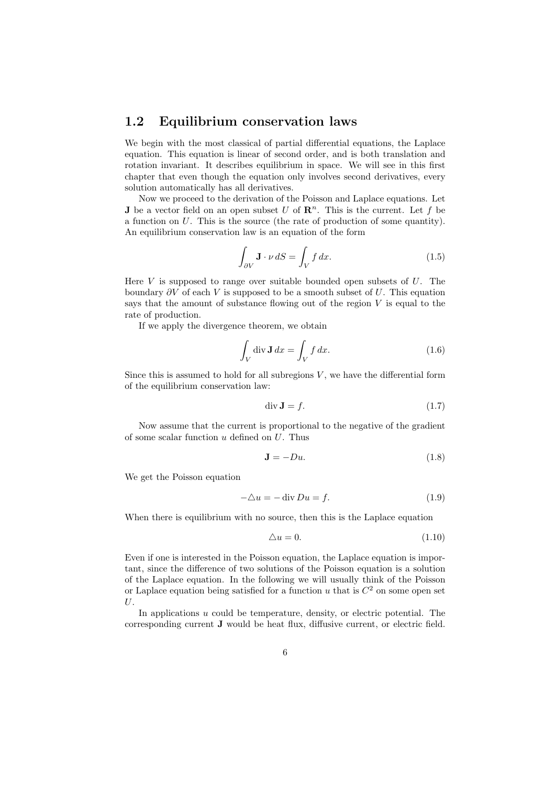#### 1.2 Equilibrium conservation laws

We begin with the most classical of partial differential equations, the Laplace equation. This equation is linear of second order, and is both translation and rotation invariant. It describes equilibrium in space. We will see in this first chapter that even though the equation only involves second derivatives, every solution automatically has all derivatives.

Now we proceed to the derivation of the Poisson and Laplace equations. Let **J** be a vector field on an open subset U of  $\mathbb{R}^n$ . This is the current. Let f be a function on U. This is the source (the rate of production of some quantity). An equilibrium conservation law is an equation of the form

$$
\int_{\partial V} \mathbf{J} \cdot \nu \, dS = \int_{V} f \, dx. \tag{1.5}
$$

Here  $V$  is supposed to range over suitable bounded open subsets of  $U$ . The boundary  $\partial V$  of each V is supposed to be a smooth subset of U. This equation says that the amount of substance flowing out of the region  $V$  is equal to the rate of production.

If we apply the divergence theorem, we obtain

$$
\int_{V} \operatorname{div} \mathbf{J} \, dx = \int_{V} f \, dx. \tag{1.6}
$$

Since this is assumed to hold for all subregions  $V$ , we have the differential form of the equilibrium conservation law:

$$
\operatorname{div} \mathbf{J} = f. \tag{1.7}
$$

Now assume that the current is proportional to the negative of the gradient of some scalar function  $u$  defined on  $U$ . Thus

$$
\mathbf{J} = -Du.\tag{1.8}
$$

We get the Poisson equation

$$
-\triangle u = -\operatorname{div} Du = f. \tag{1.9}
$$

When there is equilibrium with no source, then this is the Laplace equation

$$
\triangle u = 0. \tag{1.10}
$$

Even if one is interested in the Poisson equation, the Laplace equation is important, since the difference of two solutions of the Poisson equation is a solution of the Laplace equation. In the following we will usually think of the Poisson or Laplace equation being satisfied for a function  $u$  that is  $C<sup>2</sup>$  on some open set U.

In applications  $u$  could be temperature, density, or electric potential. The corresponding current J would be heat flux, diffusive current, or electric field.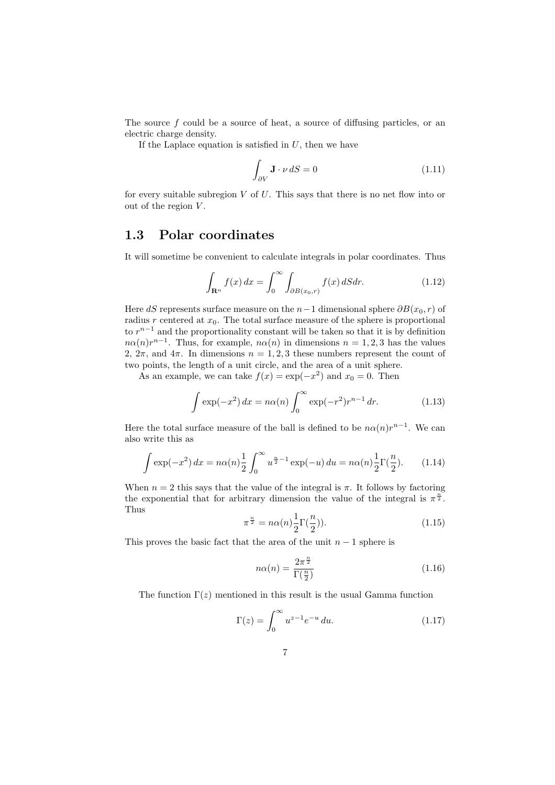The source  $f$  could be a source of heat, a source of diffusing particles, or an electric charge density.

If the Laplace equation is satisfied in  $U$ , then we have

$$
\int_{\partial V} \mathbf{J} \cdot \nu \, dS = 0 \tag{1.11}
$$

for every suitable subregion  $V$  of  $U$ . This says that there is no net flow into or out of the region  $V$ .

#### 1.3 Polar coordinates

It will sometime be convenient to calculate integrals in polar coordinates. Thus

$$
\int_{\mathbf{R}^n} f(x) dx = \int_0^\infty \int_{\partial B(x_0, r)} f(x) dS dr.
$$
\n(1.12)

Here dS represents surface measure on the  $n-1$  dimensional sphere  $\partial B(x_0, r)$  of radius  $r$  centered at  $x_0$ . The total surface measure of the sphere is proportional to  $r^{n-1}$  and the proportionality constant will be taken so that it is by definition  $n\alpha(n)r^{n-1}$ . Thus, for example,  $n\alpha(n)$  in dimensions  $n = 1, 2, 3$  has the values 2,  $2\pi$ , and  $4\pi$ . In dimensions  $n = 1, 2, 3$  these numbers represent the count of two points, the length of a unit circle, and the area of a unit sphere.

As an example, we can take  $f(x) = \exp(-x^2)$  and  $x_0 = 0$ . Then

$$
\int \exp(-x^2) \, dx = n\alpha(n) \int_0^\infty \exp(-r^2) r^{n-1} \, dr. \tag{1.13}
$$

Here the total surface measure of the ball is defined to be  $n\alpha(n)r^{n-1}$ . We can also write this as

$$
\int \exp(-x^2) dx = n\alpha(n) \frac{1}{2} \int_0^\infty u^{\frac{n}{2}-1} \exp(-u) du = n\alpha(n) \frac{1}{2} \Gamma(\frac{n}{2}).
$$
 (1.14)

When  $n = 2$  this says that the value of the integral is  $\pi$ . It follows by factoring the exponential that for arbitrary dimension the value of the integral is  $\pi^{\frac{n}{2}}$ . Thus

$$
\pi^{\frac{n}{2}} = n\alpha(n)\frac{1}{2}\Gamma(\frac{n}{2})).
$$
\n(1.15)

This proves the basic fact that the area of the unit  $n-1$  sphere is

$$
n\alpha(n) = \frac{2\pi^{\frac{n}{2}}}{\Gamma(\frac{n}{2})}
$$
\n(1.16)

The function  $\Gamma(z)$  mentioned in this result is the usual Gamma function

$$
\Gamma(z) = \int_0^\infty u^{z-1} e^{-u} \, du. \tag{1.17}
$$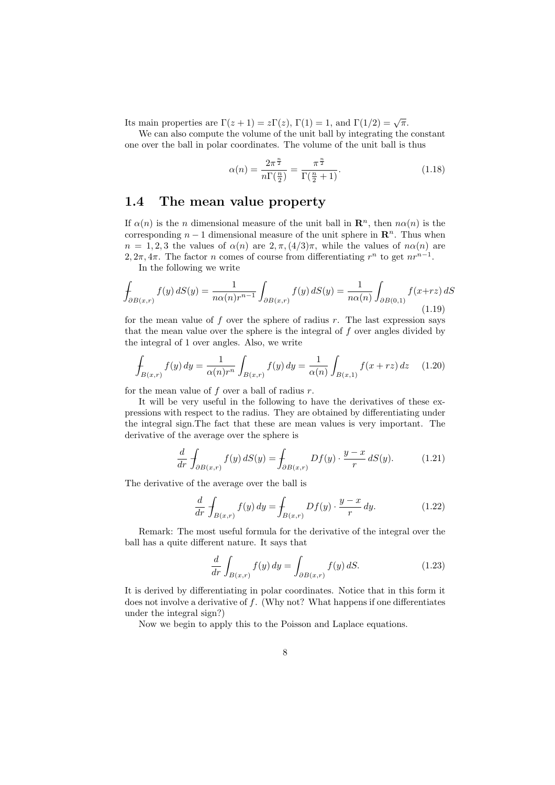Its main properties are  $\Gamma(z+1) = z\Gamma(z)$ ,  $\Gamma(1) = 1$ , and  $\Gamma(1/2) = \sqrt{\pi}$ .

We can also compute the volume of the unit ball by integrating the constant one over the ball in polar coordinates. The volume of the unit ball is thus

$$
\alpha(n) = \frac{2\pi^{\frac{n}{2}}}{n\Gamma(\frac{n}{2})} = \frac{\pi^{\frac{n}{2}}}{\Gamma(\frac{n}{2} + 1)}.
$$
\n(1.18)

#### 1.4 The mean value property

If  $\alpha(n)$  is the n dimensional measure of the unit ball in  $\mathbb{R}^n$ , then  $n\alpha(n)$  is the corresponding  $n-1$  dimensional measure of the unit sphere in  $\mathbb{R}^n$ . Thus when  $n = 1, 2, 3$  the values of  $\alpha(n)$  are  $2, \pi, (4/3)\pi$ , while the values of  $n\alpha(n)$  are 2,  $2\pi$ ,  $4\pi$ . The factor *n* comes of course from differentiating  $r^n$  to get  $nr^{n-1}$ .

In the following we write

$$
\int_{\partial B(x,r)} f(y) dS(y) = \frac{1}{n\alpha(n)r^{n-1}} \int_{\partial B(x,r)} f(y) dS(y) = \frac{1}{n\alpha(n)} \int_{\partial B(0,1)} f(x+rz) dS(y) \tag{1.19}
$$

for the mean value of  $f$  over the sphere of radius  $r$ . The last expression says that the mean value over the sphere is the integral of  $f$  over angles divided by the integral of 1 over angles. Also, we write

$$
\int_{B(x,r)} f(y) \, dy = \frac{1}{\alpha(n)r^n} \int_{B(x,r)} f(y) \, dy = \frac{1}{\alpha(n)} \int_{B(x,1)} f(x+rz) \, dz \tag{1.20}
$$

for the mean value of  $f$  over a ball of radius  $r$ .

It will be very useful in the following to have the derivatives of these expressions with respect to the radius. They are obtained by differentiating under the integral sign.The fact that these are mean values is very important. The derivative of the average over the sphere is

$$
\frac{d}{dr}\int_{\partial B(x,r)} f(y) dS(y) = \int_{\partial B(x,r)} Df(y) \cdot \frac{y-x}{r} dS(y).
$$
 (1.21)

The derivative of the average over the ball is

$$
\frac{d}{dr} \int_{B(x,r)} f(y) \, dy = \int_{B(x,r)} Df(y) \cdot \frac{y-x}{r} \, dy. \tag{1.22}
$$

Remark: The most useful formula for the derivative of the integral over the ball has a quite different nature. It says that

$$
\frac{d}{dr} \int_{B(x,r)} f(y) dy = \int_{\partial B(x,r)} f(y) dS.
$$
\n(1.23)

It is derived by differentiating in polar coordinates. Notice that in this form it does not involve a derivative of  $f$ . (Why not? What happens if one differentiates under the integral sign?)

Now we begin to apply this to the Poisson and Laplace equations.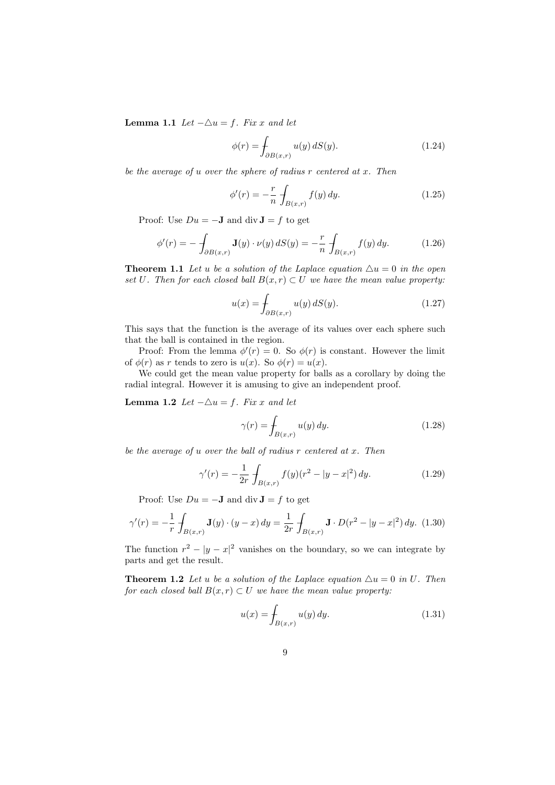**Lemma 1.1** Let  $-\Delta u = f$ . Fix x and let

$$
\phi(r) = \int_{\partial B(x,r)} u(y) \, dS(y). \tag{1.24}
$$

be the average of u over the sphere of radius  $r$  centered at  $x$ . Then

$$
\phi'(r) = -\frac{r}{n} \int_{B(x,r)} f(y) \, dy. \tag{1.25}
$$

Proof: Use  $Du = -J$  and div  $J = f$  to get

$$
\phi'(r) = -\int_{\partial B(x,r)} \mathbf{J}(y) \cdot \nu(y) \, dS(y) = -\frac{r}{n} \int_{B(x,r)} f(y) \, dy. \tag{1.26}
$$

**Theorem 1.1** Let u be a solution of the Laplace equation  $\Delta u = 0$  in the open set U. Then for each closed ball  $B(x, r) \subset U$  we have the mean value property:

$$
u(x) = \int_{\partial B(x,r)} u(y) \, dS(y). \tag{1.27}
$$

This says that the function is the average of its values over each sphere such that the ball is contained in the region.

Proof: From the lemma  $\phi'(r) = 0$ . So  $\phi(r)$  is constant. However the limit of  $\phi(r)$  as r tends to zero is  $u(x)$ . So  $\phi(r) = u(x)$ .

We could get the mean value property for balls as a corollary by doing the radial integral. However it is amusing to give an independent proof.

**Lemma 1.2** Let  $-\Delta u = f$ . Fix x and let

$$
\gamma(r) = \int_{B(x,r)} u(y) \, dy. \tag{1.28}
$$

be the average of  $u$  over the ball of radius  $r$  centered at  $x$ . Then

$$
\gamma'(r) = -\frac{1}{2r} \int_{B(x,r)} f(y)(r^2 - |y - x|^2) dy.
$$
 (1.29)

Proof: Use  $Du = -J$  and div  $J = f$  to get

$$
\gamma'(r) = -\frac{1}{r} \int_{B(x,r)} \mathbf{J}(y) \cdot (y-x) \, dy = \frac{1}{2r} \int_{B(x,r)} \mathbf{J} \cdot D(r^2 - |y-x|^2) \, dy. \tag{1.30}
$$

The function  $r^2 - |y - x|^2$  vanishes on the boundary, so we can integrate by parts and get the result.

**Theorem 1.2** Let u be a solution of the Laplace equation  $\Delta u = 0$  in U. Then for each closed ball  $B(x, r) \subset U$  we have the mean value property:

$$
u(x) = \int_{B(x,r)} u(y) \, dy. \tag{1.31}
$$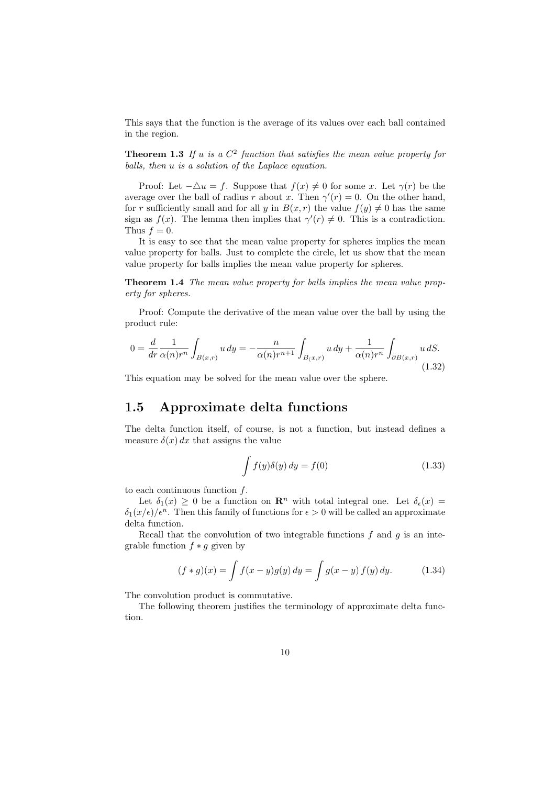This says that the function is the average of its values over each ball contained in the region.

**Theorem 1.3** If u is a  $C^2$  function that satisfies the mean value property for balls, then u is a solution of the Laplace equation.

Proof: Let  $-\Delta u = f$ . Suppose that  $f(x) \neq 0$  for some x. Let  $\gamma(r)$  be the average over the ball of radius r about x. Then  $\gamma'(r) = 0$ . On the other hand, for r sufficiently small and for all y in  $B(x, r)$  the value  $f(y) \neq 0$  has the same sign as  $f(x)$ . The lemma then implies that  $\gamma'(r) \neq 0$ . This is a contradiction. Thus  $f = 0$ .

It is easy to see that the mean value property for spheres implies the mean value property for balls. Just to complete the circle, let us show that the mean value property for balls implies the mean value property for spheres.

Theorem 1.4 The mean value property for balls implies the mean value property for spheres.

Proof: Compute the derivative of the mean value over the ball by using the product rule:

$$
0 = \frac{d}{dr} \frac{1}{\alpha(n)r^n} \int_{B(x,r)} u \, dy = -\frac{n}{\alpha(n)r^{n+1}} \int_{B(x,r)} u \, dy + \frac{1}{\alpha(n)r^n} \int_{\partial B(x,r)} u \, dS. \tag{1.32}
$$

This equation may be solved for the mean value over the sphere.

#### 1.5 Approximate delta functions

The delta function itself, of course, is not a function, but instead defines a measure  $\delta(x) dx$  that assigns the value

$$
\int f(y)\delta(y) dy = f(0)
$$
\n(1.33)

to each continuous function f.

Let  $\delta_1(x) \geq 0$  be a function on  $\mathbb{R}^n$  with total integral one. Let  $\delta_\epsilon(x) =$  $\delta_1(x/\epsilon)/\epsilon^n$ . Then this family of functions for  $\epsilon > 0$  will be called an approximate delta function.

Recall that the convolution of two integrable functions  $f$  and  $q$  is an integrable function  $f * q$  given by

$$
(f * g)(x) = \int f(x - y)g(y) \, dy = \int g(x - y) f(y) \, dy. \tag{1.34}
$$

The convolution product is commutative.

The following theorem justifies the terminology of approximate delta function.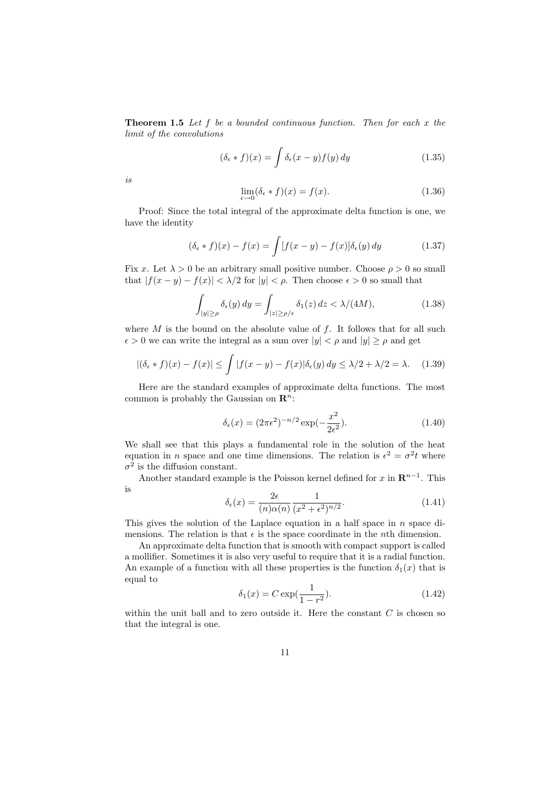**Theorem 1.5** Let  $f$  be a bounded continuous function. Then for each  $x$  the limit of the convolutions

$$
(\delta_{\epsilon} * f)(x) = \int \delta_{\epsilon}(x - y) f(y) dy \qquad (1.35)
$$

is

$$
\lim_{\epsilon \to 0} (\delta_{\epsilon} * f)(x) = f(x). \tag{1.36}
$$

Proof: Since the total integral of the approximate delta function is one, we have the identity

$$
(\delta_{\epsilon} * f)(x) - f(x) = \int [f(x - y) - f(x)] \delta_{\epsilon}(y) dy \qquad (1.37)
$$

Fix x. Let  $\lambda > 0$  be an arbitrary small positive number. Choose  $\rho > 0$  so small that  $|f(x - y) - f(x)| < \lambda/2$  for  $|y| < \rho$ . Then choose  $\epsilon > 0$  so small that

$$
\int_{|y| \ge \rho} \delta_{\epsilon}(y) dy = \int_{|z| \ge \rho/\epsilon} \delta_1(z) dz < \lambda/(4M), \tag{1.38}
$$

where  $M$  is the bound on the absolute value of  $f$ . It follows that for all such  $\epsilon > 0$  we can write the integral as a sum over  $|y| < \rho$  and  $|y| \ge \rho$  and get

$$
|(\delta_{\epsilon} * f)(x) - f(x)| \le \int |f(x - y) - f(x)| \delta_{\epsilon}(y) dy \le \lambda/2 + \lambda/2 = \lambda. \quad (1.39)
$$

Here are the standard examples of approximate delta functions. The most common is probably the Gaussian on  $\mathbb{R}^n$ :

$$
\delta_{\epsilon}(x) = (2\pi\epsilon^2)^{-n/2} \exp(-\frac{x^2}{2\epsilon^2}).\tag{1.40}
$$

We shall see that this plays a fundamental role in the solution of the heat equation in *n* space and one time dimensions. The relation is  $\epsilon^2 = \sigma^2 t$  where  $\sigma^2$  is the diffusion constant.

Another standard example is the Poisson kernel defined for x in  $\mathbb{R}^{n-1}$ . This is

$$
\delta_{\epsilon}(x) = \frac{2\epsilon}{(n)\alpha(n)} \frac{1}{(x^2 + \epsilon^2)^{n/2}}.
$$
\n(1.41)

This gives the solution of the Laplace equation in a half space in  $n$  space dimensions. The relation is that  $\epsilon$  is the space coordinate in the  $n\text{th}$  dimension.

An approximate delta function that is smooth with compact support is called a mollifier. Sometimes it is also very useful to require that it is a radial function. An example of a function with all these properties is the function  $\delta_1(x)$  that is equal to

$$
\delta_1(x) = C \exp(\frac{1}{1 - r^2}).\tag{1.42}
$$

within the unit ball and to zero outside it. Here the constant  $C$  is chosen so that the integral is one.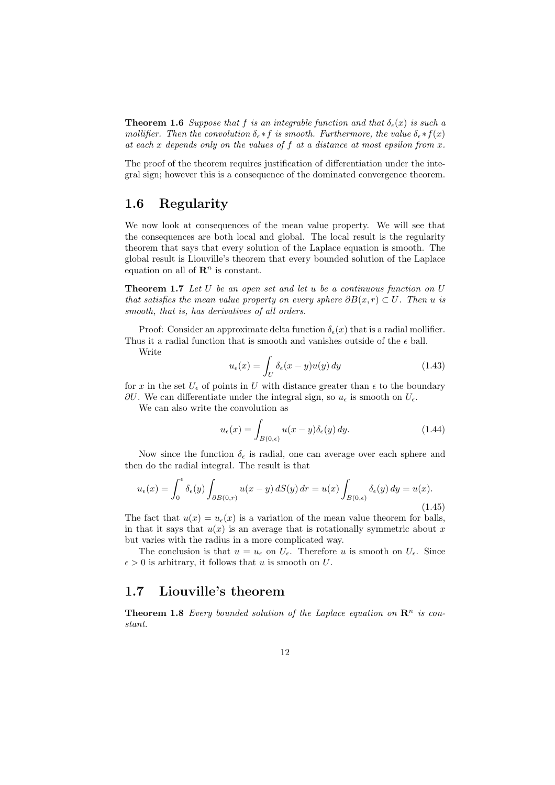**Theorem 1.6** Suppose that f is an integrable function and that  $\delta_{\epsilon}(x)$  is such a mollifier. Then the convolution  $\delta_{\epsilon} * f$  is smooth. Furthermore, the value  $\delta_{\epsilon} * f(x)$ at each x depends only on the values of  $f$  at a distance at most epsilon from  $x$ .

The proof of the theorem requires justification of differentiation under the integral sign; however this is a consequence of the dominated convergence theorem.

#### 1.6 Regularity

We now look at consequences of the mean value property. We will see that the consequences are both local and global. The local result is the regularity theorem that says that every solution of the Laplace equation is smooth. The global result is Liouville's theorem that every bounded solution of the Laplace equation on all of  $\mathbb{R}^n$  is constant.

**Theorem 1.7** Let U be an open set and let u be a continuous function on  $U$ that satisfies the mean value property on every sphere  $\partial B(x, r) \subset U$ . Then u is smooth, that is, has derivatives of all orders.

Proof: Consider an approximate delta function  $\delta_{\epsilon}(x)$  that is a radial mollifier. Thus it a radial function that is smooth and vanishes outside of the  $\epsilon$  ball.

Write

$$
u_{\epsilon}(x) = \int_{U} \delta_{\epsilon}(x - y)u(y) dy
$$
\n(1.43)

for x in the set  $U_{\epsilon}$  of points in U with distance greater than  $\epsilon$  to the boundary  $\partial U$ . We can differentiate under the integral sign, so  $u_{\epsilon}$  is smooth on  $U_{\epsilon}$ .

We can also write the convolution as

$$
u_{\epsilon}(x) = \int_{B(0,\epsilon)} u(x-y)\delta_{\epsilon}(y) dy.
$$
 (1.44)

Now since the function  $\delta_{\epsilon}$  is radial, one can average over each sphere and then do the radial integral. The result is that

$$
u_{\epsilon}(x) = \int_0^{\epsilon} \delta_{\epsilon}(y) \int_{\partial B(0,r)} u(x-y) dS(y) dr = u(x) \int_{B(0,\epsilon)} \delta_{\epsilon}(y) dy = u(x).
$$
\n(1.45)

The fact that  $u(x) = u_{\epsilon}(x)$  is a variation of the mean value theorem for balls, in that it says that  $u(x)$  is an average that is rotationally symmetric about x but varies with the radius in a more complicated way.

The conclusion is that  $u = u_{\epsilon}$  on  $U_{\epsilon}$ . Therefore u is smooth on  $U_{\epsilon}$ . Since  $\epsilon > 0$  is arbitrary, it follows that u is smooth on U.

#### 1.7 Liouville's theorem

**Theorem 1.8** Every bounded solution of the Laplace equation on  $\mathbb{R}^n$  is constant.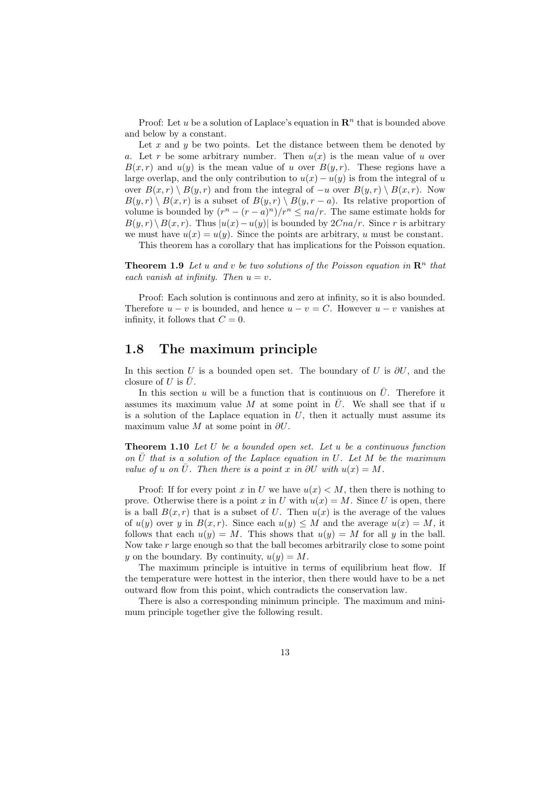Proof: Let u be a solution of Laplace's equation in  $\mathbb{R}^n$  that is bounded above and below by a constant.

Let  $x$  and  $y$  be two points. Let the distance between them be denoted by a. Let r be some arbitrary number. Then  $u(x)$  is the mean value of u over  $B(x, r)$  and  $u(y)$  is the mean value of u over  $B(y, r)$ . These regions have a large overlap, and the only contribution to  $u(x) - u(y)$  is from the integral of u over  $B(x, r) \setminus B(y, r)$  and from the integral of  $-u$  over  $B(y, r) \setminus B(x, r)$ . Now  $B(y, r) \setminus B(x, r)$  is a subset of  $B(y, r) \setminus B(y, r - a)$ . Its relative proportion of volume is bounded by  $(r^n - (r - a)^n)/r^n \leq na/r$ . The same estimate holds for  $B(y, r) \ B(x, r)$ . Thus  $|u(x) - u(y)|$  is bounded by  $2Cna/r$ . Since r is arbitrary we must have  $u(x) = u(y)$ . Since the points are arbitrary, u must be constant.

This theorem has a corollary that has implications for the Poisson equation.

**Theorem 1.9** Let u and v be two solutions of the Poisson equation in  $\mathbb{R}^n$  that each vanish at infinity. Then  $u = v$ .

Proof: Each solution is continuous and zero at infinity, so it is also bounded. Therefore  $u - v$  is bounded, and hence  $u - v = C$ . However  $u - v$  vanishes at infinity, it follows that  $C = 0$ .

#### 1.8 The maximum principle

In this section U is a bounded open set. The boundary of U is  $\partial U$ , and the closure of U is  $\bar{U}$ .

In this section u will be a function that is continuous on  $\overline{U}$ . Therefore it assumes its maximum value  $M$  at some point in  $U$ . We shall see that if  $u$ is a solution of the Laplace equation in  $U$ , then it actually must assume its maximum value M at some point in  $\partial U$ .

**Theorem 1.10** Let U be a bounded open set. Let u be a continuous function on  $\bar{U}$  that is a solution of the Laplace equation in  $U$ . Let M be the maximum value of u on U. Then there is a point x in  $\partial U$  with  $u(x) = M$ .

Proof: If for every point x in U we have  $u(x) < M$ , then there is nothing to prove. Otherwise there is a point x in U with  $u(x) = M$ . Since U is open, there is a ball  $B(x, r)$  that is a subset of U. Then  $u(x)$  is the average of the values of  $u(y)$  over y in  $B(x,r)$ . Since each  $u(y) \leq M$  and the average  $u(x) = M$ , it follows that each  $u(y) = M$ . This shows that  $u(y) = M$  for all y in the ball. Now take r large enough so that the ball becomes arbitrarily close to some point y on the boundary. By continuity,  $u(y) = M$ .

The maximum principle is intuitive in terms of equilibrium heat flow. If the temperature were hottest in the interior, then there would have to be a net outward flow from this point, which contradicts the conservation law.

There is also a corresponding minimum principle. The maximum and minimum principle together give the following result.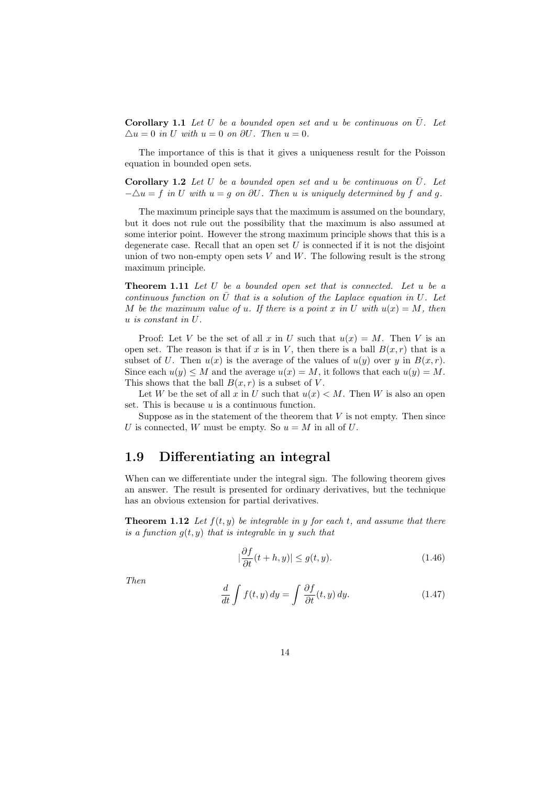**Corollary 1.1** Let U be a bounded open set and u be continuous on  $\overline{U}$ . Let  $\Delta u = 0$  in U with  $u = 0$  on  $\partial U$ . Then  $u = 0$ .

The importance of this is that it gives a uniqueness result for the Poisson equation in bounded open sets.

**Corollary 1.2** Let U be a bounded open set and u be continuous on  $\overline{U}$ . Let  $-\Delta u = f$  in U with  $u = g$  on  $\partial U$ . Then u is uniquely determined by f and q.

The maximum principle says that the maximum is assumed on the boundary, but it does not rule out the possibility that the maximum is also assumed at some interior point. However the strong maximum principle shows that this is a degenerate case. Recall that an open set  $U$  is connected if it is not the disjoint union of two non-empty open sets  $V$  and  $W$ . The following result is the strong maximum principle.

Theorem 1.11 Let U be a bounded open set that is connected. Let u be a continuous function on  $\overline{U}$  that is a solution of the Laplace equation in U. Let M be the maximum value of u. If there is a point x in U with  $u(x) = M$ , then u is constant in U.

Proof: Let V be the set of all x in U such that  $u(x) = M$ . Then V is an open set. The reason is that if x is in V, then there is a ball  $B(x, r)$  that is a subset of U. Then  $u(x)$  is the average of the values of  $u(y)$  over y in  $B(x, r)$ . Since each  $u(y) \leq M$  and the average  $u(x) = M$ , it follows that each  $u(y) = M$ . This shows that the ball  $B(x, r)$  is a subset of V.

Let W be the set of all x in U such that  $u(x) < M$ . Then W is also an open set. This is because  $u$  is a continuous function.

Suppose as in the statement of the theorem that  $V$  is not empty. Then since U is connected, W must be empty. So  $u = M$  in all of U.

#### 1.9 Differentiating an integral

When can we differentiate under the integral sign. The following theorem gives an answer. The result is presented for ordinary derivatives, but the technique has an obvious extension for partial derivatives.

**Theorem 1.12** Let  $f(t, y)$  be integrable in y for each t, and assume that there is a function  $g(t, y)$  that is integrable in y such that

$$
|\frac{\partial f}{\partial t}(t+h, y)| \le g(t, y). \tag{1.46}
$$

Then

$$
\frac{d}{dt} \int f(t, y) dy = \int \frac{\partial f}{\partial t}(t, y) dy.
$$
\n(1.47)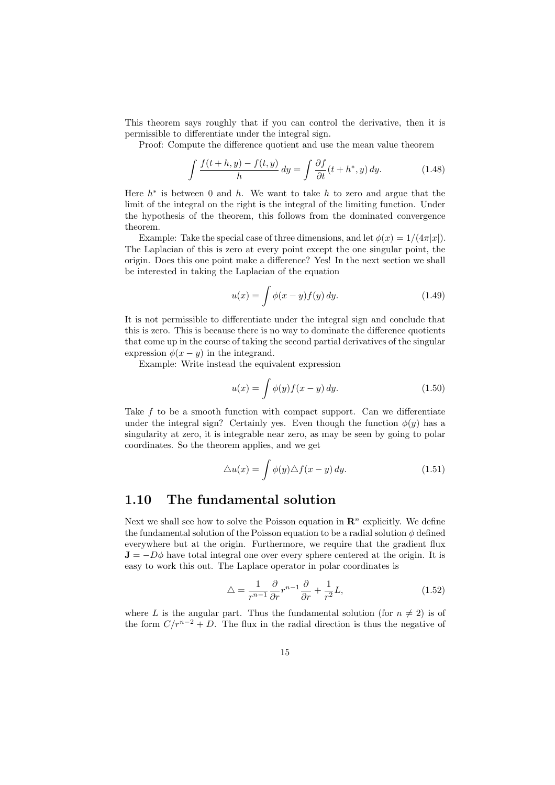This theorem says roughly that if you can control the derivative, then it is permissible to differentiate under the integral sign.

Proof: Compute the difference quotient and use the mean value theorem

$$
\int \frac{f(t+h,y) - f(t,y)}{h} dy = \int \frac{\partial f}{\partial t}(t+h^*,y) dy.
$$
 (1.48)

Here  $h^*$  is between 0 and h. We want to take h to zero and argue that the limit of the integral on the right is the integral of the limiting function. Under the hypothesis of the theorem, this follows from the dominated convergence theorem.

Example: Take the special case of three dimensions, and let  $\phi(x) = 1/(4\pi|x|)$ . The Laplacian of this is zero at every point except the one singular point, the origin. Does this one point make a difference? Yes! In the next section we shall be interested in taking the Laplacian of the equation

$$
u(x) = \int \phi(x - y) f(y) dy.
$$
 (1.49)

It is not permissible to differentiate under the integral sign and conclude that this is zero. This is because there is no way to dominate the difference quotients that come up in the course of taking the second partial derivatives of the singular expression  $\phi(x - y)$  in the integrand.

Example: Write instead the equivalent expression

$$
u(x) = \int \phi(y) f(x - y) dy.
$$
 (1.50)

Take  $f$  to be a smooth function with compact support. Can we differentiate under the integral sign? Certainly yes. Even though the function  $\phi(y)$  has a singularity at zero, it is integrable near zero, as may be seen by going to polar coordinates. So the theorem applies, and we get

$$
\triangle u(x) = \int \phi(y) \triangle f(x - y) dy.
$$
 (1.51)

#### 1.10 The fundamental solution

Next we shall see how to solve the Poisson equation in  $\mathbb{R}^n$  explicitly. We define the fundamental solution of the Poisson equation to be a radial solution  $\phi$  defined everywhere but at the origin. Furthermore, we require that the gradient flux  $J = -D\phi$  have total integral one over every sphere centered at the origin. It is easy to work this out. The Laplace operator in polar coordinates is

$$
\triangle = \frac{1}{r^{n-1}} \frac{\partial}{\partial r} r^{n-1} \frac{\partial}{\partial r} + \frac{1}{r^2} L,
$$
\n(1.52)

where L is the angular part. Thus the fundamental solution (for  $n \neq 2$ ) is of the form  $C/r^{n-2} + D$ . The flux in the radial direction is thus the negative of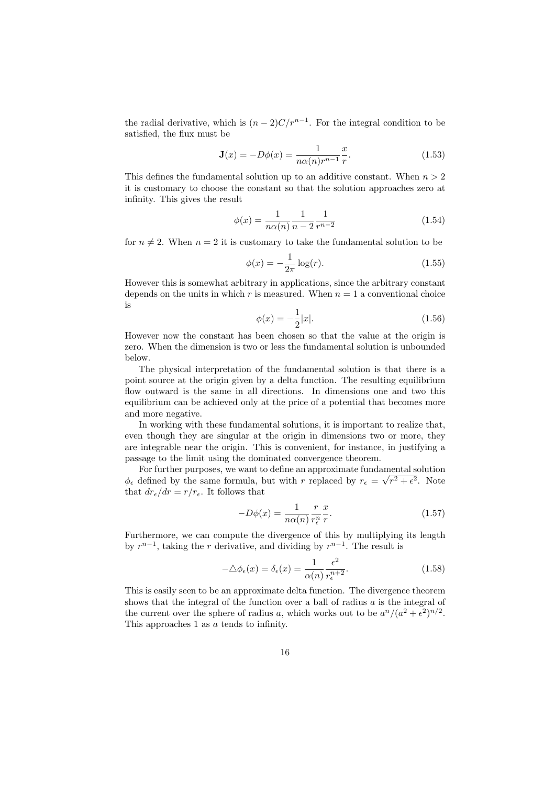the radial derivative, which is  $(n-2)C/r^{n-1}$ . For the integral condition to be satisfied, the flux must be

$$
\mathbf{J}(x) = -D\phi(x) = \frac{1}{n\alpha(n)r^{n-1}} \frac{x}{r}.
$$
 (1.53)

This defines the fundamental solution up to an additive constant. When  $n > 2$ it is customary to choose the constant so that the solution approaches zero at infinity. This gives the result

$$
\phi(x) = \frac{1}{n\alpha(n)} \frac{1}{n-2} \frac{1}{r^{n-2}} \tag{1.54}
$$

for  $n \neq 2$ . When  $n = 2$  it is customary to take the fundamental solution to be

$$
\phi(x) = -\frac{1}{2\pi} \log(r). \tag{1.55}
$$

However this is somewhat arbitrary in applications, since the arbitrary constant depends on the units in which r is measured. When  $n = 1$  a conventional choice is

$$
\phi(x) = -\frac{1}{2}|x|.\tag{1.56}
$$

However now the constant has been chosen so that the value at the origin is zero. When the dimension is two or less the fundamental solution is unbounded below.

The physical interpretation of the fundamental solution is that there is a point source at the origin given by a delta function. The resulting equilibrium flow outward is the same in all directions. In dimensions one and two this equilibrium can be achieved only at the price of a potential that becomes more and more negative.

In working with these fundamental solutions, it is important to realize that, even though they are singular at the origin in dimensions two or more, they are integrable near the origin. This is convenient, for instance, in justifying a passage to the limit using the dominated convergence theorem.

For further purposes, we want to define an approximate fundamental solution  $\phi_{\epsilon}$  defined by the same formula, but with r replaced by  $r_{\epsilon} = \sqrt{r^2 + \epsilon^2}$ . Note that  $dr_{\epsilon}/dr = r/r_{\epsilon}$ . It follows that

$$
-D\phi(x) = \frac{1}{n\alpha(n)} \frac{r}{r_{\epsilon}^n} \frac{x}{r}.
$$
\n(1.57)

Furthermore, we can compute the divergence of this by multiplying its length by  $r^{n-1}$ , taking the r derivative, and dividing by  $r^{n-1}$ . The result is

$$
-\triangle \phi_{\epsilon}(x) = \delta_{\epsilon}(x) = \frac{1}{\alpha(n)} \frac{\epsilon^2}{r_{\epsilon}^{n+2}}.
$$
\n(1.58)

This is easily seen to be an approximate delta function. The divergence theorem shows that the integral of the function over a ball of radius  $a$  is the integral of the current over the sphere of radius a, which works out to be  $a^n/(a^2 + \epsilon^2)^{n/2}$ . This approaches 1 as a tends to infinity.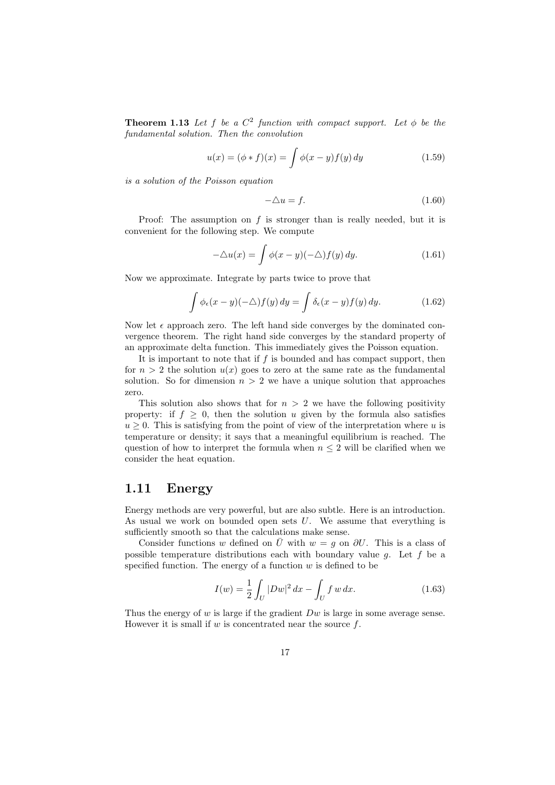**Theorem 1.13** Let f be a  $C^2$  function with compact support. Let  $\phi$  be the fundamental solution. Then the convolution

$$
u(x) = (\phi * f)(x) = \int \phi(x - y) f(y) \, dy \tag{1.59}
$$

is a solution of the Poisson equation

$$
-\triangle u = f. \tag{1.60}
$$

Proof: The assumption on f is stronger than is really needed, but it is convenient for the following step. We compute

$$
-\triangle u(x) = \int \phi(x - y)(-\triangle) f(y) dy.
$$
 (1.61)

Now we approximate. Integrate by parts twice to prove that

$$
\int \phi_{\epsilon}(x-y)(-\triangle)f(y) dy = \int \delta_{\epsilon}(x-y)f(y) dy.
$$
 (1.62)

Now let  $\epsilon$  approach zero. The left hand side converges by the dominated convergence theorem. The right hand side converges by the standard property of an approximate delta function. This immediately gives the Poisson equation.

It is important to note that if  $f$  is bounded and has compact support, then for  $n > 2$  the solution  $u(x)$  goes to zero at the same rate as the fundamental solution. So for dimension  $n > 2$  we have a unique solution that approaches zero.

This solution also shows that for  $n > 2$  we have the following positivity property: if  $f \geq 0$ , then the solution u given by the formula also satisfies  $u \geq 0$ . This is satisfying from the point of view of the interpretation where u is temperature or density; it says that a meaningful equilibrium is reached. The question of how to interpret the formula when  $n \leq 2$  will be clarified when we consider the heat equation.

#### 1.11 Energy

Energy methods are very powerful, but are also subtle. Here is an introduction. As usual we work on bounded open sets  $U$ . We assume that everything is sufficiently smooth so that the calculations make sense.

Consider functions w defined on U with  $w = g$  on  $\partial U$ . This is a class of possible temperature distributions each with boundary value  $q$ . Let  $f$  be a specified function. The energy of a function  $w$  is defined to be

$$
I(w) = \frac{1}{2} \int_{U} |Dw|^2 dx - \int_{U} f w dx.
$$
 (1.63)

Thus the energy of  $w$  is large if the gradient  $Dw$  is large in some average sense. However it is small if  $w$  is concentrated near the source  $f$ .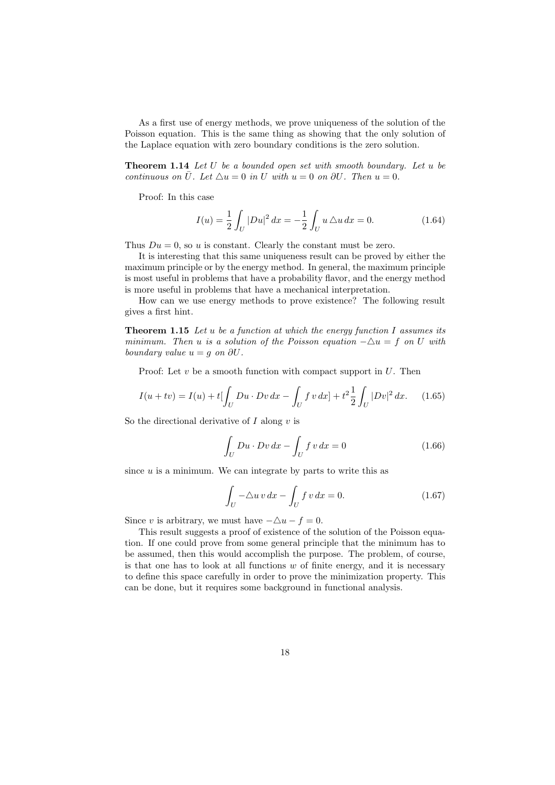As a first use of energy methods, we prove uniqueness of the solution of the Poisson equation. This is the same thing as showing that the only solution of the Laplace equation with zero boundary conditions is the zero solution.

Theorem 1.14 Let U be a bounded open set with smooth boundary. Let u be continuous on  $\overline{U}$ . Let  $\triangle u = 0$  in U with  $u = 0$  on  $\partial U$ . Then  $u = 0$ .

Proof: In this case

$$
I(u) = \frac{1}{2} \int_{U} |Du|^2 \, dx = -\frac{1}{2} \int_{U} u \, \Delta u \, dx = 0. \tag{1.64}
$$

Thus  $Du = 0$ , so u is constant. Clearly the constant must be zero.

It is interesting that this same uniqueness result can be proved by either the maximum principle or by the energy method. In general, the maximum principle is most useful in problems that have a probability flavor, and the energy method is more useful in problems that have a mechanical interpretation.

How can we use energy methods to prove existence? The following result gives a first hint.

**Theorem 1.15** Let u be a function at which the energy function I assumes its minimum. Then u is a solution of the Poisson equation  $-\Delta u = f$  on U with boundary value  $u = q$  on  $\partial U$ .

Proof: Let  $v$  be a smooth function with compact support in  $U$ . Then

$$
I(u + tv) = I(u) + t \left[ \int_U Du \cdot Dv \, dx - \int_U fv \, dx \right] + t^2 \frac{1}{2} \int_U |Dv|^2 \, dx. \tag{1.65}
$$

So the directional derivative of  $I$  along  $v$  is

$$
\int_{U} Du \cdot Dv \, dx - \int_{U} f v \, dx = 0 \tag{1.66}
$$

since  $u$  is a minimum. We can integrate by parts to write this as

$$
\int_{U} -\Delta u v dx - \int_{U} f v dx = 0.
$$
\n(1.67)

Since v is arbitrary, we must have  $-\Delta u - f = 0$ .

This result suggests a proof of existence of the solution of the Poisson equation. If one could prove from some general principle that the minimum has to be assumed, then this would accomplish the purpose. The problem, of course, is that one has to look at all functions  $w$  of finite energy, and it is necessary to define this space carefully in order to prove the minimization property. This can be done, but it requires some background in functional analysis.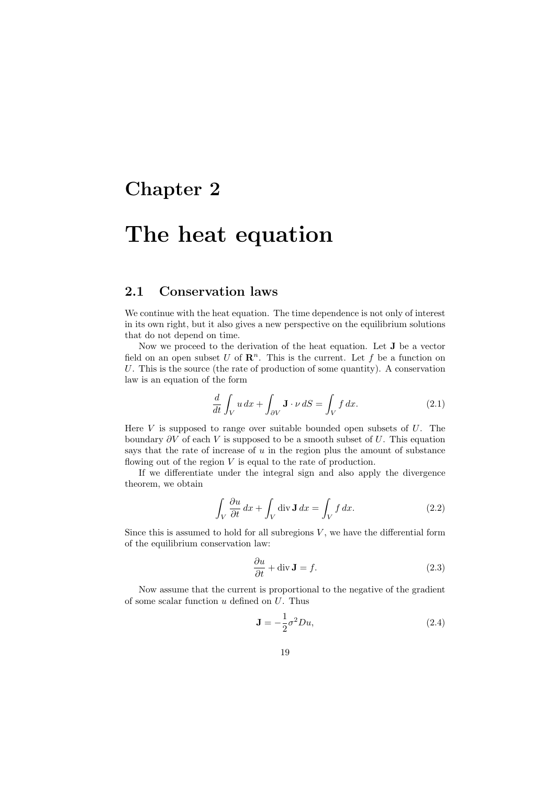### Chapter 2

## The heat equation

#### 2.1 Conservation laws

We continue with the heat equation. The time dependence is not only of interest in its own right, but it also gives a new perspective on the equilibrium solutions that do not depend on time.

Now we proceed to the derivation of the heat equation. Let J be a vector field on an open subset U of  $\mathbb{R}^n$ . This is the current. Let f be a function on U. This is the source (the rate of production of some quantity). A conservation law is an equation of the form

$$
\frac{d}{dt} \int_{V} u \, dx + \int_{\partial V} \mathbf{J} \cdot \nu \, dS = \int_{V} f \, dx. \tag{2.1}
$$

Here  $V$  is supposed to range over suitable bounded open subsets of  $U$ . The boundary  $\partial V$  of each V is supposed to be a smooth subset of U. This equation says that the rate of increase of  $u$  in the region plus the amount of substance flowing out of the region  $V$  is equal to the rate of production.

If we differentiate under the integral sign and also apply the divergence theorem, we obtain

$$
\int_{V} \frac{\partial u}{\partial t} dx + \int_{V} \operatorname{div} \mathbf{J} dx = \int_{V} f dx.
$$
\n(2.2)

Since this is assumed to hold for all subregions  $V$ , we have the differential form of the equilibrium conservation law:

$$
\frac{\partial u}{\partial t} + \text{div } \mathbf{J} = f. \tag{2.3}
$$

Now assume that the current is proportional to the negative of the gradient of some scalar function  $u$  defined on  $U$ . Thus

$$
\mathbf{J} = -\frac{1}{2}\sigma^2 D u,\tag{2.4}
$$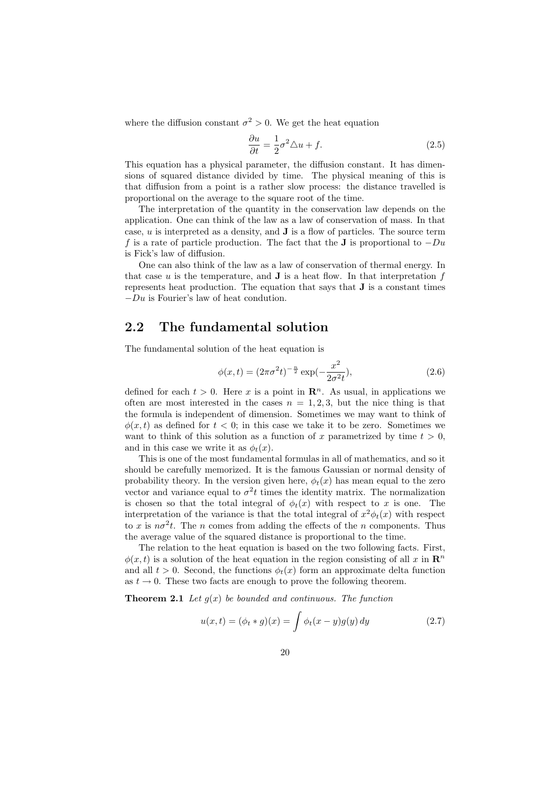where the diffusion constant  $\sigma^2 > 0$ . We get the heat equation

$$
\frac{\partial u}{\partial t} = \frac{1}{2}\sigma^2 \triangle u + f. \tag{2.5}
$$

This equation has a physical parameter, the diffusion constant. It has dimensions of squared distance divided by time. The physical meaning of this is that diffusion from a point is a rather slow process: the distance travelled is proportional on the average to the square root of the time.

The interpretation of the quantity in the conservation law depends on the application. One can think of the law as a law of conservation of mass. In that case,  $u$  is interpreted as a density, and  $J$  is a flow of particles. The source term f is a rate of particle production. The fact that the **J** is proportional to  $-Du$ is Fick's law of diffusion.

One can also think of the law as a law of conservation of thermal energy. In that case  $u$  is the temperature, and  $J$  is a heat flow. In that interpretation  $f$ represents heat production. The equation that says that J is a constant times −Du is Fourier's law of heat condution.

#### 2.2 The fundamental solution

The fundamental solution of the heat equation is

$$
\phi(x,t) = (2\pi\sigma^2 t)^{-\frac{n}{2}} \exp(-\frac{x^2}{2\sigma^2 t}),
$$
\n(2.6)

defined for each  $t > 0$ . Here x is a point in  $\mathbb{R}^n$ . As usual, in applications we often are most interested in the cases  $n = 1, 2, 3$ , but the nice thing is that the formula is independent of dimension. Sometimes we may want to think of  $\phi(x, t)$  as defined for  $t < 0$ ; in this case we take it to be zero. Sometimes we want to think of this solution as a function of x parametrized by time  $t > 0$ , and in this case we write it as  $\phi_t(x)$ .

This is one of the most fundamental formulas in all of mathematics, and so it should be carefully memorized. It is the famous Gaussian or normal density of probability theory. In the version given here,  $\phi_t(x)$  has mean equal to the zero vector and variance equal to  $\sigma^2 t$  times the identity matrix. The normalization is chosen so that the total integral of  $\phi_t(x)$  with respect to x is one. The interpretation of the variance is that the total integral of  $x^2\phi_t(x)$  with respect to x is  $n\sigma^2 t$ . The n comes from adding the effects of the n components. Thus the average value of the squared distance is proportional to the time.

The relation to the heat equation is based on the two following facts. First,  $\phi(x, t)$  is a solution of the heat equation in the region consisting of all x in  $\mathbb{R}^n$ and all  $t > 0$ . Second, the functions  $\phi_t(x)$  form an approximate delta function as  $t \to 0$ . These two facts are enough to prove the following theorem.

**Theorem 2.1** Let  $g(x)$  be bounded and continuous. The function

$$
u(x,t) = (\phi_t * g)(x) = \int \phi_t(x - y)g(y) \, dy \tag{2.7}
$$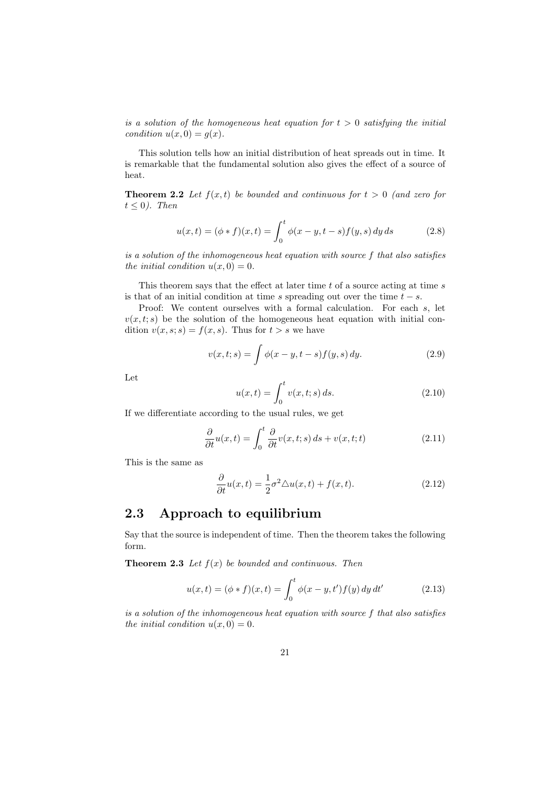is a solution of the homogeneous heat equation for  $t > 0$  satisfying the initial condition  $u(x, 0) = g(x)$ .

This solution tells how an initial distribution of heat spreads out in time. It is remarkable that the fundamental solution also gives the effect of a source of heat.

**Theorem 2.2** Let  $f(x,t)$  be bounded and continuous for  $t > 0$  (and zero for  $t \leq 0$ ). Then

$$
u(x,t) = (\phi * f)(x,t) = \int_0^t \phi(x - y, t - s) f(y, s) dy ds \qquad (2.8)
$$

is a solution of the inhomogeneous heat equation with source f that also satisfies the initial condition  $u(x, 0) = 0$ .

This theorem says that the effect at later time  $t$  of a source acting at time  $s$ is that of an initial condition at time s spreading out over the time  $t - s$ .

Proof: We content ourselves with a formal calculation. For each s, let  $v(x, t; s)$  be the solution of the homogeneous heat equation with initial condition  $v(x, s; s) = f(x, s)$ . Thus for  $t > s$  we have

$$
v(x,t;s) = \int \phi(x - y, t - s) f(y, s) \, dy. \tag{2.9}
$$

Let

$$
u(x,t) = \int_0^t v(x,t;s) \, ds. \tag{2.10}
$$

If we differentiate according to the usual rules, we get

$$
\frac{\partial}{\partial t}u(x,t) = \int_0^t \frac{\partial}{\partial t}v(x,t;s) \, ds + v(x,t;t) \tag{2.11}
$$

This is the same as

$$
\frac{\partial}{\partial t}u(x,t) = \frac{1}{2}\sigma^2 \triangle u(x,t) + f(x,t). \tag{2.12}
$$

#### 2.3 Approach to equilibrium

Say that the source is independent of time. Then the theorem takes the following form.

**Theorem 2.3** Let  $f(x)$  be bounded and continuous. Then

$$
u(x,t) = (\phi * f)(x,t) = \int_0^t \phi(x - y, t') f(y) \, dy \, dt' \tag{2.13}
$$

is a solution of the inhomogeneous heat equation with source f that also satisfies the initial condition  $u(x, 0) = 0$ .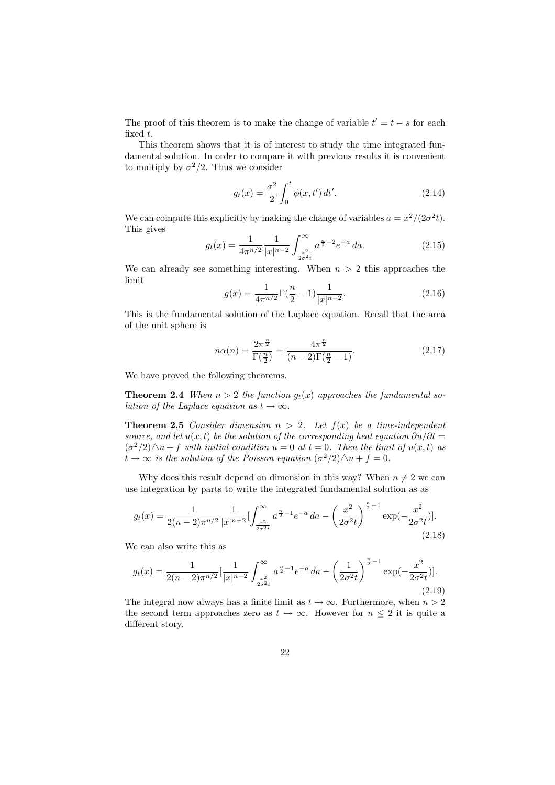The proof of this theorem is to make the change of variable  $t' = t - s$  for each fixed t.

This theorem shows that it is of interest to study the time integrated fundamental solution. In order to compare it with previous results it is convenient to multiply by  $\sigma^2/2$ . Thus we consider

$$
g_t(x) = \frac{\sigma^2}{2} \int_0^t \phi(x, t') dt'.
$$
 (2.14)

We can compute this explicitly by making the change of variables  $a = x^2/(2\sigma^2 t)$ . This gives  $\overline{r}^{\infty}$ 

$$
g_t(x) = \frac{1}{4\pi^{n/2}} \frac{1}{|x|^{n-2}} \int_{\frac{x^2}{2\sigma^2 t}}^{\infty} a^{\frac{n}{2} - 2} e^{-a} da.
$$
 (2.15)

We can already see something interesting. When  $n > 2$  this approaches the limit

$$
g(x) = \frac{1}{4\pi^{n/2}} \Gamma(\frac{n}{2} - 1) \frac{1}{|x|^{n-2}}.
$$
 (2.16)

This is the fundamental solution of the Laplace equation. Recall that the area of the unit sphere is

$$
n\alpha(n) = \frac{2\pi^{\frac{n}{2}}}{\Gamma(\frac{n}{2})} = \frac{4\pi^{\frac{n}{2}}}{(n-2)\Gamma(\frac{n}{2}-1)}.
$$
\n(2.17)

We have proved the following theorems.

**Theorem 2.4** When  $n > 2$  the function  $g_t(x)$  approaches the fundamental solution of the Laplace equation as  $t \to \infty$ .

**Theorem 2.5** Consider dimension  $n > 2$ . Let  $f(x)$  be a time-independent source, and let  $u(x, t)$  be the solution of the corresponding heat equation  $\partial u/\partial t =$  $(\sigma^2/2)\Delta u + f$  with initial condition  $u = 0$  at  $t = 0$ . Then the limit of  $u(x, t)$  as  $t \to \infty$  is the solution of the Poisson equation  $(\sigma^2/2)\Delta u + f = 0$ .

Why does this result depend on dimension in this way? When  $n \neq 2$  we can use integration by parts to write the integrated fundamental solution as as

$$
g_t(x) = \frac{1}{2(n-2)\pi^{n/2}} \frac{1}{|x|^{n-2}} \left[ \int_{\frac{x^2}{2\sigma^2 t}}^{\infty} a^{\frac{n}{2}-1} e^{-a} da - \left( \frac{x^2}{2\sigma^2 t} \right)^{\frac{n}{2}-1} \exp(-\frac{x^2}{2\sigma^2 t}) \right].
$$
\n(2.18)

We can also write this as

$$
g_t(x) = \frac{1}{2(n-2)\pi^{n/2}} \left[ \frac{1}{|x|^{n-2}} \int_{\frac{x^2}{2\sigma^2 t}}^{\infty} a^{\frac{n}{2}-1} e^{-a} da - \left( \frac{1}{2\sigma^2 t} \right)^{\frac{n}{2}-1} \exp(-\frac{x^2}{2\sigma^2 t}) \right].
$$
\n(2.19)

The integral now always has a finite limit as  $t \to \infty$ . Furthermore, when  $n > 2$ the second term approaches zero as  $t \to \infty$ . However for  $n \leq 2$  it is quite a different story.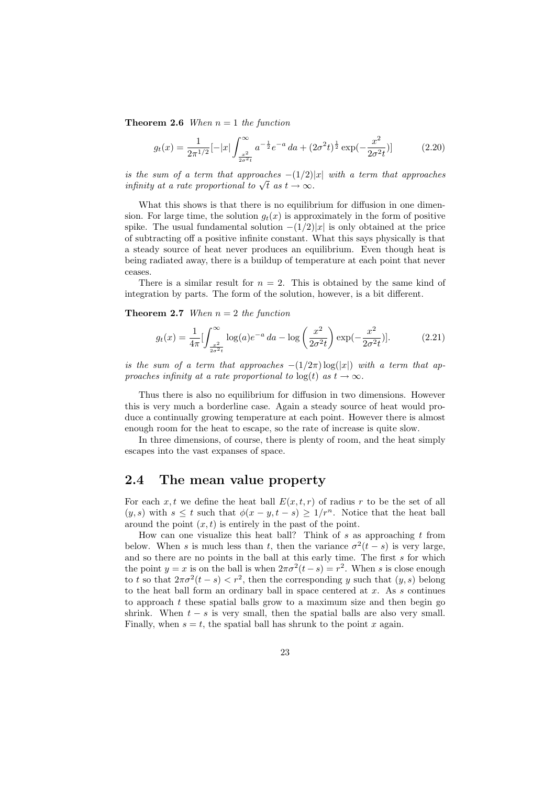**Theorem 2.6** When  $n = 1$  the function

$$
g_t(x) = \frac{1}{2\pi^{1/2}} \left[ -|x| \int_{\frac{x^2}{2\sigma^2 t}}^{\infty} a^{-\frac{1}{2}} e^{-a} da + (2\sigma^2 t)^{\frac{1}{2}} \exp(-\frac{x^2}{2\sigma^2 t}) \right]
$$
(2.20)

is the sum of a term that approaches  $-(1/2)|x|$  with a term that approaches is the sum of a term that approaches  $-(1/2)$ <br>infinity at a rate proportional to  $\sqrt{t}$  as  $t \to \infty$ .

What this shows is that there is no equilibrium for diffusion in one dimension. For large time, the solution  $q_t(x)$  is approximately in the form of positive spike. The usual fundamental solution  $-(1/2)|x|$  is only obtained at the price of subtracting off a positive infinite constant. What this says physically is that a steady source of heat never produces an equilibrium. Even though heat is being radiated away, there is a buildup of temperature at each point that never ceases.

There is a similar result for  $n = 2$ . This is obtained by the same kind of integration by parts. The form of the solution, however, is a bit different.

**Theorem 2.7** When  $n = 2$  the function

$$
g_t(x) = \frac{1}{4\pi} \left[ \int_{\frac{x^2}{2\sigma^2 t}}^{\infty} \log(a) e^{-a} da - \log\left(\frac{x^2}{2\sigma^2 t}\right) \exp(-\frac{x^2}{2\sigma^2 t}) \right].
$$
 (2.21)

is the sum of a term that approaches  $-(1/2\pi)\log(|x|)$  with a term that approaches infinity at a rate proportional to  $log(t)$  as  $t \to \infty$ .

Thus there is also no equilibrium for diffusion in two dimensions. However this is very much a borderline case. Again a steady source of heat would produce a continually growing temperature at each point. However there is almost enough room for the heat to escape, so the rate of increase is quite slow.

In three dimensions, of course, there is plenty of room, and the heat simply escapes into the vast expanses of space.

#### 2.4 The mean value property

For each x, t we define the heat ball  $E(x, t, r)$  of radius r to be the set of all  $(y, s)$  with  $s \leq t$  such that  $\phi(x - y, t - s) \geq 1/r^n$ . Notice that the heat ball around the point  $(x, t)$  is entirely in the past of the point.

How can one visualize this heat ball? Think of  $s$  as approaching  $t$  from below. When s is much less than t, then the variance  $\sigma^2(t-s)$  is very large, and so there are no points in the ball at this early time. The first s for which the point  $y = x$  is on the ball is when  $2\pi\sigma^2(t-s) = r^2$ . When s is close enough to t so that  $2\pi\sigma^2(t-s) < r^2$ , then the corresponding y such that  $(y, s)$  belong to the heat ball form an ordinary ball in space centered at  $x$ . As s continues to approach  $t$  these spatial balls grow to a maximum size and then begin go shrink. When  $t - s$  is very small, then the spatial balls are also very small. Finally, when  $s = t$ , the spatial ball has shrunk to the point x again.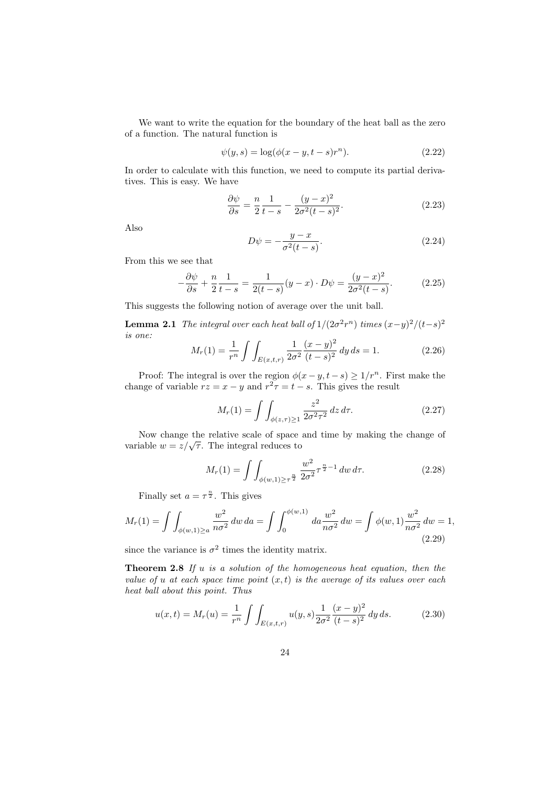We want to write the equation for the boundary of the heat ball as the zero of a function. The natural function is

$$
\psi(y, s) = \log(\phi(x - y, t - s)r^n).
$$
\n(2.22)

In order to calculate with this function, we need to compute its partial derivatives. This is easy. We have

$$
\frac{\partial \psi}{\partial s} = \frac{n}{2} \frac{1}{t - s} - \frac{(y - x)^2}{2\sigma^2 (t - s)^2}.
$$
 (2.23)

Also

$$
D\psi = -\frac{y-x}{\sigma^2(t-s)}.\tag{2.24}
$$

From this we see that

$$
-\frac{\partial \psi}{\partial s} + \frac{n}{2} \frac{1}{t - s} = \frac{1}{2(t - s)} (y - x) \cdot D\psi = \frac{(y - x)^2}{2\sigma^2 (t - s)}.
$$
 (2.25)

This suggests the following notion of average over the unit ball.

**Lemma 2.1** The integral over each heat ball of  $1/(2\sigma^2 r^n)$  times  $(x-y)^2/(t-s)^2$ is one:  $\overline{a}$ 

$$
M_r(1) = \frac{1}{r^n} \int \int_{E(x,t,r)} \frac{1}{2\sigma^2} \frac{(x-y)^2}{(t-s)^2} dy ds = 1.
$$
 (2.26)

Proof: The integral is over the region  $\phi(x-y,t-s) \geq 1/r^n$ . First make the change of variable  $rz = x - y$  and  $r^2 \tau = t - s$ . This gives the result

$$
M_r(1) = \int \int_{\phi(z,\tau) \ge 1} \frac{z^2}{2\sigma^2 \tau^2} \, dz \, d\tau. \tag{2.27}
$$

Now change the relative scale of space and time by making the change of Now change the relative scale of space<br>variable  $w = z/\sqrt{\tau}$ . The integral reduces to

$$
M_r(1) = \int \int_{\phi(w,1) \ge \tau^{\frac{n}{2}}} \frac{w^2}{2\sigma^2} \tau^{\frac{n}{2}-1} \, dw \, d\tau. \tag{2.28}
$$

Finally set  $a = \tau^{\frac{n}{2}}$ . This gives

$$
M_r(1) = \int \int_{\phi(w,1)\geq a} \frac{w^2}{n\sigma^2} \, dw \, da = \int \int_0^{\phi(w,1)} \, da \frac{w^2}{n\sigma^2} \, dw = \int \phi(w,1) \frac{w^2}{n\sigma^2} \, dw = 1,
$$
\n(2.29)

since the variance is  $\sigma^2$  times the identity matrix.

**Theorem 2.8** If u is a solution of the homogeneous heat equation, then the value of u at each space time point  $(x, t)$  is the average of its values over each heat ball about this point. Thus

$$
u(x,t) = M_r(u) = \frac{1}{r^n} \int \int_{E(x,t,r)} u(y,s) \frac{1}{2\sigma^2} \frac{(x-y)^2}{(t-s)^2} dy ds.
$$
 (2.30)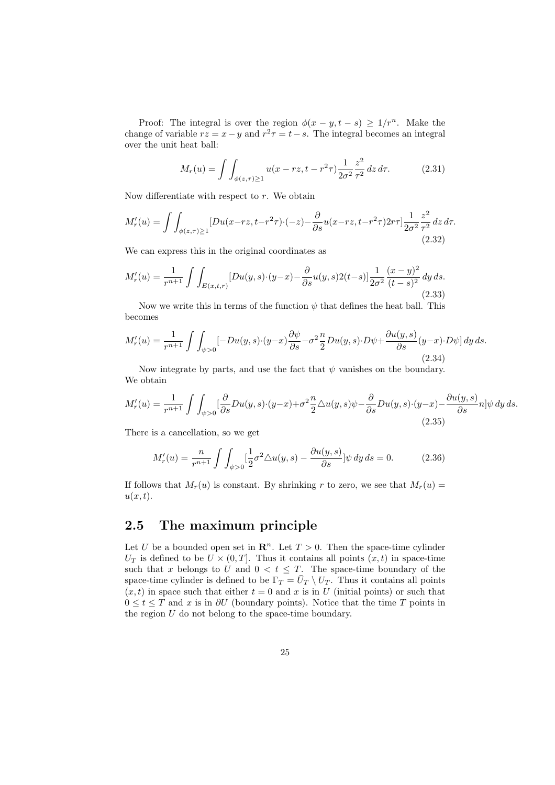Proof: The integral is over the region  $\phi(x-y,t-s) \geq 1/r^n$ . Make the change of variable  $rz = x - y$  and  $r^2 \tau = t - s$ . The integral becomes an integral over the unit heat ball:

$$
M_r(u) = \int \int_{\phi(z,\tau)\geq 1} u(x - rz, t - r^2 \tau) \frac{1}{2\sigma^2} \frac{z^2}{\tau^2} dz d\tau.
$$
 (2.31)

Now differentiate with respect to  $r$ . We obtain

$$
M'_r(u) = \int \int_{\phi(z,\tau)\geq 1} [Du(x-rz, t-r^2\tau) \cdot (-z) - \frac{\partial}{\partial s} u(x-rz, t-r^2\tau) 2r\tau] \frac{1}{2\sigma^2} \frac{z^2}{\tau^2} dz d\tau.
$$
\n(2.32)

We can express this in the original coordinates as

$$
M'_r(u) = \frac{1}{r^{n+1}} \int \int_{E(x,t,r)} [Du(y,s) \cdot (y-x) - \frac{\partial}{\partial s} u(y,s) 2(t-s)] \frac{1}{2\sigma^2} \frac{(x-y)^2}{(t-s)^2} dy ds.
$$
\n(2.33)

Now we write this in terms of the function  $\psi$  that defines the heat ball. This becomes

$$
M'_r(u) = \frac{1}{r^{n+1}} \int \int_{\psi>0} [-Du(y,s)\cdot(y-x)\frac{\partial\psi}{\partial s} - \sigma^2 \frac{n}{2}Du(y,s)\cdot D\psi + \frac{\partial u(y,s)}{\partial s}(y-x)\cdot D\psi] dy ds.
$$
\n(2.34)

Now integrate by parts, and use the fact that  $\psi$  vanishes on the boundary. We obtain

$$
M'_r(u) = \frac{1}{r^{n+1}} \int \int_{\psi>0} \left[ \frac{\partial}{\partial s} Du(y, s) \cdot (y - x) + \sigma^2 \frac{n}{2} \triangle u(y, s) \psi - \frac{\partial}{\partial s} Du(y, s) \cdot (y - x) - \frac{\partial u(y, s)}{\partial s} n \right] \psi \, dy \, ds. \tag{2.35}
$$

There is a cancellation, so we get

$$
M'_r(u) = \frac{n}{r^{n+1}} \int \int_{\psi>0} \left[\frac{1}{2}\sigma^2 \Delta u(y,s) - \frac{\partial u(y,s)}{\partial s}\right] \psi \, dy \, ds = 0. \tag{2.36}
$$

If follows that  $M_r(u)$  is constant. By shrinking r to zero, we see that  $M_r(u)$  =  $u(x, t)$ .

#### 2.5 The maximum principle

Let U be a bounded open set in  $\mathbb{R}^n$ . Let  $T > 0$ . Then the space-time cylinder  $U_T$  is defined to be  $U \times (0,T]$ . Thus it contains all points  $(x,t)$  in space-time such that x belongs to U and  $0 < t \leq T$ . The space-time boundary of the space-time cylinder is defined to be  $\Gamma_T = \bar{U}_T \setminus U_T$ . Thus it contains all points  $(x, t)$  in space such that either  $t = 0$  and x is in U (initial points) or such that  $0 \le t \le T$  and x is in  $\partial U$  (boundary points). Notice that the time T points in the region  $U$  do not belong to the space-time boundary.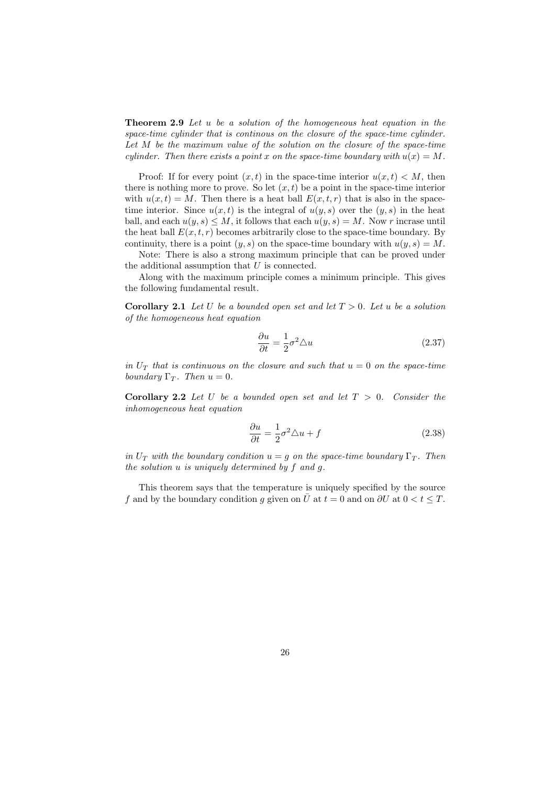Theorem 2.9 Let u be a solution of the homogeneous heat equation in the space-time cylinder that is continous on the closure of the space-time cylinder. Let M be the maximum value of the solution on the closure of the space-time cylinder. Then there exists a point x on the space-time boundary with  $u(x) = M$ .

Proof: If for every point  $(x, t)$  in the space-time interior  $u(x, t) < M$ , then there is nothing more to prove. So let  $(x, t)$  be a point in the space-time interior with  $u(x, t) = M$ . Then there is a heat ball  $E(x, t, r)$  that is also in the spacetime interior. Since  $u(x, t)$  is the integral of  $u(y, s)$  over the  $(y, s)$  in the heat ball, and each  $u(y, s) \leq M$ , it follows that each  $u(y, s) = M$ . Now r incrase until the heat ball  $E(x, t, r)$  becomes arbitrarily close to the space-time boundary. By continuity, there is a point  $(y, s)$  on the space-time boundary with  $u(y, s) = M$ .

Note: There is also a strong maximum principle that can be proved under the additional assumption that  $U$  is connected.

Along with the maximum principle comes a minimum principle. This gives the following fundamental result.

**Corollary 2.1** Let U be a bounded open set and let  $T > 0$ . Let u be a solution of the homogeneous heat equation

$$
\frac{\partial u}{\partial t} = \frac{1}{2}\sigma^2 \triangle u \tag{2.37}
$$

in  $U_T$  that is continuous on the closure and such that  $u = 0$  on the space-time boundary  $\Gamma_T$ . Then  $u = 0$ .

**Corollary 2.2** Let U be a bounded open set and let  $T > 0$ . Consider the inhomogeneous heat equation

$$
\frac{\partial u}{\partial t} = \frac{1}{2}\sigma^2 \triangle u + f \tag{2.38}
$$

in  $U_T$  with the boundary condition  $u = g$  on the space-time boundary  $\Gamma_T$ . Then the solution u is uniquely determined by f and g.

This theorem says that the temperature is uniquely specified by the source f and by the boundary condition g given on  $\overline{U}$  at  $t = 0$  and on  $\partial U$  at  $0 < t \leq T$ .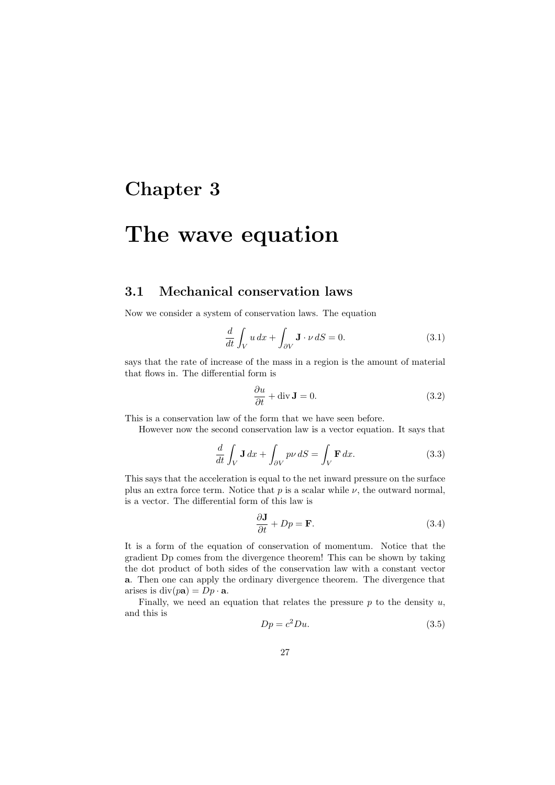### Chapter 3

## The wave equation

#### 3.1 Mechanical conservation laws

Now we consider a system of conservation laws. The equation

$$
\frac{d}{dt} \int_{V} u \, dx + \int_{\partial V} \mathbf{J} \cdot \nu \, dS = 0. \tag{3.1}
$$

says that the rate of increase of the mass in a region is the amount of material that flows in. The differential form is

$$
\frac{\partial u}{\partial t} + \text{div } \mathbf{J} = 0. \tag{3.2}
$$

This is a conservation law of the form that we have seen before.

However now the second conservation law is a vector equation. It says that

$$
\frac{d}{dt} \int_{V} \mathbf{J} \, dx + \int_{\partial V} p\nu \, dS = \int_{V} \mathbf{F} \, dx. \tag{3.3}
$$

This says that the acceleration is equal to the net inward pressure on the surface plus an extra force term. Notice that  $p$  is a scalar while  $\nu$ , the outward normal, is a vector. The differential form of this law is

$$
\frac{\partial \mathbf{J}}{\partial t} + Dp = \mathbf{F}.\tag{3.4}
$$

It is a form of the equation of conservation of momentum. Notice that the gradient Dp comes from the divergence theorem! This can be shown by taking the dot product of both sides of the conservation law with a constant vector a. Then one can apply the ordinary divergence theorem. The divergence that arises is  $div(p\mathbf{a}) = Dp \cdot \mathbf{a}$ .

Finally, we need an equation that relates the pressure  $p$  to the density  $u$ , and this is

$$
Dp = c^2 D u. \t\t(3.5)
$$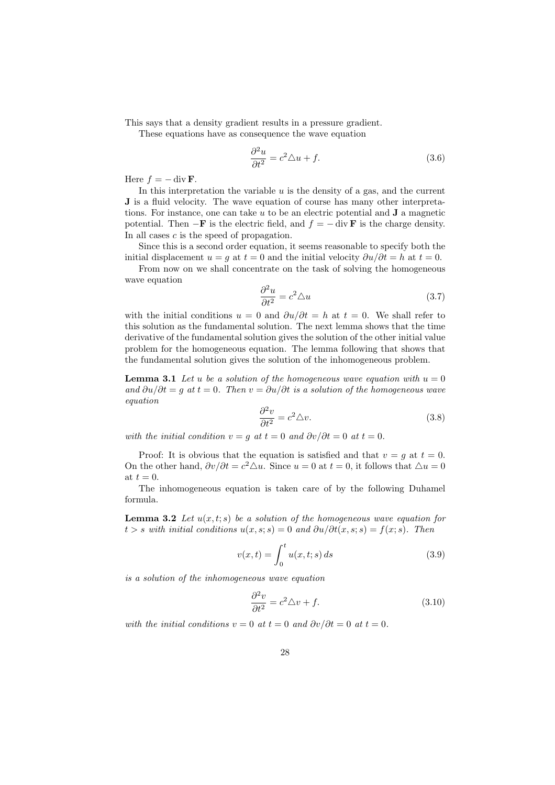This says that a density gradient results in a pressure gradient.

These equations have as consequence the wave equation

$$
\frac{\partial^2 u}{\partial t^2} = c^2 \triangle u + f. \tag{3.6}
$$

Here  $f = - \operatorname{div} \mathbf{F}$ .

In this interpretation the variable  $u$  is the density of a gas, and the current J is a fluid velocity. The wave equation of course has many other interpretations. For instance, one can take  $u$  to be an electric potential and  $J$  a magnetic potential. Then  $-\mathbf{F}$  is the electric field, and  $f = -\text{div }\mathbf{F}$  is the charge density. In all cases  $c$  is the speed of propagation.

Since this is a second order equation, it seems reasonable to specify both the initial displacement  $u = g$  at  $t = 0$  and the initial velocity  $\partial u / \partial t = h$  at  $t = 0$ .

From now on we shall concentrate on the task of solving the homogeneous wave equation

$$
\frac{\partial^2 u}{\partial t^2} = c^2 \triangle u \tag{3.7}
$$

with the initial conditions  $u = 0$  and  $\frac{\partial u}{\partial t} = h$  at  $t = 0$ . We shall refer to this solution as the fundamental solution. The next lemma shows that the time derivative of the fundamental solution gives the solution of the other initial value problem for the homogeneous equation. The lemma following that shows that the fundamental solution gives the solution of the inhomogeneous problem.

**Lemma 3.1** Let u be a solution of the homogeneous wave equation with  $u = 0$ and  $\partial u/\partial t = g$  at  $t = 0$ . Then  $v = \partial u/\partial t$  is a solution of the homogeneous wave equation

$$
\frac{\partial^2 v}{\partial t^2} = c^2 \triangle v.
$$
\n(3.8)

with the initial condition  $v = q$  at  $t = 0$  and  $\frac{\partial v}{\partial t} = 0$  at  $t = 0$ .

Proof: It is obvious that the equation is satisfied and that  $v = q$  at  $t = 0$ . On the other hand,  $\partial v/\partial t = c^2 \Delta u$ . Since  $u = 0$  at  $t = 0$ , it follows that  $\Delta u = 0$ at  $t = 0$ .

The inhomogeneous equation is taken care of by the following Duhamel formula.

**Lemma 3.2** Let  $u(x, t; s)$  be a solution of the homogeneous wave equation for  $t > s$  with initial conditions  $u(x, s; s) = 0$  and  $\frac{\partial u}{\partial t}(x, s; s) = f(x; s)$ . Then

$$
v(x,t) = \int_0^t u(x,t;s) ds
$$
\n(3.9)

is a solution of the inhomogeneous wave equation

$$
\frac{\partial^2 v}{\partial t^2} = c^2 \triangle v + f. \tag{3.10}
$$

with the initial conditions  $v = 0$  at  $t = 0$  and  $\frac{\partial v}{\partial t} = 0$  at  $t = 0$ .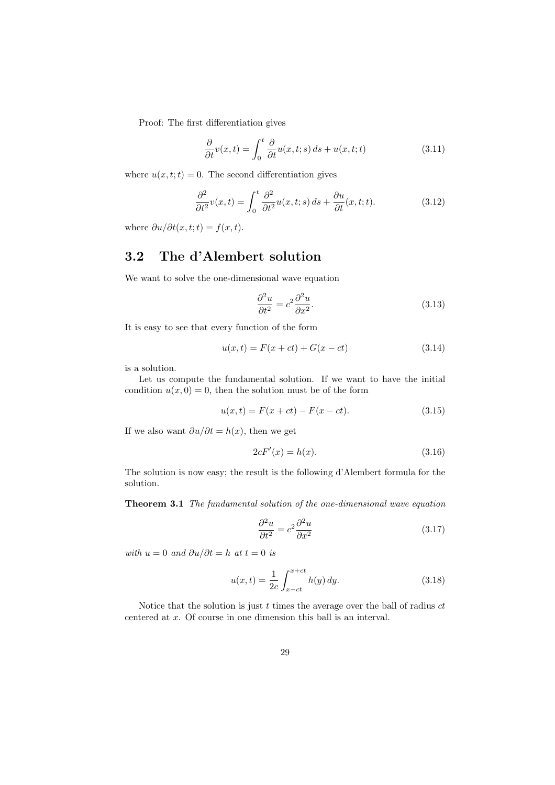Proof: The first differentiation gives

$$
\frac{\partial}{\partial t}v(x,t) = \int_0^t \frac{\partial}{\partial t}u(x,t;s) \, ds + u(x,t;t) \tag{3.11}
$$

where  $u(x, t; t) = 0$ . The second differentiation gives

$$
\frac{\partial^2}{\partial t^2}v(x,t) = \int_0^t \frac{\partial^2}{\partial t^2}u(x,t;s) \, ds + \frac{\partial u}{\partial t}(x,t;t). \tag{3.12}
$$

where  $\partial u/\partial t(x,t;t) = f(x,t)$ .

#### 3.2 The d'Alembert solution

We want to solve the one-dimensional wave equation

$$
\frac{\partial^2 u}{\partial t^2} = c^2 \frac{\partial^2 u}{\partial x^2}.
$$
\n(3.13)

It is easy to see that every function of the form

$$
u(x,t) = F(x+ct) + G(x-ct)
$$
\n(3.14)

is a solution.

Let us compute the fundamental solution. If we want to have the initial condition  $u(x, 0) = 0$ , then the solution must be of the form

$$
u(x,t) = F(x+ct) - F(x-ct).
$$
 (3.15)

If we also want  $\partial u/\partial t = h(x)$ , then we get

$$
2cF'(x) = h(x). \tag{3.16}
$$

The solution is now easy; the result is the following d'Alembert formula for the solution.

Theorem 3.1 The fundamental solution of the one-dimensional wave equation

$$
\frac{\partial^2 u}{\partial t^2} = c^2 \frac{\partial^2 u}{\partial x^2} \tag{3.17}
$$

with  $u = 0$  and  $\partial u / \partial t = h$  at  $t = 0$  is

$$
u(x,t) = \frac{1}{2c} \int_{x-ct}^{x+ct} h(y) \, dy. \tag{3.18}
$$

Notice that the solution is just  $t$  times the average over the ball of radius  $ct$ centered at x. Of course in one dimension this ball is an interval.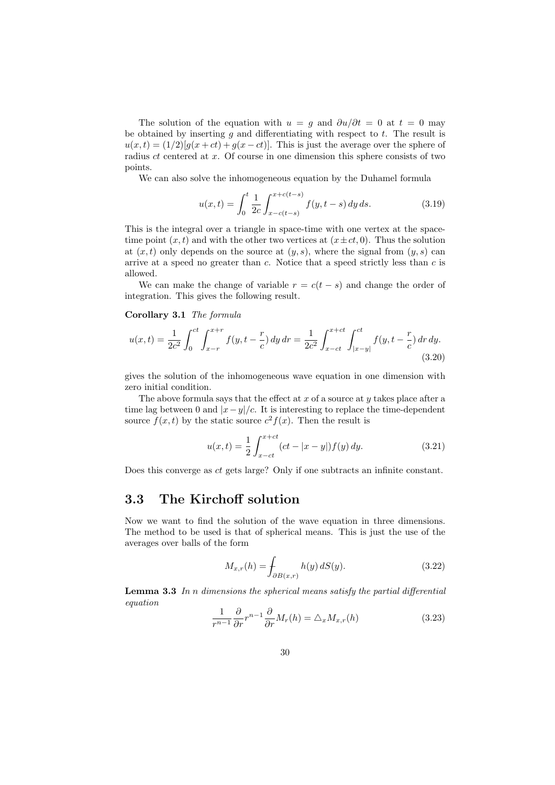The solution of the equation with  $u = g$  and  $\frac{\partial u}{\partial t} = 0$  at  $t = 0$  may be obtained by inserting  $g$  and differentiating with respect to  $t$ . The result is  $u(x,t) = (1/2)[g(x+ct) + g(x-ct)].$  This is just the average over the sphere of radius *ct* centered at x. Of course in one dimension this sphere consists of two points.

We can also solve the inhomogeneous equation by the Duhamel formula

$$
u(x,t) = \int_0^t \frac{1}{2c} \int_{x-c(t-s)}^{x+c(t-s)} f(y, t-s) dy ds.
$$
 (3.19)

This is the integral over a triangle in space-time with one vertex at the spacetime point  $(x, t)$  and with the other two vertices at  $(x \pm ct, 0)$ . Thus the solution at  $(x, t)$  only depends on the source at  $(y, s)$ , where the signal from  $(y, s)$  can arrive at a speed no greater than  $c$ . Notice that a speed strictly less than  $c$  is allowed.

We can make the change of variable  $r = c(t - s)$  and change the order of integration. This gives the following result.

#### Corollary 3.1 The formula

$$
u(x,t) = \frac{1}{2c^2} \int_0^{ct} \int_{x-r}^{x+r} f(y, t - \frac{r}{c}) \, dy \, dr = \frac{1}{2c^2} \int_{x-ct}^{x+ct} \int_{|x-y|}^{ct} f(y, t - \frac{r}{c}) \, dr \, dy. \tag{3.20}
$$

gives the solution of the inhomogeneous wave equation in one dimension with zero initial condition.

The above formula says that the effect at  $x$  of a source at  $y$  takes place after a time lag between 0 and  $|x-y|/c$ . It is interesting to replace the time-dependent source  $f(x, t)$  by the static source  $c^2 f(x)$ . Then the result is

$$
u(x,t) = \frac{1}{2} \int_{x-ct}^{x+ct} (ct - |x-y|) f(y) \, dy. \tag{3.21}
$$

Does this converge as ct gets large? Only if one subtracts an infinite constant.

#### 3.3 The Kirchoff solution

Now we want to find the solution of the wave equation in three dimensions. The method to be used is that of spherical means. This is just the use of the averages over balls of the form

$$
M_{x,r}(h) = \int_{\partial B(x,r)} h(y) dS(y).
$$
\n(3.22)

**Lemma 3.3** In n dimensions the spherical means satisfy the partial differential equation

$$
\frac{1}{r^{n-1}}\frac{\partial}{\partial r}r^{n-1}\frac{\partial}{\partial r}M_r(h) = \Delta_x M_{x,r}(h)
$$
\n(3.23)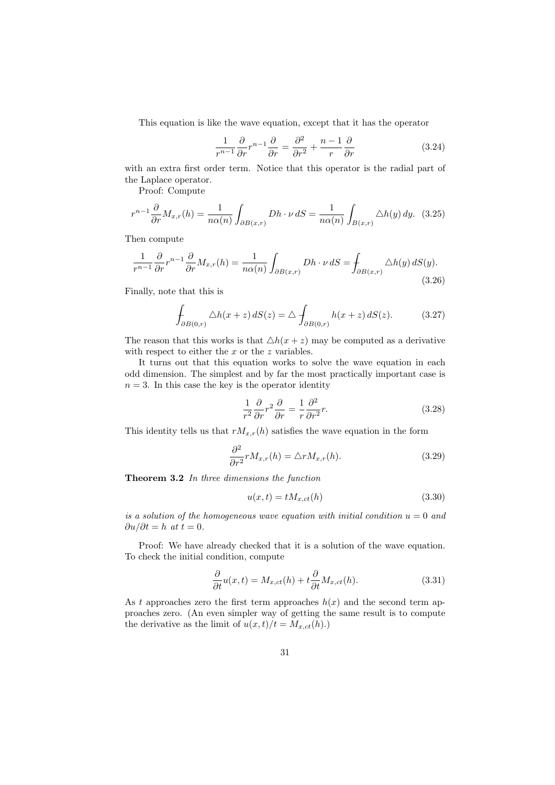This equation is like the wave equation, except that it has the operator

$$
\frac{1}{r^{n-1}}\frac{\partial}{\partial r}r^{n-1}\frac{\partial}{\partial r} = \frac{\partial^2}{\partial r^2} + \frac{n-1}{r}\frac{\partial}{\partial r}
$$
(3.24)

with an extra first order term. Notice that this operator is the radial part of the Laplace operator.

Proof: Compute

$$
r^{n-1}\frac{\partial}{\partial r}M_{x,r}(h) = \frac{1}{n\alpha(n)}\int_{\partial B(x,r)} Dh \cdot \nu \, dS = \frac{1}{n\alpha(n)}\int_{B(x,r)} \Delta h(y) \, dy. \tag{3.25}
$$

Then compute

$$
\frac{1}{r^{n-1}}\frac{\partial}{\partial r}r^{n-1}\frac{\partial}{\partial r}M_{x,r}(h) = \frac{1}{n\alpha(n)}\int_{\partial B(x,r)} Dh \cdot \nu \,dS = \int_{\partial B(x,r)} \triangle h(y) \,dS(y). \tag{3.26}
$$

Finally, note that this is

$$
\int_{\partial B(0,r)} \Delta h(x+z) dS(z) = \Delta \int_{\partial B(0,r)} h(x+z) dS(z).
$$
 (3.27)

The reason that this works is that  $\Delta h(x + z)$  may be computed as a derivative with respect to either the  $x$  or the  $z$  variables.

It turns out that this equation works to solve the wave equation in each odd dimension. The simplest and by far the most practically important case is  $n = 3$ . In this case the key is the operator identity

$$
\frac{1}{r^2} \frac{\partial}{\partial r} r^2 \frac{\partial}{\partial r} = \frac{1}{r} \frac{\partial^2}{\partial r^2} r.
$$
\n(3.28)

This identity tells us that  $rM_{x,r}(h)$  satisfies the wave equation in the form

$$
\frac{\partial^2}{\partial r^2} r M_{x,r}(h) = \triangle r M_{x,r}(h). \tag{3.29}
$$

Theorem 3.2 In three dimensions the function

$$
u(x,t) = tM_{x,ct}(h)
$$
\n(3.30)

is a solution of the homogeneous wave equation with initial condition  $u = 0$  and  $\partial u/\partial t = h$  at  $t = 0$ .

Proof: We have already checked that it is a solution of the wave equation. To check the initial condition, compute

$$
\frac{\partial}{\partial t}u(x,t) = M_{x,ct}(h) + t\frac{\partial}{\partial t}M_{x,ct}(h).
$$
\n(3.31)

As t approaches zero the first term approaches  $h(x)$  and the second term approaches zero. (An even simpler way of getting the same result is to compute the derivative as the limit of  $u(x,t)/t = M_{x,ct}(h)$ .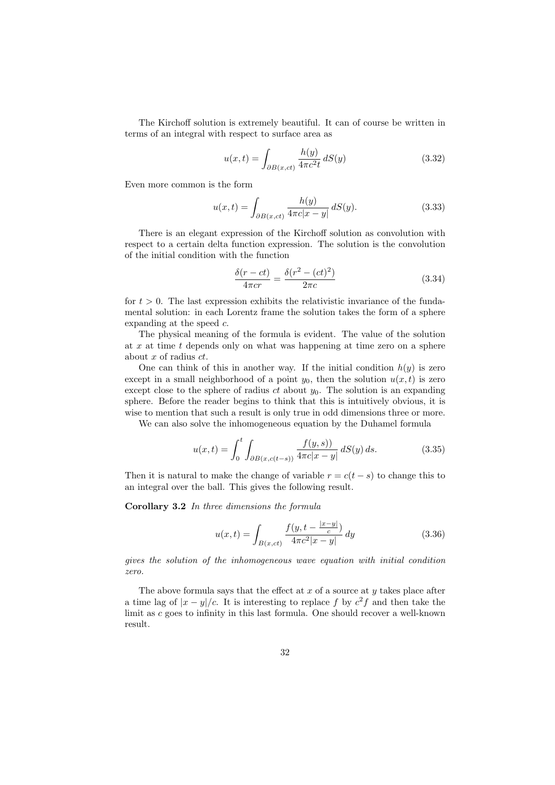The Kirchoff solution is extremely beautiful. It can of course be written in terms of an integral with respect to surface area as

$$
u(x,t) = \int_{\partial B(x,ct)} \frac{h(y)}{4\pi c^2 t} dS(y)
$$
\n(3.32)

Even more common is the form

$$
u(x,t) = \int_{\partial B(x,ct)} \frac{h(y)}{4\pi c|x-y|} dS(y). \tag{3.33}
$$

There is an elegant expression of the Kirchoff solution as convolution with respect to a certain delta function expression. The solution is the convolution of the initial condition with the function

$$
\frac{\delta(r-ct)}{4\pi cr} = \frac{\delta(r^2 - (ct)^2)}{2\pi c}
$$
\n(3.34)

for  $t > 0$ . The last expression exhibits the relativistic invariance of the fundamental solution: in each Lorentz frame the solution takes the form of a sphere expanding at the speed c.

The physical meaning of the formula is evident. The value of the solution at  $x$  at time  $t$  depends only on what was happening at time zero on a sphere about x of radius ct.

One can think of this in another way. If the initial condition  $h(y)$  is zero except in a small neighborhood of a point  $y_0$ , then the solution  $u(x, t)$  is zero except close to the sphere of radius  $ct$  about  $y_0$ . The solution is an expanding sphere. Before the reader begins to think that this is intuitively obvious, it is wise to mention that such a result is only true in odd dimensions three or more.

We can also solve the inhomogeneous equation by the Duhamel formula

$$
u(x,t) = \int_0^t \int_{\partial B(x,c(t-s))} \frac{f(y,s))}{4\pi c|x-y|} dS(y) ds.
$$
 (3.35)

Then it is natural to make the change of variable  $r = c(t - s)$  to change this to an integral over the ball. This gives the following result.

Corollary 3.2 In three dimensions the formula

$$
u(x,t) = \int_{B(x,ct)} \frac{f(y,t - \frac{|x-y|}{c})}{4\pi c^2 |x-y|} dy
$$
\n(3.36)

gives the solution of the inhomogeneous wave equation with initial condition zero.

The above formula says that the effect at  $x$  of a source at  $y$  takes place after a time lag of  $|x-y|/c$ . It is interesting to replace f by  $c^2f$  and then take the limit as c goes to infinity in this last formula. One should recover a well-known result.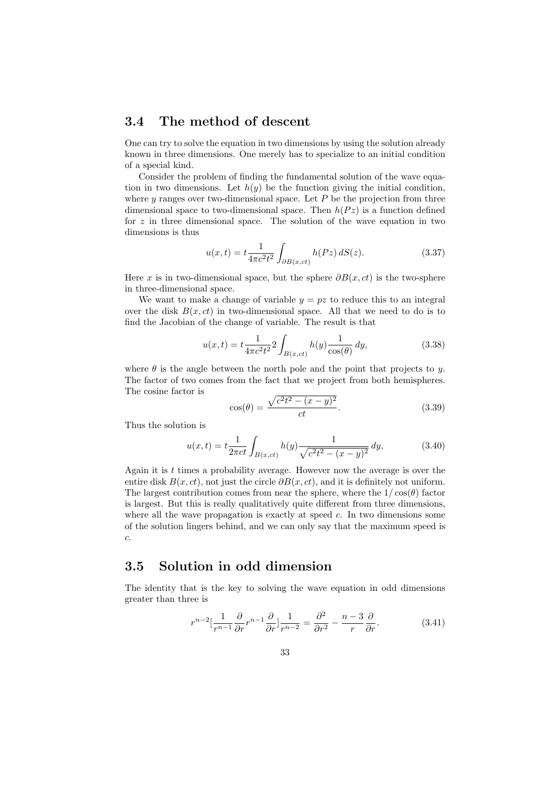#### 3.4 The method of descent

One can try to solve the equation in two dimensions by using the solution already known in three dimensions. One merely has to specialize to an initial condition of a special kind.

Consider the problem of finding the fundamental solution of the wave equation in two dimensions. Let  $h(y)$  be the function giving the initial condition, where  $y$  ranges over two-dimensional space. Let  $P$  be the projection from three dimensional space to two-dimensional space. Then  $h(Pz)$  is a function defined for  $z$  in three dimensional space. The solution of the wave equation in two dimensions is thus

$$
u(x,t) = t \frac{1}{4\pi c^2 t^2} \int_{\partial B(x,ct)} h(Pz) dS(z).
$$
 (3.37)

Here x is in two-dimensional space, but the sphere  $\partial B(x, ct)$  is the two-sphere in three-dimensional space.

We want to make a change of variable  $y = pz$  to reduce this to an integral over the disk  $B(x, ct)$  in two-dimensional space. All that we need to do is to find the Jacobian of the change of variable. The result is that

$$
u(x,t) = t \frac{1}{4\pi c^2 t^2} 2 \int_{B(x,ct)} h(y) \frac{1}{\cos(\theta)} dy,
$$
 (3.38)

where  $\theta$  is the angle between the north pole and the point that projects to y. The factor of two comes from the fact that we project from both hemispheres. The cosine factor is p

$$
\cos(\theta) = \frac{\sqrt{c^2 t^2 - (x - y)^2}}{ct}.
$$
\n(3.39)

Thus the solution is

$$
u(x,t) = t \frac{1}{2\pi ct} \int_{B(x,ct)} h(y) \frac{1}{\sqrt{c^2 t^2 - (x - y)^2}} dy,
$$
 (3.40)

Again it is t times a probability average. However now the average is over the entire disk  $B(x, ct)$ , not just the circle  $\partial B(x, ct)$ , and it is definitely not uniform. The largest contribution comes from near the sphere, where the  $1/\cos(\theta)$  factor is largest. But this is really qualitatively quite different from three dimensions, where all the wave propagation is exactly at speed  $c$ . In two dimensions some of the solution lingers behind, and we can only say that the maximum speed is c.

#### 3.5 Solution in odd dimension

The identity that is the key to solving the wave equation in odd dimensions greater than three is

$$
r^{n-2} \left[\frac{1}{r^{n-1}} \frac{\partial}{\partial r} r^{n-1} \frac{\partial}{\partial r} \right] \frac{1}{r^{n-2}} = \frac{\partial^2}{\partial r^2} - \frac{n-3}{r} \frac{\partial}{\partial r}.
$$
 (3.41)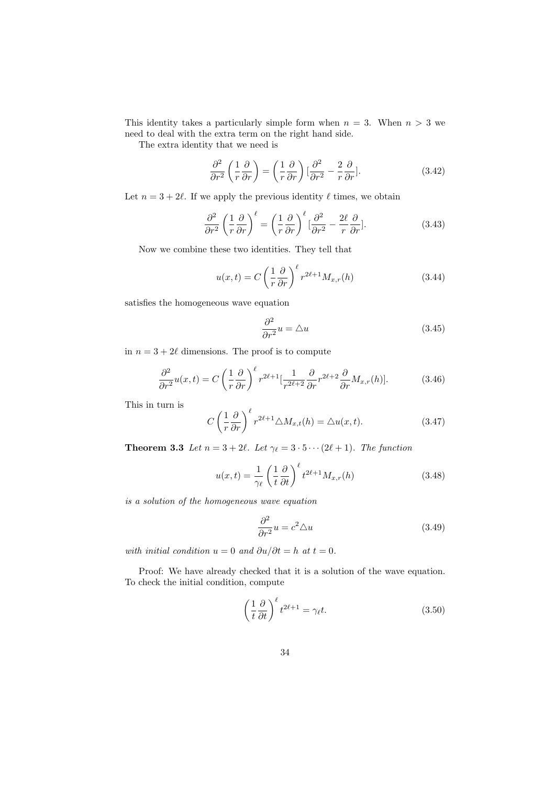This identity takes a particularly simple form when  $n = 3$ . When  $n > 3$  we need to deal with the extra term on the right hand side.

The extra identity that we need is

$$
\frac{\partial^2}{\partial r^2} \left( \frac{1}{r} \frac{\partial}{\partial r} \right) = \left( \frac{1}{r} \frac{\partial}{\partial r} \right) \left[ \frac{\partial^2}{\partial r^2} - \frac{2}{r} \frac{\partial}{\partial r} \right].
$$
\n(3.42)

Let  $n = 3 + 2\ell$ . If we apply the previous identity  $\ell$  times, we obtain

$$
\frac{\partial^2}{\partial r^2} \left( \frac{1}{r} \frac{\partial}{\partial r} \right)^{\ell} = \left( \frac{1}{r} \frac{\partial}{\partial r} \right)^{\ell} \left[ \frac{\partial^2}{\partial r^2} - \frac{2\ell}{r} \frac{\partial}{\partial r} \right].
$$
\n(3.43)

Now we combine these two identities. They tell that

$$
u(x,t) = C \left(\frac{1}{r} \frac{\partial}{\partial r}\right)^{\ell} r^{2\ell+1} M_{x,r}(h)
$$
\n(3.44)

satisfies the homogeneous wave equation

$$
\frac{\partial^2}{\partial r^2}u = \triangle u \tag{3.45}
$$

in  $n = 3 + 2\ell$  dimensions. The proof is to compute

$$
\frac{\partial^2}{\partial r^2}u(x,t) = C\left(\frac{1}{r}\frac{\partial}{\partial r}\right)^{\ell}r^{2\ell+1}\left[\frac{1}{r^{2\ell+2}}\frac{\partial}{\partial r}r^{2\ell+2}\frac{\partial}{\partial r}M_{x,r}(h)\right].
$$
 (3.46)

This in turn is

$$
C\left(\frac{1}{r}\frac{\partial}{\partial r}\right)^{\ell}r^{2\ell+1}\triangle M_{x,t}(h)=\triangle u(x,t).
$$
 (3.47)

**Theorem 3.3** Let  $n = 3 + 2\ell$ . Let  $\gamma_{\ell} = 3 \cdot 5 \cdots (2\ell + 1)$ . The function

$$
u(x,t) = \frac{1}{\gamma_{\ell}} \left(\frac{1}{t} \frac{\partial}{\partial t}\right)^{\ell} t^{2\ell+1} M_{x,r}(h)
$$
\n(3.48)

is a solution of the homogeneous wave equation

$$
\frac{\partial^2}{\partial r^2}u = c^2 \triangle u \tag{3.49}
$$

with initial condition  $u = 0$  and  $\partial u / \partial t = h$  at  $t = 0$ .

Proof: We have already checked that it is a solution of the wave equation. To check the initial condition, compute

$$
\left(\frac{1}{t}\frac{\partial}{\partial t}\right)^{\ell}t^{2\ell+1} = \gamma_{\ell}t.\tag{3.50}
$$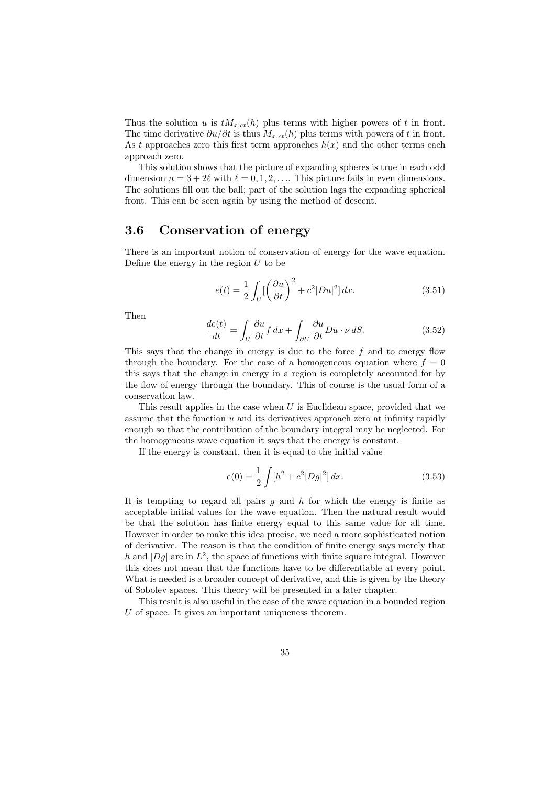Thus the solution u is  $tM_{x,ct}(h)$  plus terms with higher powers of t in front. The time derivative  $\partial u/\partial t$  is thus  $M_{x,ct}(h)$  plus terms with powers of t in front. As t approaches zero this first term approaches  $h(x)$  and the other terms each approach zero.

This solution shows that the picture of expanding spheres is true in each odd dimension  $n = 3 + 2\ell$  with  $\ell = 0, 1, 2, \ldots$  This picture fails in even dimensions. The solutions fill out the ball; part of the solution lags the expanding spherical front. This can be seen again by using the method of descent.

#### 3.6 Conservation of energy

There is an important notion of conservation of energy for the wave equation. Define the energy in the region  $U$  to be

$$
e(t) = \frac{1}{2} \int_{U} \left[ \left( \frac{\partial u}{\partial t} \right)^2 + c^2 |Du|^2 \right] dx.
$$
 (3.51)

Then

$$
\frac{de(t)}{dt} = \int_{U} \frac{\partial u}{\partial t} f \, dx + \int_{\partial U} \frac{\partial u}{\partial t} Du \cdot \nu \, dS. \tag{3.52}
$$

This says that the change in energy is due to the force  $f$  and to energy flow through the boundary. For the case of a homogeneous equation where  $f = 0$ this says that the change in energy in a region is completely accounted for by the flow of energy through the boundary. This of course is the usual form of a conservation law.

This result applies in the case when  $U$  is Euclidean space, provided that we assume that the function  $u$  and its derivatives approach zero at infinity rapidly enough so that the contribution of the boundary integral may be neglected. For the homogeneous wave equation it says that the energy is constant.

If the energy is constant, then it is equal to the initial value

$$
e(0) = \frac{1}{2} \int [h^2 + c^2 |Dg|^2] dx.
$$
 (3.53)

It is tempting to regard all pairs  $g$  and  $h$  for which the energy is finite as acceptable initial values for the wave equation. Then the natural result would be that the solution has finite energy equal to this same value for all time. However in order to make this idea precise, we need a more sophisticated notion of derivative. The reason is that the condition of finite energy says merely that h and  $|Dg|$  are in  $L^2$ , the space of functions with finite square integral. However this does not mean that the functions have to be differentiable at every point. What is needed is a broader concept of derivative, and this is given by the theory of Sobolev spaces. This theory will be presented in a later chapter.

This result is also useful in the case of the wave equation in a bounded region  $U$  of space. It gives an important uniqueness theorem.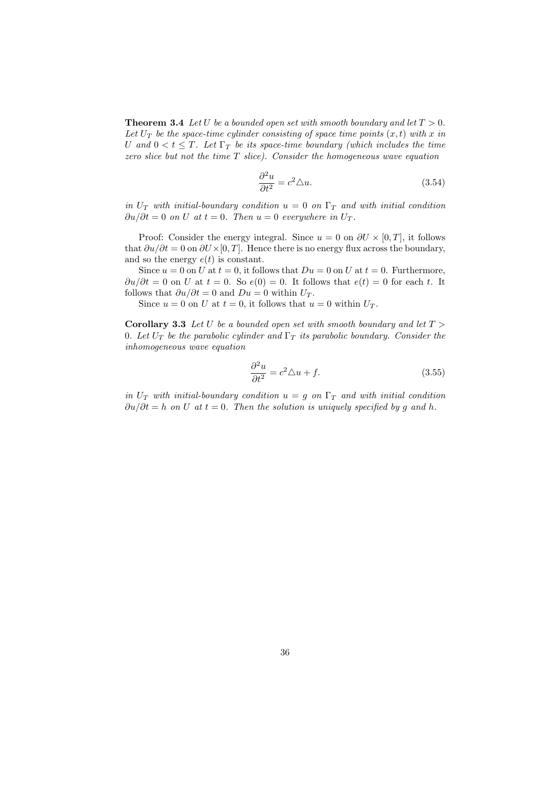**Theorem 3.4** Let U be a bounded open set with smooth boundary and let  $T > 0$ . Let  $U_T$  be the space-time cylinder consisting of space time points  $(x, t)$  with x in U and  $0 < t \leq T$ . Let  $\Gamma_T$  be its space-time boundary (which includes the time zero slice but not the time  $T$  slice). Consider the homogeneous wave equation

$$
\frac{\partial^2 u}{\partial t^2} = c^2 \triangle u. \tag{3.54}
$$

in  $U_T$  with initial-boundary condition  $u = 0$  on  $\Gamma_T$  and with initial condition  $\partial u/\partial t = 0$  on U at  $t = 0$ . Then  $u = 0$  everywhere in  $U_T$ .

Proof: Consider the energy integral. Since  $u = 0$  on  $\partial U \times [0, T]$ , it follows that  $\partial u/\partial t = 0$  on  $\partial U \times [0, T]$ . Hence there is no energy flux across the boundary, and so the energy  $e(t)$  is constant.

Since  $u = 0$  on U at  $t = 0$ , it follows that  $Du = 0$  on U at  $t = 0$ . Furthermore,  $\frac{\partial u}{\partial t} = 0$  on U at  $t = 0$ . So  $e(0) = 0$ . It follows that  $e(t) = 0$  for each t. It follows that  $\partial u/\partial t = 0$  and  $Du = 0$  within  $U_T$ .

Since  $u = 0$  on U at  $t = 0$ , it follows that  $u = 0$  within  $U_T$ .

**Corollary 3.3** Let U be a bounded open set with smooth boundary and let  $T >$ 0. Let  $U_T$  be the parabolic cylinder and  $\Gamma_T$  its parabolic boundary. Consider the inhomogeneous wave equation

$$
\frac{\partial^2 u}{\partial t^2} = c^2 \triangle u + f. \tag{3.55}
$$

in  $U_T$  with initial-boundary condition  $u = g$  on  $\Gamma_T$  and with initial condition  $\partial u/\partial t = h$  on U at  $t = 0$ . Then the solution is uniquely specified by g and h.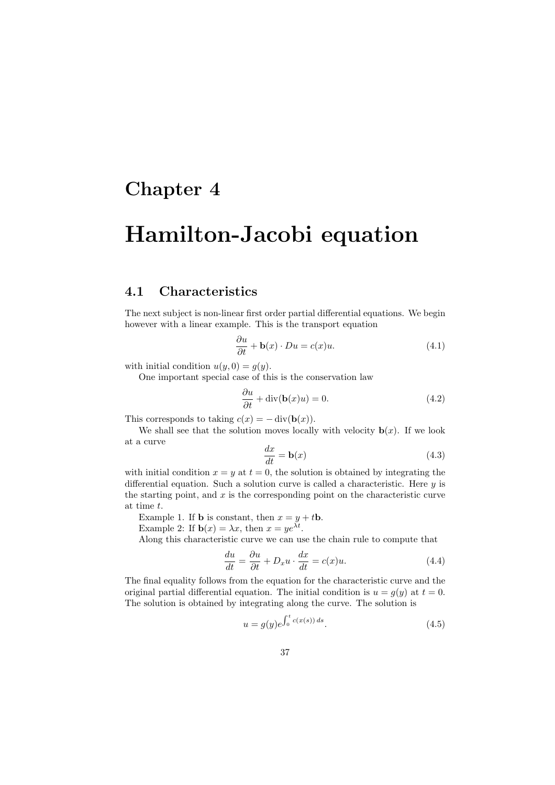## Chapter 4

# Hamilton-Jacobi equation

#### 4.1 Characteristics

The next subject is non-linear first order partial differential equations. We begin however with a linear example. This is the transport equation

$$
\frac{\partial u}{\partial t} + \mathbf{b}(x) \cdot Du = c(x)u.
$$
 (4.1)

with initial condition  $u(y, 0) = g(y)$ .

One important special case of this is the conservation law

$$
\frac{\partial u}{\partial t} + \text{div}(\mathbf{b}(x)u) = 0.
$$
 (4.2)

This corresponds to taking  $c(x) = -\operatorname{div}(\mathbf{b}(x))$ .

We shall see that the solution moves locally with velocity  $\mathbf{b}(x)$ . If we look at a curve

$$
\frac{dx}{dt} = \mathbf{b}(x) \tag{4.3}
$$

with initial condition  $x = y$  at  $t = 0$ , the solution is obtained by integrating the differential equation. Such a solution curve is called a characteristic. Here  $y$  is the starting point, and  $x$  is the corresponding point on the characteristic curve at time t.

Example 1. If **b** is constant, then  $x = y + t$ **b**.

Example 2: If  $\mathbf{b}(x) = \lambda x$ , then  $x = ye^{\lambda t}$ .

Along this characteristic curve we can use the chain rule to compute that

$$
\frac{du}{dt} = \frac{\partial u}{\partial t} + D_x u \cdot \frac{dx}{dt} = c(x)u.
$$
\n(4.4)

The final equality follows from the equation for the characteristic curve and the original partial differential equation. The initial condition is  $u = g(y)$  at  $t = 0$ . The solution is obtained by integrating along the curve. The solution is

$$
u = g(y)e^{\int_0^t c(x(s)) ds}.
$$
 (4.5)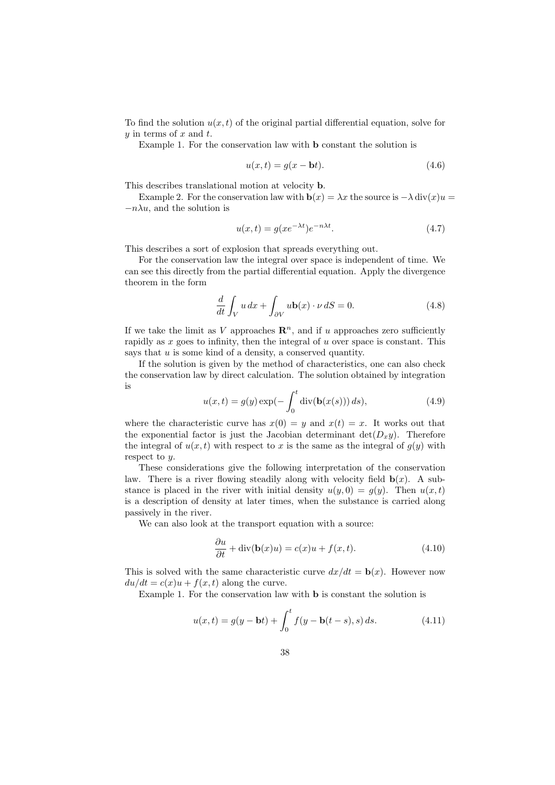To find the solution  $u(x, t)$  of the original partial differential equation, solve for  $y$  in terms of  $x$  and  $t$ .

Example 1. For the conservation law with b constant the solution is

$$
u(x,t) = g(x - \mathbf{b}t). \tag{4.6}
$$

This describes translational motion at velocity b.

Example 2. For the conservation law with  $\mathbf{b}(x) = \lambda x$  the source is  $-\lambda \operatorname{div}(x)u =$  $-n\lambda u$ , and the solution is

$$
u(x,t) = g(xe^{-\lambda t})e^{-n\lambda t}.
$$
\n(4.7)

This describes a sort of explosion that spreads everything out.

For the conservation law the integral over space is independent of time. We can see this directly from the partial differential equation. Apply the divergence theorem in the form

$$
\frac{d}{dt} \int_{V} u \, dx + \int_{\partial V} u \mathbf{b}(x) \cdot \nu \, dS = 0. \tag{4.8}
$$

If we take the limit as V approaches  $\mathbb{R}^n$ , and if u approaches zero sufficiently rapidly as  $x$  goes to infinity, then the integral of  $u$  over space is constant. This says that u is some kind of a density, a conserved quantity.

If the solution is given by the method of characteristics, one can also check the conservation law by direct calculation. The solution obtained by integration is  $rt$ 

$$
u(x,t) = g(y) \exp(-\int_0^t \operatorname{div}(\mathbf{b}(x(s))) ds), \tag{4.9}
$$

where the characteristic curve has  $x(0) = y$  and  $x(t) = x$ . It works out that the exponential factor is just the Jacobian determinant  $\det(D_x y)$ . Therefore the integral of  $u(x, t)$  with respect to x is the same as the integral of  $g(y)$  with respect to  $y$ .

These considerations give the following interpretation of the conservation law. There is a river flowing steadily along with velocity field  $\mathbf{b}(x)$ . A substance is placed in the river with initial density  $u(y, 0) = g(y)$ . Then  $u(x, t)$ is a description of density at later times, when the substance is carried along passively in the river.

We can also look at the transport equation with a source:

$$
\frac{\partial u}{\partial t} + \text{div}(\mathbf{b}(x)u) = c(x)u + f(x, t). \tag{4.10}
$$

This is solved with the same characteristic curve  $dx/dt = \mathbf{b}(x)$ . However now  $du/dt = c(x)u + f(x, t)$  along the curve.

Example 1. For the conservation law with b is constant the solution is

$$
u(x,t) = g(y - \mathbf{b}t) + \int_0^t f(y - \mathbf{b}(t - s), s) ds.
$$
 (4.11)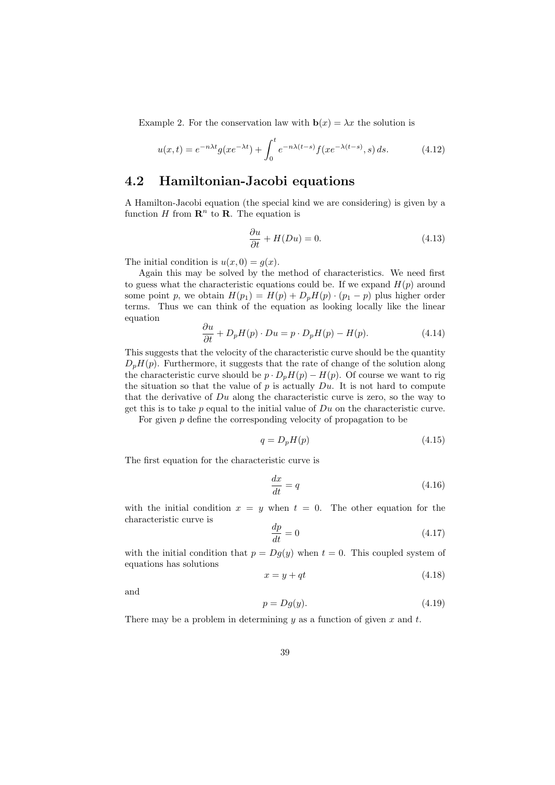Example 2. For the conservation law with  $\mathbf{b}(x) = \lambda x$  the solution is

$$
u(x,t) = e^{-n\lambda t}g(xe^{-\lambda t}) + \int_0^t e^{-n\lambda(t-s)}f(xe^{-\lambda(t-s)},s) ds.
$$
 (4.12)

#### 4.2 Hamiltonian-Jacobi equations

A Hamilton-Jacobi equation (the special kind we are considering) is given by a function H from  $\mathbb{R}^n$  to  $\mathbb{R}$ . The equation is

$$
\frac{\partial u}{\partial t} + H(Du) = 0.
$$
\n(4.13)

The initial condition is  $u(x, 0) = q(x)$ .

Again this may be solved by the method of characteristics. We need first to guess what the characteristic equations could be. If we expand  $H(p)$  around some point p, we obtain  $H(p_1) = H(p) + D_p H(p) \cdot (p_1 - p)$  plus higher order terms. Thus we can think of the equation as looking locally like the linear equation

$$
\frac{\partial u}{\partial t} + D_p H(p) \cdot Du = p \cdot D_p H(p) - H(p). \tag{4.14}
$$

This suggests that the velocity of the characteristic curve should be the quantity  $D_pH(p)$ . Furthermore, it suggests that the rate of change of the solution along the characteristic curve should be  $p \cdot D_p H(p) - H(p)$ . Of course we want to rig the situation so that the value of  $p$  is actually  $Du$ . It is not hard to compute that the derivative of  $Du$  along the characteristic curve is zero, so the way to get this is to take  $p$  equal to the initial value of  $Du$  on the characteristic curve.

For given  $p$  define the corresponding velocity of propagation to be

$$
q = D_p H(p) \tag{4.15}
$$

The first equation for the characteristic curve is

$$
\frac{dx}{dt} = q \tag{4.16}
$$

with the initial condition  $x = y$  when  $t = 0$ . The other equation for the characteristic curve is

$$
\frac{dp}{dt} = 0\tag{4.17}
$$

with the initial condition that  $p = Dg(y)$  when  $t = 0$ . This coupled system of equations has solutions

$$
x = y + qt \tag{4.18}
$$

and

$$
p = Dg(y). \tag{4.19}
$$

There may be a problem in determining  $y$  as a function of given x and t.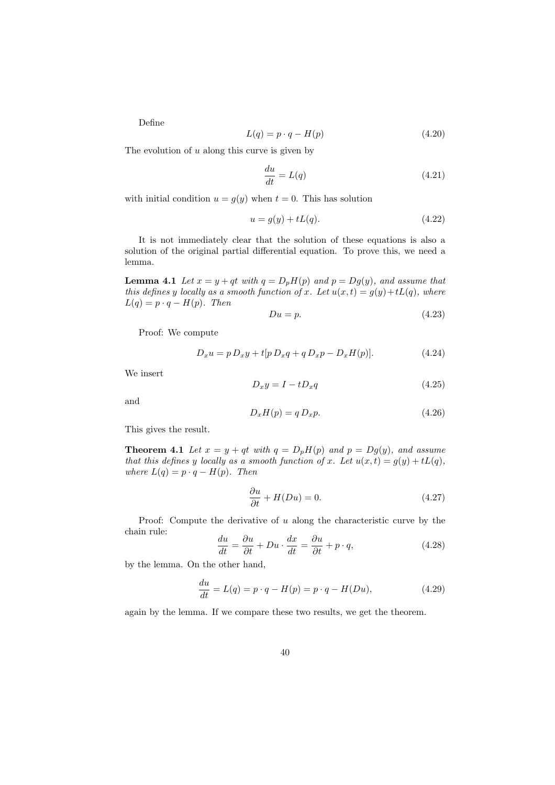Define

$$
L(q) = p \cdot q - H(p) \tag{4.20}
$$

The evolution of  $u$  along this curve is given by

$$
\frac{du}{dt} = L(q) \tag{4.21}
$$

with initial condition  $u = g(y)$  when  $t = 0$ . This has solution

$$
u = g(y) + tL(q). \t\t(4.22)
$$

It is not immediately clear that the solution of these equations is also a solution of the original partial differential equation. To prove this, we need a lemma.

**Lemma 4.1** Let  $x = y + qt$  with  $q = D_pH(p)$  and  $p = Dg(y)$ , and assume that this defines y locally as a smooth function of x. Let  $u(x,t) = g(y) + tL(q)$ , where  $L(q) = p \cdot q - H(p)$ . Then

$$
Du = p.\t\t(4.23)
$$

Proof: We compute

$$
D_x u = p D_x y + t [p D_x q + q D_x p - D_x H(p)].
$$
\n(4.24)

We insert

$$
D_x y = I - t D_x q \tag{4.25}
$$

and

$$
D_x H(p) = q D_x p. \tag{4.26}
$$

This gives the result.

**Theorem 4.1** Let  $x = y + qt$  with  $q = D_pH(p)$  and  $p = Dg(y)$ , and assume that this defines y locally as a smooth function of x. Let  $u(x,t) = g(y) + tL(q)$ , where  $L(q) = p \cdot q - H(p)$ . Then

$$
\frac{\partial u}{\partial t} + H(Du) = 0.
$$
\n(4.27)

Proof: Compute the derivative of  $u$  along the characteristic curve by the chain rule:

$$
\frac{du}{dt} = \frac{\partial u}{\partial t} + Du \cdot \frac{dx}{dt} = \frac{\partial u}{\partial t} + p \cdot q,\tag{4.28}
$$

by the lemma. On the other hand,

$$
\frac{du}{dt} = L(q) = p \cdot q - H(p) = p \cdot q - H(Du),\tag{4.29}
$$

again by the lemma. If we compare these two results, we get the theorem.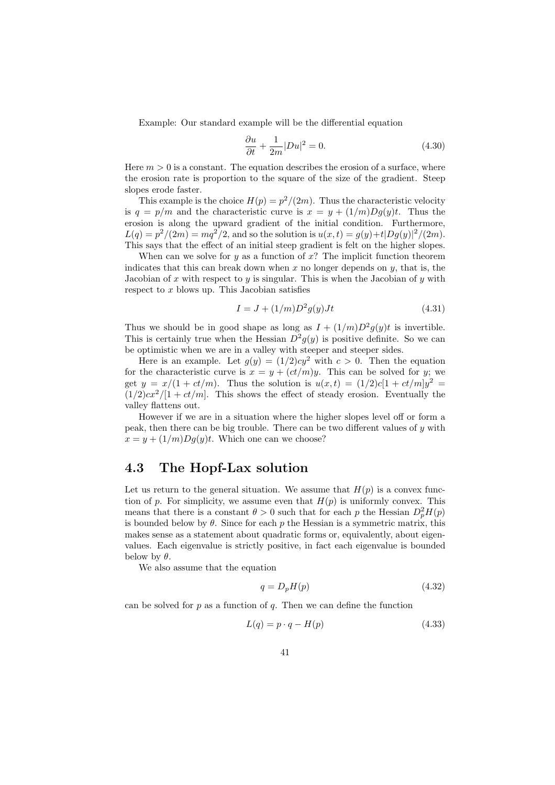Example: Our standard example will be the differential equation

$$
\frac{\partial u}{\partial t} + \frac{1}{2m} |Du|^2 = 0.
$$
\n(4.30)

Here  $m > 0$  is a constant. The equation describes the erosion of a surface, where the erosion rate is proportion to the square of the size of the gradient. Steep slopes erode faster.

This example is the choice  $H(p) = p^2/(2m)$ . Thus the characteristic velocity is  $q = p/m$  and the characteristic curve is  $x = y + (1/m)Dq(y)t$ . Thus the erosion is along the upward gradient of the initial condition. Furthermore,  $L(q) = p^2/(2m) = mq^2/2$ , and so the solution is  $u(x,t) = g(y)+t|Dg(y)|^2/(2m)$ . This says that the effect of an initial steep gradient is felt on the higher slopes.

When can we solve for y as a function of  $x$ ? The implicit function theorem indicates that this can break down when  $x$  no longer depends on  $y$ , that is, the Jacobian of x with respect to y is singular. This is when the Jacobian of y with respect to  $x$  blows up. This Jacobian satisfies

$$
I = J + (1/m)D^{2}g(y)Jt
$$
\n(4.31)

Thus we should be in good shape as long as  $I + (1/m)D^2g(y)t$  is invertible. This is certainly true when the Hessian  $D^2g(y)$  is positive definite. So we can be optimistic when we are in a valley with steeper and steeper sides.

Here is an example. Let  $g(y) = (1/2)cy^2$  with  $c > 0$ . Then the equation for the characteristic curve is  $x = y + (ct/m)y$ . This can be solved for y; we get  $y = x/(1 + ct/m)$ . Thus the solution is  $u(x,t) = (1/2)c[1 + ct/m]y^2$  $(1/2)cx^2/[1 + ct/m]$ . This shows the effect of steady erosion. Eventually the valley flattens out.

However if we are in a situation where the higher slopes level off or form a peak, then there can be big trouble. There can be two different values of  $y$  with  $x = y + (1/m)Dq(y)t$ . Which one can we choose?

#### 4.3 The Hopf-Lax solution

Let us return to the general situation. We assume that  $H(p)$  is a convex function of p. For simplicity, we assume even that  $H(p)$  is uniformly convex. This means that there is a constant  $\theta > 0$  such that for each p the Hessian  $D_p^2 H(p)$ is bounded below by  $\theta$ . Since for each p the Hessian is a symmetric matrix, this makes sense as a statement about quadratic forms or, equivalently, about eigenvalues. Each eigenvalue is strictly positive, in fact each eigenvalue is bounded below by  $\theta$ .

We also assume that the equation

$$
q = D_p H(p) \tag{4.32}
$$

can be solved for  $p$  as a function of  $q$ . Then we can define the function

$$
L(q) = p \cdot q - H(p) \tag{4.33}
$$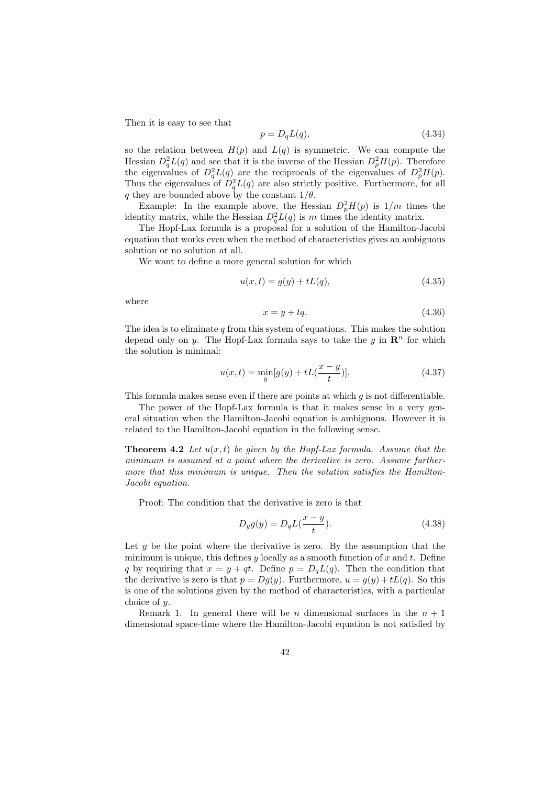Then it is easy to see that

$$
p = D_q L(q),\tag{4.34}
$$

so the relation between  $H(p)$  and  $L(q)$  is symmetric. We can compute the Hessian  $D_q^2L(q)$  and see that it is the inverse of the Hessian  $D_p^2H(p)$ . Therefore the eigenvalues of  $D_q^2L(q)$  are the reciprocals of the eigenvalues of  $D_p^2H(p)$ . Thus the eigenvalues of  $D_q^2L(q)$  are also strictly positive. Furthermore, for all q they are bounded above by the constant  $1/\theta$ .

Example: In the example above, the Hessian  $D_p^2 H(p)$  is  $1/m$  times the identity matrix, while the Hessian  $D_q^2L(q)$  is m times the identity matrix.

The Hopf-Lax formula is a proposal for a solution of the Hamilton-Jacobi equation that works even when the method of characteristics gives an ambiguous solution or no solution at all.

We want to define a more general solution for which

$$
u(x,t) = g(y) + tL(q),
$$
\n(4.35)

where

$$
x = y + tq. \tag{4.36}
$$

The idea is to eliminate  $q$  from this system of equations. This makes the solution depend only on y. The Hopf-Lax formula says to take the y in  $\mathbb{R}^n$  for which the solution is minimal:

$$
u(x,t) = \min_{y} [g(y) + tL(\frac{x-y}{t})].
$$
\n(4.37)

This formula makes sense even if there are points at which  $g$  is not differentiable.

The power of the Hopf-Lax formula is that it makes sense in a very general situation when the Hamilton-Jacobi equation is ambiguous. However it is related to the Hamilton-Jacobi equation in the following sense.

**Theorem 4.2** Let  $u(x, t)$  be given by the Hopf-Lax formula. Assume that the minimum is assumed at a point where the derivative is zero. Assume furthermore that this minimum is unique. Then the solution satisfies the Hamilton-Jacobi equation.

Proof: The condition that the derivative is zero is that

$$
D_y g(y) = D_q L(\frac{x-y}{t}).
$$
\n(4.38)

Let  $y$  be the point where the derivative is zero. By the assumption that the minimum is unique, this defines y locally as a smooth function of  $x$  and  $t$ . Define q by requiring that  $x = y + qt$ . Define  $p = D_qL(q)$ . Then the condition that the derivative is zero is that  $p = Dg(y)$ . Furthermore,  $u = g(y) + tL(q)$ . So this is one of the solutions given by the method of characteristics, with a particular choice of y.

Remark 1. In general there will be *n* dimensional surfaces in the  $n + 1$ dimensional space-time where the Hamilton-Jacobi equation is not satisfied by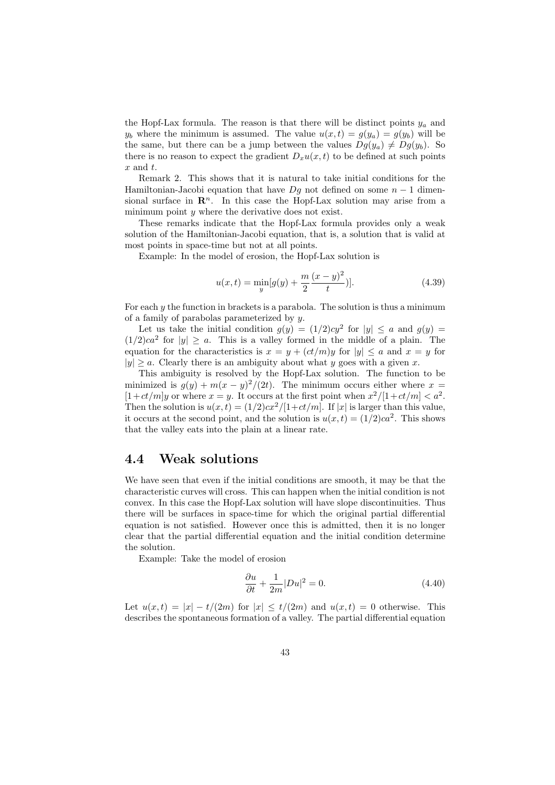the Hopf-Lax formula. The reason is that there will be distinct points  $y_a$  and  $y_b$  where the minimum is assumed. The value  $u(x,t) = g(y_a) = g(y_b)$  will be the same, but there can be a jump between the values  $Dg(y_a) \neq Dg(y_b)$ . So there is no reason to expect the gradient  $D_xu(x, t)$  to be defined at such points x and t.

Remark 2. This shows that it is natural to take initial conditions for the Hamiltonian-Jacobi equation that have  $Dg$  not defined on some  $n-1$  dimensional surface in  $\mathbb{R}^n$ . In this case the Hopf-Lax solution may arise from a minimum point  $y$  where the derivative does not exist.

These remarks indicate that the Hopf-Lax formula provides only a weak solution of the Hamiltonian-Jacobi equation, that is, a solution that is valid at most points in space-time but not at all points.

Example: In the model of erosion, the Hopf-Lax solution is

$$
u(x,t) = \min_{y} [g(y) + \frac{m}{2} \frac{(x-y)^2}{t})].
$$
\n(4.39)

For each  $y$  the function in brackets is a parabola. The solution is thus a minimum of a family of parabolas parameterized by y.

Let us take the initial condition  $g(y) = (1/2)cy^2$  for  $|y| \le a$  and  $g(y) =$  $(1/2)ca<sup>2</sup>$  for  $|y| \ge a$ . This is a valley formed in the middle of a plain. The equation for the characteristics is  $x = y + (ct/m)y$  for  $|y| \le a$  and  $x = y$  for  $|y| \ge a$ . Clearly there is an ambiguity about what y goes with a given x.

This ambiguity is resolved by the Hopf-Lax solution. The function to be minimized is  $g(y) + m(x - y)^2/(2t)$ . The minimum occurs either where  $x =$  $[1+ct/m]y$  or where  $x=y$ . It occurs at the first point when  $x^2/[1+ct/m] < a^2$ . Then the solution is  $u(x,t) = (1/2)cx^2/[1+ct/m]$ . If |x| is larger than this value, it occurs at the second point, and the solution is  $u(x,t) = (1/2)ca^2$ . This shows that the valley eats into the plain at a linear rate.

#### 4.4 Weak solutions

We have seen that even if the initial conditions are smooth, it may be that the characteristic curves will cross. This can happen when the initial condition is not convex. In this case the Hopf-Lax solution will have slope discontinuities. Thus there will be surfaces in space-time for which the original partial differential equation is not satisfied. However once this is admitted, then it is no longer clear that the partial differential equation and the initial condition determine the solution.

Example: Take the model of erosion

$$
\frac{\partial u}{\partial t} + \frac{1}{2m} |Du|^2 = 0.
$$
\n(4.40)

Let  $u(x,t) = |x| - t/(2m)$  for  $|x| \le t/(2m)$  and  $u(x,t) = 0$  otherwise. This describes the spontaneous formation of a valley. The partial differential equation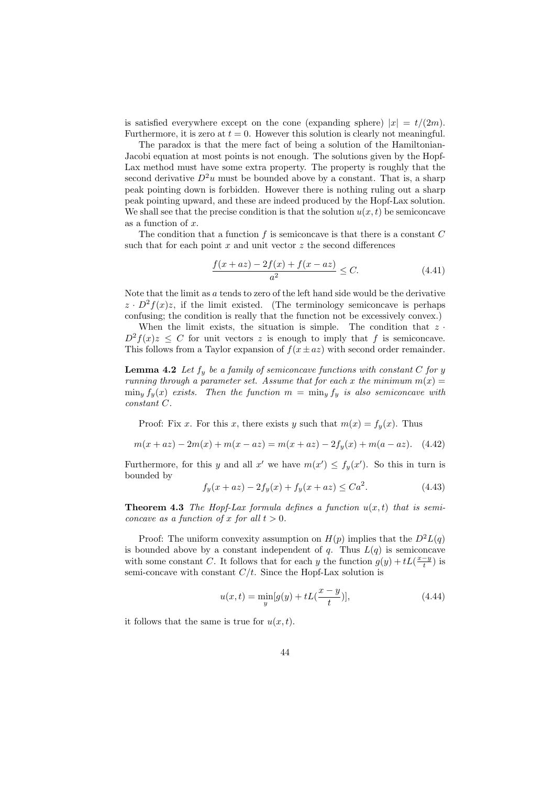is satisfied everywhere except on the cone (expanding sphere)  $|x| = t/(2m)$ . Furthermore, it is zero at  $t = 0$ . However this solution is clearly not meaningful.

The paradox is that the mere fact of being a solution of the Hamiltonian-Jacobi equation at most points is not enough. The solutions given by the Hopf-Lax method must have some extra property. The property is roughly that the second derivative  $D^2u$  must be bounded above by a constant. That is, a sharp peak pointing down is forbidden. However there is nothing ruling out a sharp peak pointing upward, and these are indeed produced by the Hopf-Lax solution. We shall see that the precise condition is that the solution  $u(x, t)$  be semiconcave as a function of x.

The condition that a function  $f$  is semiconcave is that there is a constant  $C$ such that for each point  $x$  and unit vector  $z$  the second differences

$$
\frac{f(x+az) - 2f(x) + f(x - az)}{a^2} \le C.
$$
\n(4.41)

Note that the limit as  $a$  tends to zero of the left hand side would be the derivative  $z \cdot D^2 f(x)z$ , if the limit existed. (The terminology semiconcave is perhaps confusing; the condition is really that the function not be excessively convex.)

When the limit exists, the situation is simple. The condition that  $z$ .  $D^2 f(x)z \leq C$  for unit vectors z is enough to imply that f is semiconcave. This follows from a Taylor expansion of  $f(x \pm az)$  with second order remainder.

**Lemma 4.2** Let  $f_y$  be a family of semiconcave functions with constant C for y running through a parameter set. Assume that for each x the minimum  $m(x) =$  $\min_{y} f_y(x)$  exists. Then the function  $m = \min_{y} f_y$  is also semiconcave with constant C.

Proof: Fix x. For this x, there exists y such that  $m(x) = f_y(x)$ . Thus

$$
m(x + az) - 2m(x) + m(x - az) = m(x + az) - 2f_y(x) + m(a - az). \quad (4.42)
$$

Furthermore, for this y and all x' we have  $m(x') \leq f_y(x')$ . So this in turn is bounded by

$$
f_y(x + az) - 2f_y(x) + f_y(x + az) \le Ca^2.
$$
 (4.43)

**Theorem 4.3** The Hopf-Lax formula defines a function  $u(x, t)$  that is semiconcave as a function of x for all  $t > 0$ .

Proof: The uniform convexity assumption on  $H(p)$  implies that the  $D^2L(q)$ is bounded above by a constant independent of q. Thus  $L(q)$  is semiconcave with some constant C. It follows that for each y the function  $g(y) + tL(\frac{x-y}{t})$  is semi-concave with constant  $C/t$ . Since the Hopf-Lax solution is

$$
u(x,t) = \min_{y} [g(y) + tL(\frac{x-y}{t})],
$$
\n(4.44)

it follows that the same is true for  $u(x, t)$ .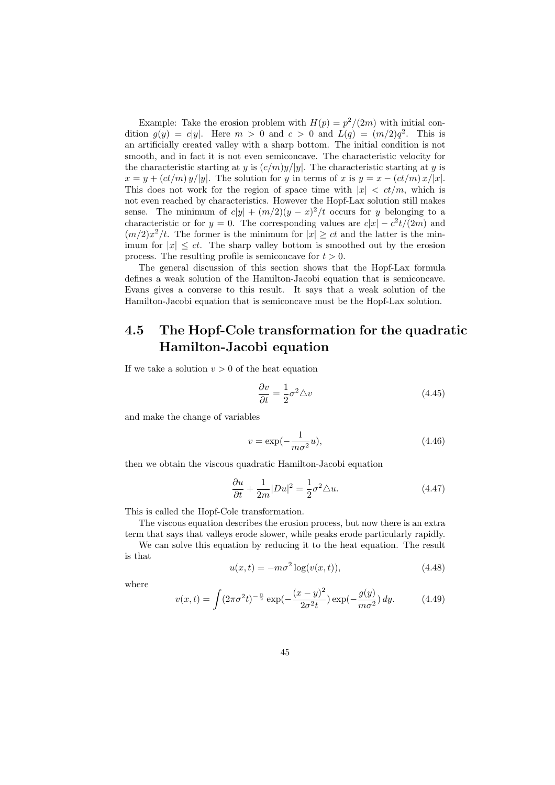Example: Take the erosion problem with  $H(p) = p^2/(2m)$  with initial condition  $g(y) = c|y|$ . Here  $m > 0$  and  $c > 0$  and  $L(q) = (m/2)q^2$ . This is an artificially created valley with a sharp bottom. The initial condition is not smooth, and in fact it is not even semiconcave. The characteristic velocity for the characteristic starting at y is  $(c/m)y/|y|$ . The characteristic starting at y is  $x = y + (ct/m) y/|y|$ . The solution for y in terms of x is  $y = x - (ct/m) x/|x|$ . This does not work for the region of space time with  $|x| < ct/m$ , which is not even reached by characteristics. However the Hopf-Lax solution still makes sense. The minimum of  $c|y| + (m/2)(y - x)^2/t$  occurs for y belonging to a characteristic or for  $y = 0$ . The corresponding values are  $c|x| - c^2t/(2m)$  and  $(m/2)x^2/t$ . The former is the minimum for  $|x| \ge ct$  and the latter is the minimum for  $|x| \le ct$ . The sharp valley bottom is smoothed out by the erosion process. The resulting profile is semiconcave for  $t > 0$ .

The general discussion of this section shows that the Hopf-Lax formula defines a weak solution of the Hamilton-Jacobi equation that is semiconcave. Evans gives a converse to this result. It says that a weak solution of the Hamilton-Jacobi equation that is semiconcave must be the Hopf-Lax solution.

### 4.5 The Hopf-Cole transformation for the quadratic Hamilton-Jacobi equation

If we take a solution  $v > 0$  of the heat equation

$$
\frac{\partial v}{\partial t} = \frac{1}{2}\sigma^2 \triangle v \tag{4.45}
$$

and make the change of variables

$$
v = \exp(-\frac{1}{m\sigma^2}u),\tag{4.46}
$$

then we obtain the viscous quadratic Hamilton-Jacobi equation

$$
\frac{\partial u}{\partial t} + \frac{1}{2m} |Du|^2 = \frac{1}{2} \sigma^2 \triangle u. \tag{4.47}
$$

This is called the Hopf-Cole transformation.

The viscous equation describes the erosion process, but now there is an extra term that says that valleys erode slower, while peaks erode particularly rapidly.

We can solve this equation by reducing it to the heat equation. The result is that

$$
u(x,t) = -m\sigma^2 \log(v(x,t)),\tag{4.48}
$$

where

$$
v(x,t) = \int (2\pi\sigma^2 t)^{-\frac{n}{2}} \exp(-\frac{(x-y)^2}{2\sigma^2 t}) \exp(-\frac{g(y)}{m\sigma^2}) dy.
$$
 (4.49)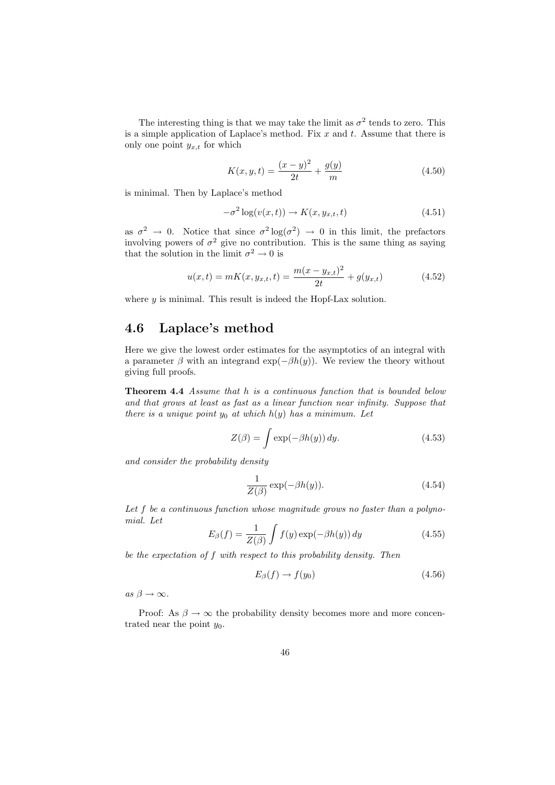The interesting thing is that we may take the limit as  $\sigma^2$  tends to zero. This is a simple application of Laplace's method. Fix  $x$  and  $t$ . Assume that there is only one point  $y_{x,t}$  for which

$$
K(x, y, t) = \frac{(x - y)^2}{2t} + \frac{g(y)}{m}
$$
\n(4.50)

is minimal. Then by Laplace's method

$$
-\sigma^2 \log(v(x,t)) \to K(x, y_{x,t}, t)
$$
\n(4.51)

as  $\sigma^2 \to 0$ . Notice that since  $\sigma^2 \log(\sigma^2) \to 0$  in this limit, the prefactors involving powers of  $\sigma^2$  give no contribution. This is the same thing as saying that the solution in the limit  $\sigma^2 \to 0$  is

$$
u(x,t) = mK(x, y_{x,t}, t) = \frac{m(x - y_{x,t})^2}{2t} + g(y_{x,t})
$$
\n(4.52)

where  $y$  is minimal. This result is indeed the Hopf-Lax solution.

#### 4.6 Laplace's method

Here we give the lowest order estimates for the asymptotics of an integral with a parameter  $\beta$  with an integrand exp( $-\beta h(y)$ ). We review the theory without giving full proofs.

Theorem 4.4 Assume that h is a continuous function that is bounded below and that grows at least as fast as a linear function near infinity. Suppose that there is a unique point  $y_0$  at which  $h(y)$  has a minimum. Let

$$
Z(\beta) = \int \exp(-\beta h(y)) dy.
$$
 (4.53)

and consider the probability density

$$
\frac{1}{Z(\beta)} \exp(-\beta h(y)).
$$
\n(4.54)

Let f be a continuous function whose magnitude grows no faster than a polynomial. Let

$$
E_{\beta}(f) = \frac{1}{Z(\beta)} \int f(y) \exp(-\beta h(y)) dy
$$
 (4.55)

be the expectation of f with respect to this probability density. Then

$$
E_{\beta}(f) \to f(y_0) \tag{4.56}
$$

as  $\beta \to \infty$ .

Proof: As  $\beta \to \infty$  the probability density becomes more and more concentrated near the point  $y_0$ .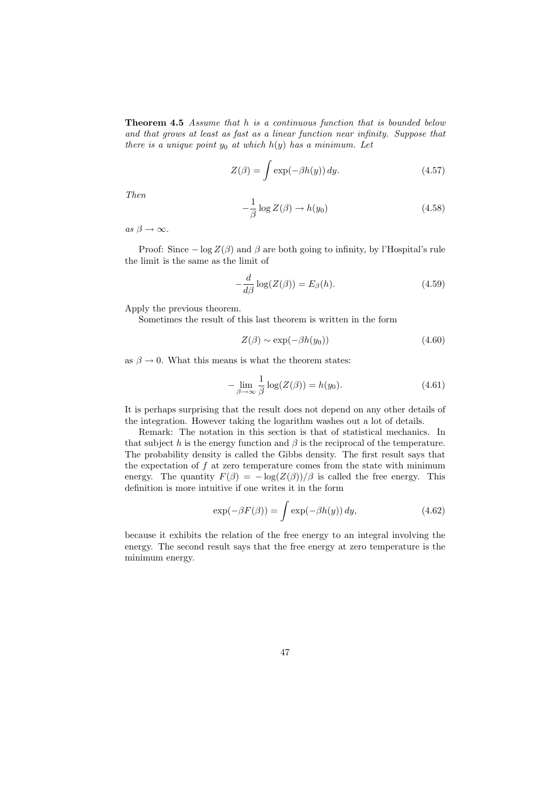Theorem 4.5 Assume that h is a continuous function that is bounded below and that grows at least as fast as a linear function near infinity. Suppose that there is a unique point  $y_0$  at which  $h(y)$  has a minimum. Let

$$
Z(\beta) = \int \exp(-\beta h(y)) dy.
$$
 (4.57)

Then

$$
-\frac{1}{\beta}\log Z(\beta) \to h(y_0) \tag{4.58}
$$

as  $\beta \rightarrow \infty$ .

Proof: Since  $-\log Z(\beta)$  and  $\beta$  are both going to infinity, by l'Hospital's rule the limit is the same as the limit of

$$
-\frac{d}{d\beta}\log(Z(\beta)) = E_{\beta}(h). \tag{4.59}
$$

Apply the previous theorem.

Sometimes the result of this last theorem is written in the form

$$
Z(\beta) \sim \exp(-\beta h(y_0))\tag{4.60}
$$

as  $\beta \to 0$ . What this means is what the theorem states:

$$
-\lim_{\beta \to \infty} \frac{1}{\beta} \log(Z(\beta)) = h(y_0). \tag{4.61}
$$

It is perhaps surprising that the result does not depend on any other details of the integration. However taking the logarithm washes out a lot of details.

Remark: The notation in this section is that of statistical mechanics. In that subject h is the energy function and  $\beta$  is the reciprocal of the temperature. The probability density is called the Gibbs density. The first result says that the expectation of f at zero temperature comes from the state with minimum energy. The quantity  $F(\beta) = -\log(Z(\beta))/\beta$  is called the free energy. This definition is more intuitive if one writes it in the form

$$
\exp(-\beta F(\beta)) = \int \exp(-\beta h(y)) dy, \qquad (4.62)
$$

because it exhibits the relation of the free energy to an integral involving the energy. The second result says that the free energy at zero temperature is the minimum energy.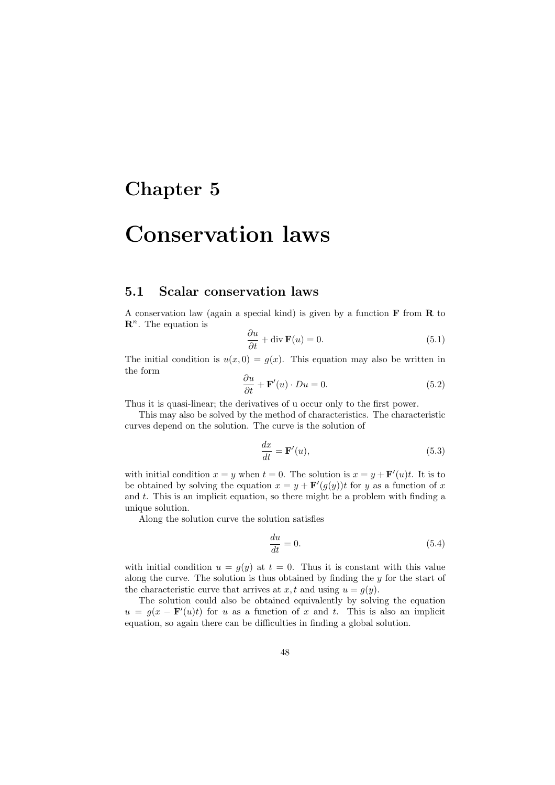## Chapter 5

# Conservation laws

#### 5.1 Scalar conservation laws

A conservation law (again a special kind) is given by a function  $\bf{F}$  from  $\bf{R}$  to  $\mathbf{R}^n$ . The equation is

$$
\frac{\partial u}{\partial t} + \text{div } \mathbf{F}(u) = 0. \tag{5.1}
$$

The initial condition is  $u(x, 0) = g(x)$ . This equation may also be written in the form

$$
\frac{\partial u}{\partial t} + \mathbf{F}'(u) \cdot Du = 0.
$$
 (5.2)

Thus it is quasi-linear; the derivatives of u occur only to the first power.

This may also be solved by the method of characteristics. The characteristic curves depend on the solution. The curve is the solution of

$$
\frac{dx}{dt} = \mathbf{F}'(u),\tag{5.3}
$$

with initial condition  $x = y$  when  $t = 0$ . The solution is  $x = y + \mathbf{F}'(u)t$ . It is to be obtained by solving the equation  $x = y + \mathbf{F}'(g(y))t$  for y as a function of x and t. This is an implicit equation, so there might be a problem with finding a unique solution.

Along the solution curve the solution satisfies

$$
\frac{du}{dt} = 0.\t\t(5.4)
$$

with initial condition  $u = g(y)$  at  $t = 0$ . Thus it is constant with this value along the curve. The solution is thus obtained by finding the y for the start of the characteristic curve that arrives at x, t and using  $u = g(y)$ .

The solution could also be obtained equivalently by solving the equation  $u = g(x - \mathbf{F}'(u)t)$  for u as a function of x and t. This is also an implicit equation, so again there can be difficulties in finding a global solution.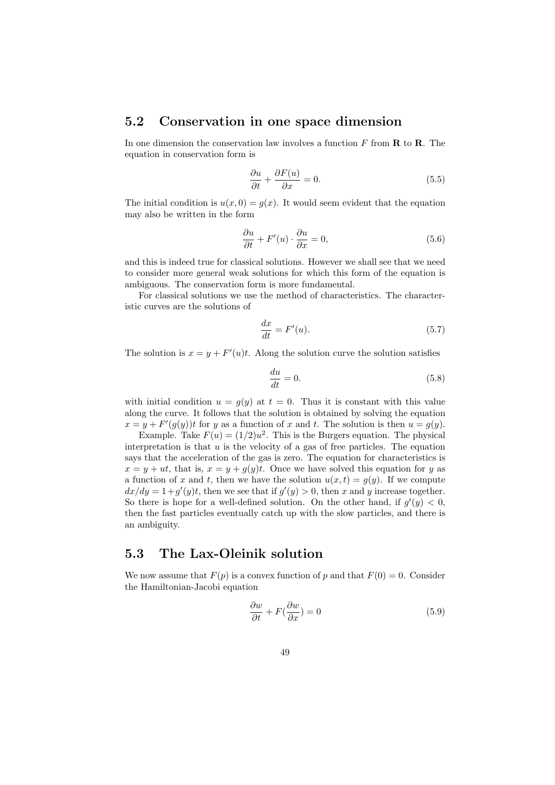#### 5.2 Conservation in one space dimension

In one dimension the conservation law involves a function  $F$  from  $\bf{R}$  to  $\bf{R}$ . The equation in conservation form is

$$
\frac{\partial u}{\partial t} + \frac{\partial F(u)}{\partial x} = 0.
$$
\n(5.5)

The initial condition is  $u(x, 0) = g(x)$ . It would seem evident that the equation may also be written in the form

$$
\frac{\partial u}{\partial t} + F'(u) \cdot \frac{\partial u}{\partial x} = 0,
$$
\n(5.6)

and this is indeed true for classical solutions. However we shall see that we need to consider more general weak solutions for which this form of the equation is ambiguous. The conservation form is more fundamental.

For classical solutions we use the method of characteristics. The characteristic curves are the solutions of

$$
\frac{dx}{dt} = F'(u). \tag{5.7}
$$

The solution is  $x = y + F'(u)t$ . Along the solution curve the solution satisfies

$$
\frac{du}{dt} = 0.\t\t(5.8)
$$

with initial condition  $u = g(y)$  at  $t = 0$ . Thus it is constant with this value along the curve. It follows that the solution is obtained by solving the equation  $x = y + F'(g(y))t$  for y as a function of x and t. The solution is then  $u = g(y)$ .

Example. Take  $F(u) = (1/2)u^2$ . This is the Burgers equation. The physical interpretation is that  $u$  is the velocity of a gas of free particles. The equation says that the acceleration of the gas is zero. The equation for characteristics is  $x = y + ut$ , that is,  $x = y + g(y)t$ . Once we have solved this equation for y as a function of x and t, then we have the solution  $u(x,t) = g(y)$ . If we compute  $dx/dy = 1 + g'(y)t$ , then we see that if  $g'(y) > 0$ , then x and y increase together. So there is hope for a well-defined solution. On the other hand, if  $g'(y) < 0$ , then the fast particles eventually catch up with the slow particles, and there is an ambiguity.

#### 5.3 The Lax-Oleinik solution

We now assume that  $F(p)$  is a convex function of p and that  $F(0) = 0$ . Consider the Hamiltonian-Jacobi equation

$$
\frac{\partial w}{\partial t} + F(\frac{\partial w}{\partial x}) = 0\tag{5.9}
$$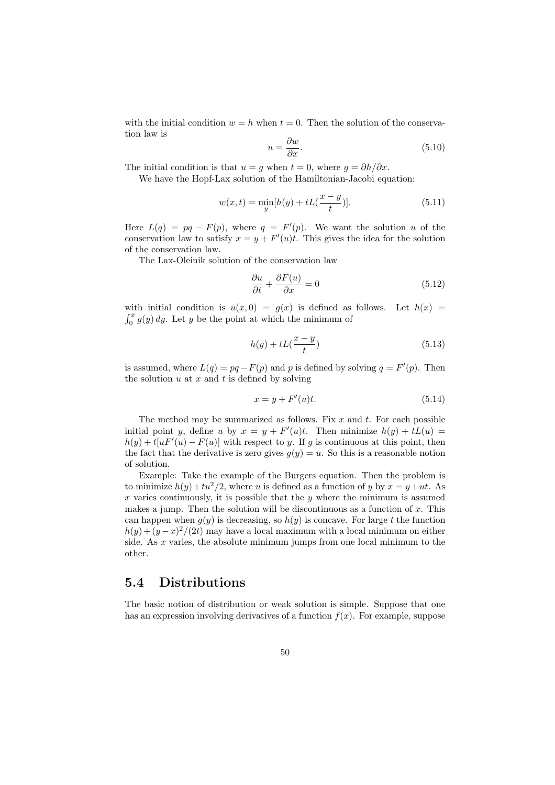with the initial condition  $w = h$  when  $t = 0$ . Then the solution of the conservation law is

$$
u = \frac{\partial w}{\partial x}.\tag{5.10}
$$

The initial condition is that  $u = g$  when  $t = 0$ , where  $g = \partial h / \partial x$ .

We have the Hopf-Lax solution of the Hamiltonian-Jacobi equation:

$$
w(x,t) = \min_{y} [h(y) + tL(\frac{x-y}{t})].
$$
\n(5.11)

Here  $L(q) = pq - F(p)$ , where  $q = F'(p)$ . We want the solution u of the conservation law to satisfy  $x = y + F'(u)t$ . This gives the idea for the solution of the conservation law.

The Lax-Oleinik solution of the conservation law

$$
\frac{\partial u}{\partial t} + \frac{\partial F(u)}{\partial x} = 0 \tag{5.12}
$$

with initial condition is  $u(x, 0) = g(x)$  is defined as follows. Let  $h(x) =$  $\int_0^x g(y) dy$ . Let y be the point at which the minimum of

$$
h(y) + tL(\frac{x-y}{t})
$$
\n(5.13)

is assumed, where  $L(q) = pq - F(p)$  and p is defined by solving  $q = F'(p)$ . Then the solution  $u$  at  $x$  and  $t$  is defined by solving

$$
x = y + F'(u)t.
$$
\n
$$
(5.14)
$$

The method may be summarized as follows. Fix  $x$  and  $t$ . For each possible initial point y, define u by  $x = y + F'(u)t$ . Then minimize  $h(y) + tL(u) =$  $h(y) + t[uF'(u) - F(u)]$  with respect to y. If g is continuous at this point, then the fact that the derivative is zero gives  $g(y) = u$ . So this is a reasonable notion of solution.

Example: Take the example of the Burgers equation. Then the problem is to minimize  $h(y)+tu^2/2$ , where u is defined as a function of y by  $x = y+ut$ . As x varies continuously, it is possible that the  $y$  where the minimum is assumed makes a jump. Then the solution will be discontinuous as a function of  $x$ . This can happen when  $g(y)$  is decreasing, so  $h(y)$  is concave. For large t the function  $h(y) + (y-x)^2/(2t)$  may have a local maximum with a local minimum on either side. As  $x$  varies, the absolute minimum jumps from one local minimum to the other.

#### 5.4 Distributions

The basic notion of distribution or weak solution is simple. Suppose that one has an expression involving derivatives of a function  $f(x)$ . For example, suppose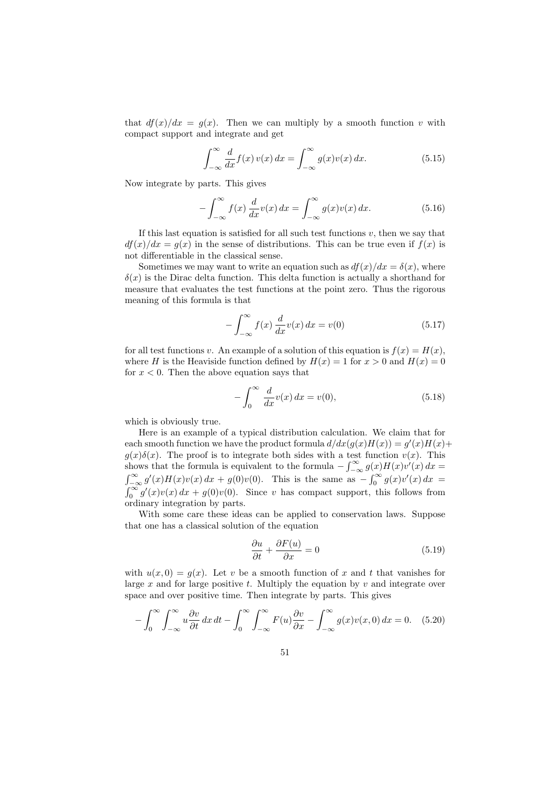that  $df(x)/dx = q(x)$ . Then we can multiply by a smooth function v with compact support and integrate and get

$$
\int_{-\infty}^{\infty} \frac{d}{dx} f(x) v(x) dx = \int_{-\infty}^{\infty} g(x) v(x) dx.
$$
 (5.15)

Now integrate by parts. This gives

$$
-\int_{-\infty}^{\infty} f(x) \frac{d}{dx} v(x) dx = \int_{-\infty}^{\infty} g(x)v(x) dx.
$$
 (5.16)

If this last equation is satisfied for all such test functions  $v$ , then we say that  $df(x)/dx = g(x)$  in the sense of distributions. This can be true even if  $f(x)$  is not differentiable in the classical sense.

Sometimes we may want to write an equation such as  $df(x)/dx = \delta(x)$ , where  $\delta(x)$  is the Dirac delta function. This delta function is actually a shorthand for measure that evaluates the test functions at the point zero. Thus the rigorous meaning of this formula is that

$$
-\int_{-\infty}^{\infty} f(x) \frac{d}{dx} v(x) dx = v(0)
$$
\n(5.17)

for all test functions v. An example of a solution of this equation is  $f(x) = H(x)$ , where H is the Heaviside function defined by  $H(x) = 1$  for  $x > 0$  and  $H(x) = 0$ for  $x < 0$ . Then the above equation says that

$$
-\int_0^\infty \frac{d}{dx}v(x) dx = v(0),\tag{5.18}
$$

which is obviously true.

Here is an example of a typical distribution calculation. We claim that for each smooth function we have the product formula  $d/dx(g(x)H(x)) = g'(x)H(x) +$  $g(x)\delta(x)$ . The proof is to integrate both sides with a test function  $v(x)$ . This  $g(x)\sigma(x)$ . The proof is to integrate both sides with a test<br>shows that the formula is equivalent to the formula  $-\int_{-\infty}^{\infty}$ shows that the formula is equivalent to the formula  $-\int_{-\infty}^{\infty} g(x)H(x)v'(x) dx =$  $\int_{-\infty}^{\infty} g'(x)H(x)v(x) dx + g(0)v(0)$ . This is the same as  $-\int_{0}^{\infty} g(x)v'(x) dx =$  $\int_{0}^{\infty} g'(x)v(x) dx + g(0)v(0)$ . Since v has compact support, this follows from ordinary integration by parts.

With some care these ideas can be applied to conservation laws. Suppose that one has a classical solution of the equation

$$
\frac{\partial u}{\partial t} + \frac{\partial F(u)}{\partial x} = 0 \tag{5.19}
$$

with  $u(x, 0) = g(x)$ . Let v be a smooth function of x and t that vanishes for large x and for large positive t. Multiply the equation by  $v$  and integrate over space and over positive time. Then integrate by parts. This gives

$$
-\int_0^\infty \int_{-\infty}^\infty u \frac{\partial v}{\partial t} dx dt - \int_0^\infty \int_{-\infty}^\infty F(u) \frac{\partial v}{\partial x} - \int_{-\infty}^\infty g(x)v(x,0) dx = 0. \quad (5.20)
$$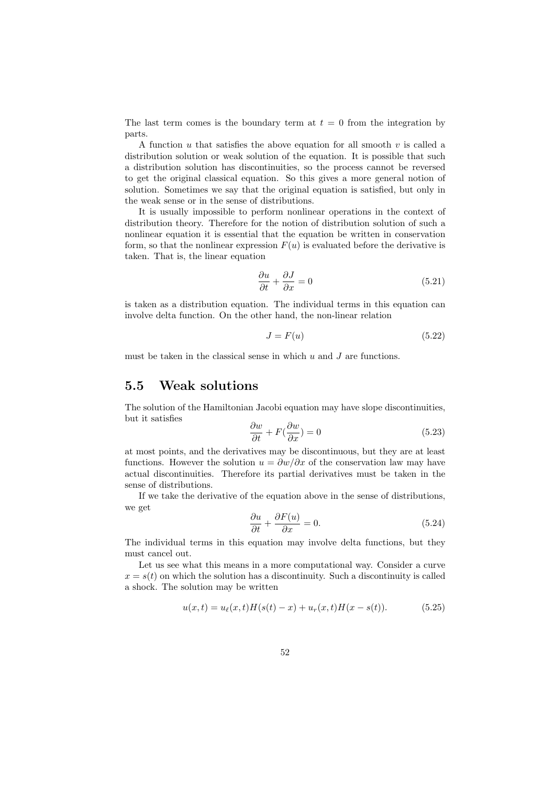The last term comes is the boundary term at  $t = 0$  from the integration by parts.

A function  $u$  that satisfies the above equation for all smooth  $v$  is called a distribution solution or weak solution of the equation. It is possible that such a distribution solution has discontinuities, so the process cannot be reversed to get the original classical equation. So this gives a more general notion of solution. Sometimes we say that the original equation is satisfied, but only in the weak sense or in the sense of distributions.

It is usually impossible to perform nonlinear operations in the context of distribution theory. Therefore for the notion of distribution solution of such a nonlinear equation it is essential that the equation be written in conservation form, so that the nonlinear expression  $F(u)$  is evaluated before the derivative is taken. That is, the linear equation

$$
\frac{\partial u}{\partial t} + \frac{\partial J}{\partial x} = 0 \tag{5.21}
$$

is taken as a distribution equation. The individual terms in this equation can involve delta function. On the other hand, the non-linear relation

$$
J = F(u) \tag{5.22}
$$

must be taken in the classical sense in which  $u$  and  $J$  are functions.

#### 5.5 Weak solutions

The solution of the Hamiltonian Jacobi equation may have slope discontinuities, but it satisfies

$$
\frac{\partial w}{\partial t} + F(\frac{\partial w}{\partial x}) = 0\tag{5.23}
$$

at most points, and the derivatives may be discontinuous, but they are at least functions. However the solution  $u = \partial w / \partial x$  of the conservation law may have actual discontinuities. Therefore its partial derivatives must be taken in the sense of distributions.

If we take the derivative of the equation above in the sense of distributions, we get

$$
\frac{\partial u}{\partial t} + \frac{\partial F(u)}{\partial x} = 0.
$$
\n(5.24)

The individual terms in this equation may involve delta functions, but they must cancel out.

Let us see what this means in a more computational way. Consider a curve  $x = s(t)$  on which the solution has a discontinuity. Such a discontinuity is called a shock. The solution may be written

$$
u(x,t) = u_{\ell}(x,t)H(s(t) - x) + u_r(x,t)H(x - s(t)).
$$
\n(5.25)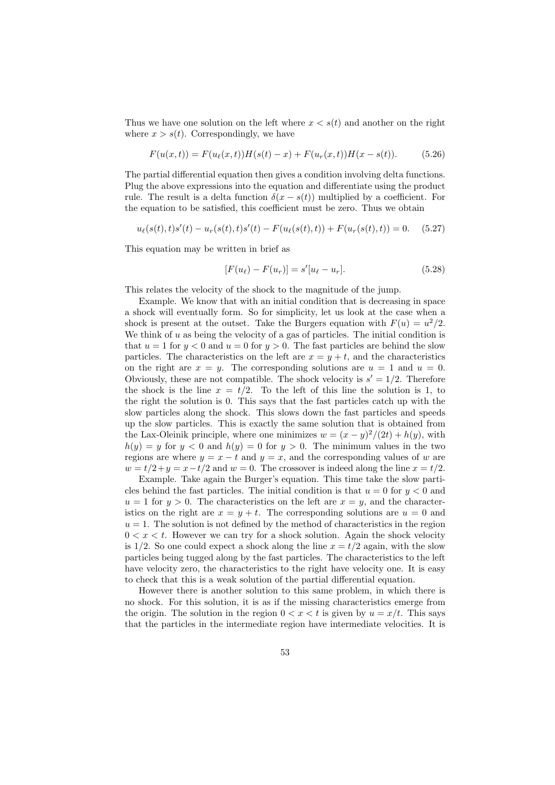Thus we have one solution on the left where  $x < s(t)$  and another on the right where  $x > s(t)$ . Correspondingly, we have

$$
F(u(x,t)) = F(u_{\ell}(x,t))H(s(t) - x) + F(u_r(x,t))H(x - s(t)).
$$
\n(5.26)

The partial differential equation then gives a condition involving delta functions. Plug the above expressions into the equation and differentiate using the product rule. The result is a delta function  $\delta(x - s(t))$  multiplied by a coefficient. For the equation to be satisfied, this coefficient must be zero. Thus we obtain

$$
u_{\ell}(s(t),t)s'(t) - u_r(s(t),t)s'(t) - F(u_{\ell}(s(t),t)) + F(u_r(s(t),t)) = 0.
$$
 (5.27)

This equation may be written in brief as

$$
[F(u_{\ell}) - F(u_r)] = s'[u_{\ell} - u_r]. \tag{5.28}
$$

This relates the velocity of the shock to the magnitude of the jump.

Example. We know that with an initial condition that is decreasing in space a shock will eventually form. So for simplicity, let us look at the case when a shock is present at the outset. Take the Burgers equation with  $F(u) = u^2/2$ . We think of  $u$  as being the velocity of a gas of particles. The initial condition is that  $u = 1$  for  $y < 0$  and  $u = 0$  for  $y > 0$ . The fast particles are behind the slow particles. The characteristics on the left are  $x = y + t$ , and the characteristics on the right are  $x = y$ . The corresponding solutions are  $u = 1$  and  $u = 0$ . Obviously, these are not compatible. The shock velocity is  $s' = 1/2$ . Therefore the shock is the line  $x = t/2$ . To the left of this line the solution is 1, to the right the solution is 0. This says that the fast particles catch up with the slow particles along the shock. This slows down the fast particles and speeds up the slow particles. This is exactly the same solution that is obtained from the Lax-Oleinik principle, where one minimizes  $w = (x - y)^2/(2t) + h(y)$ , with  $h(y) = y$  for  $y < 0$  and  $h(y) = 0$  for  $y > 0$ . The minimum values in the two regions are where  $y = x - t$  and  $y = x$ , and the corresponding values of w are  $w = t/2 + y = x - t/2$  and  $w = 0$ . The crossover is indeed along the line  $x = t/2$ .

Example. Take again the Burger's equation. This time take the slow particles behind the fast particles. The initial condition is that  $u = 0$  for  $y < 0$  and  $u = 1$  for  $y > 0$ . The characteristics on the left are  $x = y$ , and the characteristics on the right are  $x = y + t$ . The corresponding solutions are  $u = 0$  and  $u = 1$ . The solution is not defined by the method of characteristics in the region  $0 < x < t$ . However we can try for a shock solution. Again the shock velocity is  $1/2$ . So one could expect a shock along the line  $x = t/2$  again, with the slow particles being tugged along by the fast particles. The characteristics to the left have velocity zero, the characteristics to the right have velocity one. It is easy to check that this is a weak solution of the partial differential equation.

However there is another solution to this same problem, in which there is no shock. For this solution, it is as if the missing characteristics emerge from the origin. The solution in the region  $0 < x < t$  is given by  $u = x/t$ . This says that the particles in the intermediate region have intermediate velocities. It is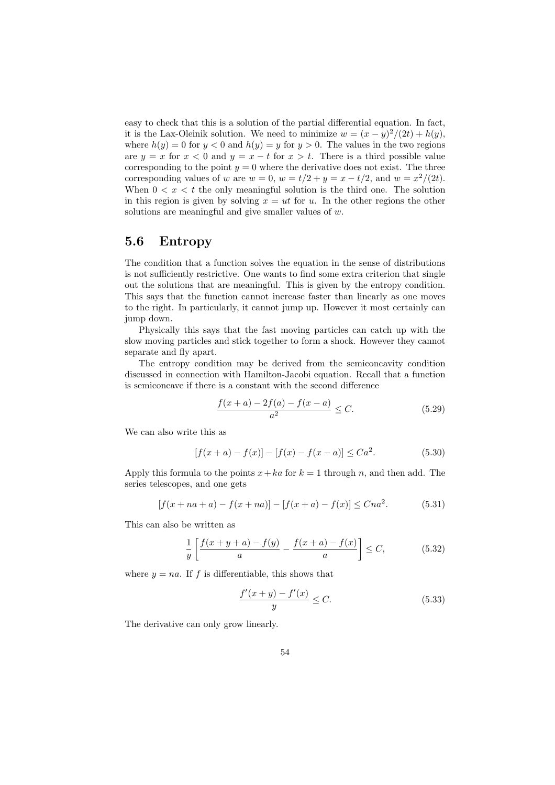easy to check that this is a solution of the partial differential equation. In fact, it is the Lax-Oleinik solution. We need to minimize  $w = (x - y)^2/(2t) + h(y)$ , where  $h(y) = 0$  for  $y < 0$  and  $h(y) = y$  for  $y > 0$ . The values in the two regions are  $y = x$  for  $x < 0$  and  $y = x - t$  for  $x > t$ . There is a third possible value corresponding to the point  $y = 0$  where the derivative does not exist. The three corresponding values of w are  $w = 0$ ,  $w = t/2 + y = x - t/2$ , and  $w = x^2/(2t)$ . When  $0 < x < t$  the only meaningful solution is the third one. The solution in this region is given by solving  $x = ut$  for u. In the other regions the other solutions are meaningful and give smaller values of  $w$ .

#### 5.6 Entropy

The condition that a function solves the equation in the sense of distributions is not sufficiently restrictive. One wants to find some extra criterion that single out the solutions that are meaningful. This is given by the entropy condition. This says that the function cannot increase faster than linearly as one moves to the right. In particularly, it cannot jump up. However it most certainly can jump down.

Physically this says that the fast moving particles can catch up with the slow moving particles and stick together to form a shock. However they cannot separate and fly apart.

The entropy condition may be derived from the semiconcavity condition discussed in connection with Hamilton-Jacobi equation. Recall that a function is semiconcave if there is a constant with the second difference

$$
\frac{f(x+a) - 2f(a) - f(x-a)}{a^2} \le C.
$$
\n(5.29)

We can also write this as

$$
[f(x+a) - f(x)] - [f(x) - f(x-a)] \le Ca^2.
$$
 (5.30)

Apply this formula to the points  $x+ka$  for  $k=1$  through n, and then add. The series telescopes, and one gets

$$
[f(x+na+a) - f(x+na)] - [f(x+a) - f(x)] \leq Cna^2.
$$
 (5.31)

This can also be written as

$$
\frac{1}{y} \left[ \frac{f(x+y+a) - f(y)}{a} - \frac{f(x+a) - f(x)}{a} \right] \le C,
$$
\n(5.32)

where  $y = na$ . If f is differentiable, this shows that

$$
\frac{f'(x+y) - f'(x)}{y} \le C.
$$
\n(5.33)

The derivative can only grow linearly.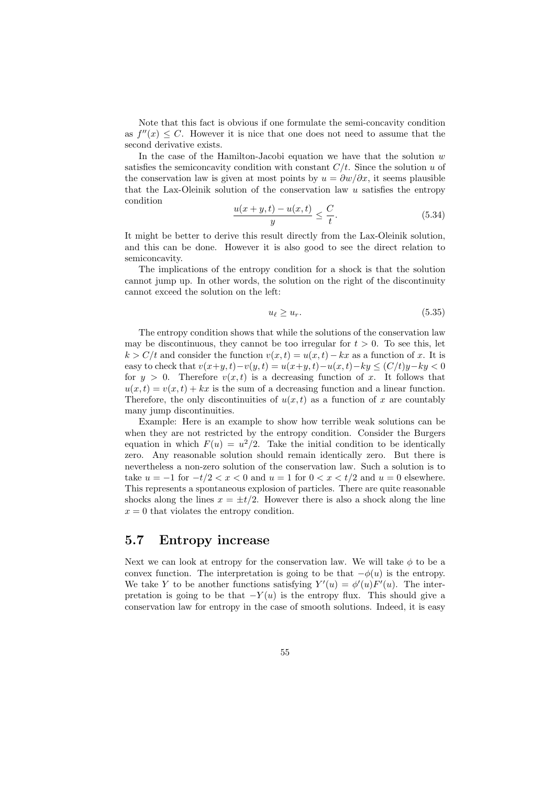Note that this fact is obvious if one formulate the semi-concavity condition as  $f''(x) \leq C$ . However it is nice that one does not need to assume that the second derivative exists.

In the case of the Hamilton-Jacobi equation we have that the solution  $w$ satisfies the semiconcavity condition with constant  $C/t$ . Since the solution u of the conservation law is given at most points by  $u = \frac{\partial w}{\partial x}$ , it seems plausible that the Lax-Oleinik solution of the conservation law  $u$  satisfies the entropy condition

$$
\frac{u(x+y,t) - u(x,t)}{y} \le \frac{C}{t}.\tag{5.34}
$$

It might be better to derive this result directly from the Lax-Oleinik solution, and this can be done. However it is also good to see the direct relation to semiconcavity.

The implications of the entropy condition for a shock is that the solution cannot jump up. In other words, the solution on the right of the discontinuity cannot exceed the solution on the left:

$$
u_{\ell} \ge u_r. \tag{5.35}
$$

The entropy condition shows that while the solutions of the conservation law may be discontinuous, they cannot be too irregular for  $t > 0$ . To see this, let  $k > C/t$  and consider the function  $v(x, t) = u(x, t) - kx$  as a function of x. It is easy to check that  $v(x+y, t)-v(y, t) = u(x+y, t)-u(x, t)-ky \leq (C/t)y-ky < 0$ for  $y > 0$ . Therefore  $v(x, t)$  is a decreasing function of x. It follows that  $u(x,t) = v(x,t) + kx$  is the sum of a decreasing function and a linear function. Therefore, the only discontinuities of  $u(x, t)$  as a function of x are countably many jump discontinuities.

Example: Here is an example to show how terrible weak solutions can be when they are not restricted by the entropy condition. Consider the Burgers equation in which  $F(u) = u^2/2$ . Take the initial condition to be identically zero. Any reasonable solution should remain identically zero. But there is nevertheless a non-zero solution of the conservation law. Such a solution is to take  $u = -1$  for  $-t/2 < x < 0$  and  $u = 1$  for  $0 < x < t/2$  and  $u = 0$  elsewhere. This represents a spontaneous explosion of particles. There are quite reasonable shocks along the lines  $x = \pm t/2$ . However there is also a shock along the line  $x = 0$  that violates the entropy condition.

#### 5.7 Entropy increase

Next we can look at entropy for the conservation law. We will take  $\phi$  to be a convex function. The interpretation is going to be that  $-\phi(u)$  is the entropy. We take Y to be another functions satisfying  $Y'(u) = \phi'(u)F'(u)$ . The interpretation is going to be that  $-Y(u)$  is the entropy flux. This should give a conservation law for entropy in the case of smooth solutions. Indeed, it is easy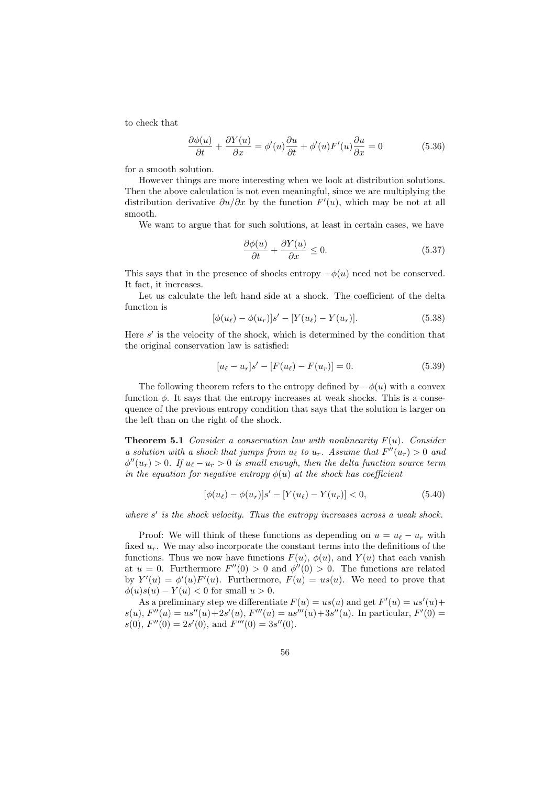to check that

$$
\frac{\partial \phi(u)}{\partial t} + \frac{\partial Y(u)}{\partial x} = \phi'(u)\frac{\partial u}{\partial t} + \phi'(u)F'(u)\frac{\partial u}{\partial x} = 0
$$
\n(5.36)

for a smooth solution.

However things are more interesting when we look at distribution solutions. Then the above calculation is not even meaningful, since we are multiplying the distribution derivative  $\partial u/\partial x$  by the function  $F'(u)$ , which may be not at all smooth.

We want to argue that for such solutions, at least in certain cases, we have

$$
\frac{\partial \phi(u)}{\partial t} + \frac{\partial Y(u)}{\partial x} \le 0.
$$
\n(5.37)

This says that in the presence of shocks entropy  $-\phi(u)$  need not be conserved. It fact, it increases.

Let us calculate the left hand side at a shock. The coefficient of the delta function is

$$
[\phi(u_{\ell}) - \phi(u_r)]s' - [Y(u_{\ell}) - Y(u_r)].
$$
\n(5.38)

Here  $s'$  is the velocity of the shock, which is determined by the condition that the original conservation law is satisfied:

$$
[u_{\ell} - u_r]s' - [F(u_{\ell}) - F(u_r)] = 0.
$$
\n(5.39)

The following theorem refers to the entropy defined by  $-\phi(u)$  with a convex function  $\phi$ . It says that the entropy increases at weak shocks. This is a consequence of the previous entropy condition that says that the solution is larger on the left than on the right of the shock.

**Theorem 5.1** Consider a conservation law with nonlinearity  $F(u)$ . Consider a solution with a shock that jumps from  $u_\ell$  to  $u_r$ . Assume that  $F''(u_r) > 0$  and  $\phi''(u_r) > 0$ . If  $u_{\ell} - u_r > 0$  is small enough, then the delta function source term in the equation for negative entropy  $\phi(u)$  at the shock has coefficient

$$
[\phi(u_{\ell}) - \phi(u_r)]s' - [Y(u_{\ell}) - Y(u_r)] < 0,\tag{5.40}
$$

where  $s'$  is the shock velocity. Thus the entropy increases across a weak shock.

Proof: We will think of these functions as depending on  $u = u_{\ell} - u_r$  with fixed  $u_r$ . We may also incorporate the constant terms into the definitions of the functions. Thus we now have functions  $F(u)$ ,  $\phi(u)$ , and  $Y(u)$  that each vanish at  $u = 0$ . Furthermore  $F''(0) > 0$  and  $\phi''(0) > 0$ . The functions are related by  $Y'(u) = \phi'(u)F'(u)$ . Furthermore,  $F(u) = us(u)$ . We need to prove that  $\phi(u)s(u) - Y(u) < 0$  for small  $u > 0$ .

As a preliminary step we differentiate  $F(u) = us(u)$  and get  $F'(u) = us'(u) +$  $s(u)$ ,  $F''(u) = us''(u) + 2s'(u)$ ,  $F'''(u) = us'''(u) + 3s''(u)$ . In particular,  $F'(0) =$  $s(0)$ ,  $F''(0) = 2s'(0)$ , and  $F'''(0) = 3s''(0)$ .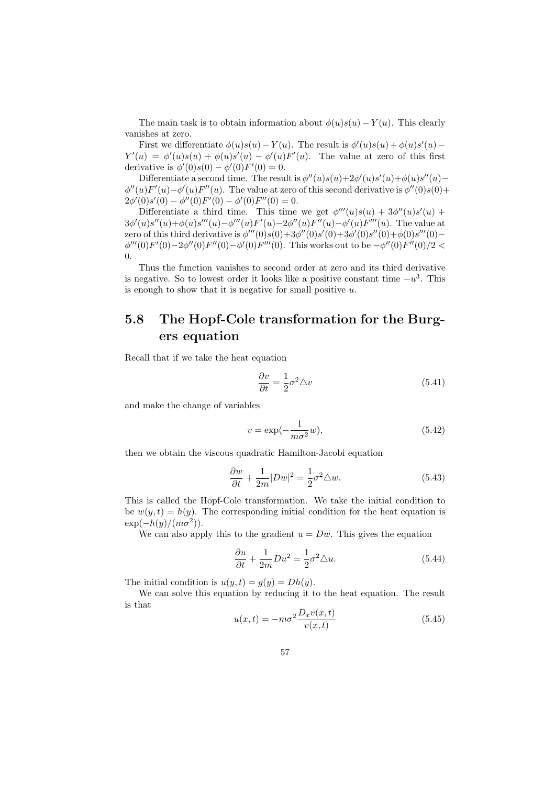The main task is to obtain information about  $\phi(u)s(u) - Y(u)$ . This clearly vanishes at zero.

First we differentiate  $\phi(u)s(u) - Y(u)$ . The result is  $\phi'(u)s(u) + \phi(u)s'(u)$  $Y'(u) = \phi'(u)s(u) + \phi(u)s'(u) - \phi'(u)F'(u)$ . The value at zero of this first derivative is  $\phi'(0)s(0) - \phi'(0)F'(0) = 0.$ 

Differentiate a second time. The result is  $\phi''(u)s(u)+2\phi'(u)s'(u)+\phi(u)s''(u)$  $\phi''(u)F'(u) - \phi'(u)F''(u)$ . The value at zero of this second derivative is  $\phi''(0)s(0) +$  $2\phi'(0)s'(0) - \phi''(0)F'(0) - \phi'(0)F''(0) = 0.$ 

Differentiate a third time. This time we get  $\phi'''(u)s(u) + 3\phi''(u)s'(u) +$  $3\phi'(u)s''(u)+\phi(u)s'''(u)-\phi'''(u)F'(u)-2\phi''(u)F''(u)-\phi'(u)F'''(u)$ . The value at zero of this third derivative is  $\phi'''(0)s(0)+3\phi''(0)s'(0)+3\phi'(0)s''(0)+\phi(0)s'''(0)$  $\phi'''(0)F'(0) - 2\phi''(0)F''(0) - \phi'(0)F'''(0)$ . This works out to be  $-\phi''(0)F''(0)/2 <$ 0.

Thus the function vanishes to second order at zero and its third derivative is negative. So to lowest order it looks like a positive constant time  $-u^3$ . This is enough to show that it is negative for small positive  $u$ .

### 5.8 The Hopf-Cole transformation for the Burgers equation

Recall that if we take the heat equation

$$
\frac{\partial v}{\partial t} = \frac{1}{2}\sigma^2 \triangle v \tag{5.41}
$$

and make the change of variables

$$
v = \exp(-\frac{1}{m\sigma^2}w),\tag{5.42}
$$

then we obtain the viscous quadratic Hamilton-Jacobi equation

$$
\frac{\partial w}{\partial t} + \frac{1}{2m} |Dw|^2 = \frac{1}{2} \sigma^2 \triangle w.
$$
 (5.43)

This is called the Hopf-Cole transformation. We take the initial condition to be  $w(y, t) = h(y)$ . The corresponding initial condition for the heat equation is  $\exp(-h(y)/(m\sigma^2)).$ 

We can also apply this to the gradient  $u = Dw$ . This gives the equation

$$
\frac{\partial u}{\partial t} + \frac{1}{2m}Du^2 = \frac{1}{2}\sigma^2 \triangle u.
$$
\n(5.44)

The initial condition is  $u(y, t) = g(y) = Dh(y)$ .

We can solve this equation by reducing it to the heat equation. The result is that

$$
u(x,t) = -m\sigma^2 \frac{D_x v(x,t)}{v(x,t)}
$$
\n(5.45)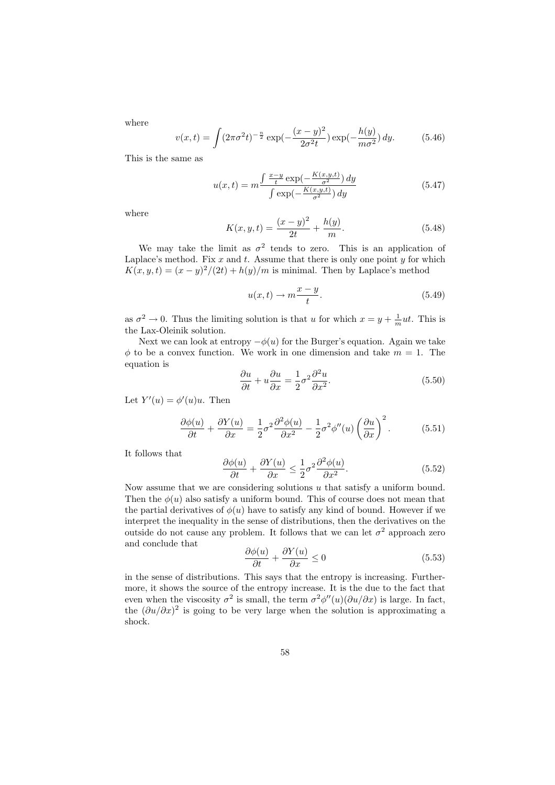where

$$
v(x,t) = \int (2\pi\sigma^2 t)^{-\frac{n}{2}} \exp(-\frac{(x-y)^2}{2\sigma^2 t}) \exp(-\frac{h(y)}{m\sigma^2}) dy.
$$
 (5.46)

This is the same as

$$
u(x,t) = m \frac{\int \frac{x-y}{t} \exp\left(-\frac{K(x,y,t)}{\sigma^2}\right) dy}{\int \exp\left(-\frac{K(x,y,t)}{\sigma^2}\right) dy}
$$
(5.47)

where

$$
K(x, y, t) = \frac{(x - y)^2}{2t} + \frac{h(y)}{m}.
$$
\n(5.48)

We may take the limit as  $\sigma^2$  tends to zero. This is an application of Laplace's method. Fix  $x$  and  $t$ . Assume that there is only one point  $y$  for which  $K(x, y, t) = (x - y)^2/(2t) + h(y)/m$  is minimal. Then by Laplace's method

$$
u(x,t) \to m\frac{x-y}{t}.\tag{5.49}
$$

as  $\sigma^2 \to 0$ . Thus the limiting solution is that u for which  $x = y + \frac{1}{m}ut$ . This is the Lax-Oleinik solution.

Next we can look at entropy  $-\phi(u)$  for the Burger's equation. Again we take  $\phi$  to be a convex function. We work in one dimension and take  $m = 1$ . The equation is

$$
\frac{\partial u}{\partial t} + u \frac{\partial u}{\partial x} = \frac{1}{2} \sigma^2 \frac{\partial^2 u}{\partial x^2}.
$$
\n(5.50)

Let  $Y'(u) = \phi'(u)u$ . Then

$$
\frac{\partial \phi(u)}{\partial t} + \frac{\partial Y(u)}{\partial x} = \frac{1}{2}\sigma^2 \frac{\partial^2 \phi(u)}{\partial x^2} - \frac{1}{2}\sigma^2 \phi''(u) \left(\frac{\partial u}{\partial x}\right)^2.
$$
 (5.51)

It follows that

$$
\frac{\partial \phi(u)}{\partial t} + \frac{\partial Y(u)}{\partial x} \le \frac{1}{2} \sigma^2 \frac{\partial^2 \phi(u)}{\partial x^2}.
$$
 (5.52)

Now assume that we are considering solutions  $u$  that satisfy a uniform bound. Then the  $\phi(u)$  also satisfy a uniform bound. This of course does not mean that the partial derivatives of  $\phi(u)$  have to satisfy any kind of bound. However if we interpret the inequality in the sense of distributions, then the derivatives on the outside do not cause any problem. It follows that we can let  $\sigma^2$  approach zero and conclude that

$$
\frac{\partial \phi(u)}{\partial t} + \frac{\partial Y(u)}{\partial x} \le 0 \tag{5.53}
$$

in the sense of distributions. This says that the entropy is increasing. Furthermore, it shows the source of the entropy increase. It is the due to the fact that even when the viscosity  $\sigma^2$  is small, the term  $\sigma^2 \phi''(u) (\partial u/\partial x)$  is large. In fact, the  $(\partial u/\partial x)^2$  is going to be very large when the solution is approximating a shock.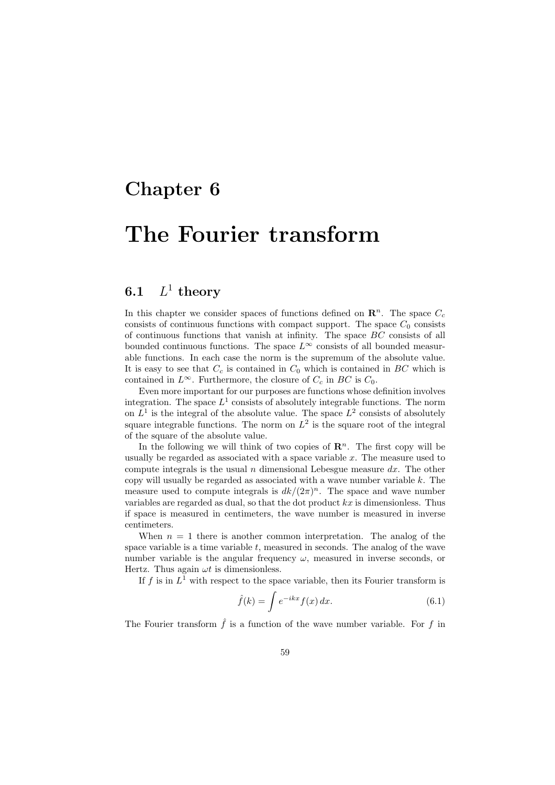## Chapter 6

# The Fourier transform

#### 6.1 L  $1$  theory

In this chapter we consider spaces of functions defined on  $\mathbb{R}^n$ . The space  $C_c$ consists of continuous functions with compact support. The space  $C_0$  consists of continuous functions that vanish at infinity. The space BC consists of all bounded continuous functions. The space  $L^{\infty}$  consists of all bounded measurable functions. In each case the norm is the supremum of the absolute value. It is easy to see that  $C_c$  is contained in  $C_0$  which is contained in  $BC$  which is contained in  $L^{\infty}$ . Furthermore, the closure of  $C_c$  in  $BC$  is  $C_0$ .

Even more important for our purposes are functions whose definition involves integration. The space  $L^1$  consists of absolutely integrable functions. The norm on  $L^1$  is the integral of the absolute value. The space  $L^2$  consists of absolutely square integrable functions. The norm on  $L^2$  is the square root of the integral of the square of the absolute value.

In the following we will think of two copies of  $\mathbb{R}^n$ . The first copy will be usually be regarded as associated with a space variable x. The measure used to compute integrals is the usual n dimensional Lebesgue measure  $dx$ . The other copy will usually be regarded as associated with a wave number variable k. The measure used to compute integrals is  $dk/(2\pi)^n$ . The space and wave number variables are regarded as dual, so that the dot product  $kx$  is dimensionless. Thus if space is measured in centimeters, the wave number is measured in inverse centimeters.

When  $n = 1$  there is another common interpretation. The analog of the space variable is a time variable  $t$ , measured in seconds. The analog of the wave number variable is the angular frequency  $\omega$ , measured in inverse seconds, or Hertz. Thus again  $\omega t$  is dimensionless.

If f is in  $L^1$  with respect to the space variable, then its Fourier transform is

$$
\hat{f}(k) = \int e^{-ikx} f(x) dx.
$$
\n(6.1)

The Fourier transform  $\hat{f}$  is a function of the wave number variable. For f in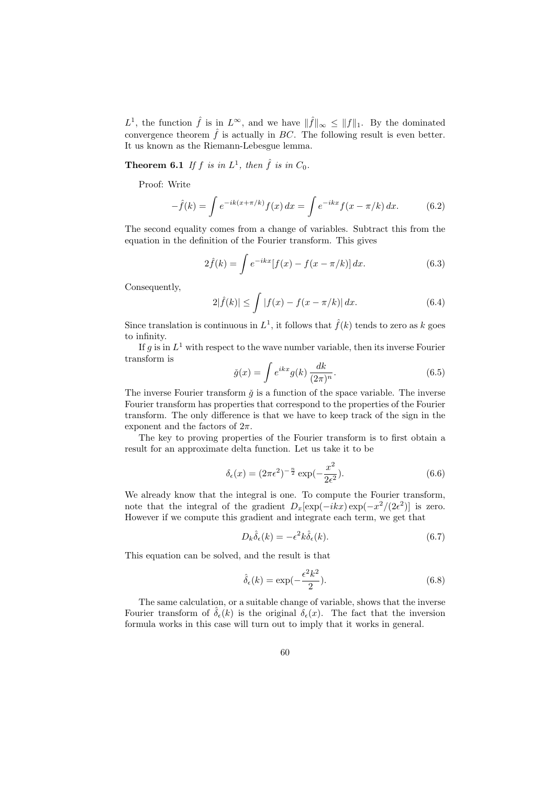$L^1$ , the function  $\hat{f}$  is in  $L^{\infty}$ , and we have  $\|\hat{f}\|_{\infty} \leq \|f\|_1$ . By the dominated convergence theorem  $\hat{f}$  is actually in BC. The following result is even better. It us known as the Riemann-Lebesgue lemma.

**Theorem 6.1** If f is in  $L^1$ , then  $\hat{f}$  is in  $C_0$ .

Proof: Write

$$
-\hat{f}(k) = \int e^{-ik(x+\pi/k)} f(x) dx = \int e^{-ikx} f(x-\pi/k) dx.
$$
 (6.2)

The second equality comes from a change of variables. Subtract this from the equation in the definition of the Fourier transform. This gives

$$
2\hat{f}(k) = \int e^{-ikx} [f(x) - f(x - \pi/k)] dx.
$$
 (6.3)

Consequently,

$$
2|\hat{f}(k)| \le \int |f(x) - f(x - \pi/k)| dx.
$$
 (6.4)

Since translation is continuous in  $L^1$ , it follows that  $\hat{f}(k)$  tends to zero as k goes to infinity.

If g is in  $L^1$  with respect to the wave number variable, then its inverse Fourier transform is

$$
\check{g}(x) = \int e^{ikx} g(k) \frac{dk}{(2\pi)^n}.
$$
\n(6.5)

The inverse Fourier transform  $\check{g}$  is a function of the space variable. The inverse Fourier transform has properties that correspond to the properties of the Fourier transform. The only difference is that we have to keep track of the sign in the exponent and the factors of  $2\pi$ .

The key to proving properties of the Fourier transform is to first obtain a result for an approximate delta function. Let us take it to be

$$
\delta_{\epsilon}(x) = (2\pi\epsilon^2)^{-\frac{n}{2}} \exp(-\frac{x^2}{2\epsilon^2}).
$$
\n(6.6)

We already know that the integral is one. To compute the Fourier transform, note that the integral of the gradient  $D_x[\exp(-ikx)\exp(-x^2/(2\epsilon^2))]$  is zero. However if we compute this gradient and integrate each term, we get that

$$
D_k \hat{\delta}_{\epsilon}(k) = -\epsilon^2 k \hat{\delta}_{\epsilon}(k). \tag{6.7}
$$

This equation can be solved, and the result is that

$$
\hat{\delta}_{\epsilon}(k) = \exp(-\frac{\epsilon^2 k^2}{2}).\tag{6.8}
$$

The same calculation, or a suitable change of variable, shows that the inverse Fourier transform of  $\hat{\delta}_{\epsilon}(k)$  is the original  $\delta_{\epsilon}(x)$ . The fact that the inversion formula works in this case will turn out to imply that it works in general.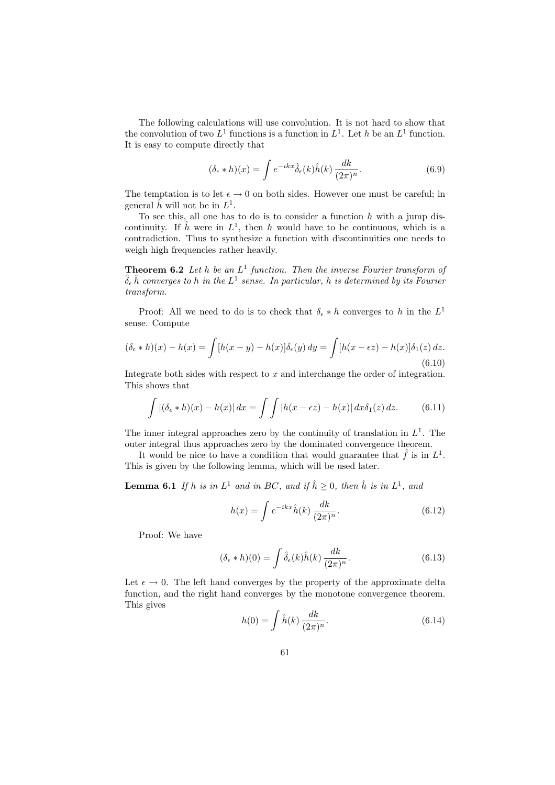The following calculations will use convolution. It is not hard to show that the convolution of two  $L^1$  functions is a function in  $L^1$ . Let h be an  $L^1$  function. It is easy to compute directly that

$$
(\delta_{\epsilon} * h)(x) = \int e^{-ikx} \hat{\delta}_{\epsilon}(k) \hat{h}(k) \frac{dk}{(2\pi)^n}.
$$
 (6.9)

The temptation is to let  $\epsilon \to 0$  on both sides. However one must be careful; in general  $\hat{h}$  will not be in  $L^1$ .

To see this, all one has to do is to consider a function  $h$  with a jump discontinuity. If  $\hat{h}$  were in  $L^1$ , then h would have to be continuous, which is a contradiction. Thus to synthesize a function with discontinuities one needs to weigh high frequencies rather heavily.

**Theorem 6.2** Let h be an  $L^1$  function. Then the inverse Fourier transform of  $\hat{\delta}_{\epsilon}$   $\hat{h}$  converges to h in the  $L^1$  sense. In particular, h is determined by its Fourier transform.

Proof: All we need to do is to check that  $\delta_{\epsilon} * h$  converges to h in the  $L^1$ sense. Compute

$$
(\delta_{\epsilon} * h)(x) - h(x) = \int [h(x - y) - h(x)] \delta_{\epsilon}(y) dy = \int [h(x - \epsilon z) - h(x)] \delta_1(z) dz.
$$
\n(6.10)

Integrate both sides with respect to x and interchange the order of integration. This shows that

$$
\int |(\delta_{\epsilon} * h)(x) - h(x)| dx = \int \int |h(x - \epsilon z) - h(x)| dx \delta_1(z) dz.
$$
 (6.11)

The inner integral approaches zero by the continuity of translation in  $L<sup>1</sup>$ . The outer integral thus approaches zero by the dominated convergence theorem.

It would be nice to have a condition that would guarantee that  $\hat{f}$  is in  $L^1$ . This is given by the following lemma, which will be used later.

**Lemma 6.1** If h is in  $L^1$  and in BC, and if  $\hat{h} \geq 0$ , then  $\hat{h}$  is in  $L^1$ , and

$$
h(x) = \int e^{-ikx} \hat{h}(k) \frac{dk}{(2\pi)^n}.
$$
\n(6.12)

Proof: We have

$$
(\delta_{\epsilon} * h)(0) = \int \hat{\delta}_{\epsilon}(k)\hat{h}(k)\frac{dk}{(2\pi)^n}.
$$
 (6.13)

Let  $\epsilon \to 0$ . The left hand converges by the property of the approximate delta function, and the right hand converges by the monotone convergence theorem. This gives

$$
h(0) = \int \hat{h}(k) \frac{dk}{(2\pi)^n}.
$$
\n(6.14)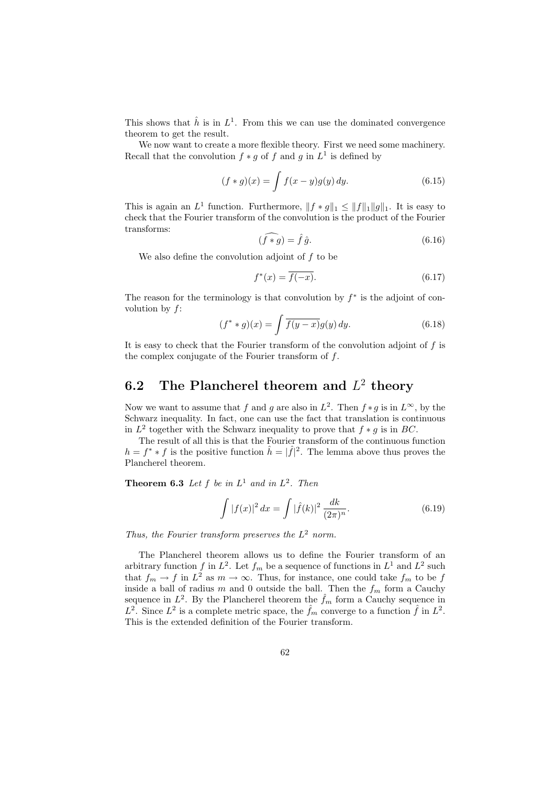This shows that  $\hat{h}$  is in  $L^1$ . From this we can use the dominated convergence theorem to get the result.

We now want to create a more flexible theory. First we need some machinery. Recall that the convolution  $f * g$  of f and g in  $L^1$  is defined by

$$
(f * g)(x) = \int f(x - y)g(y) \, dy. \tag{6.15}
$$

This is again an  $L^1$  function. Furthermore,  $|| f * g ||_1 \leq || f ||_1 ||g||_1$ . It is easy to check that the Fourier transform of the convolution is the product of the Fourier transforms:

$$
\widehat{\left(f \ast g\right)} = \widehat{f} \,\widehat{g}.\tag{6.16}
$$

We also define the convolution adjoint of  $f$  to be

$$
f^*(x) = \overline{f(-x)}.
$$
\n
$$
(6.17)
$$

The reason for the terminology is that convolution by  $f^*$  is the adjoint of convolution by f:

$$
(f^* * g)(x) = \int \overline{f(y - x)} g(y) \, dy. \tag{6.18}
$$

It is easy to check that the Fourier transform of the convolution adjoint of f is the complex conjugate of the Fourier transform of  $f$ .

### 6.2 The Plancherel theorem and  $L^2$  theory

Now we want to assume that f and g are also in  $L^2$ . Then  $f * g$  is in  $L^{\infty}$ , by the Schwarz inequality. In fact, one can use the fact that translation is continuous in  $L^2$  together with the Schwarz inequality to prove that  $f * g$  is in BC.

The result of all this is that the Fourier transform of the continuous function  $h = f^* * f$  is the positive function  $\hat{h} = |\hat{f}|^2$ . The lemma above thus proves the Plancherel theorem.

**Theorem 6.3** Let f be in  $L^1$  and in  $L^2$ . Then

$$
\int |f(x)|^2 dx = \int |\hat{f}(k)|^2 \frac{dk}{(2\pi)^n}.
$$
\n(6.19)

Thus, the Fourier transform preserves the  $L^2$  norm.

The Plancherel theorem allows us to define the Fourier transform of an arbitrary function f in  $L^2$ . Let  $f_m$  be a sequence of functions in  $L^1$  and  $L^2$  such that  $f_m \to f$  in  $L^2$  as  $m \to \infty$ . Thus, for instance, one could take  $f_m$  to be f inside a ball of radius m and 0 outside the ball. Then the  $f_m$  form a Cauchy sequence in  $L^2$ . By the Plancherel theorem the  $\hat{f}_m$  form a Cauchy sequence in  $L^2$ . Since  $L^2$  is a complete metric space, the  $\hat{f}_m$  converge to a function  $\hat{f}$  in  $L^2$ . This is the extended definition of the Fourier transform.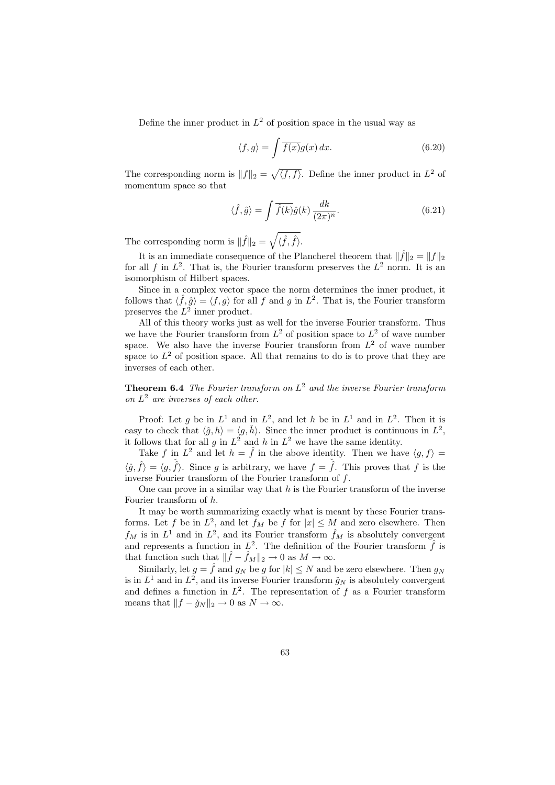Define the inner product in  $L^2$  of position space in the usual way as

$$
\langle f, g \rangle = \int \overline{f(x)} g(x) \, dx. \tag{6.20}
$$

The corresponding norm is  $||f||_2 =$ p  $\langle f, f \rangle$ . Define the inner product in  $L^2$  of momentum space so that

$$
\langle \hat{f}, \hat{g} \rangle = \int \overline{\hat{f}(k)} \hat{g}(k) \frac{dk}{(2\pi)^n}.
$$
 (6.21)

The corresponding norm is  $\|\hat{f}\|_2 =$  $\langle \hat{f}, \hat{f} \rangle$ .

It is an immediate consequence of the Plancherel theorem that  $\|\hat{f}\|_2 = \|f\|_2$ for all f in  $L^2$ . That is, the Fourier transform preserves the  $L^2$  norm. It is an isomorphism of Hilbert spaces.

Since in a complex vector space the norm determines the inner product, it follows that  $\langle \hat{f}, \hat{g} \rangle = \langle f, g \rangle$  for all f and g in  $L^2$ . That is, the Fourier transform preserves the  $L^2$  inner product.

All of this theory works just as well for the inverse Fourier transform. Thus we have the Fourier transform from  $L^2$  of position space to  $L^2$  of wave number space. We also have the inverse Fourier transform from  $L^2$  of wave number space to  $L^2$  of position space. All that remains to do is to prove that they are inverses of each other.

**Theorem 6.4** The Fourier transform on  $L^2$  and the inverse Fourier transform on  $L^2$  are inverses of each other.

Proof: Let g be in  $L^1$  and in  $L^2$ , and let h be in  $L^1$  and in  $L^2$ . Then it is easy to check that  $\langle \hat{g}, h \rangle = \langle g, \check{h} \rangle$ . Since the inner product is continuous in  $L^2$ , it follows that for all g in  $L^2$  and h in  $L^2$  we have the same identity.

Take f in  $L^2$  and let  $h = \hat{f}$  in the above identity. Then we have  $\langle g, f \rangle =$  $\langle \hat{g}, \hat{f} \rangle = \langle g, \check{f} \rangle$ . Since g is arbitrary, we have  $f = \check{f}$ . This proves that f is the inverse Fourier transform of the Fourier transform of f.

One can prove in a similar way that  $h$  is the Fourier transform of the inverse Fourier transform of h.

It may be worth summarizing exactly what is meant by these Fourier transforms. Let f be in  $L^2$ , and let  $f_M$  be f for  $|x| \leq M$  and zero elsewhere. Then  $f_M$  is in  $L^1$  and in  $L^2$ , and its Fourier transform  $\hat{f}_M$  is absolutely convergent and represents a function in  $L^2$ . The definition of the Fourier transform  $\hat{f}$  is that function such that  $\|\hat{f} - \hat{f}_M\|_2 \to 0$  as  $M \to \infty$ .

Similarly, let  $g = \hat{f}$  and  $g_N$  be  $g$  for  $|k| \leq N$  and be zero elsewhere. Then  $g_N$ is in  $L^1$  and in  $L^2$ , and its inverse Fourier transform  $\check{g}_N$  is absolutely convergent and defines a function in  $L^2$ . The representation of f as a Fourier transform means that  $||f - \check{g}_N||_2 \to 0$  as  $N \to \infty$ .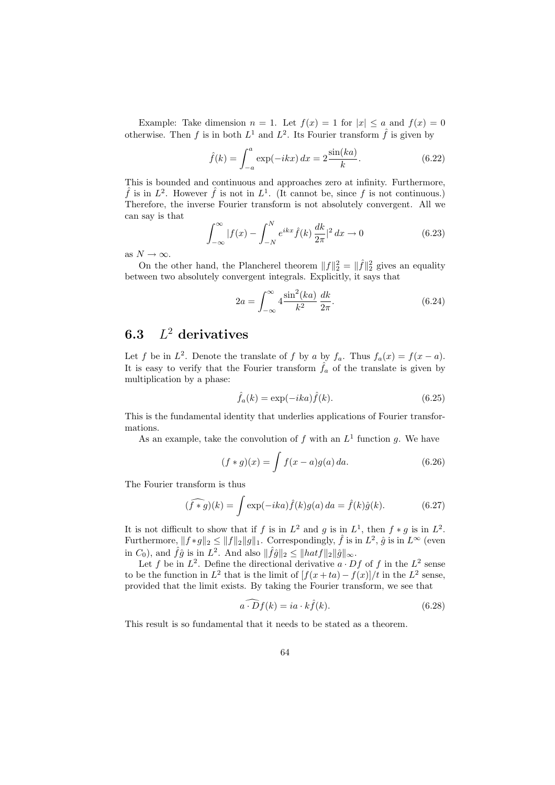Example: Take dimension  $n = 1$ . Let  $f(x) = 1$  for  $|x| \le a$  and  $f(x) = 0$ otherwise. Then f is in both  $L^1$  and  $L^2$ . Its Fourier transform  $\hat{f}$  is given by

$$
\hat{f}(k) = \int_{-a}^{a} \exp(-ikx) \, dx = 2 \frac{\sin(ka)}{k}.
$$
\n(6.22)

This is bounded and continuous and approaches zero at infinity. Furthermore,  $\hat{f}$  is in  $L^2$ . However  $\hat{f}$  is not in  $L^1$ . (It cannot be, since f is not continuous.) Therefore, the inverse Fourier transform is not absolutely convergent. All we can say is that

$$
\int_{-\infty}^{\infty} |f(x) - \int_{-N}^{N} e^{ikx} \hat{f}(k) \frac{dk}{2\pi} |^2 dx \to 0
$$
 (6.23)

as  $N \to \infty$ .

On the other hand, the Plancherel theorem  $||f||_2^2 = ||\hat{f}||_2^2$  gives an equality between two absolutely convergent integrals. Explicitly, it says that

$$
2a = \int_{-\infty}^{\infty} 4 \frac{\sin^2(ka)}{k^2} \frac{dk}{2\pi}.
$$
 (6.24)

#### 6.3  $L^2$  derivatives

Let f be in  $L^2$ . Denote the translate of f by a by  $f_a$ . Thus  $f_a(x) = f(x - a)$ . It is easy to verify that the Fourier transform  $\hat{f}_a$  of the translate is given by multiplication by a phase:

$$
\hat{f}_a(k) = \exp(-ika)\hat{f}(k). \tag{6.25}
$$

This is the fundamental identity that underlies applications of Fourier transformations.

As an example, take the convolution of f with an  $L^1$  function g. We have

$$
(f * g)(x) = \int f(x - a)g(a) \, da. \tag{6.26}
$$

The Fourier transform is thus

$$
(\widehat{f*g})(k) = \int \exp(-ika)\widehat{f}(k)g(a) da = \widehat{f}(k)\widehat{g}(k).
$$
 (6.27)

It is not difficult to show that if f is in  $L^2$  and g is in  $L^1$ , then  $f * g$  is in  $L^2$ . Furthermore,  $|| f * g ||_2 \le || f ||_2 || g ||_1$ . Correspondingly,  $\hat{f}$  is in  $L^2$ ,  $\hat{g}$  is in  $L^{\infty}$  (even in  $C_0$ ), and  $\hat{f}\hat{g}$  is in  $L^2$ . And also  $\|\hat{f}\hat{g}\|_2 \leq \|hat{f}\|_2 \|\hat{g}\|_{\infty}$ .

Let f be in  $L^2$ . Define the directional derivative  $a \cdot Df$  of f in the  $L^2$  sense to be the function in  $L^2$  that is the limit of  $\frac{f(x + ta) - f(x)}{t}$  in the  $L^2$  sense, provided that the limit exists. By taking the Fourier transform, we see that

$$
\widehat{a \cdot D} f(k) = ia \cdot k \widehat{f}(k). \tag{6.28}
$$

This result is so fundamental that it needs to be stated as a theorem.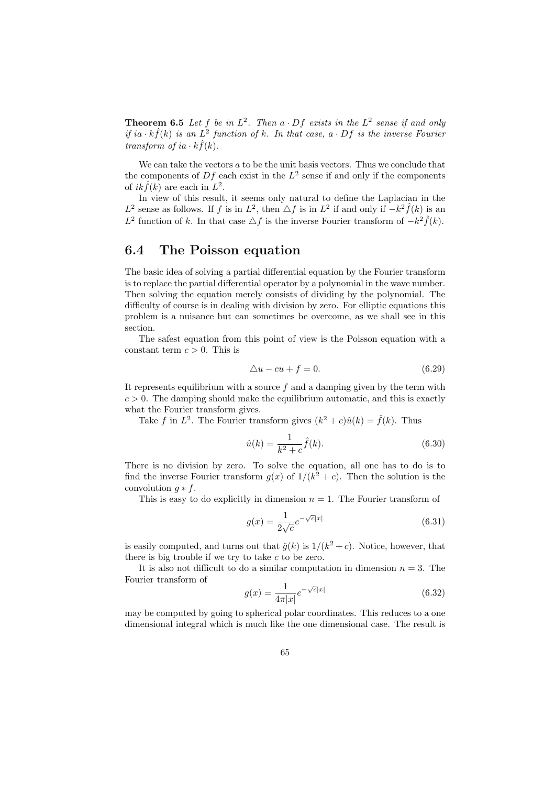**Theorem 6.5** Let f be in  $L^2$ . Then  $a \cdot Df$  exists in the  $L^2$  sense if and only if ia  $\cdot k \hat{f}(k)$  is an  $\hat{L}^2$  function of k. In that case, a  $\cdot Df$  is the inverse Fourier transform of ia  $\cdot k \hat{f}(k)$ .

We can take the vectors  $a$  to be the unit basis vectors. Thus we conclude that the components of  $Df$  each exist in the  $L^2$  sense if and only if the components of  $ik \hat{f}(k)$  are each in  $L^2$ .

In view of this result, it seems only natural to define the Laplacian in the L<sup>2</sup> sense as follows. If f is in  $L^2$ , then  $\triangle f$  is in  $L^2$  if and only if  $-k^2\hat{f}(k)$  is an L<sup>2</sup> function of k. In that case  $\triangle f$  is the inverse Fourier transform of  $-k^2 \hat{f}(k)$ .

#### 6.4 The Poisson equation

The basic idea of solving a partial differential equation by the Fourier transform is to replace the partial differential operator by a polynomial in the wave number. Then solving the equation merely consists of dividing by the polynomial. The difficulty of course is in dealing with division by zero. For elliptic equations this problem is a nuisance but can sometimes be overcome, as we shall see in this section.

The safest equation from this point of view is the Poisson equation with a constant term  $c > 0$ . This is

$$
\Delta u - cu + f = 0. \tag{6.29}
$$

It represents equilibrium with a source f and a damping given by the term with  $c > 0$ . The damping should make the equilibrium automatic, and this is exactly what the Fourier transform gives.

Take f in  $L^2$ . The Fourier transform gives  $(k^2 + c)\hat{u}(k) = \hat{f}(k)$ . Thus

$$
\hat{u}(k) = \frac{1}{k^2 + c} \hat{f}(k).
$$
\n(6.30)

There is no division by zero. To solve the equation, all one has to do is to find the inverse Fourier transform  $g(x)$  of  $1/(k^2 + c)$ . Then the solution is the convolution  $q * f$ .

This is easy to do explicitly in dimension  $n = 1$ . The Fourier transform of

$$
g(x) = \frac{1}{2\sqrt{c}}e^{-\sqrt{c}|x|}
$$
\n(6.31)

is easily computed, and turns out that  $\hat{g}(k)$  is  $1/(k^2+c)$ . Notice, however, that there is big trouble if we try to take c to be zero.

It is also not difficult to do a similar computation in dimension  $n = 3$ . The Fourier transform of

$$
g(x) = \frac{1}{4\pi|x|}e^{-\sqrt{c}|x|}
$$
\n(6.32)

may be computed by going to spherical polar coordinates. This reduces to a one dimensional integral which is much like the one dimensional case. The result is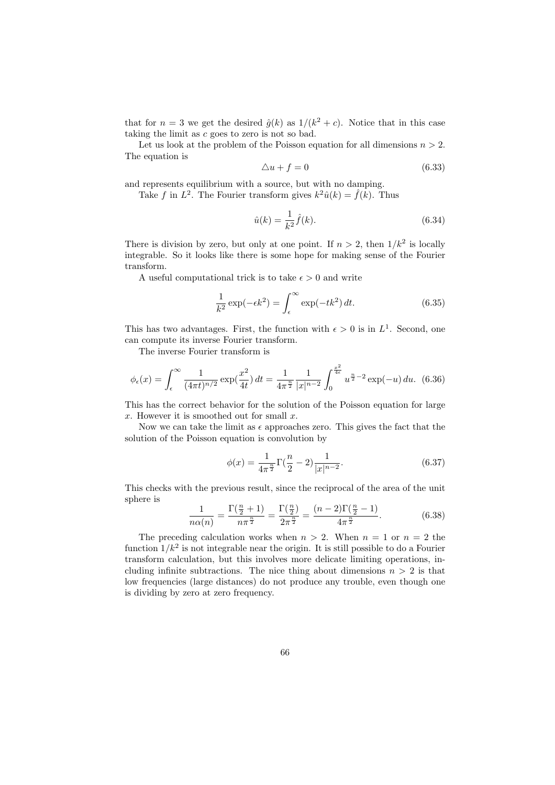that for  $n = 3$  we get the desired  $\hat{g}(k)$  as  $1/(k^2 + c)$ . Notice that in this case taking the limit as c goes to zero is not so bad.

Let us look at the problem of the Poisson equation for all dimensions  $n > 2$ . The equation is

$$
\Delta u + f = 0 \tag{6.33}
$$

and represents equilibrium with a source, but with no damping.

Take f in  $L^2$ . The Fourier transform gives  $k^2\hat{u}(k) = \hat{f}(k)$ . Thus

$$
\hat{u}(k) = \frac{1}{k^2} \hat{f}(k).
$$
\n(6.34)

There is division by zero, but only at one point. If  $n > 2$ , then  $1/k^2$  is locally integrable. So it looks like there is some hope for making sense of the Fourier transform.

A useful computational trick is to take  $\epsilon > 0$  and write

$$
\frac{1}{k^2} \exp(-\epsilon k^2) = \int_{\epsilon}^{\infty} \exp(-tk^2) dt.
$$
 (6.35)

This has two advantages. First, the function with  $\epsilon > 0$  is in  $L^1$ . Second, one can compute its inverse Fourier transform.

The inverse Fourier transform is

$$
\phi_{\epsilon}(x) = \int_{\epsilon}^{\infty} \frac{1}{(4\pi t)^{n/2}} \exp(\frac{x^2}{4t}) dt = \frac{1}{4\pi^{\frac{n}{2}}} \frac{1}{|x|^{n-2}} \int_{0}^{\frac{x^2}{4\epsilon}} u^{\frac{n}{2}-2} \exp(-u) du. \tag{6.36}
$$

This has the correct behavior for the solution of the Poisson equation for large x. However it is smoothed out for small  $x$ .

Now we can take the limit as  $\epsilon$  approaches zero. This gives the fact that the solution of the Poisson equation is convolution by

$$
\phi(x) = \frac{1}{4\pi^{\frac{n}{2}}} \Gamma(\frac{n}{2} - 2) \frac{1}{|x|^{n-2}}.
$$
\n(6.37)

This checks with the previous result, since the reciprocal of the area of the unit sphere is

$$
\frac{1}{n\alpha(n)} = \frac{\Gamma(\frac{n}{2} + 1)}{n\pi^{\frac{n}{2}}} = \frac{\Gamma(\frac{n}{2})}{2\pi^{\frac{n}{2}}} = \frac{(n-2)\Gamma(\frac{n}{2} - 1)}{4\pi^{\frac{n}{2}}}.
$$
(6.38)

The preceding calculation works when  $n > 2$ . When  $n = 1$  or  $n = 2$  the function  $1/k^2$  is not integrable near the origin. It is still possible to do a Fourier transform calculation, but this involves more delicate limiting operations, including infinite subtractions. The nice thing about dimensions  $n > 2$  is that low frequencies (large distances) do not produce any trouble, even though one is dividing by zero at zero frequency.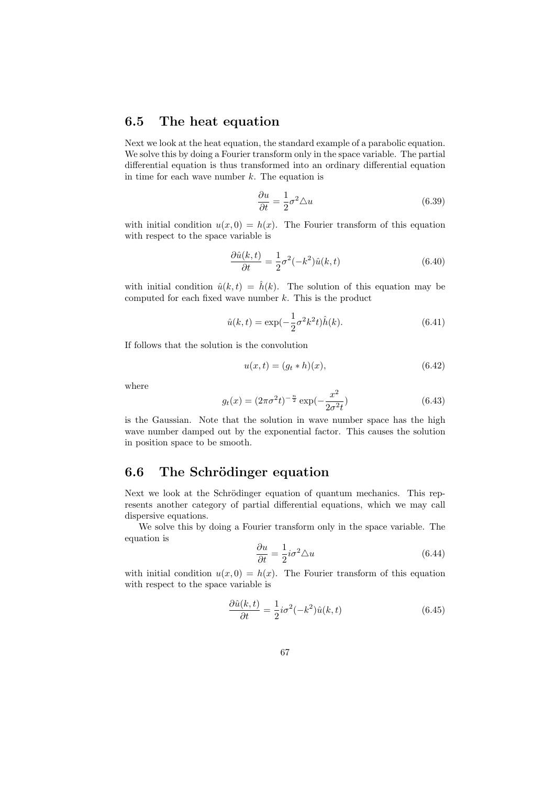#### 6.5 The heat equation

Next we look at the heat equation, the standard example of a parabolic equation. We solve this by doing a Fourier transform only in the space variable. The partial differential equation is thus transformed into an ordinary differential equation in time for each wave number  $k$ . The equation is

$$
\frac{\partial u}{\partial t} = \frac{1}{2}\sigma^2 \triangle u \tag{6.39}
$$

with initial condition  $u(x, 0) = h(x)$ . The Fourier transform of this equation with respect to the space variable is

$$
\frac{\partial \hat{u}(k,t)}{\partial t} = \frac{1}{2}\sigma^2(-k^2)\hat{u}(k,t)
$$
\n(6.40)

with initial condition  $\hat{u}(k,t) = \hat{h}(k)$ . The solution of this equation may be computed for each fixed wave number  $k$ . This is the product

$$
\hat{u}(k,t) = \exp(-\frac{1}{2}\sigma^2 k^2 t)\hat{h}(k).
$$
\n(6.41)

If follows that the solution is the convolution

$$
u(x,t) = (g_t * h)(x),
$$
\n(6.42)

where

$$
g_t(x) = (2\pi\sigma^2 t)^{-\frac{n}{2}} \exp(-\frac{x^2}{2\sigma^2 t})
$$
\n(6.43)

is the Gaussian. Note that the solution in wave number space has the high wave number damped out by the exponential factor. This causes the solution in position space to be smooth.

#### 6.6 The Schrödinger equation

Next we look at the Schrödinger equation of quantum mechanics. This represents another category of partial differential equations, which we may call dispersive equations.

We solve this by doing a Fourier transform only in the space variable. The equation is

$$
\frac{\partial u}{\partial t} = \frac{1}{2} i \sigma^2 \triangle u \tag{6.44}
$$

with initial condition  $u(x, 0) = h(x)$ . The Fourier transform of this equation with respect to the space variable is

$$
\frac{\partial \hat{u}(k,t)}{\partial t} = \frac{1}{2} i \sigma^2 (-k^2) \hat{u}(k,t)
$$
\n(6.45)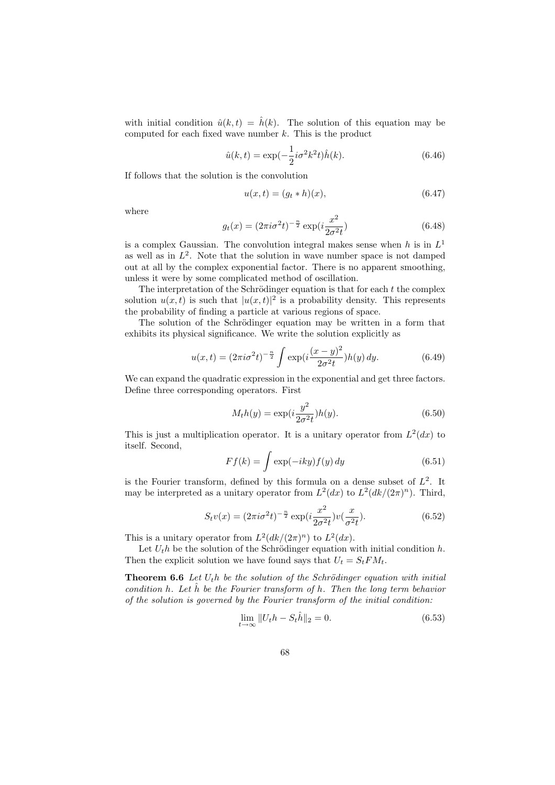with initial condition  $\hat{u}(k,t) = \hat{h}(k)$ . The solution of this equation may be computed for each fixed wave number  $k$ . This is the product

$$
\hat{u}(k,t) = \exp(-\frac{1}{2}i\sigma^2 k^2 t)\hat{h}(k).
$$
\n(6.46)

If follows that the solution is the convolution

$$
u(x,t) = (g_t * h)(x),
$$
\n(6.47)

where

$$
g_t(x) = (2\pi i \sigma^2 t)^{-\frac{n}{2}} \exp(i\frac{x^2}{2\sigma^2 t})
$$
\n(6.48)

is a complex Gaussian. The convolution integral makes sense when h is in  $L^1$ as well as in  $L^2$ . Note that the solution in wave number space is not damped out at all by the complex exponential factor. There is no apparent smoothing, unless it were by some complicated method of oscillation.

The interpretation of the Schrödinger equation is that for each  $t$  the complex solution  $u(x,t)$  is such that  $|u(x,t)|^2$  is a probability density. This represents the probability of finding a particle at various regions of space.

The solution of the Schrödinger equation may be written in a form that exhibits its physical significance. We write the solution explicitly as

$$
u(x,t) = (2\pi i \sigma^2 t)^{-\frac{n}{2}} \int \exp\left(i\frac{(x-y)^2}{2\sigma^2 t}\right) h(y) \, dy. \tag{6.49}
$$

We can expand the quadratic expression in the exponential and get three factors. Define three corresponding operators. First

$$
M_t h(y) = \exp(i\frac{y^2}{2\sigma^2 t})h(y).
$$
\n(6.50)

This is just a multiplication operator. It is a unitary operator from  $L^2(dx)$  to itself. Second,

$$
Ff(k) = \int \exp(-iky)f(y) dy
$$
 (6.51)

is the Fourier transform, defined by this formula on a dense subset of  $L^2$ . It may be interpreted as a unitary operator from  $L^2(dx)$  to  $L^2(dk/(2\pi)^n)$ . Third,

$$
S_t v(x) = (2\pi i \sigma^2 t)^{-\frac{n}{2}} \exp(i\frac{x^2}{2\sigma^2 t}) v(\frac{x}{\sigma^2 t}).
$$
\n(6.52)

This is a unitary operator from  $L^2(dk/(2\pi)^n)$  to  $L^2(dx)$ .

Let  $U<sub>t</sub>h$  be the solution of the Schrödinger equation with initial condition h. Then the explicit solution we have found says that  $U_t = S_t F M_t$ .

**Theorem 6.6** Let  $U<sub>t</sub>h$  be the solution of the Schrödinger equation with initial condition h. Let  $\hat{h}$  be the Fourier transform of h. Then the long term behavior of the solution is governed by the Fourier transform of the initial condition:

$$
\lim_{t \to \infty} ||U_t h - S_t \hat{h}||_2 = 0.
$$
\n(6.53)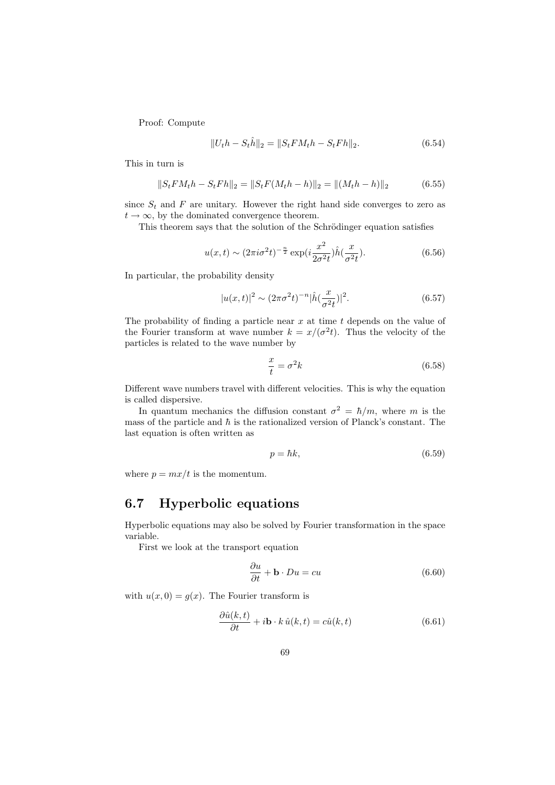Proof: Compute

$$
||U_t h - S_t \hat{h}||_2 = ||S_t F M_t h - S_t F h||_2.
$$
\n(6.54)

This in turn is

$$
||S_t F M_t h - S_t F h||_2 = ||S_t F (M_t h - h)||_2 = ||(M_t h - h)||_2 \tag{6.55}
$$

since  $S_t$  and F are unitary. However the right hand side converges to zero as  $t \to \infty$ , by the dominated convergence theorem.

This theorem says that the solution of the Schrödinger equation satisfies

$$
u(x,t) \sim (2\pi i \sigma^2 t)^{-\frac{n}{2}} \exp(i\frac{x^2}{2\sigma^2 t}) \hat{h}(\frac{x}{\sigma^2 t}).
$$
\n(6.56)

In particular, the probability density

$$
|u(x,t)|^2 \sim (2\pi\sigma^2 t)^{-n} |\hat{h}(\frac{x}{\sigma^2 t})|^2.
$$
 (6.57)

The probability of finding a particle near  $x$  at time  $t$  depends on the value of the Fourier transform at wave number  $k = x/(\sigma^2 t)$ . Thus the velocity of the particles is related to the wave number by

$$
\frac{x}{t} = \sigma^2 k \tag{6.58}
$$

Different wave numbers travel with different velocities. This is why the equation is called dispersive.

In quantum mechanics the diffusion constant  $\sigma^2 = \hbar/m$ , where m is the mass of the particle and  $\hbar$  is the rationalized version of Planck's constant. The last equation is often written as

$$
p = \hbar k,\tag{6.59}
$$

where  $p = mx/t$  is the momentum.

#### 6.7 Hyperbolic equations

Hyperbolic equations may also be solved by Fourier transformation in the space variable.

First we look at the transport equation

$$
\frac{\partial u}{\partial t} + \mathbf{b} \cdot Du = cu \tag{6.60}
$$

with  $u(x, 0) = g(x)$ . The Fourier transform is

$$
\frac{\partial \hat{u}(k,t)}{\partial t} + i\mathbf{b} \cdot k \,\hat{u}(k,t) = c\hat{u}(k,t) \tag{6.61}
$$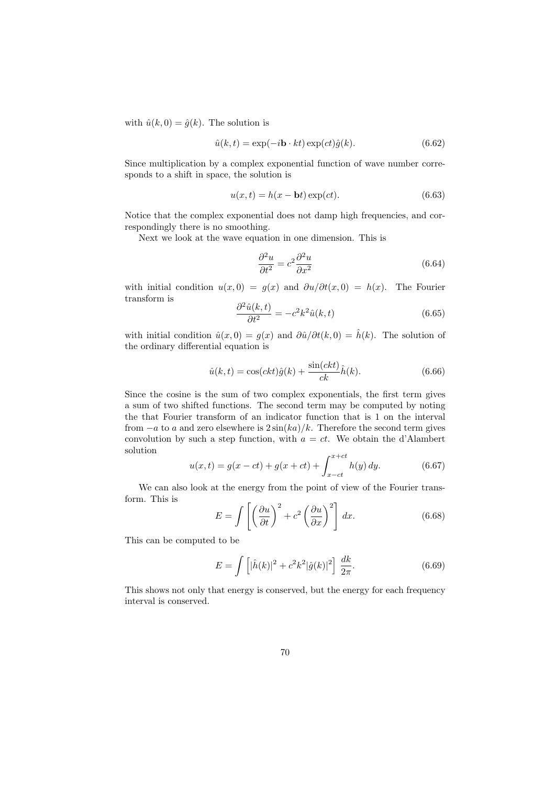with  $\hat{u}(k, 0) = \hat{g}(k)$ . The solution is

$$
\hat{u}(k,t) = \exp(-i\mathbf{b} \cdot kt) \exp(ct)\hat{g}(k).
$$
\n(6.62)

Since multiplication by a complex exponential function of wave number corresponds to a shift in space, the solution is

$$
u(x,t) = h(x - \mathbf{b}t) \exp(ct). \tag{6.63}
$$

Notice that the complex exponential does not damp high frequencies, and correspondingly there is no smoothing.

Next we look at the wave equation in one dimension. This is

$$
\frac{\partial^2 u}{\partial t^2} = c^2 \frac{\partial^2 u}{\partial x^2}
$$
\n(6.64)

with initial condition  $u(x, 0) = g(x)$  and  $\frac{\partial u}{\partial t}(x, 0) = h(x)$ . The Fourier transform is

$$
\frac{\partial^2 \hat{u}(k,t)}{\partial t^2} = -c^2 k^2 \hat{u}(k,t)
$$
\n(6.65)

with initial condition  $\hat{u}(x, 0) = g(x)$  and  $\partial \hat{u}/\partial t(k, 0) = \hat{h}(k)$ . The solution of the ordinary differential equation is

$$
\hat{u}(k,t) = \cos(ckt)\hat{g}(k) + \frac{\sin(ckt)}{ck}\hat{h}(k).
$$
\n(6.66)

Since the cosine is the sum of two complex exponentials, the first term gives a sum of two shifted functions. The second term may be computed by noting the that Fourier transform of an indicator function that is 1 on the interval from  $-a$  to a and zero elsewhere is  $2\sin(ka)/k$ . Therefore the second term gives convolution by such a step function, with  $a = ct$ . We obtain the d'Alambert solution

$$
u(x,t) = g(x - ct) + g(x + ct) + \int_{x-ct}^{x+ct} h(y) \, dy. \tag{6.67}
$$

We can also look at the energy from the point of view of the Fourier transform. This is .<br> $\overline{a}$  $\overline{\phantom{a}}$ #

$$
E = \int \left[ \left( \frac{\partial u}{\partial t} \right)^2 + c^2 \left( \frac{\partial u}{\partial x} \right)^2 \right] dx.
$$
 (6.68)

This can be computed to be

$$
E = \int \left[ |\hat{h}(k)|^2 + c^2 k^2 |\hat{g}(k)|^2 \right] \frac{dk}{2\pi}.
$$
 (6.69)

This shows not only that energy is conserved, but the energy for each frequency interval is conserved.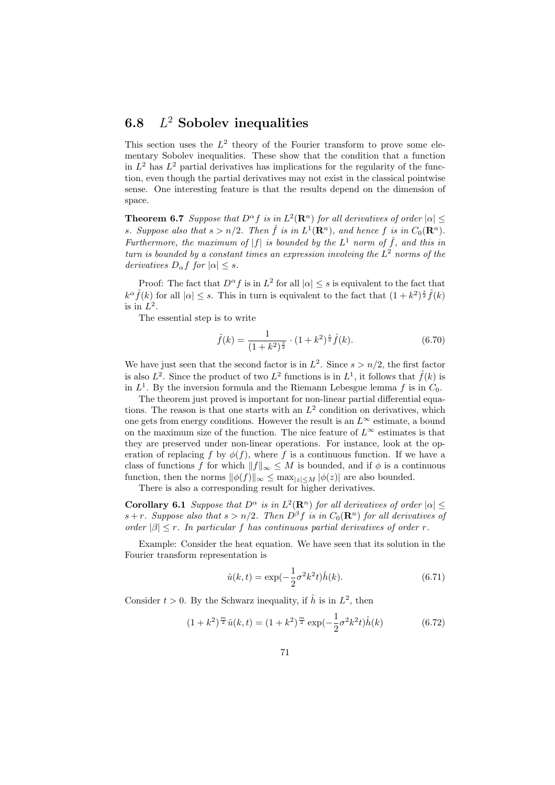#### 6.8  $L^2$  Sobolev inequalities

This section uses the  $L^2$  theory of the Fourier transform to prove some elementary Sobolev inequalities. These show that the condition that a function in  $L^2$  has  $L^2$  partial derivatives has implications for the regularity of the function, even though the partial derivatives may not exist in the classical pointwise sense. One interesting feature is that the results depend on the dimension of space.

**Theorem 6.7** Suppose that  $D^{\alpha} f$  is in  $L^2(\mathbf{R}^n)$  for all derivatives of order  $|\alpha| \leq$ s. Suppose also that  $s > n/2$ . Then  $\hat{f}$  is in  $L^1(\mathbf{R}^n)$ , and hence f is in  $C_0(\mathbf{R}^n)$ . Furthermore, the maximum of  $|f|$  is bounded by the  $L^1$  norm of  $\hat{f}$ , and this in turn is bounded by a constant times an expression involving the  $L^2$  norms of the derivatives  $D_{\alpha} f$  for  $|\alpha| \leq s$ .

Proof: The fact that  $D^{\alpha} f$  is in  $L^2$  for all  $|\alpha| \leq s$  is equivalent to the fact that  $k^{\alpha} \hat{f}(k)$  for all  $|\alpha| \leq s$ . This in turn is equivalent to the fact that  $(1 + k^2)^{\frac{s}{2}} \hat{f}(k)$ is in  $L^2$ .

The essential step is to write

$$
\hat{f}(k) = \frac{1}{(1+k^2)^{\frac{s}{2}}} \cdot (1+k^2)^{\frac{s}{2}} \hat{f}(k). \tag{6.70}
$$

We have just seen that the second factor is in  $L^2$ . Since  $s > n/2$ , the first factor is also  $L^2$ . Since the product of two  $L^2$  functions is in  $L^1$ , it follows that  $\hat{f}(k)$  is in  $L^1$ . By the inversion formula and the Riemann Lebesgue lemma f is in  $C_0$ .

The theorem just proved is important for non-linear partial differential equations. The reason is that one starts with an  $L^2$  condition on derivatives, which one gets from energy conditions. However the result is an  $L^{\infty}$  estimate, a bound on the maximum size of the function. The nice feature of  $L^{\infty}$  estimates is that they are preserved under non-linear operations. For instance, look at the operation of replacing f by  $\phi(f)$ , where f is a continuous function. If we have a class of functions f for which  $||f||_{\infty} \leq M$  is bounded, and if  $\phi$  is a continuous function, then the norms  $\|\phi(f)\|_{\infty} \leq \max_{|z| \leq M} |\phi(z)|$  are also bounded.

There is also a corresponding result for higher derivatives.

**Corollary 6.1** Suppose that  $D^{\alpha}$  is in  $L^2(\mathbf{R}^n)$  for all derivatives of order  $|\alpha| \leq$ s + r. Suppose also that  $s > n/2$ . Then  $D^{\beta} f$  is in  $C_0(\mathbf{R}^n)$  for all derivatives of order  $|\beta| \leq r$ . In particular f has continuous partial derivatives of order r.

Example: Consider the heat equation. We have seen that its solution in the Fourier transform representation is

$$
\hat{u}(k,t) = \exp(-\frac{1}{2}\sigma^2 k^2 t)\hat{h}(k).
$$
\n(6.71)

Consider  $t > 0$ . By the Schwarz inequality, if  $\hat{h}$  is in  $L^2$ , then

$$
(1 + k2)^{\frac{m}{2}}\hat{u}(k, t) = (1 + k2)^{\frac{m}{2}}\exp(-\frac{1}{2}\sigma2k2t)\hat{h}(k)
$$
 (6.72)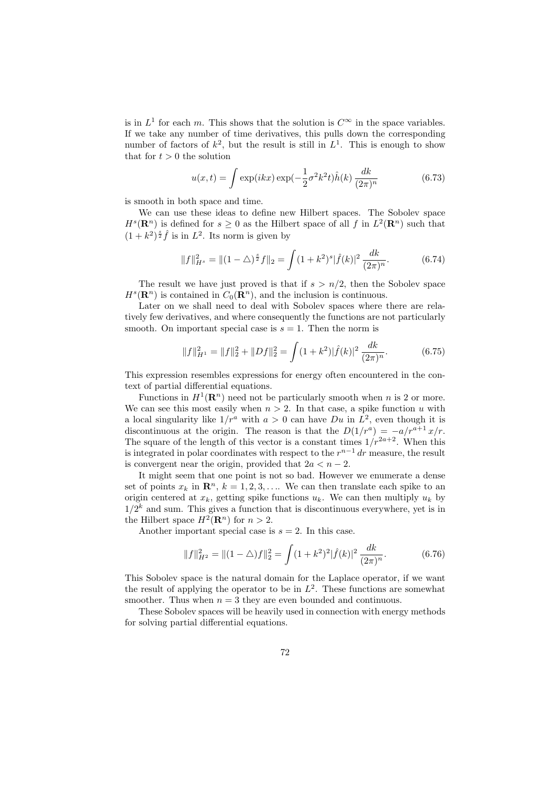is in  $L^1$  for each m. This shows that the solution is  $C^{\infty}$  in the space variables. If we take any number of time derivatives, this pulls down the corresponding number of factors of  $k^2$ , but the result is still in  $L^1$ . This is enough to show that for  $t > 0$  the solution

$$
u(x,t) = \int \exp(ikx)\exp(-\frac{1}{2}\sigma^2k^2t)\hat{h}(k)\frac{dk}{(2\pi)^n}
$$
\n(6.73)

is smooth in both space and time.

We can use these ideas to define new Hilbert spaces. The Sobolev space  $H^s(\mathbf{R}^n)$  is defined for  $s \geq 0$  as the Hilbert space of all f in  $L^2(\mathbf{R}^n)$  such that  $(1 + k^2)^{\frac{s}{2}} \hat{f}$  is in  $L^2$ . Its norm is given by

$$
||f||_{H^s}^2 = ||(1 - \triangle)^{\frac{s}{2}} f||_2 = \int (1 + k^2)^s |\hat{f}(k)|^2 \frac{dk}{(2\pi)^n}.
$$
 (6.74)

The result we have just proved is that if  $s > n/2$ , then the Sobolev space  $H^s(\mathbf{R}^n)$  is contained in  $C_0(\mathbf{R}^n)$ , and the inclusion is continuous.

Later on we shall need to deal with Sobolev spaces where there are relatively few derivatives, and where consequently the functions are not particularly smooth. On important special case is  $s = 1$ . Then the norm is

$$
||f||_{H^1}^2 = ||f||_2^2 + ||Df||_2^2 = \int (1+k^2)|\hat{f}(k)|^2 \frac{dk}{(2\pi)^n}.
$$
 (6.75)

This expression resembles expressions for energy often encountered in the context of partial differential equations.

Functions in  $H^1(\mathbf{R}^n)$  need not be particularly smooth when n is 2 or more. We can see this most easily when  $n > 2$ . In that case, a spike function u with a local singularity like  $1/r^a$  with  $a > 0$  can have  $Du$  in  $L^2$ , even though it is discontinuous at the origin. The reason is that the  $D(1/r^a) = -a/r^{a+1}x/r$ . The square of the length of this vector is a constant times  $1/r^{2a+2}$ . When this is integrated in polar coordinates with respect to the  $r^{n-1}$  dr measure, the result is convergent near the origin, provided that  $2a < n-2$ .

It might seem that one point is not so bad. However we enumerate a dense set of points  $x_k$  in  $\mathbb{R}^n$ ,  $k = 1, 2, 3, \ldots$  We can then translate each spike to an origin centered at  $x_k$ , getting spike functions  $u_k$ . We can then multiply  $u_k$  by  $1/2^k$  and sum. This gives a function that is discontinuous everywhere, yet is in the Hilbert space  $H^2(\mathbf{R}^n)$  for  $n > 2$ .

Another important special case is  $s = 2$ . In this case.

$$
||f||_{H^2}^2 = ||(1 - \triangle)f||_2^2 = \int (1 + k^2)^2 |\hat{f}(k)|^2 \frac{dk}{(2\pi)^n}.
$$
 (6.76)

This Sobolev space is the natural domain for the Laplace operator, if we want the result of applying the operator to be in  $L^2$ . These functions are somewhat smoother. Thus when  $n = 3$  they are even bounded and continuous.

These Sobolev spaces will be heavily used in connection with energy methods for solving partial differential equations.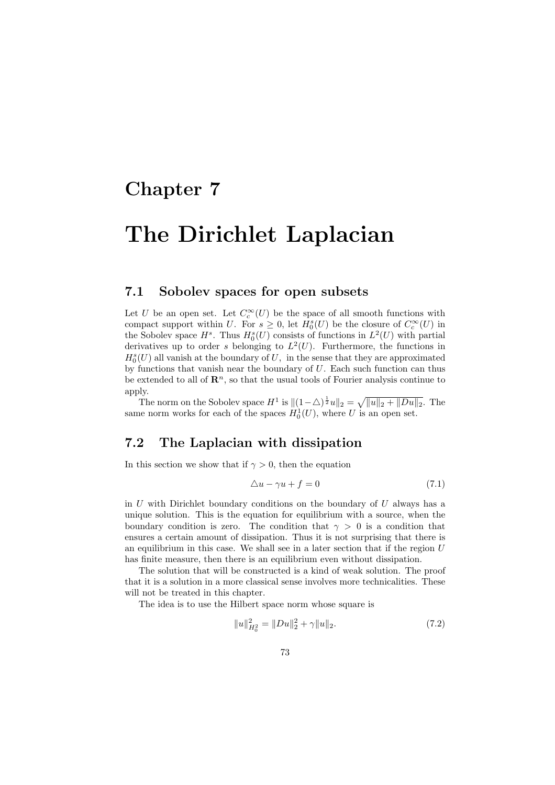### Chapter 7

### The Dirichlet Laplacian

#### 7.1 Sobolev spaces for open subsets

Let U be an open set. Let  $C_c^{\infty}(U)$  be the space of all smooth functions with compact support within U. For  $s \geq 0$ , let  $H_0^s(U)$  be the closure of  $C_c^{\infty}(U)$  in the Sobolev space  $H^s$ . Thus  $H_0^s(U)$  consists of functions in  $L^2(U)$  with partial derivatives up to order s belonging to  $L^2(U)$ . Furthermore, the functions in  $H_0^s(U)$  all vanish at the boundary of U, in the sense that they are approximated by functions that vanish near the boundary of  $U$ . Each such function can thus be extended to all of  $\mathbb{R}^n$ , so that the usual tools of Fourier analysis continue to apply. p

The norm on the Sobolev space  $H^1$  is  $||(1-\triangle)^{\frac{1}{2}}u||_2 =$  $||u||_2 + ||Du||_2$ . The same norm works for each of the spaces  $H_0^1(U)$ , where U is an open set.

#### 7.2 The Laplacian with dissipation

In this section we show that if  $\gamma > 0$ , then the equation

$$
\Delta u - \gamma u + f = 0 \tag{7.1}
$$

in  $U$  with Dirichlet boundary conditions on the boundary of  $U$  always has a unique solution. This is the equation for equilibrium with a source, when the boundary condition is zero. The condition that  $\gamma > 0$  is a condition that ensures a certain amount of dissipation. Thus it is not surprising that there is an equilibrium in this case. We shall see in a later section that if the region  $U$ has finite measure, then there is an equilibrium even without dissipation.

The solution that will be constructed is a kind of weak solution. The proof that it is a solution in a more classical sense involves more technicalities. These will not be treated in this chapter.

The idea is to use the Hilbert space norm whose square is

$$
||u||_{H_0^2}^2 = ||Du||_2^2 + \gamma ||u||_2.
$$
\n(7.2)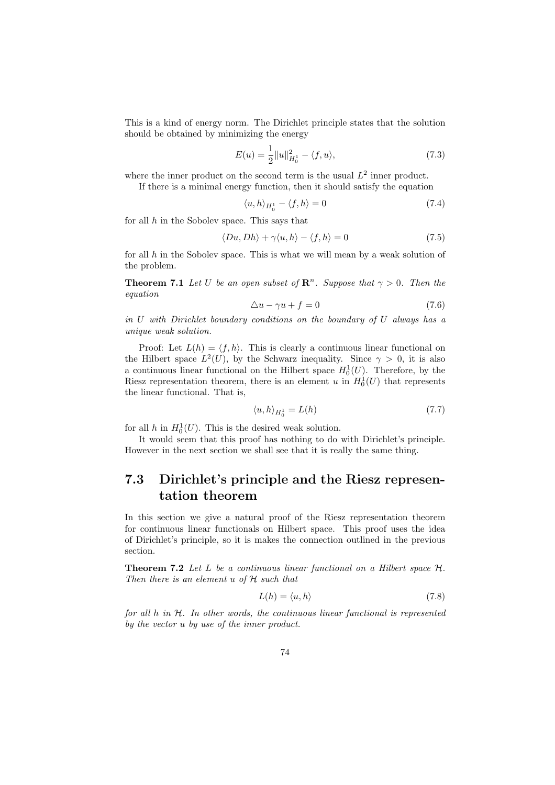This is a kind of energy norm. The Dirichlet principle states that the solution should be obtained by minimizing the energy

$$
E(u) = \frac{1}{2} ||u||_{H_0^1}^2 - \langle f, u \rangle,
$$
\n(7.3)

where the inner product on the second term is the usual  $L^2$  inner product.

If there is a minimal energy function, then it should satisfy the equation

$$
\langle u, h \rangle_{H_0^1} - \langle f, h \rangle = 0 \tag{7.4}
$$

for all  $h$  in the Sobolev space. This says that

$$
\langle Du, Dh \rangle + \gamma \langle u, h \rangle - \langle f, h \rangle = 0 \tag{7.5}
$$

for all  $h$  in the Sobolev space. This is what we will mean by a weak solution of the problem.

**Theorem 7.1** Let U be an open subset of  $\mathbb{R}^n$ . Suppose that  $\gamma > 0$ . Then the equation

$$
\Delta u - \gamma u + f = 0 \tag{7.6}
$$

in U with Dirichlet boundary conditions on the boundary of U always has a unique weak solution.

Proof: Let  $L(h) = \langle f, h \rangle$ . This is clearly a continuous linear functional on the Hilbert space  $L^2(U)$ , by the Schwarz inequality. Since  $\gamma > 0$ , it is also a continuous linear functional on the Hilbert space  $H_0^1(U)$ . Therefore, by the Riesz representation theorem, there is an element u in  $H_0^1(U)$  that represents the linear functional. That is,

$$
\langle u, h \rangle_{H_0^1} = L(h) \tag{7.7}
$$

for all h in  $H_0^1(U)$ . This is the desired weak solution.

It would seem that this proof has nothing to do with Dirichlet's principle. However in the next section we shall see that it is really the same thing.

#### 7.3 Dirichlet's principle and the Riesz representation theorem

In this section we give a natural proof of the Riesz representation theorem for continuous linear functionals on Hilbert space. This proof uses the idea of Dirichlet's principle, so it is makes the connection outlined in the previous section.

**Theorem 7.2** Let L be a continuous linear functional on a Hilbert space  $H$ . Then there is an element  $u$  of  $H$  such that

$$
L(h) = \langle u, h \rangle \tag{7.8}
$$

for all h in H. In other words, the continuous linear functional is represented by the vector u by use of the inner product.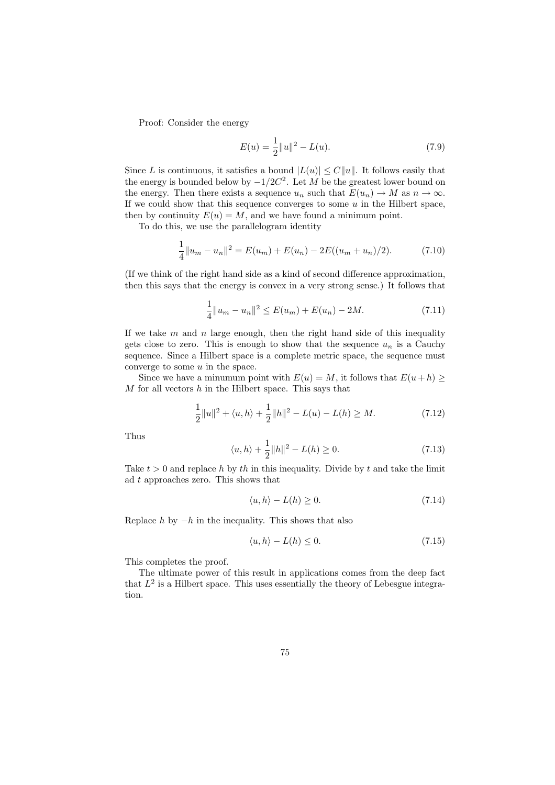Proof: Consider the energy

$$
E(u) = \frac{1}{2}||u||^2 - L(u).
$$
\n(7.9)

Since L is continuous, it satisfies a bound  $|L(u)| \leq C||u||$ . It follows easily that the energy is bounded below by  $-1/2C^2$ . Let M be the greatest lower bound on the energy. Then there exists a sequence  $u_n$  such that  $E(u_n) \to M$  as  $n \to \infty$ . If we could show that this sequence converges to some  $u$  in the Hilbert space, then by continuity  $E(u) = M$ , and we have found a minimum point.

To do this, we use the parallelogram identity

$$
\frac{1}{4}||u_m - u_n||^2 = E(u_m) + E(u_n) - 2E((u_m + u_n)/2). \tag{7.10}
$$

(If we think of the right hand side as a kind of second difference approximation, then this says that the energy is convex in a very strong sense.) It follows that

$$
\frac{1}{4}||u_m - u_n||^2 \le E(u_m) + E(u_n) - 2M.
$$
\n(7.11)

If we take  $m$  and  $n$  large enough, then the right hand side of this inequality gets close to zero. This is enough to show that the sequence  $u_n$  is a Cauchy sequence. Since a Hilbert space is a complete metric space, the sequence must converge to some  $u$  in the space.

Since we have a minumum point with  $E(u) = M$ , it follows that  $E(u+h) \geq$  $M$  for all vectors  $h$  in the Hilbert space. This says that

$$
\frac{1}{2}||u||^2 + \langle u, h \rangle + \frac{1}{2}||h||^2 - L(u) - L(h) \ge M.
$$
 (7.12)

Thus

$$
\langle u, h \rangle + \frac{1}{2} ||h||^2 - L(h) \ge 0.
$$
 (7.13)

Take  $t > 0$  and replace h by the in this inequality. Divide by t and take the limit ad t approaches zero. This shows that

$$
\langle u, h \rangle - L(h) \ge 0. \tag{7.14}
$$

Replace  $h$  by  $-h$  in the inequality. This shows that also

$$
\langle u, h \rangle - L(h) \le 0. \tag{7.15}
$$

This completes the proof.

The ultimate power of this result in applications comes from the deep fact that  $L^2$  is a Hilbert space. This uses essentially the theory of Lebesgue integration.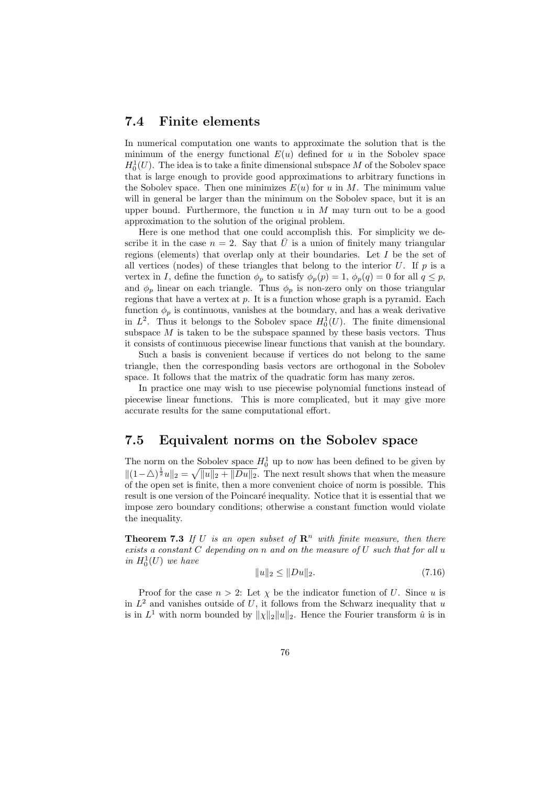#### 7.4 Finite elements

In numerical computation one wants to approximate the solution that is the minimum of the energy functional  $E(u)$  defined for u in the Sobolev space  $H_0^1(U)$ . The idea is to take a finite dimensional subspace M of the Sobolev space that is large enough to provide good approximations to arbitrary functions in the Sobolev space. Then one minimizes  $E(u)$  for u in M. The minimum value will in general be larger than the minimum on the Sobolev space, but it is an upper bound. Furthermore, the function  $u$  in  $M$  may turn out to be a good approximation to the solution of the original problem.

Here is one method that one could accomplish this. For simplicity we describe it in the case  $n = 2$ . Say that  $\overline{U}$  is a union of finitely many triangular regions (elements) that overlap only at their boundaries. Let I be the set of all vertices (nodes) of these triangles that belong to the interior  $U$ . If  $p$  is a vertex in I, define the function  $\phi_p$  to satisfy  $\phi_p(p) = 1$ ,  $\phi_p(q) = 0$  for all  $q \leq p$ , and  $\phi_p$  linear on each triangle. Thus  $\phi_p$  is non-zero only on those triangular regions that have a vertex at p. It is a function whose graph is a pyramid. Each function  $\phi_p$  is continuous, vanishes at the boundary, and has a weak derivative in  $L^2$ . Thus it belongs to the Sobolev space  $H_0^1(U)$ . The finite dimensional subspace  $M$  is taken to be the subspace spanned by these basis vectors. Thus it consists of continuous piecewise linear functions that vanish at the boundary.

Such a basis is convenient because if vertices do not belong to the same triangle, then the corresponding basis vectors are orthogonal in the Sobolev space. It follows that the matrix of the quadratic form has many zeros.

In practice one may wish to use piecewise polynomial functions instead of piecewise linear functions. This is more complicated, but it may give more accurate results for the same computational effort.

#### 7.5 Equivalent norms on the Sobolev space

The norm on the Sobolev space  $H_0^1$  up to now has been defined to be given by  $||(1-\Delta)^{\frac{1}{2}}u||_2 = \sqrt{||u||_2 + ||Du||_2}$ . The next result shows that when the measure of the open set is finite, then a more convenient choice of norm is possible. This result is one version of the Poincaré inequality. Notice that it is essential that we impose zero boundary conditions; otherwise a constant function would violate the inequality.

**Theorem 7.3** If U is an open subset of  $\mathbb{R}^n$  with finite measure, then there exists a constant  $C$  depending on n and on the measure of  $U$  such that for all  $u$ in  $H_0^1(U)$  we have

$$
||u||_2 \le ||Du||_2. \tag{7.16}
$$

Proof for the case  $n > 2$ : Let  $\chi$  be the indicator function of U. Since u is in  $L^2$  and vanishes outside of U, it follows from the Schwarz inequality that u is in  $L^1$  with norm bounded by  $\|\chi\|_2 \|u\|_2$ . Hence the Fourier transform  $\hat{u}$  is in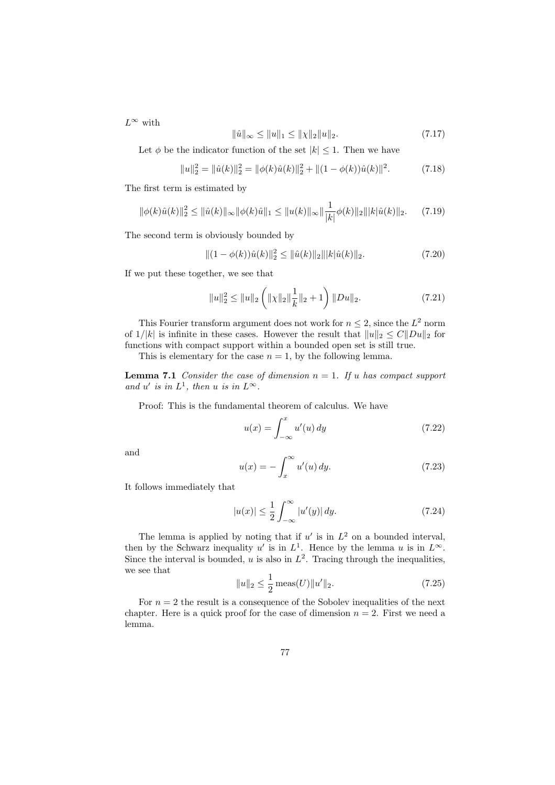$L^∞$  with

$$
\|\hat{u}\|_{\infty} \le \|u\|_{1} \le \|\chi\|_{2} \|u\|_{2}.
$$
\n(7.17)

Let  $\phi$  be the indicator function of the set  $|k| \leq 1$ . Then we have

$$
||u||_2^2 = ||\hat{u}(k)||_2^2 = ||\phi(k)\hat{u}(k)||_2^2 + ||(1 - \phi(k))\hat{u}(k)||^2.
$$
 (7.18)

The first term is estimated by

$$
\|\phi(k)\hat{u}(k)\|_{2}^{2} \le \|\hat{u}(k)\|_{\infty} \|\phi(k)\hat{u}\|_{1} \le \|u(k)\|_{\infty} \|\frac{1}{|k|}\phi(k)\|_{2} \||k|\hat{u}(k)\|_{2}.
$$
 (7.19)

The second term is obviously bounded by

$$
\|(1 - \phi(k))\hat{u}(k)\|_2^2 \le \|\hat{u}(k)\|_2 \|\|k\|\hat{u}(k)\|_2. \tag{7.20}
$$

If we put these together, we see that

$$
||u||_2^2 \le ||u||_2 \left(||\chi||_2||\frac{1}{k}||_2 + 1\right) ||Du||_2.
$$
 (7.21)

This Fourier transform argument does not work for  $n \leq 2$ , since the  $L^2$  norm of  $1/|k|$  is infinite in these cases. However the result that  $||u||_2 \leq C||Du||_2$  for functions with compact support within a bounded open set is still true.

This is elementary for the case  $n = 1$ , by the following lemma.

**Lemma 7.1** Consider the case of dimension  $n = 1$ . If u has compact support and u' is in  $L^1$ , then u is in  $L^{\infty}$ .

Proof: This is the fundamental theorem of calculus. We have

$$
u(x) = \int_{-\infty}^{x} u'(u) dy
$$
 (7.22)

and

$$
u(x) = -\int_{x}^{\infty} u'(u) dy.
$$
 (7.23)

It follows immediately that

$$
|u(x)| \le \frac{1}{2} \int_{-\infty}^{\infty} |u'(y)| dy.
$$
 (7.24)

The lemma is applied by noting that if  $u'$  is in  $L^2$  on a bounded interval, then by the Schwarz inequality u' is in  $L^1$ . Hence by the lemma u is in  $L^{\infty}$ . Since the interval is bounded,  $u$  is also in  $L^2$ . Tracing through the inequalities, we see that

$$
||u||_2 \le \frac{1}{2} \operatorname{meas}(U) ||u'||_2. \tag{7.25}
$$

For  $n = 2$  the result is a consequence of the Sobolev inequalities of the next chapter. Here is a quick proof for the case of dimension  $n = 2$ . First we need a lemma.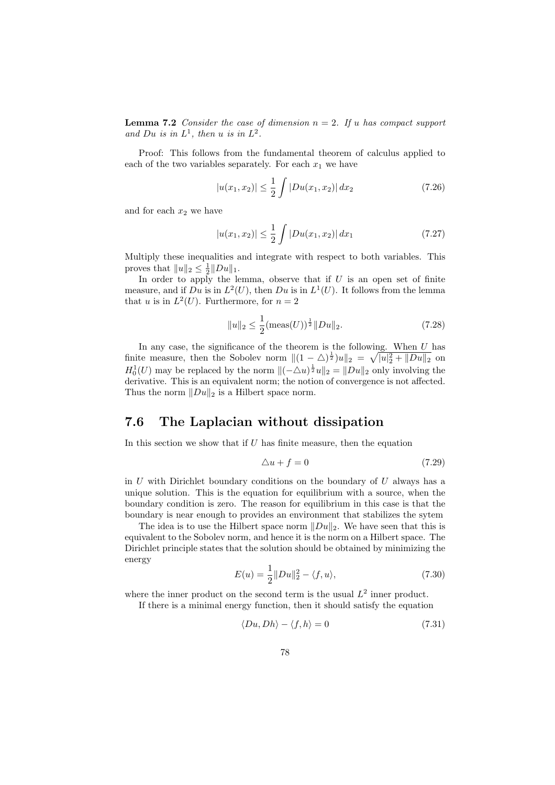**Lemma 7.2** Consider the case of dimension  $n = 2$ . If u has compact support and Du is in  $L^1$ , then u is in  $L^2$ .

Proof: This follows from the fundamental theorem of calculus applied to each of the two variables separately. For each  $x_1$  we have

$$
|u(x_1, x_2)| \le \frac{1}{2} \int |Du(x_1, x_2)| \, dx_2 \tag{7.26}
$$

and for each  $x_2$  we have

$$
|u(x_1, x_2)| \le \frac{1}{2} \int |Du(x_1, x_2)| \, dx_1 \tag{7.27}
$$

Multiply these inequalities and integrate with respect to both variables. This proves that  $||u||_2 \leq \frac{1}{2} ||Du||_1$ .

In order to apply the lemma, observe that if  $U$  is an open set of finite measure, and if  $Du$  is in  $L^2(U)$ , then  $Du$  is in  $L^1(U)$ . It follows from the lemma that u is in  $L^2(U)$ . Furthermore, for  $n=2$ 

$$
||u||_2 \le \frac{1}{2}(\text{meas}(U))^{\frac{1}{2}} ||Du||_2.
$$
 (7.28)

In any case, the significance of the theorem is the following. When  $U$  has finite measure, then the Sobolev norm  $||(1 - \Delta)^{\frac{1}{2}})u||_2 = \sqrt{|u|_2^2 + ||Du||_2}$  on  $H_0^1(U)$  may be replaced by the norm  $\|(-\triangle u)^{\frac{1}{2}}u\|_2 = \|Du\|_2$  only involving the derivative. This is an equivalent norm; the notion of convergence is not affected. Thus the norm  $||Du||_2$  is a Hilbert space norm.

#### 7.6 The Laplacian without dissipation

In this section we show that if  $U$  has finite measure, then the equation

$$
\Delta u + f = 0 \tag{7.29}
$$

in  $U$  with Dirichlet boundary conditions on the boundary of  $U$  always has a unique solution. This is the equation for equilibrium with a source, when the boundary condition is zero. The reason for equilibrium in this case is that the boundary is near enough to provides an environment that stabilizes the sytem

The idea is to use the Hilbert space norm  $||Du||_2$ . We have seen that this is equivalent to the Sobolev norm, and hence it is the norm on a Hilbert space. The Dirichlet principle states that the solution should be obtained by minimizing the energy

$$
E(u) = \frac{1}{2} ||Du||_2^2 - \langle f, u \rangle,
$$
\n(7.30)

where the inner product on the second term is the usual  $L^2$  inner product.

If there is a minimal energy function, then it should satisfy the equation

$$
\langle Du, Dh \rangle - \langle f, h \rangle = 0 \tag{7.31}
$$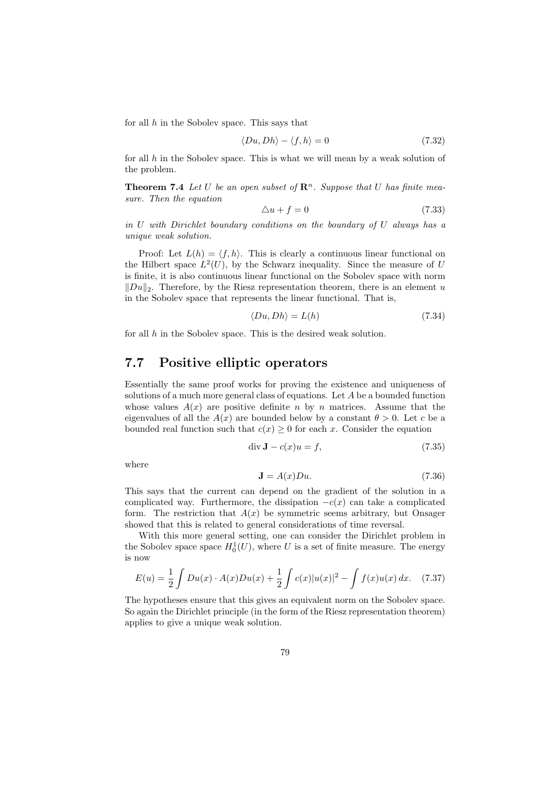for all  $h$  in the Sobolev space. This says that

$$
\langle Du, Dh \rangle - \langle f, h \rangle = 0 \tag{7.32}
$$

for all  $h$  in the Sobolev space. This is what we will mean by a weak solution of the problem.

**Theorem 7.4** Let U be an open subset of  $\mathbb{R}^n$ . Suppose that U has finite measure. Then the equation

$$
\Delta u + f = 0 \tag{7.33}
$$

in U with Dirichlet boundary conditions on the boundary of U always has a unique weak solution.

Proof: Let  $L(h) = \langle f, h \rangle$ . This is clearly a continuous linear functional on the Hilbert space  $L^2(U)$ , by the Schwarz inequality. Since the measure of U is finite, it is also continuous linear functional on the Sobolev space with norm  $||Du||_2$ . Therefore, by the Riesz representation theorem, there is an element u in the Sobolev space that represents the linear functional. That is,

$$
\langle Du, Dh \rangle = L(h) \tag{7.34}
$$

for all h in the Sobolev space. This is the desired weak solution.

#### 7.7 Positive elliptic operators

Essentially the same proof works for proving the existence and uniqueness of solutions of a much more general class of equations. Let A be a bounded function whose values  $A(x)$  are positive definite n by n matrices. Assume that the eigenvalues of all the  $A(x)$  are bounded below by a constant  $\theta > 0$ . Let c be a bounded real function such that  $c(x) \geq 0$  for each x. Consider the equation

$$
\operatorname{div} \mathbf{J} - c(x)u = f,\tag{7.35}
$$

where

$$
\mathbf{J} = A(x)Du. \tag{7.36}
$$

This says that the current can depend on the gradient of the solution in a complicated way. Furthermore, the dissipation  $-c(x)$  can take a complicated form. The restriction that  $A(x)$  be symmetric seems arbitrary, but Onsager showed that this is related to general considerations of time reversal.

With this more general setting, one can consider the Dirichlet problem in the Sobolev space space  $H_0^1(U)$ , where U is a set of finite measure. The energy is now

$$
E(u) = \frac{1}{2} \int Du(x) \cdot A(x)Du(x) + \frac{1}{2} \int c(x)|u(x)|^2 - \int f(x)u(x) dx. \tag{7.37}
$$

The hypotheses ensure that this gives an equivalent norm on the Sobolev space. So again the Dirichlet principle (in the form of the Riesz representation theorem) applies to give a unique weak solution.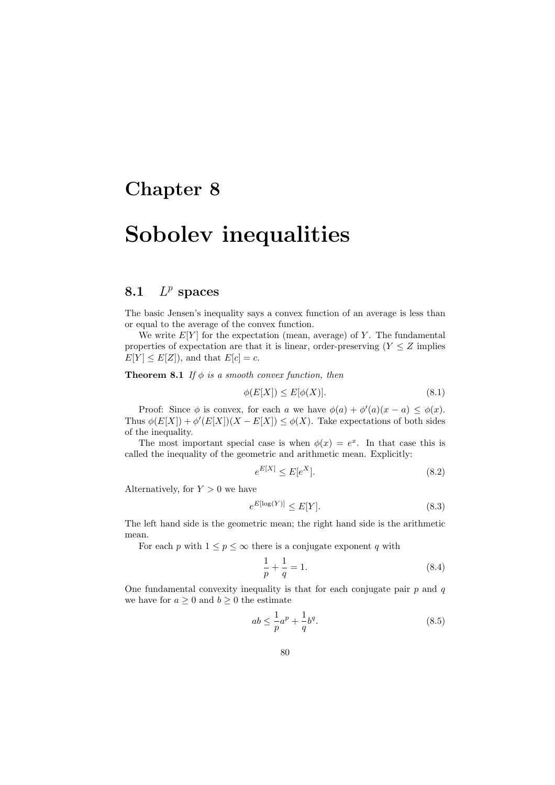### Chapter 8

## Sobolev inequalities

#### 8.1  $p$  spaces

The basic Jensen's inequality says a convex function of an average is less than or equal to the average of the convex function.

We write  $E[Y]$  for the expectation (mean, average) of Y. The fundamental properties of expectation are that it is linear, order-preserving ( $Y \leq Z$  implies  $E[Y] \leq E[Z]$ , and that  $E[c] = c$ .

**Theorem 8.1** If  $\phi$  is a smooth convex function, then

$$
\phi(E[X]) \le E[\phi(X)].\tag{8.1}
$$

Proof: Since  $\phi$  is convex, for each a we have  $\phi(a) + \phi'(a)(x - a) \leq \phi(x)$ . Thus  $\phi(E[X]) + \phi'(E[X])(X - E[X]) \leq \phi(X)$ . Take expectations of both sides of the inequality.

The most important special case is when  $\phi(x) = e^x$ . In that case this is called the inequality of the geometric and arithmetic mean. Explicitly:

$$
e^{E[X]} \le E[e^X].\tag{8.2}
$$

Alternatively, for  $Y > 0$  we have

$$
e^{E[\log(Y)]} \le E[Y].\tag{8.3}
$$

The left hand side is the geometric mean; the right hand side is the arithmetic mean.

For each p with  $1 \leq p \leq \infty$  there is a conjugate exponent q with

$$
\frac{1}{p} + \frac{1}{q} = 1.
$$
\n(8.4)

One fundamental convexity inequality is that for each conjugate pair  $p$  and  $q$ we have for  $a \geq 0$  and  $b \geq 0$  the estimate

$$
ab \le \frac{1}{p}a^p + \frac{1}{q}b^q. \tag{8.5}
$$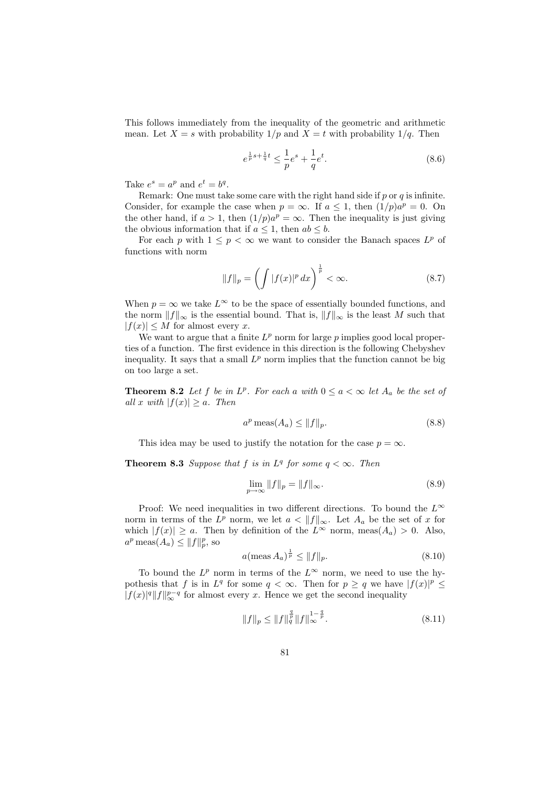This follows immediately from the inequality of the geometric and arithmetic mean. Let  $X = s$  with probability  $1/p$  and  $X = t$  with probability  $1/q$ . Then

$$
e^{\frac{1}{p}s + \frac{1}{q}t} \le \frac{1}{p}e^s + \frac{1}{q}e^t.
$$
\n(8.6)

Take  $e^s = a^p$  and  $e^t = b^q$ .

Remark: One must take some care with the right hand side if  $p$  or  $q$  is infinite. Consider, for example the case when  $p = \infty$ . If  $a \leq 1$ , then  $(1/p)a^p = 0$ . On the other hand, if  $a > 1$ , then  $(1/p)a^p = \infty$ . Then the inequality is just giving the obvious information that if  $a \leq 1$ , then  $ab \leq b$ .

For each p with  $1 \leq p < \infty$  we want to consider the Banach spaces  $L^p$  of functions with norm

$$
||f||_p = \left(\int |f(x)|^p \, dx\right)^{\frac{1}{p}} < \infty. \tag{8.7}
$$

When  $p = \infty$  we take  $L^{\infty}$  to be the space of essentially bounded functions, and the norm  $||f||_{\infty}$  is the essential bound. That is,  $||f||_{\infty}$  is the least M such that  $|f(x)| \leq M$  for almost every x.

We want to argue that a finite  $L^p$  norm for large  $p$  implies good local properties of a function. The first evidence in this direction is the following Chebyshev inequality. It says that a small  $L^p$  norm implies that the function cannot be big on too large a set.

**Theorem 8.2** Let f be in  $L^p$ . For each a with  $0 \le a < \infty$  let  $A_a$  be the set of all x with  $|f(x)| \ge a$ . Then

$$
a^p \operatorname{meas}(A_a) \le ||f||_p. \tag{8.8}
$$

This idea may be used to justify the notation for the case  $p = \infty$ .

**Theorem 8.3** Suppose that f is in  $L^q$  for some  $q < \infty$ . Then

$$
\lim_{p \to \infty} ||f||_p = ||f||_{\infty}.
$$
\n(8.9)

Proof: We need inequalities in two different directions. To bound the  $L^{\infty}$ norm in terms of the  $L^p$  norm, we let  $a < ||f||_{\infty}$ . Let  $A_a$  be the set of x for which  $|f(x)| \ge a$ . Then by definition of the  $L^{\infty}$  norm, meas $(A_a) > 0$ . Also,  $a^p \text{meas}(A_a) \leq ||f||_p^p$ , so

$$
a(\text{meas } A_a)^{\frac{1}{p}} \le \|f\|_p. \tag{8.10}
$$

To bound the  $L^p$  norm in terms of the  $L^{\infty}$  norm, we need to use the hypothesis that f is in  $L^q$  for some  $q < \infty$ . Then for  $p \ge q$  we have  $|f(x)|^p \le$  $|f(x)|^q \| f \|_{\infty}^{p-q}$  for almost every x. Hence we get the second inequality

$$
||f||_p \le ||f||_q^{\frac{q}{p}} ||f||_{\infty}^{1-\frac{q}{p}}.
$$
\n(8.11)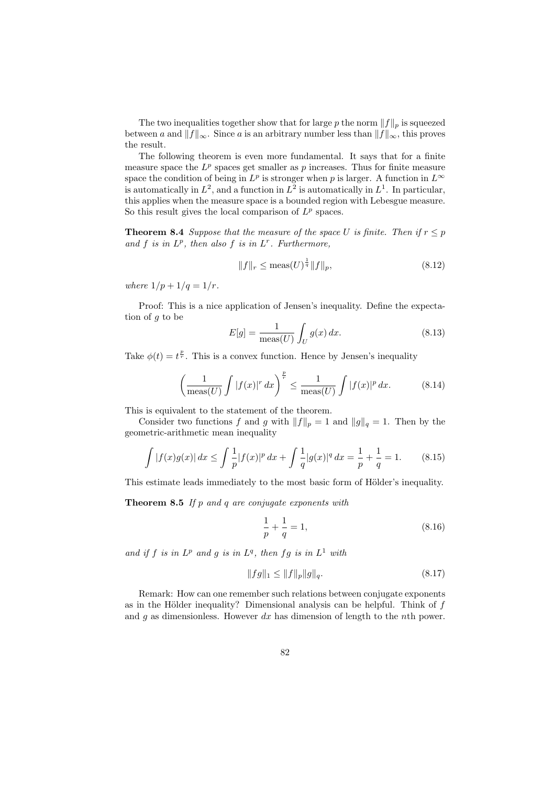The two inequalities together show that for large p the norm  $||f||_p$  is squeezed between a and  $||f||_{\infty}$ . Since a is an arbitrary number less than  $||f||_{\infty}$ , this proves the result.

The following theorem is even more fundamental. It says that for a finite measure space the  $L^p$  spaces get smaller as p increases. Thus for finite measure space the condition of being in  $L^p$  is stronger when p is larger. A function in  $L^{\infty}$ is automatically in  $L^2$ , and a function in  $L^2$  is automatically in  $L^1$ . In particular, this applies when the measure space is a bounded region with Lebesgue measure. So this result gives the local comparison of  $L^p$  spaces.

**Theorem 8.4** Suppose that the measure of the space U is finite. Then if  $r \leq p$ and  $f$  is in  $L^p$ , then also  $f$  is in  $L^r$ . Furthermore,

$$
||f||_{r} \le \text{meas}(U)^{\frac{1}{q}} ||f||_{p}, \tag{8.12}
$$

where  $1/p + 1/q = 1/r$ .

Proof: This is a nice application of Jensen's inequality. Define the expectation of  $g$  to be

$$
E[g] = \frac{1}{\text{meas}(U)} \int_{U} g(x) dx.
$$
\n(8.13)

Take  $\phi(t) = t^{\frac{p}{r}}$ . This is a convex function. Hence by Jensen's inequality

$$
\left(\frac{1}{\text{meas}(U)}\int |f(x)|^r dx\right)^{\frac{p}{r}} \le \frac{1}{\text{meas}(U)}\int |f(x)|^p dx. \tag{8.14}
$$

This is equivalent to the statement of the theorem.

Consider two functions f and g with  $||f||_p = 1$  and  $||g||_q = 1$ . Then by the geometric-arithmetic mean inequality

$$
\int |f(x)g(x)| dx \le \int \frac{1}{p} |f(x)|^p dx + \int \frac{1}{q} |g(x)|^q dx = \frac{1}{p} + \frac{1}{q} = 1.
$$
 (8.15)

This estimate leads immediately to the most basic form of Hölder's inequality.

**Theorem 8.5** If  $p$  and  $q$  are conjugate exponents with

$$
\frac{1}{p} + \frac{1}{q} = 1,\tag{8.16}
$$

and if f is in  $L^p$  and g is in  $L^q$ , then fg is in  $L^1$  with

$$
||fg||_1 \le ||f||_p ||g||_q. \tag{8.17}
$$

Remark: How can one remember such relations between conjugate exponents as in the Hölder inequality? Dimensional analysis can be helpful. Think of  $f$ and  $g$  as dimensionless. However  $dx$  has dimension of length to the nth power.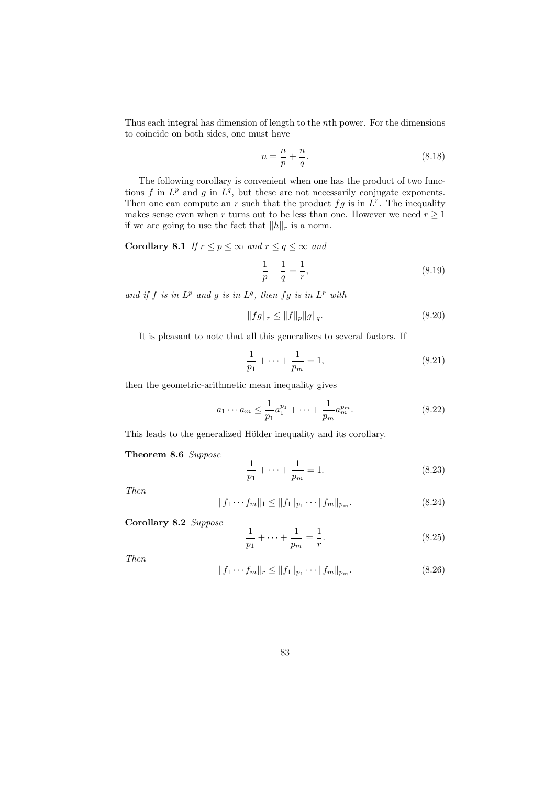Thus each integral has dimension of length to the nth power. For the dimensions to coincide on both sides, one must have

$$
n = \frac{n}{p} + \frac{n}{q}.\tag{8.18}
$$

The following corollary is convenient when one has the product of two functions f in  $L^p$  and g in  $L^q$ , but these are not necessarily conjugate exponents. Then one can compute an r such that the product  $fg$  is in  $L^r$ . The inequality makes sense even when  $r$  turns out to be less than one. However we need  $r \geq 1$ if we are going to use the fact that  $||h||_r$  is a norm.

Corollary 8.1 If  $r \le p \le \infty$  and  $r \le q \le \infty$  and

$$
\frac{1}{p} + \frac{1}{q} = \frac{1}{r},\tag{8.19}
$$

and if f is in  $L^p$  and g is in  $L^q$ , then fg is in  $L^r$  with

$$
||fg||_r \le ||f||_p ||g||_q. \tag{8.20}
$$

It is pleasant to note that all this generalizes to several factors. If

$$
\frac{1}{p_1} + \dots + \frac{1}{p_m} = 1,\tag{8.21}
$$

then the geometric-arithmetic mean inequality gives

$$
a_1 \cdots a_m \le \frac{1}{p_1} a_1^{p_1} + \cdots + \frac{1}{p_m} a_m^{p_m}.
$$
 (8.22)

This leads to the generalized Hölder inequality and its corollary.

Theorem 8.6 Suppose

$$
\frac{1}{p_1} + \dots + \frac{1}{p_m} = 1.
$$
 (8.23)

Then

$$
||f_1 \cdots f_m||_1 \le ||f_1||_{p_1} \cdots ||f_m||_{p_m}.
$$
\n(8.24)

Corollary 8.2 Suppose

$$
\frac{1}{p_1} + \dots + \frac{1}{p_m} = \frac{1}{r}.
$$
 (8.25)

Then

$$
||f_1 \cdots f_m||_r \le ||f_1||_{p_1} \cdots ||f_m||_{p_m}.
$$
\n(8.26)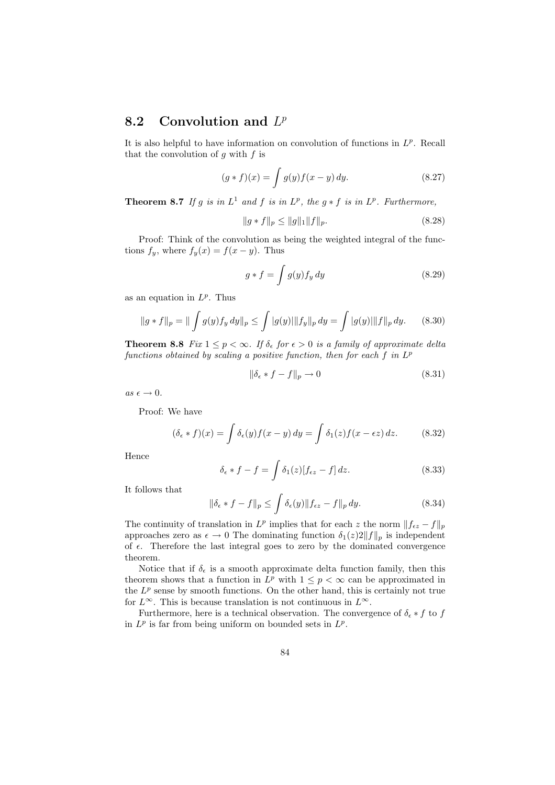#### 8.2 Convolution and  $L^p$

It is also helpful to have information on convolution of functions in  $L^p$ . Recall that the convolution of  $q$  with  $f$  is

$$
(g * f)(x) = \int g(y)f(x - y) dy.
$$
 (8.27)

**Theorem 8.7** If g is in  $L^1$  and f is in  $L^p$ , the  $g * f$  is in  $L^p$ . Furthermore,

$$
||g * f||_p \le ||g||_1 ||f||_p. \tag{8.28}
$$

Proof: Think of the convolution as being the weighted integral of the functions  $f_y$ , where  $f_y(x) = f(x - y)$ . Thus

$$
g * f = \int g(y) f_y \, dy \tag{8.29}
$$

as an equation in  $L^p$ . Thus

$$
||g * f||_p = || \int g(y) f_y dy||_p \le \int |g(y)| ||f_y||_p dy = \int |g(y)| ||f||_p dy. \tag{8.30}
$$

**Theorem 8.8** Fix  $1 \leq p < \infty$ . If  $\delta_{\epsilon}$  for  $\epsilon > 0$  is a family of approximate delta functions obtained by scaling a positive function, then for each f in  $L^p$ 

$$
\|\delta_{\epsilon} * f - f\|_{p} \to 0 \tag{8.31}
$$

 $as \epsilon \rightarrow 0.$ 

Proof: We have

$$
(\delta_{\epsilon} * f)(x) = \int \delta_{\epsilon}(y) f(x - y) dy = \int \delta_{1}(z) f(x - \epsilon z) dz.
$$
 (8.32)

Hence

$$
\delta_{\epsilon} * f - f = \int \delta_1(z) [f_{\epsilon z} - f] dz.
$$
 (8.33)

It follows that

$$
\|\delta_{\epsilon} * f - f\|_{p} \le \int \delta_{\epsilon}(y) \|f_{\epsilon z} - f\|_{p} dy. \tag{8.34}
$$

The continuity of translation in  $L^p$  implies that for each z the norm  $||f_{\epsilon z} - f||_p$ approaches zero as  $\epsilon \to 0$  The dominating function  $\delta_1(z)2||f||_p$  is independent of  $\epsilon$ . Therefore the last integral goes to zero by the dominated convergence theorem.

Notice that if  $\delta_{\epsilon}$  is a smooth approximate delta function family, then this theorem shows that a function in  $L^p$  with  $1 \leq p < \infty$  can be approximated in the  $L^p$  sense by smooth functions. On the other hand, this is certainly not true for  $L^{\infty}$ . This is because translation is not continuous in  $L^{\infty}$ .

Furthermore, here is a technical observation. The convergence of  $\delta_{\epsilon} * f$  to f in  $L^p$  is far from being uniform on bounded sets in  $L^p$ .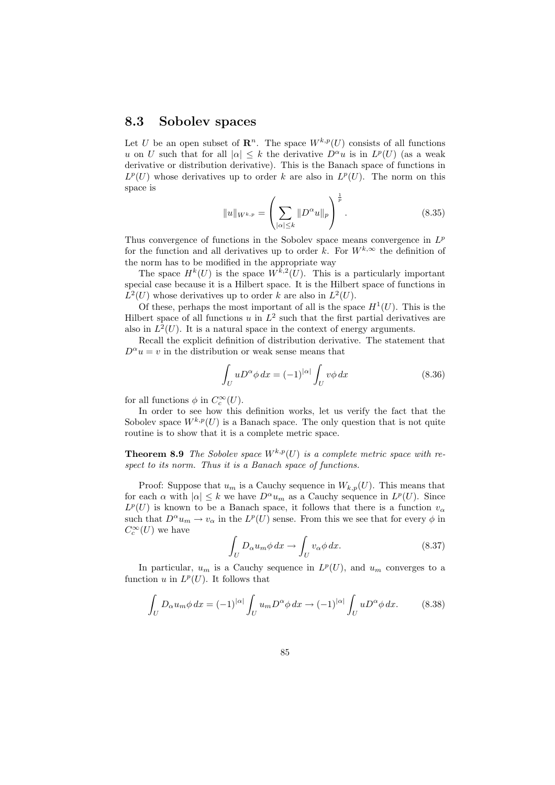#### 8.3 Sobolev spaces

Let U be an open subset of  $\mathbb{R}^n$ . The space  $W^{k,p}(U)$  consists of all functions u on U such that for all  $|\alpha| \leq k$  the derivative  $D^{\alpha}u$  is in  $L^p(U)$  (as a weak derivative or distribution derivative). This is the Banach space of functions in  $L^p(U)$  whose derivatives up to order k are also in  $L^p(U)$ . The norm on this space is

$$
||u||_{W^{k,p}} = \left(\sum_{|\alpha| \le k} ||D^{\alpha}u||_p\right)^{\frac{1}{p}}.
$$
 (8.35)

Thus convergence of functions in the Sobolev space means convergence in  $L^p$ for the function and all derivatives up to order k. For  $W^{k,\infty}$  the definition of the norm has to be modified in the appropriate way

The space  $H^k(U)$  is the space  $W^{k,2}(U)$ . This is a particularly important special case because it is a Hilbert space. It is the Hilbert space of functions in  $L^2(U)$  whose derivatives up to order k are also in  $L^2(U)$ .

Of these, perhaps the most important of all is the space  $H^1(U)$ . This is the Hilbert space of all functions u in  $L^2$  such that the first partial derivatives are also in  $L^2(U)$ . It is a natural space in the context of energy arguments.

Recall the explicit definition of distribution derivative. The statement that  $D^{\alpha}u = v$  in the distribution or weak sense means that

$$
\int_{U} u D^{\alpha} \phi \, dx = (-1)^{|\alpha|} \int_{U} v \phi \, dx \tag{8.36}
$$

for all functions  $\phi$  in  $C_c^{\infty}(U)$ .

In order to see how this definition works, let us verify the fact that the Sobolev space  $W^{k,p}(U)$  is a Banach space. The only question that is not quite routine is to show that it is a complete metric space.

**Theorem 8.9** The Sobolev space  $W^{k,p}(U)$  is a complete metric space with respect to its norm. Thus it is a Banach space of functions.

Proof: Suppose that  $u_m$  is a Cauchy sequence in  $W_{k,p}(U)$ . This means that for each  $\alpha$  with  $|\alpha| \leq k$  we have  $D^{\alpha}u_m$  as a Cauchy sequence in  $L^p(U)$ . Since  $L^p(U)$  is known to be a Banach space, it follows that there is a function  $v_\alpha$ such that  $D^{\alpha}u_m \to v_{\alpha}$  in the  $L^p(U)$  sense. From this we see that for every  $\phi$  in  $C_c^{\infty}(U)$  we have

$$
\int_{U} D_{\alpha} u_m \phi \, dx \to \int_{U} v_{\alpha} \phi \, dx. \tag{8.37}
$$

In particular,  $u_m$  is a Cauchy sequence in  $L^p(U)$ , and  $u_m$  converges to a function u in  $L^p(U)$ . It follows that

$$
\int_{U} D_{\alpha} u_m \phi \, dx = (-1)^{|\alpha|} \int_{U} u_m D^{\alpha} \phi \, dx \to (-1)^{|\alpha|} \int_{U} u D^{\alpha} \phi \, dx. \tag{8.38}
$$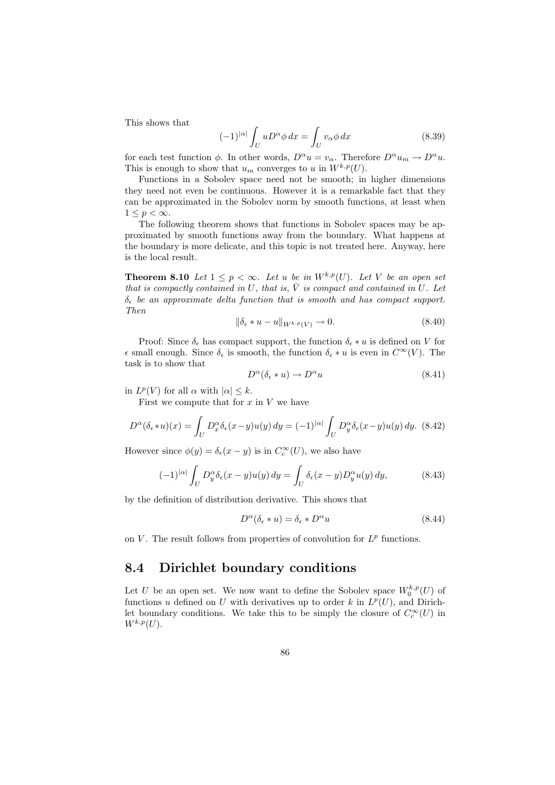This shows that

$$
(-1)^{|\alpha|} \int_{U} u D^{\alpha} \phi \, dx = \int_{U} v_{\alpha} \phi \, dx \tag{8.39}
$$

for each test function  $\phi$ . In other words,  $D^{\alpha}u = v_{\alpha}$ . Therefore  $D^{\alpha}u_m \to D^{\alpha}u$ . This is enough to show that  $u_m$  converges to u in  $W^{k,p}(U)$ .

Functions in a Sobolev space need not be smooth; in higher dimensions they need not even be continuous. However it is a remarkable fact that they can be approximated in the Sobolev norm by smooth functions, at least when  $1 \leq p < \infty$ .

The following theorem shows that functions in Sobolev spaces may be approximated by smooth functions away from the boundary. What happens at the boundary is more delicate, and this topic is not treated here. Anyway, here is the local result.

**Theorem 8.10** Let  $1 \leq p < \infty$ . Let u be in  $W^{k,p}(U)$ . Let V be an open set that is compactly contained in U, that is,  $\overline{V}$  is compact and contained in U. Let  $\delta_{\epsilon}$  be an approximate delta function that is smooth and has compact support. Then

$$
\|\delta_{\epsilon} * u - u\|_{W^{k,p}(V)} \to 0. \tag{8.40}
$$

Proof: Since  $\delta_{\epsilon}$  has compact support, the function  $\delta_{\epsilon} * u$  is defined on V for  $\epsilon$  small enough. Since  $\delta_{\epsilon}$  is smooth, the function  $\delta_{\epsilon} * u$  is even in  $C^{\infty}(V)$ . The task is to show that

$$
D^{\alpha}(\delta_{\epsilon} * u) \to D^{\alpha}u \tag{8.41}
$$

in  $L^p(V)$  for all  $\alpha$  with  $|\alpha| \leq k$ .

First we compute that for  $x$  in  $V$  we have

$$
D^{\alpha}(\delta_{\epsilon} * u)(x) = \int_{U} D^{\alpha}_{x} \delta_{\epsilon}(x - y) u(y) dy = (-1)^{|\alpha|} \int_{U} D^{\alpha}_{y} \delta_{\epsilon}(x - y) u(y) dy. \tag{8.42}
$$

However since  $\phi(y) = \delta_{\epsilon}(x - y)$  is in  $C_c^{\infty}(U)$ , we also have

$$
(-1)^{|\alpha|} \int_{U} D_y^{\alpha} \delta_{\epsilon}(x - y) u(y) dy = \int_{U} \delta_{\epsilon}(x - y) D_y^{\alpha} u(y) dy,
$$
 (8.43)

by the definition of distribution derivative. This shows that

$$
D^{\alpha}(\delta_{\epsilon} * u) = \delta_{\epsilon} * D^{\alpha} u \tag{8.44}
$$

on V. The result follows from properties of convolution for  $L^p$  functions.

#### 8.4 Dirichlet boundary conditions

Let U be an open set. We now want to define the Sobolev space  $W_0^{k,p}(U)$  of functions u defined on U with derivatives up to order k in  $L^p(U)$ , and Dirichlet boundary conditions. We take this to be simply the closure of  $C_c^{\infty}(U)$  in  $W^{k,p}(U)$ .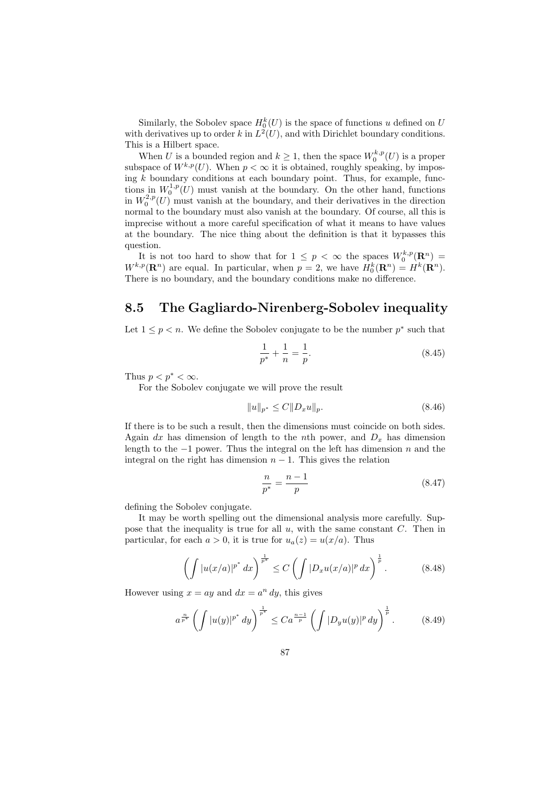Similarly, the Sobolev space  $H_0^k(U)$  is the space of functions u defined on U with derivatives up to order k in  $L^2(U)$ , and with Dirichlet boundary conditions. This is a Hilbert space.

When U is a bounded region and  $k \geq 1$ , then the space  $W_0^{k,p}(U)$  is a proper subspace of  $W^{k,p}(U)$ . When  $p < \infty$  it is obtained, roughly speaking, by imposing  $k$  boundary conditions at each boundary point. Thus, for example, functions in  $W_0^{1,p}(U)$  must vanish at the boundary. On the other hand, functions in  $W_0^{2,p}(U)$  must vanish at the boundary, and their derivatives in the direction normal to the boundary must also vanish at the boundary. Of course, all this is imprecise without a more careful specification of what it means to have values at the boundary. The nice thing about the definition is that it bypasses this question.

It is not too hard to show that for  $1 \leq p < \infty$  the spaces  $W_0^{k,p}(\mathbf{R}^n) =$  $W^{k,p}(\mathbf{R}^n)$  are equal. In particular, when  $p=2$ , we have  $H_0^k(\mathbf{R}^n) = H^k(\mathbf{R}^n)$ . There is no boundary, and the boundary conditions make no difference.

#### 8.5 The Gagliardo-Nirenberg-Sobolev inequality

Let  $1 \leq p < n$ . We define the Sobolev conjugate to be the number  $p^*$  such that

$$
\frac{1}{p^*} + \frac{1}{n} = \frac{1}{p}.\tag{8.45}
$$

Thus  $p < p^* < \infty$ .

For the Sobolev conjugate we will prove the result

$$
||u||_{p^*} \le C||D_x u||_p. \tag{8.46}
$$

If there is to be such a result, then the dimensions must coincide on both sides. Again dx has dimension of length to the nth power, and  $D_x$  has dimension length to the  $-1$  power. Thus the integral on the left has dimension n and the integral on the right has dimension  $n - 1$ . This gives the relation

$$
\frac{n}{p^*} = \frac{n-1}{p} \tag{8.47}
$$

defining the Sobolev conjugate.

It may be worth spelling out the dimensional analysis more carefully. Suppose that the inequality is true for all  $u$ , with the same constant  $C$ . Then in particular, for each  $a > 0$ , it is true for  $u_a(z) = u(x/a)$ . Thus

$$
\left(\int |u(x/a)|^{p^*} dx\right)^{\frac{1}{p^*}} \le C \left(\int |D_x u(x/a)|^p dx\right)^{\frac{1}{p}}.
$$
 (8.48)

However using  $x = ay$  and  $dx = a^n dy$ , this gives

$$
a^{\frac{n}{p^*}} \left( \int |u(y)|^{p^*} dy \right)^{\frac{1}{p^*}} \leq Ca^{\frac{n-1}{p}} \left( \int |D_y u(y)|^p dy \right)^{\frac{1}{p}}.
$$
 (8.49)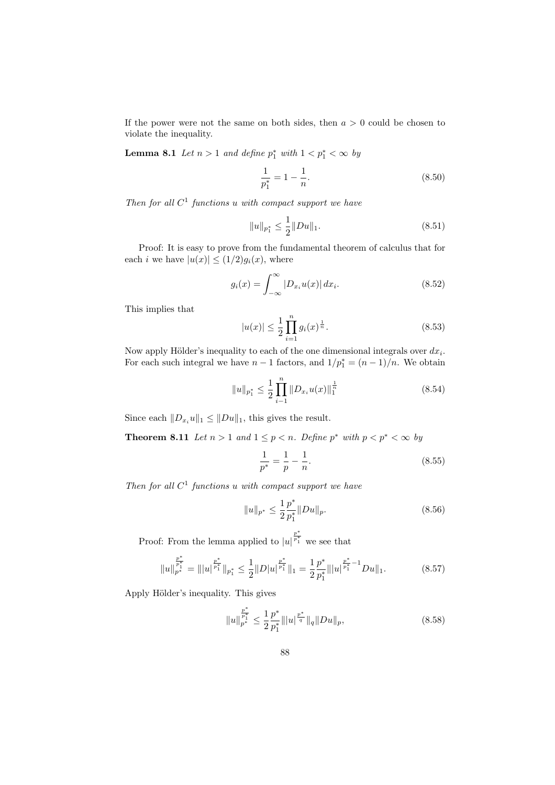If the power were not the same on both sides, then  $a > 0$  could be chosen to violate the inequality.

**Lemma 8.1** Let  $n > 1$  and define  $p_1^*$  with  $1 < p_1^* < \infty$  by

$$
\frac{1}{p_1^*} = 1 - \frac{1}{n}.\tag{8.50}
$$

Then for all  $C^1$  functions u with compact support we have

$$
||u||_{p_1^*} \le \frac{1}{2} ||Du||_1.
$$
\n(8.51)

Proof: It is easy to prove from the fundamental theorem of calculus that for each *i* we have  $|u(x)| \leq (1/2)g_i(x)$ , where

$$
g_i(x) = \int_{-\infty}^{\infty} |D_{x_i} u(x)| dx_i.
$$
 (8.52)

This implies that

$$
|u(x)| \le \frac{1}{2} \prod_{i=1}^{n} g_i(x)^{\frac{1}{n}}.
$$
\n(8.53)

Now apply Hölder's inequality to each of the one dimensional integrals over  $dx_i$ . For each such integral we have  $n-1$  factors, and  $1/p_1^* = (n-1)/n$ . We obtain

$$
||u||_{p_1^*} \le \frac{1}{2} \prod_{i=1}^n ||D_{x_i} u(x)||_1^{\frac{1}{n}}
$$
\n(8.54)

Since each  $||D_{x_i}u||_1 \leq ||Du||_1$ , this gives the result.

**Theorem 8.11** Let  $n > 1$  and  $1 \leq p < n$ . Define  $p^*$  with  $p < p^* < \infty$  by

$$
\frac{1}{p^*} = \frac{1}{p} - \frac{1}{n}.\tag{8.55}
$$

Then for all  $C^1$  functions u with compact support we have

$$
||u||_{p^*} \le \frac{1}{2} \frac{p^*}{p_1^*} ||Du||_p. \tag{8.56}
$$

Proof: From the lemma applied to  $|u|^{\frac{p^*}{p^*_1}}$  we see that

$$
||u||_{p^{*}}^{\frac{p^{*}}{p^{*}_{1}}} = |||u|^{\frac{p^{*}}{p^{*}_{1}}}||_{p^{*}_{1}} \leq \frac{1}{2}||D|u|^{\frac{p^{*}}{p^{*}_{1}}}||_{1} = \frac{1}{2}\frac{p^{*}}{p^{*}_{1}}|||u|^{\frac{p^{*}}{p^{*}_{1}}-1}Du||_{1}.
$$
 (8.57)

Apply Hölder's inequality. This gives

$$
||u||_{p^{*}}^{\frac{p^{*}}{p^{*}_{1}}} \leq \frac{1}{2} \frac{p^{*}}{p^{*}_{1}} |||u|^{\frac{p^{*}}{q}} ||q||Du||_{p}, \qquad (8.58)
$$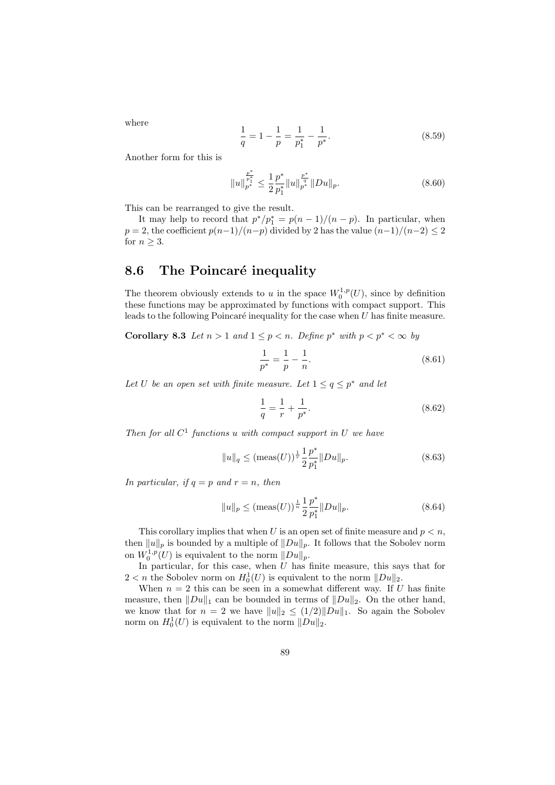where

$$
\frac{1}{q} = 1 - \frac{1}{p} = \frac{1}{p_1^*} - \frac{1}{p^*}.
$$
\n(8.59)

Another form for this is

$$
||u||_{p^{*}}^{\frac{p^{*}}{p^{*}_{1}}} \leq \frac{1}{2} \frac{p^{*}}{p^{*}_{1}} ||u||_{p^{*}}^{\frac{p^{*}}{q}} ||Du||_{p}.
$$
\n(8.60)

This can be rearranged to give the result.

It may help to record that  $p^*/p_1^* = p(n-1)/(n-p)$ . In particular, when  $p = 2$ , the coefficient  $p(n-1)/(n-p)$  divided by 2 has the value  $(n-1)/(n-2) \le 2$ for  $n \geq 3$ .

#### 8.6 The Poincaré inequality

The theorem obviously extends to u in the space  $W_0^{1,p}(U)$ , since by definition these functions may be approximated by functions with compact support. This leads to the following Poincaré inequality for the case when  $U$  has finite measure.

Corollary 8.3 Let  $n > 1$  and  $1 \leq p < n$ . Define  $p^*$  with  $p < p^* < \infty$  by

$$
\frac{1}{p^*} = \frac{1}{p} - \frac{1}{n}.\tag{8.61}
$$

Let U be an open set with finite measure. Let  $1 \le q \le p^*$  and let

$$
\frac{1}{q} = \frac{1}{r} + \frac{1}{p^*}.\tag{8.62}
$$

Then for all  $C^1$  functions u with compact support in U we have

$$
||u||_q \le (\text{meas}(U))^{\frac{1}{r}} \frac{1}{2} \frac{p^*}{p_1^*} ||Du||_p. \tag{8.63}
$$

In particular, if  $q = p$  and  $r = n$ , then

$$
||u||_p \le (\text{meas}(U))^{\frac{1}{n}} \frac{1}{2} \frac{p^*}{p_1^*} ||Du||_p. \tag{8.64}
$$

This corollary implies that when U is an open set of finite measure and  $p < n$ , then  $||u||_p$  is bounded by a multiple of  $||Du||_p$ . It follows that the Sobolev norm on  $W_0^{1,p}(U)$  is equivalent to the norm  $||Du||_p$ .

In particular, for this case, when  $\overline{U}$  has finite measure, this says that for  $2 < n$  the Sobolev norm on  $H_0^1(U)$  is equivalent to the norm  $||Du||_2$ .

When  $n = 2$  this can be seen in a somewhat different way. If U has finite measure, then  $||Du||_1$  can be bounded in terms of  $||Du||_2$ . On the other hand, we know that for  $n = 2$  we have  $||u||_2 \leq (1/2)||Du||_1$ . So again the Sobolev norm on  $H_0^1(U)$  is equivalent to the norm  $||Du||_2$ .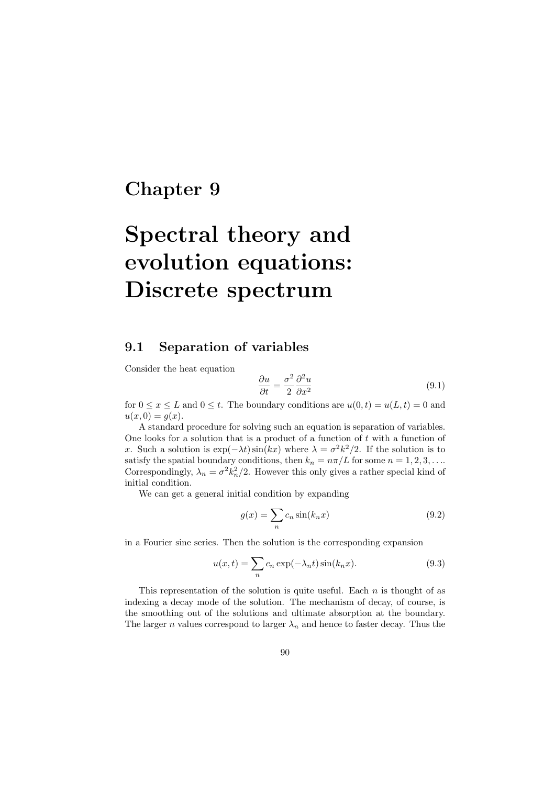### Chapter 9

## Spectral theory and evolution equations: Discrete spectrum

#### 9.1 Separation of variables

Consider the heat equation

$$
\frac{\partial u}{\partial t} = \frac{\sigma^2}{2} \frac{\partial^2 u}{\partial x^2} \tag{9.1}
$$

for  $0 \le x \le L$  and  $0 \le t$ . The boundary conditions are  $u(0, t) = u(L, t) = 0$  and  $u(x, 0) = q(x)$ .

A standard procedure for solving such an equation is separation of variables. One looks for a solution that is a product of a function of  $t$  with a function of x. Such a solution is  $\exp(-\lambda t) \sin(kx)$  where  $\lambda = \sigma^2 k^2/2$ . If the solution is to satisfy the spatial boundary conditions, then  $k_n = n\pi/L$  for some  $n = 1, 2, 3, \ldots$ . Correspondingly,  $\lambda_n = \sigma^2 k_n^2/2$ . However this only gives a rather special kind of initial condition.

We can get a general initial condition by expanding

$$
g(x) = \sum_{n} c_n \sin(k_n x) \tag{9.2}
$$

in a Fourier sine series. Then the solution is the corresponding expansion

$$
u(x,t) = \sum_{n} c_n \exp(-\lambda_n t) \sin(k_n x).
$$
 (9.3)

This representation of the solution is quite useful. Each  $n$  is thought of as indexing a decay mode of the solution. The mechanism of decay, of course, is the smoothing out of the solutions and ultimate absorption at the boundary. The larger n values correspond to larger  $\lambda_n$  and hence to faster decay. Thus the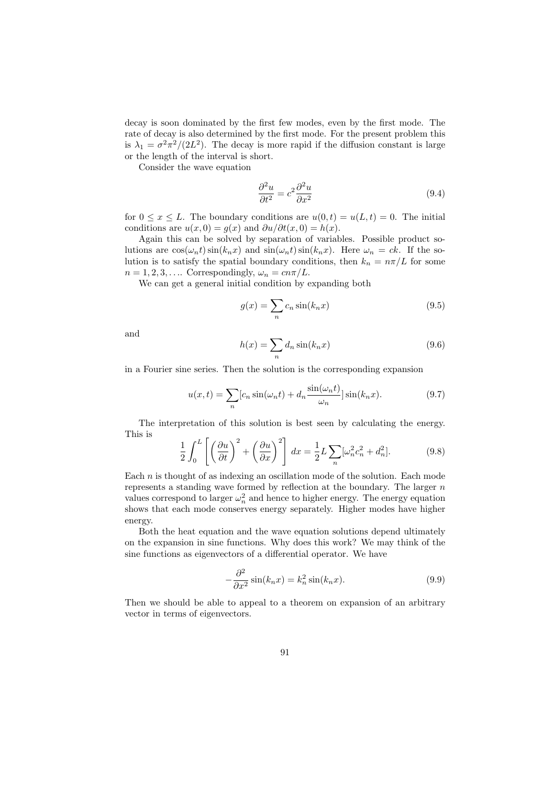decay is soon dominated by the first few modes, even by the first mode. The rate of decay is also determined by the first mode. For the present problem this is  $\lambda_1 = \sigma^2 \pi^2 / (2L^2)$ . The decay is more rapid if the diffusion constant is large or the length of the interval is short.

Consider the wave equation

$$
\frac{\partial^2 u}{\partial t^2} = c^2 \frac{\partial^2 u}{\partial x^2} \tag{9.4}
$$

for  $0 \le x \le L$ . The boundary conditions are  $u(0, t) = u(L, t) = 0$ . The initial conditions are  $u(x, 0) = q(x)$  and  $\partial u / \partial t(x, 0) = h(x)$ .

Again this can be solved by separation of variables. Possible product solutions are  $\cos(\omega_n t) \sin(k_n x)$  and  $\sin(\omega_n t) \sin(k_n x)$ . Here  $\omega_n = ck$ . If the solution is to satisfy the spatial boundary conditions, then  $k_n = n\pi/L$  for some  $n = 1, 2, 3, \ldots$  Correspondingly,  $\omega_n = c n \pi / L$ .

We can get a general initial condition by expanding both

$$
g(x) = \sum_{n} c_n \sin(k_n x) \tag{9.5}
$$

and

$$
h(x) = \sum_{n} d_n \sin(k_n x) \tag{9.6}
$$

in a Fourier sine series. Then the solution is the corresponding expansion

$$
u(x,t) = \sum_{n} [c_n \sin(\omega_n t) + d_n \frac{\sin(\omega_n t)}{\omega_n}] \sin(k_n x). \tag{9.7}
$$

The interpretation of this solution is best seen by calculating the energy. This is  $\overline{L}$  $\overline{\phantom{a}}$ 1

$$
\frac{1}{2} \int_0^L \left[ \left( \frac{\partial u}{\partial t} \right)^2 + \left( \frac{\partial u}{\partial x} \right)^2 \right] dx = \frac{1}{2} L \sum_n [\omega_n^2 c_n^2 + d_n^2]. \tag{9.8}
$$

Each  $n$  is thought of as indexing an oscillation mode of the solution. Each mode represents a standing wave formed by reflection at the boundary. The larger  $n$ values correspond to larger  $\omega_n^2$  and hence to higher energy. The energy equation shows that each mode conserves energy separately. Higher modes have higher energy.

Both the heat equation and the wave equation solutions depend ultimately on the expansion in sine functions. Why does this work? We may think of the sine functions as eigenvectors of a differential operator. We have

$$
-\frac{\partial^2}{\partial x^2}\sin(k_n x) = k_n^2 \sin(k_n x). \tag{9.9}
$$

Then we should be able to appeal to a theorem on expansion of an arbitrary vector in terms of eigenvectors.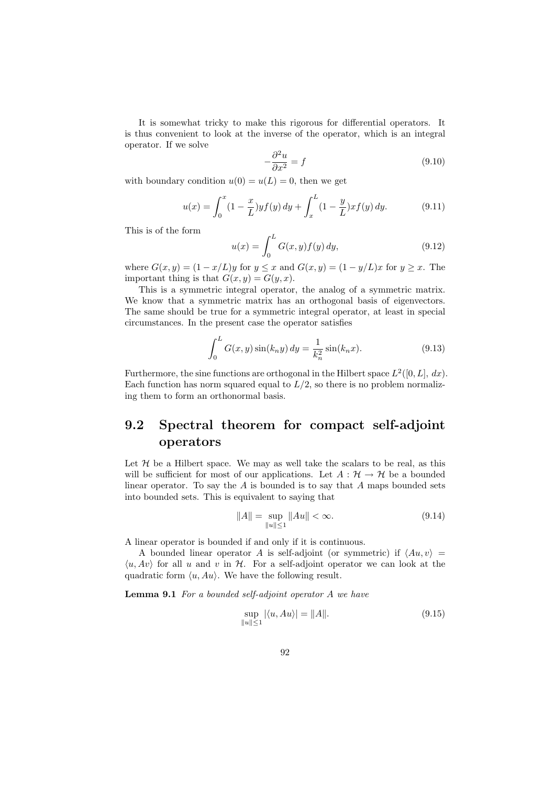It is somewhat tricky to make this rigorous for differential operators. It is thus convenient to look at the inverse of the operator, which is an integral operator. If we solve

$$
-\frac{\partial^2 u}{\partial x^2} = f \tag{9.10}
$$

with boundary condition  $u(0) = u(L) = 0$ , then we get

$$
u(x) = \int_0^x (1 - \frac{x}{L}) y f(y) dy + \int_x^L (1 - \frac{y}{L}) x f(y) dy.
$$
 (9.11)

This is of the form

$$
u(x) = \int_0^L G(x, y) f(y) \, dy,\tag{9.12}
$$

where  $G(x, y) = (1 - x/L)y$  for  $y \le x$  and  $G(x, y) = (1 - y/L)x$  for  $y \ge x$ . The important thing is that  $G(x, y) = G(y, x)$ .

This is a symmetric integral operator, the analog of a symmetric matrix. We know that a symmetric matrix has an orthogonal basis of eigenvectors. The same should be true for a symmetric integral operator, at least in special circumstances. In the present case the operator satisfies

$$
\int_0^L G(x, y) \sin(k_n y) \, dy = \frac{1}{k_n^2} \sin(k_n x). \tag{9.13}
$$

Furthermore, the sine functions are orthogonal in the Hilbert space  $L^2([0,L], dx)$ . Each function has norm squared equal to  $L/2$ , so there is no problem normalizing them to form an orthonormal basis.

#### 9.2 Spectral theorem for compact self-adjoint operators

Let  $H$  be a Hilbert space. We may as well take the scalars to be real, as this will be sufficient for most of our applications. Let  $A: \mathcal{H} \to \mathcal{H}$  be a bounded linear operator. To say the A is bounded is to say that A maps bounded sets into bounded sets. This is equivalent to saying that

$$
||A|| = \sup_{||u|| \le 1} ||Au|| < \infty.
$$
 (9.14)

A linear operator is bounded if and only if it is continuous.

A bounded linear operator A is self-adjoint (or symmetric) if  $\langle Au, v \rangle =$  $\langle u, Av \rangle$  for all u and v in H. For a self-adjoint operator we can look at the quadratic form  $\langle u, Au \rangle$ . We have the following result.

Lemma 9.1 For a bounded self-adjoint operator A we have

$$
\sup_{\|u\| \le 1} |\langle u, Au \rangle| = \|A\|. \tag{9.15}
$$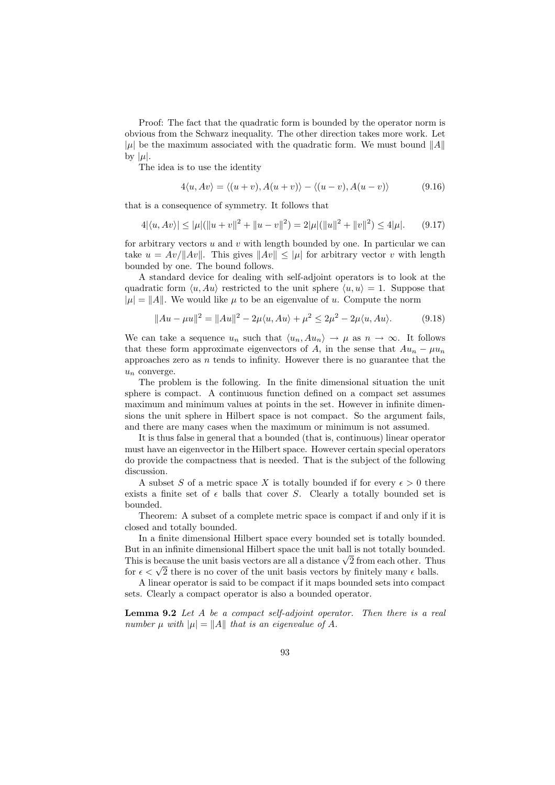Proof: The fact that the quadratic form is bounded by the operator norm is obvious from the Schwarz inequality. The other direction takes more work. Let | $\mu$ | be the maximum associated with the quadratic form. We must bound ||A|| by  $|\mu|$ .

The idea is to use the identity

$$
4\langle u, Av \rangle = \langle (u+v), A(u+v) \rangle - \langle (u-v), A(u-v) \rangle \tag{9.16}
$$

that is a consequence of symmetry. It follows that

$$
4|\langle u, Av \rangle| \le |\mu|(\|u+v\|^2 + \|u-v\|^2) = 2|\mu|(\|u\|^2 + \|v\|^2) \le 4|\mu|. \tag{9.17}
$$

for arbitrary vectors  $u$  and  $v$  with length bounded by one. In particular we can take  $u = Av/||Av||$ . This gives  $||Av|| \leq |\mu|$  for arbitrary vector v with length bounded by one. The bound follows.

A standard device for dealing with self-adjoint operators is to look at the quadratic form  $\langle u, Au \rangle$  restricted to the unit sphere  $\langle u, u \rangle = 1$ . Suppose that  $|\mu| = ||A||$ . We would like  $\mu$  to be an eigenvalue of u. Compute the norm

$$
||Au - \mu u||^2 = ||Au||^2 - 2\mu \langle u, Au \rangle + \mu^2 \le 2\mu^2 - 2\mu \langle u, Au \rangle.
$$
 (9.18)

We can take a sequence  $u_n$  such that  $\langle u_n, Au_n \rangle \to \mu$  as  $n \to \infty$ . It follows that these form approximate eigenvectors of A, in the sense that  $Au_n - \mu u_n$ approaches zero as  $n$  tends to infinity. However there is no guarantee that the  $u_n$  converge.

The problem is the following. In the finite dimensional situation the unit sphere is compact. A continuous function defined on a compact set assumes maximum and minimum values at points in the set. However in infinite dimensions the unit sphere in Hilbert space is not compact. So the argument fails, and there are many cases when the maximum or minimum is not assumed.

It is thus false in general that a bounded (that is, continuous) linear operator must have an eigenvector in the Hilbert space. However certain special operators do provide the compactness that is needed. That is the subject of the following discussion.

A subset S of a metric space X is totally bounded if for every  $\epsilon > 0$  there exists a finite set of  $\epsilon$  balls that cover S. Clearly a totally bounded set is bounded.

Theorem: A subset of a complete metric space is compact if and only if it is closed and totally bounded.

In a finite dimensional Hilbert space every bounded set is totally bounded. But in an infinite dimensional Hilbert space the unit ball is not totally bounded. But in an infinite dimensional Hilbert space the unit ball is not totally bounded.<br>This is because the unit basis vectors are all a distance  $\sqrt{2}$  from each other. Thus I has a because the unit basis vectors are all a distance  $\sqrt{2}$  from each other. I had for  $\epsilon < \sqrt{2}$  there is no cover of the unit basis vectors by finitely many  $\epsilon$  balls.

A linear operator is said to be compact if it maps bounded sets into compact sets. Clearly a compact operator is also a bounded operator.

Lemma 9.2 Let A be a compact self-adjoint operator. Then there is a real number  $\mu$  with  $|\mu| = ||A||$  that is an eigenvalue of A.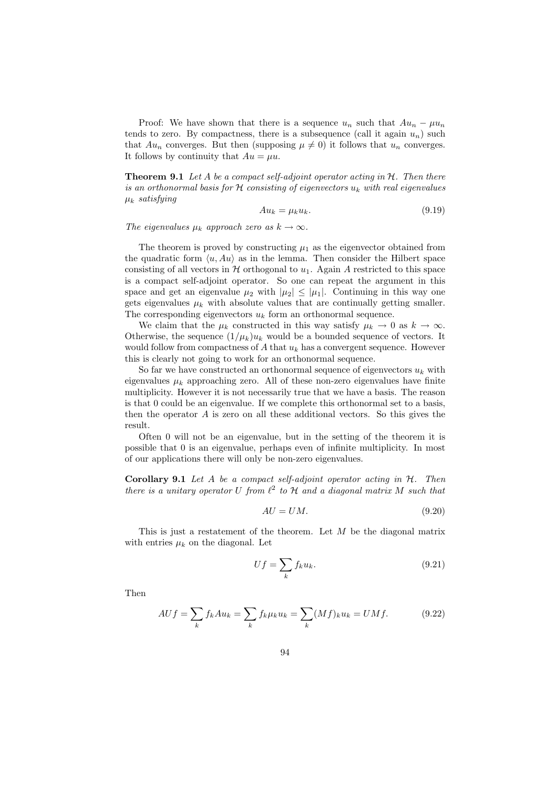Proof: We have shown that there is a sequence  $u_n$  such that  $Au_n - \mu u_n$ tends to zero. By compactness, there is a subsequence (call it again  $u_n$ ) such that  $Au_n$  converges. But then (supposing  $\mu \neq 0$ ) it follows that  $u_n$  converges. It follows by continuity that  $Au = \mu u$ .

**Theorem 9.1** Let A be a compact self-adjoint operator acting in  $H$ . Then there is an orthonormal basis for  $H$  consisting of eigenvectors  $u_k$  with real eigenvalues  $\mu_k$  satisfying

$$
Au_k = \mu_k u_k. \tag{9.19}
$$

The eigenvalues  $\mu_k$  approach zero as  $k \to \infty$ .

The theorem is proved by constructing  $\mu_1$  as the eigenvector obtained from the quadratic form  $\langle u, Au \rangle$  as in the lemma. Then consider the Hilbert space consisting of all vectors in  $H$  orthogonal to  $u_1$ . Again A restricted to this space is a compact self-adjoint operator. So one can repeat the argument in this space and get an eigenvalue  $\mu_2$  with  $|\mu_2| \leq |\mu_1|$ . Continuing in this way one gets eigenvalues  $\mu_k$  with absolute values that are continually getting smaller. The corresponding eigenvectors  $u_k$  form an orthonormal sequence.

We claim that the  $\mu_k$  constructed in this way satisfy  $\mu_k \to 0$  as  $k \to \infty$ . Otherwise, the sequence  $(1/\mu_k)u_k$  would be a bounded sequence of vectors. It would follow from compactness of A that  $u_k$  has a convergent sequence. However this is clearly not going to work for an orthonormal sequence.

So far we have constructed an orthonormal sequence of eigenvectors  $u_k$  with eigenvalues  $\mu_k$  approaching zero. All of these non-zero eigenvalues have finite multiplicity. However it is not necessarily true that we have a basis. The reason is that 0 could be an eigenvalue. If we complete this orthonormal set to a basis, then the operator A is zero on all these additional vectors. So this gives the result.

Often 0 will not be an eigenvalue, but in the setting of the theorem it is possible that 0 is an eigenvalue, perhaps even of infinite multiplicity. In most of our applications there will only be non-zero eigenvalues.

**Corollary 9.1** Let  $A$  be a compact self-adjoint operator acting in  $H$ . Then there is a unitary operator U from  $\ell^2$  to H and a diagonal matrix M such that

$$
AU = UM.\tag{9.20}
$$

This is just a restatement of the theorem. Let  $M$  be the diagonal matrix with entries  $\mu_k$  on the diagonal. Let

$$
Uf = \sum_{k} f_k u_k. \tag{9.21}
$$

Then

$$
A U f = \sum_{k} f_{k} A u_{k} = \sum_{k} f_{k} \mu_{k} u_{k} = \sum_{k} (M f)_{k} u_{k} = U M f.
$$
 (9.22)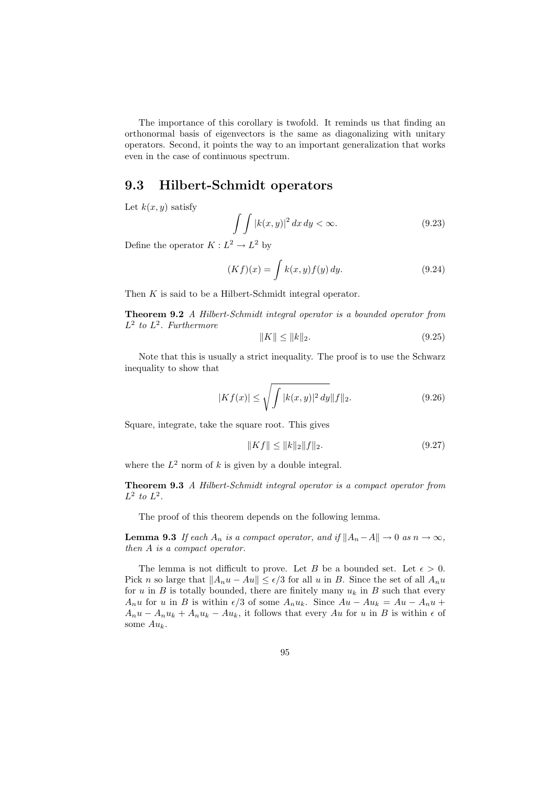The importance of this corollary is twofold. It reminds us that finding an orthonormal basis of eigenvectors is the same as diagonalizing with unitary operators. Second, it points the way to an important generalization that works even in the case of continuous spectrum.

#### 9.3 Hilbert-Schmidt operators

Let  $k(x, y)$  satisfy

$$
\int \int |k(x,y)|^2 dx dy < \infty.
$$
 (9.23)

Define the operator  $K: L^2 \to L^2$  by

$$
(Kf)(x) = \int k(x, y) f(y) dy.
$$
\n(9.24)

Then K is said to be a Hilbert-Schmidt integral operator.

Theorem 9.2 A Hilbert-Schmidt integral operator is a bounded operator from  $L^2$  to  $L^2$ . Furthermore

$$
||K|| \le ||k||_2. \tag{9.25}
$$

Note that this is usually a strict inequality. The proof is to use the Schwarz inequality to show that

$$
|Kf(x)| \le \sqrt{\int |k(x,y)|^2 \, dy} \|f\|_2. \tag{9.26}
$$

Square, integrate, take the square root. This gives

$$
||Kf|| \le ||k||_2||f||_2. \tag{9.27}
$$

where the  $L^2$  norm of k is given by a double integral.

Theorem 9.3 A Hilbert-Schmidt integral operator is a compact operator from  $L^2$  to  $L^2$ .

The proof of this theorem depends on the following lemma.

**Lemma 9.3** If each  $A_n$  is a compact operator, and if  $||A_n-A|| \to 0$  as  $n \to \infty$ , then A is a compact operator.

The lemma is not difficult to prove. Let B be a bounded set. Let  $\epsilon > 0$ . Pick n so large that  $||A_nu - Au|| \leq \epsilon/3$  for all u in B. Since the set of all  $A_nu$ for u in B is totally bounded, there are finitely many  $u_k$  in B such that every  $A_nu$  for u in B is within  $\epsilon/3$  of some  $A_nu_k$ . Since  $Au - Au_k = Au - A_nu +$  $A_nu - A_nu_k + A_nu_k - Au_k$ , it follows that every Au for u in B is within  $\epsilon$  of some  $Au_k$ .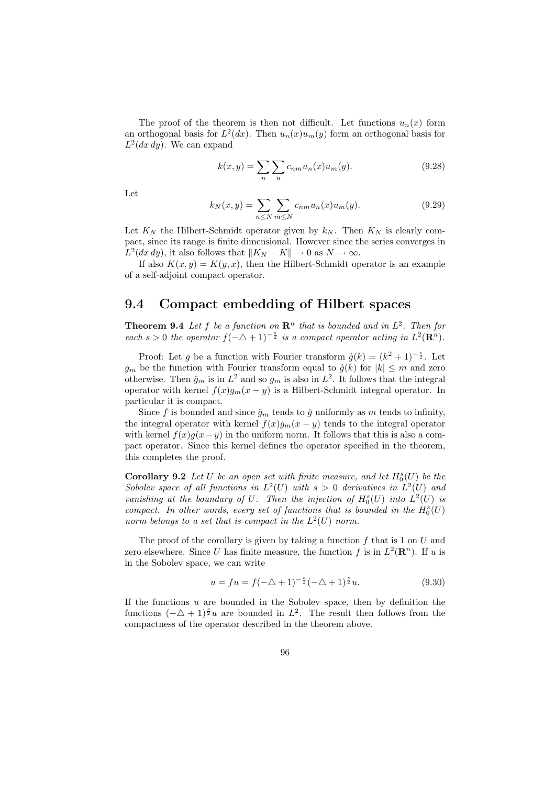The proof of the theorem is then not difficult. Let functions  $u_n(x)$  form an orthogonal basis for  $L^2(dx)$ . Then  $u_n(x)u_m(y)$  form an orthogonal basis for  $L^2(dx\,dy)$ . We can expand

$$
k(x,y) = \sum_{n} \sum_{n} c_{nm} u_n(x) u_m(y).
$$
 (9.28)

Let

$$
k_N(x, y) = \sum_{n \le N} \sum_{m \le N} c_{nm} u_n(x) u_m(y).
$$
 (9.29)

Let  $K_N$  the Hilbert-Schmidt operator given by  $k_N$ . Then  $K_N$  is clearly compact, since its range is finite dimensional. However since the series converges in  $L^2(dx\,dy)$ , it also follows that  $\|K_N - K\| \to 0$  as  $N \to \infty$ .

If also  $K(x, y) = K(y, x)$ , then the Hilbert-Schmidt operator is an example of a self-adjoint compact operator.

#### 9.4 Compact embedding of Hilbert spaces

**Theorem 9.4** Let f be a function on  $\mathbb{R}^n$  that is bounded and in  $L^2$ . Then for each  $s > 0$  the operator  $f(-\Delta + 1)^{-\frac{s}{2}}$  is a compact operator acting in  $L^2(\mathbf{R}^n)$ .

Proof: Let g be a function with Fourier transform  $\hat{g}(k) = (k^2 + 1)^{-\frac{s}{2}}$ . Let  $g_m$  be the function with Fourier transform equal to  $\hat{g}(k)$  for  $|k| \leq m$  and zero otherwise. Then  $\hat{g}_m$  is in  $L^2$  and so  $g_m$  is also in  $L^2$ . It follows that the integral operator with kernel  $f(x)g_m(x-y)$  is a Hilbert-Schmidt integral operator. In particular it is compact.

Since f is bounded and since  $\hat{g}_m$  tends to  $\hat{g}$  uniformly as m tends to infinity, the integral operator with kernel  $f(x)g_m(x-y)$  tends to the integral operator with kernel  $f(x)g(x-y)$  in the uniform norm. It follows that this is also a compact operator. Since this kernel defines the operator specified in the theorem, this completes the proof.

**Corollary 9.2** Let U be an open set with finite measure, and let  $H_0^s(U)$  be the Sobolev space of all functions in  $L^2(U)$  with  $s > 0$  derivatives in  $L^2(U)$  and vanishing at the boundary of U. Then the injection of  $H_0^s(U)$  into  $L^2(U)$  is compact. In other words, every set of functions that is bounded in the  $H_0^s(U)$ norm belongs to a set that is compact in the  $L^2(U)$  norm.

The proof of the corollary is given by taking a function  $f$  that is 1 on  $U$  and zero elsewhere. Since U has finite measure, the function f is in  $L^2(\mathbf{R}^n)$ . If u is in the Sobolev space, we can write

$$
u = fu = f(-\triangle + 1)^{-\frac{s}{2}}(-\triangle + 1)^{\frac{s}{2}}u.
$$
\n(9.30)

If the functions  $u$  are bounded in the Sobolev space, then by definition the functions  $(-\Delta + 1)^{\frac{s}{2}}u$  are bounded in  $L^2$ . The result then follows from the compactness of the operator described in the theorem above.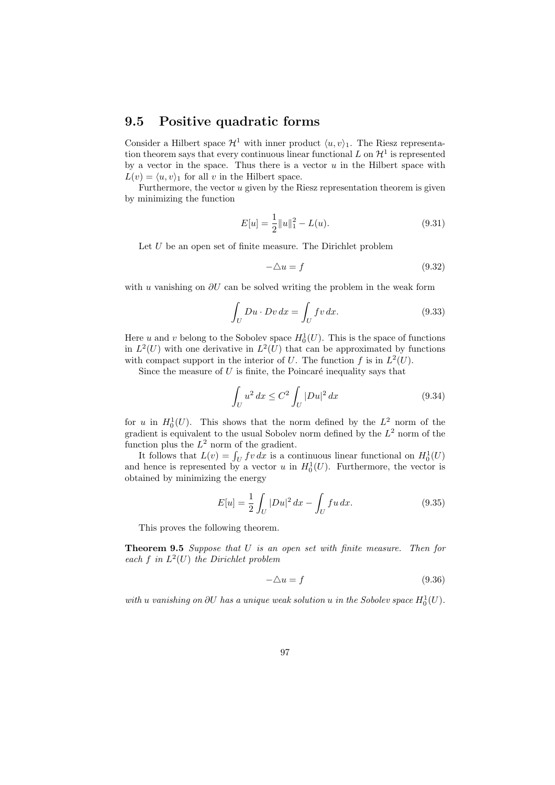#### 9.5 Positive quadratic forms

Consider a Hilbert space  $\mathcal{H}^1$  with inner product  $\langle u, v \rangle_1$ . The Riesz representation theorem says that every continuous linear functional L on  $\mathcal{H}^1$  is represented by a vector in the space. Thus there is a vector  $u$  in the Hilbert space with  $L(v) = \langle u, v \rangle_1$  for all v in the Hilbert space.

Furthermore, the vector  $u$  given by the Riesz representation theorem is given by minimizing the function

$$
E[u] = \frac{1}{2} ||u||_1^2 - L(u). \tag{9.31}
$$

Let  $U$  be an open set of finite measure. The Dirichlet problem

$$
-\triangle u = f \tag{9.32}
$$

with u vanishing on  $\partial U$  can be solved writing the problem in the weak form

$$
\int_{U} Du \cdot Dv \, dx = \int_{U} fv \, dx. \tag{9.33}
$$

Here u and v belong to the Sobolev space  $H_0^1(U)$ . This is the space of functions in  $L^2(U)$  with one derivative in  $L^2(U)$  that can be approximated by functions with compact support in the interior of U. The function f is in  $L^2(U)$ .

Since the measure of  $U$  is finite, the Poincaré inequality says that

$$
\int_{U} u^2 dx \le C^2 \int_{U} |Du|^2 dx \tag{9.34}
$$

for u in  $H_0^1(U)$ . This shows that the norm defined by the  $L^2$  norm of the gradient is equivalent to the usual Sobolev norm defined by the  $L^2$  norm of the function plus the  $L^2$  norm of the gradient.

The set of plus the L<sup>-</sup> norm of the gradient.<br>It follows that  $L(v) = \int_U f v \, dx$  is a continuous linear functional on  $H_0^1(U)$ and hence is represented by a vector u in  $H_0^1(U)$ . Furthermore, the vector is obtained by minimizing the energy

$$
E[u] = \frac{1}{2} \int_{U} |Du|^2 \, dx - \int_{U} fu \, dx. \tag{9.35}
$$

This proves the following theorem.

Theorem 9.5 Suppose that U is an open set with finite measure. Then for each  $f$  in  $L^2(U)$  the Dirichlet problem

$$
-\triangle u = f \tag{9.36}
$$

with u vanishing on  $\partial U$  has a unique weak solution u in the Sobolev space  $H^1_0(U)$ .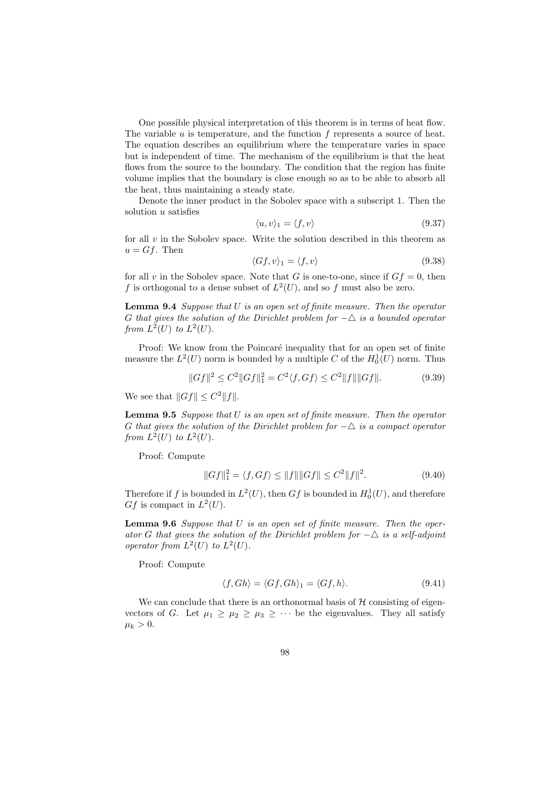One possible physical interpretation of this theorem is in terms of heat flow. The variable  $u$  is temperature, and the function  $f$  represents a source of heat. The equation describes an equilibrium where the temperature varies in space but is independent of time. The mechanism of the equilibrium is that the heat flows from the source to the boundary. The condition that the region has finite volume implies that the boundary is close enough so as to be able to absorb all the heat, thus maintaining a steady state.

Denote the inner product in the Sobolev space with a subscript 1. Then the solution u satisfies

$$
\langle u, v \rangle_1 = \langle f, v \rangle \tag{9.37}
$$

for all  $v$  in the Sobolev space. Write the solution described in this theorem as  $u = Gf$ . Then

$$
\langle Gf, v \rangle_1 = \langle f, v \rangle \tag{9.38}
$$

for all v in the Sobolev space. Note that G is one-to-one, since if  $Gf = 0$ , then f is orthogonal to a dense subset of  $L^2(U)$ , and so f must also be zero.

**Lemma 9.4** Suppose that  $U$  is an open set of finite measure. Then the operator G that gives the solution of the Dirichlet problem for  $-\Delta$  is a bounded operator from  $L^2(U)$  to  $L^2(U)$ .

Proof: We know from the Poincaré inequality that for an open set of finite measure the  $L^2(U)$  norm is bounded by a multiple C of the  $H_0^1(U)$  norm. Thus

$$
||Gf||2 \le C2 ||Gf||12 = C2 \langle f, Gf \rangle \le C2 ||f|| ||Gf||.
$$
 (9.39)

We see that  $||Gf|| \leq C^2 ||f||$ .

**Lemma 9.5** Suppose that  $U$  is an open set of finite measure. Then the operator G that gives the solution of the Dirichlet problem for  $-\Delta$  is a compact operator from  $L^2(U)$  to  $L^2(U)$ .

Proof: Compute

$$
||Gf||_1^2 = \langle f, Gf \rangle \le ||f|| ||Gf|| \le C^2 ||f||^2.
$$
\n(9.40)

Therefore if f is bounded in  $L^2(U)$ , then  $Gf$  is bounded in  $H_0^1(U)$ , and therefore Gf is compact in  $L^2(U)$ .

**Lemma 9.6** Suppose that  $U$  is an open set of finite measure. Then the operator G that gives the solution of the Dirichlet problem for  $-\Delta$  is a self-adjoint operator from  $L^2(U)$  to  $L^2(U)$ .

Proof: Compute

$$
\langle f, Gh \rangle = \langle Gf, Gh \rangle_1 = \langle Gf, h \rangle. \tag{9.41}
$$

We can conclude that there is an orthonormal basis of  $H$  consisting of eigenvectors of G. Let  $\mu_1 \geq \mu_2 \geq \mu_3 \geq \cdots$  be the eigenvalues. They all satisfy  $\mu_k > 0.$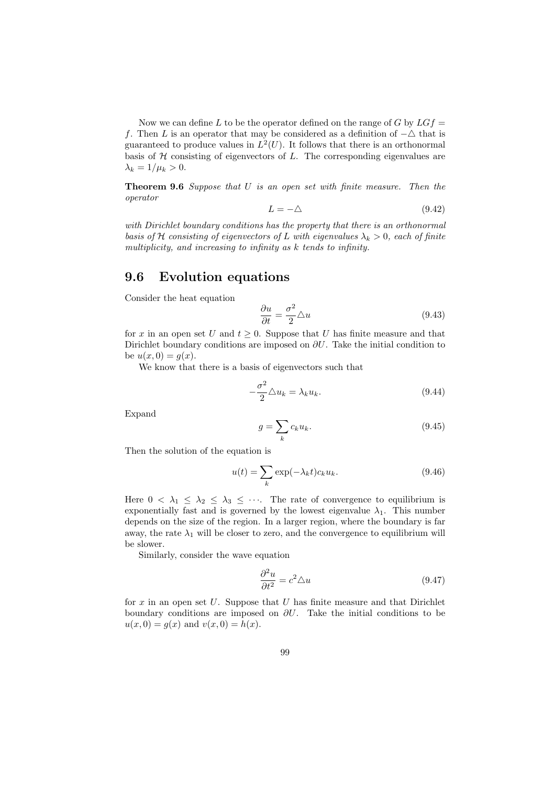Now we can define L to be the operator defined on the range of G by  $LGF =$ f. Then L is an operator that may be considered as a definition of  $-\Delta$  that is guaranteed to produce values in  $L^2(U)$ . It follows that there is an orthonormal basis of  $H$  consisting of eigenvectors of  $L$ . The corresponding eigenvalues are  $\lambda_k = 1/\mu_k > 0.$ 

Theorem 9.6 Suppose that U is an open set with finite measure. Then the operator

$$
L = -\triangle \tag{9.42}
$$

with Dirichlet boundary conditions has the property that there is an orthonormal basis of H consisting of eigenvectors of L with eigenvalues  $\lambda_k > 0$ , each of finite multiplicity, and increasing to infinity as k tends to infinity.

#### 9.6 Evolution equations

Consider the heat equation

$$
\frac{\partial u}{\partial t} = \frac{\sigma^2}{2} \triangle u \tag{9.43}
$$

for x in an open set U and  $t \geq 0$ . Suppose that U has finite measure and that Dirichlet boundary conditions are imposed on  $\partial U$ . Take the initial condition to be  $u(x, 0) = q(x)$ .

We know that there is a basis of eigenvectors such that

$$
-\frac{\sigma^2}{2}\Delta u_k = \lambda_k u_k. \tag{9.44}
$$

Expand

$$
g = \sum_{k} c_k u_k. \tag{9.45}
$$

Then the solution of the equation is

$$
u(t) = \sum_{k} \exp(-\lambda_k t) c_k u_k.
$$
 (9.46)

Here  $0 < \lambda_1 \leq \lambda_2 \leq \lambda_3 \leq \cdots$ . The rate of convergence to equilibrium is exponentially fast and is governed by the lowest eigenvalue  $\lambda_1$ . This number depends on the size of the region. In a larger region, where the boundary is far away, the rate  $\lambda_1$  will be closer to zero, and the convergence to equilibrium will be slower.

Similarly, consider the wave equation

$$
\frac{\partial^2 u}{\partial t^2} = c^2 \triangle u \tag{9.47}
$$

for x in an open set U. Suppose that U has finite measure and that Dirichlet boundary conditions are imposed on  $\partial U$ . Take the initial conditions to be  $u(x, 0) = g(x)$  and  $v(x, 0) = h(x)$ .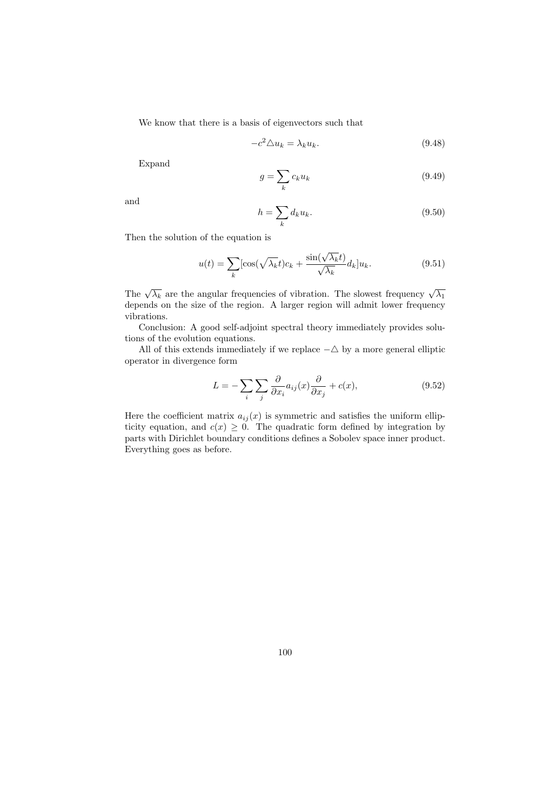We know that there is a basis of eigenvectors such that

$$
-c^2 \triangle u_k = \lambda_k u_k. \tag{9.48}
$$

Expand

$$
g = \sum_{k} c_k u_k \tag{9.49}
$$

and

$$
h = \sum_{k} d_k u_k. \tag{9.50}
$$

Then the solution of the equation is

$$
u(t) = \sum_{k} [\cos(\sqrt{\lambda_k}t)c_k + \frac{\sin(\sqrt{\lambda_k}t)}{\sqrt{\lambda_k}}d_k]u_k.
$$
 (9.51)

The  $\sqrt{\lambda_k}$  are the angular frequencies of vibration. The slowest frequency  $\sqrt{\lambda_1}$ depends on the size of the region. A larger region will admit lower frequency vibrations.

Conclusion: A good self-adjoint spectral theory immediately provides solutions of the evolution equations.

All of this extends immediately if we replace  $-\Delta$  by a more general elliptic operator in divergence form

$$
L = -\sum_{i} \sum_{j} \frac{\partial}{\partial x_i} a_{ij}(x) \frac{\partial}{\partial x_j} + c(x), \qquad (9.52)
$$

Here the coefficient matrix  $a_{ij}(x)$  is symmetric and satisfies the uniform ellipticity equation, and  $c(x) \geq 0$ . The quadratic form defined by integration by parts with Dirichlet boundary conditions defines a Sobolev space inner product. Everything goes as before.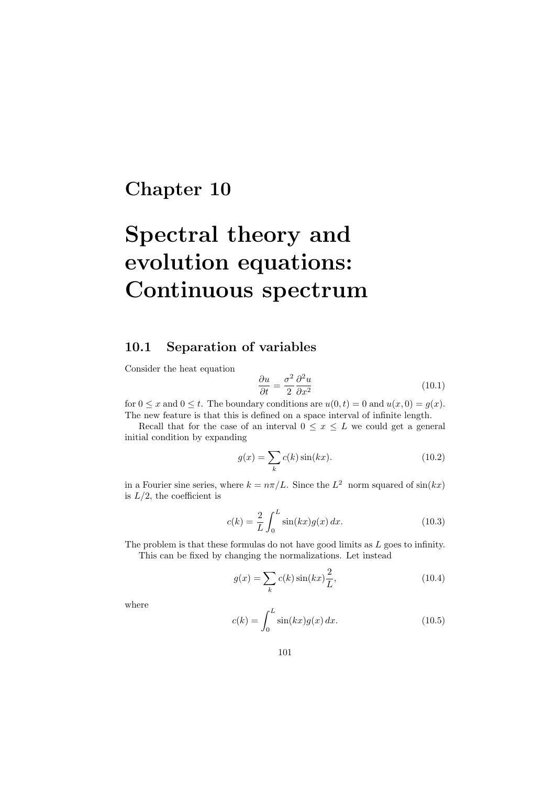### Chapter 10

# Spectral theory and evolution equations: Continuous spectrum

#### 10.1 Separation of variables

Consider the heat equation

$$
\frac{\partial u}{\partial t} = \frac{\sigma^2}{2} \frac{\partial^2 u}{\partial x^2} \tag{10.1}
$$

for  $0 \le x$  and  $0 \le t$ . The boundary conditions are  $u(0, t) = 0$  and  $u(x, 0) = q(x)$ . The new feature is that this is defined on a space interval of infinite length.

Recall that for the case of an interval  $0 \leq x \leq L$  we could get a general initial condition by expanding

$$
g(x) = \sum_{k} c(k) \sin(kx). \tag{10.2}
$$

in a Fourier sine series, where  $k = n\pi/L$ . Since the  $L^2$  norm squared of  $sin(kx)$ is  $L/2$ , the coefficient is

$$
c(k) = \frac{2}{L} \int_0^L \sin(kx) g(x) \, dx. \tag{10.3}
$$

The problem is that these formulas do not have good limits as  $L$  goes to infinity. This can be fixed by changing the normalizations. Let instead

$$
g(x) = \sum_{k} c(k) \sin(kx) \frac{2}{L},
$$
\n(10.4)

where

$$
c(k) = \int_0^L \sin(kx)g(x) \, dx. \tag{10.5}
$$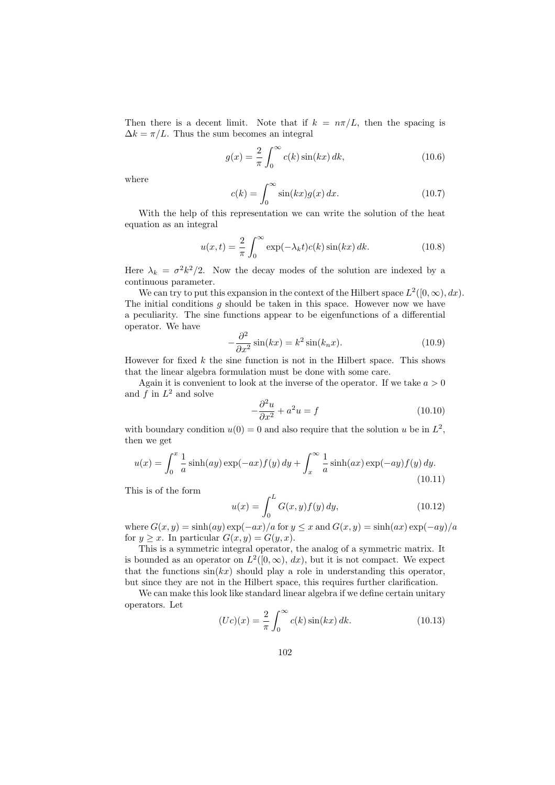Then there is a decent limit. Note that if  $k = n\pi/L$ , then the spacing is  $\Delta k = \pi/L$ . Thus the sum becomes an integral

$$
g(x) = \frac{2}{\pi} \int_0^\infty c(k) \sin(kx) dk,
$$
\n(10.6)

where

$$
c(k) = \int_0^\infty \sin(kx)g(x) dx.
$$
 (10.7)

With the help of this representation we can write the solution of the heat equation as an integral

$$
u(x,t) = \frac{2}{\pi} \int_0^\infty \exp(-\lambda_k t) c(k) \sin(kx) \, dk. \tag{10.8}
$$

Here  $\lambda_k = \sigma^2 k^2/2$ . Now the decay modes of the solution are indexed by a continuous parameter.

We can try to put this expansion in the context of the Hilbert space  $L^2([0,\infty), dx)$ . The initial conditions  $q$  should be taken in this space. However now we have a peculiarity. The sine functions appear to be eigenfunctions of a differential operator. We have

$$
-\frac{\partial^2}{\partial x^2}\sin(kx) = k^2\sin(k_nx). \tag{10.9}
$$

However for fixed  $k$  the sine function is not in the Hilbert space. This shows that the linear algebra formulation must be done with some care.

Again it is convenient to look at the inverse of the operator. If we take  $a > 0$ and  $f$  in  $L^2$  and solve

$$
-\frac{\partial^2 u}{\partial x^2} + a^2 u = f \tag{10.10}
$$

with boundary condition  $u(0) = 0$  and also require that the solution u be in  $L^2$ , then we get

$$
u(x) = \int_0^x \frac{1}{a} \sinh(ay) \exp(-ax) f(y) dy + \int_x^\infty \frac{1}{a} \sinh(ax) \exp(-ay) f(y) dy.
$$
\n(10.11)

This is of the form

$$
u(x) = \int_0^L G(x, y) f(y) dy,
$$
 (10.12)

where  $G(x, y) = \sinh(ay) \exp(-ax)/a$  for  $y \leq x$  and  $G(x, y) = \sinh(ax) \exp(-ay)/a$ for  $y \geq x$ . In particular  $G(x, y) = G(y, x)$ .

This is a symmetric integral operator, the analog of a symmetric matrix. It is bounded as an operator on  $L^2([0,\infty), dx)$ , but it is not compact. We expect that the functions  $sin(kx)$  should play a role in understanding this operator, but since they are not in the Hilbert space, this requires further clarification.

We can make this look like standard linear algebra if we define certain unitary operators. Let  $r^{\infty}$ 

$$
(Uc)(x) = \frac{2}{\pi} \int_0^\infty c(k) \sin(kx) dk.
$$
\n(10.13)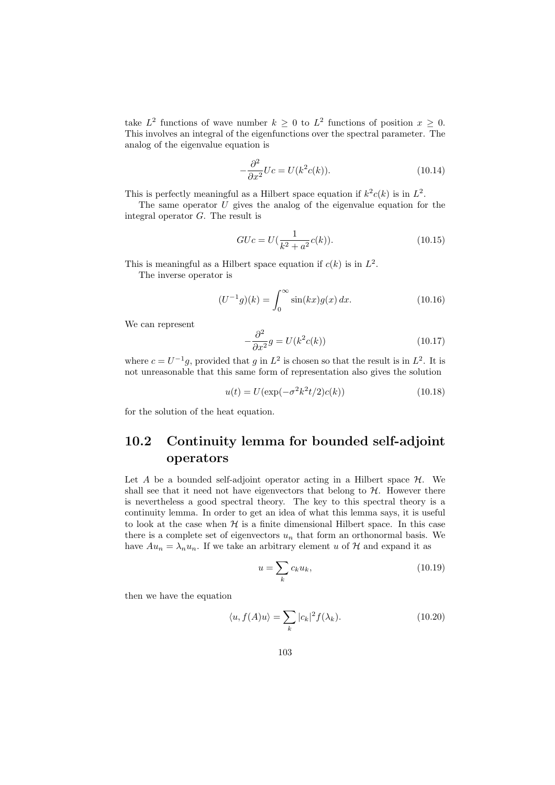take  $L^2$  functions of wave number  $k \geq 0$  to  $L^2$  functions of position  $x \geq 0$ . This involves an integral of the eigenfunctions over the spectral parameter. The analog of the eigenvalue equation is

$$
-\frac{\partial^2}{\partial x^2}Uc = U(k^2c(k)).\tag{10.14}
$$

This is perfectly meaningful as a Hilbert space equation if  $k^2c(k)$  is in  $L^2$ .

The same operator  $U$  gives the analog of the eigenvalue equation for the integral operator G. The result is

$$
GUc = U(\frac{1}{k^2 + a^2}c(k)).
$$
\n(10.15)

This is meaningful as a Hilbert space equation if  $c(k)$  is in  $L^2$ .

The inverse operator is

$$
(U^{-1}g)(k) = \int_0^\infty \sin(kx)g(x) \, dx. \tag{10.16}
$$

We can represent

$$
-\frac{\partial^2}{\partial x^2}g = U(k^2c(k))\tag{10.17}
$$

where  $c = U^{-1}g$ , provided that g in  $L^2$  is chosen so that the result is in  $L^2$ . It is not unreasonable that this same form of representation also gives the solution

$$
u(t) = U(\exp(-\sigma^2 k^2 t/2)c(k))
$$
\n(10.18)

for the solution of the heat equation.

### 10.2 Continuity lemma for bounded self-adjoint operators

Let A be a bounded self-adjoint operator acting in a Hilbert space  $H$ . We shall see that it need not have eigenvectors that belong to  $H$ . However there is nevertheless a good spectral theory. The key to this spectral theory is a continuity lemma. In order to get an idea of what this lemma says, it is useful to look at the case when  $H$  is a finite dimensional Hilbert space. In this case there is a complete set of eigenvectors  $u_n$  that form an orthonormal basis. We have  $Au_n = \lambda_n u_n$ . If we take an arbitrary element u of H and expand it as

$$
u = \sum_{k} c_k u_k, \tag{10.19}
$$

then we have the equation

$$
\langle u, f(A)u \rangle = \sum_{k} |c_k|^2 f(\lambda_k). \tag{10.20}
$$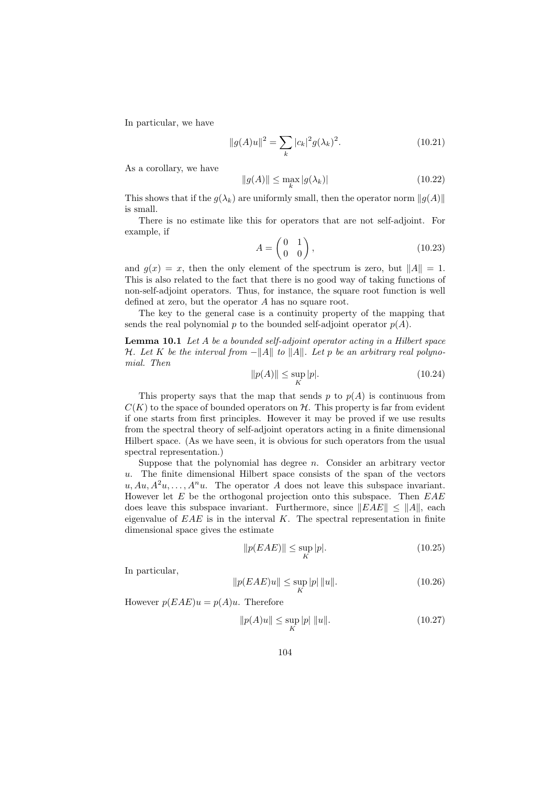In particular, we have

$$
||g(A)u||^2 = \sum_{k} |c_k|^2 g(\lambda_k)^2.
$$
 (10.21)

As a corollary, we have

$$
||g(A)|| \le \max_{k} |g(\lambda_k)| \tag{10.22}
$$

This shows that if the  $g(\lambda_k)$  are uniformly small, then the operator norm  $||g(A)||$ is small.

There is no estimate like this for operators that are not self-adjoint. For example, if  $\overline{\phantom{a}}$ 

$$
A = \begin{pmatrix} 0 & 1 \\ 0 & 0 \end{pmatrix}, \tag{10.23}
$$

and  $g(x) = x$ , then the only element of the spectrum is zero, but  $||A|| = 1$ . This is also related to the fact that there is no good way of taking functions of non-self-adjoint operators. Thus, for instance, the square root function is well defined at zero, but the operator A has no square root.

The key to the general case is a continuity property of the mapping that sends the real polynomial p to the bounded self-adjoint operator  $p(A)$ .

Lemma 10.1 Let A be a bounded self-adjoint operator acting in a Hilbert space H. Let K be the interval from  $-\Vert A\Vert$  to  $\Vert A\Vert$ . Let p be an arbitrary real polynomial. Then

$$
||p(A)|| \le \sup_{K} |p|.
$$
 (10.24)

This property says that the map that sends p to  $p(A)$  is continuous from  $C(K)$  to the space of bounded operators on H. This property is far from evident if one starts from first principles. However it may be proved if we use results from the spectral theory of self-adjoint operators acting in a finite dimensional Hilbert space. (As we have seen, it is obvious for such operators from the usual spectral representation.)

Suppose that the polynomial has degree  $n$ . Consider an arbitrary vector  $u$ . The finite dimensional Hilbert space consists of the span of the vectors  $u, Au, A^2u, \ldots, A^nu$ . The operator A does not leave this subspace invariant. However let  $E$  be the orthogonal projection onto this subspace. Then  $EAE$ does leave this subspace invariant. Furthermore, since  $||EAE|| \le ||A||$ , each eigenvalue of  $EAE$  is in the interval K. The spectral representation in finite dimensional space gives the estimate

$$
||p(EAE)|| \le \sup_{K} |p|.
$$
\n(10.25)

In particular,

$$
||p(EAE)u|| \le \sup_{K} |p| ||u||. \tag{10.26}
$$

However  $p(EAE)u = p(A)u$ . Therefore

$$
||p(A)u|| \le \sup_{K} |p| ||u||. \tag{10.27}
$$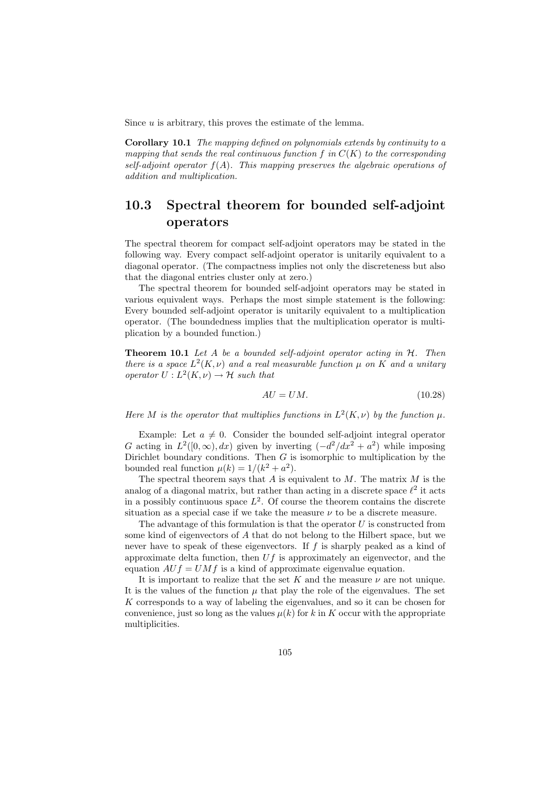Since  $u$  is arbitrary, this proves the estimate of the lemma.

Corollary 10.1 The mapping defined on polynomials extends by continuity to a mapping that sends the real continuous function f in  $C(K)$  to the corresponding self-adjoint operator  $f(A)$ . This mapping preserves the algebraic operations of addition and multiplication.

#### 10.3 Spectral theorem for bounded self-adjoint operators

The spectral theorem for compact self-adjoint operators may be stated in the following way. Every compact self-adjoint operator is unitarily equivalent to a diagonal operator. (The compactness implies not only the discreteness but also that the diagonal entries cluster only at zero.)

The spectral theorem for bounded self-adjoint operators may be stated in various equivalent ways. Perhaps the most simple statement is the following: Every bounded self-adjoint operator is unitarily equivalent to a multiplication operator. (The boundedness implies that the multiplication operator is multiplication by a bounded function.)

**Theorem 10.1** Let A be a bounded self-adjoint operator acting in  $H$ . Then there is a space  $L^2(K,\nu)$  and a real measurable function  $\mu$  on K and a unitary operator  $U: L^2(K, \nu) \to \mathcal{H}$  such that

$$
AU = UM.\tag{10.28}
$$

Here M is the operator that multiplies functions in  $L^2(K, \nu)$  by the function  $\mu$ .

Example: Let  $a \neq 0$ . Consider the bounded self-adjoint integral operator G acting in  $L^2([0,\infty), dx)$  given by inverting  $(-d^2/dx^2 + a^2)$  while imposing Dirichlet boundary conditions. Then  $G$  is isomorphic to multiplication by the bounded real function  $\mu(k) = 1/(k^2 + a^2)$ .

The spectral theorem says that A is equivalent to  $M$ . The matrix  $M$  is the analog of a diagonal matrix, but rather than acting in a discrete space  $\ell^2$  it acts in a possibly continuous space  $L^2$ . Of course the theorem contains the discrete situation as a special case if we take the measure  $\nu$  to be a discrete measure.

The advantage of this formulation is that the operator  $U$  is constructed from some kind of eigenvectors of A that do not belong to the Hilbert space, but we never have to speak of these eigenvectors. If f is sharply peaked as a kind of approximate delta function, then  $Uf$  is approximately an eigenvector, and the equation  $A U f = U M f$  is a kind of approximate eigenvalue equation.

It is important to realize that the set  $K$  and the measure  $\nu$  are not unique. It is the values of the function  $\mu$  that play the role of the eigenvalues. The set K corresponds to a way of labeling the eigenvalues, and so it can be chosen for convenience, just so long as the values  $\mu(k)$  for k in K occur with the appropriate multiplicities.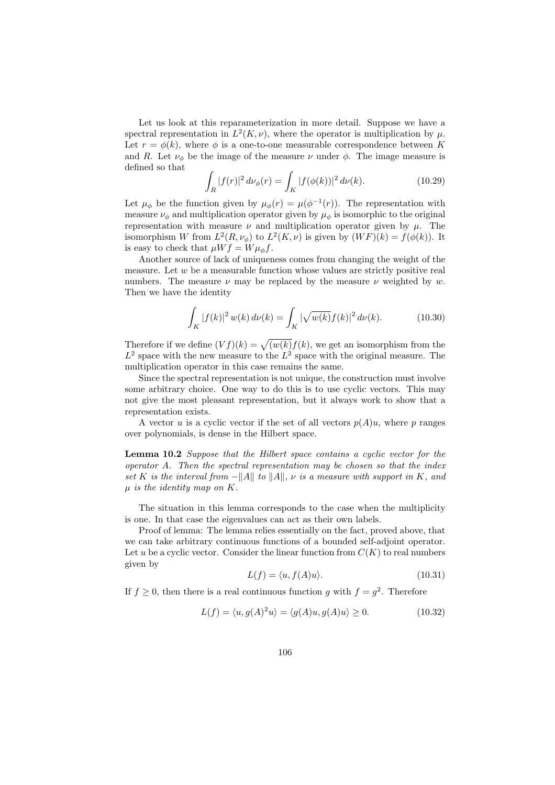Let us look at this reparameterization in more detail. Suppose we have a spectral representation in  $L^2(K,\nu)$ , where the operator is multiplication by  $\mu$ . Let  $r = \phi(k)$ , where  $\phi$  is a one-to-one measurable correspondence between K and R. Let  $\nu_{\phi}$  be the image of the measure  $\nu$  under  $\phi$ . The image measure is defined so that

$$
\int_{R} |f(r)|^2 \, d\nu_{\phi}(r) = \int_{K} |f(\phi(k))|^2 \, d\nu(k). \tag{10.29}
$$

Let  $\mu_{\phi}$  be the function given by  $\mu_{\phi}(r) = \mu(\phi^{-1}(r))$ . The representation with measure  $\nu_{\phi}$  and multiplication operator given by  $\mu_{\phi}$  is isomorphic to the original representation with measure  $\nu$  and multiplication operator given by  $\mu$ . The isomorphism W from  $L^2(R,\nu_\phi)$  to  $L^2(K,\nu)$  is given by  $(WF)(k) = f(\phi(k))$ . It is easy to check that  $\mu W f = W \mu_{\phi} f$ .

Another source of lack of uniqueness comes from changing the weight of the measure. Let  $w$  be a measurable function whose values are strictly positive real numbers. The measure  $\nu$  may be replaced by the measure  $\nu$  weighted by w. Then we have the identity

$$
\int_{K} |f(k)|^2 w(k) \, d\nu(k) = \int_{K} |\sqrt{w(k)} f(k)|^2 \, d\nu(k). \tag{10.30}
$$

Therefore if we define  $(Vf)(k) = \sqrt{(w(k))}f(k)$ , we get an isomorphism from the  $L^2$  space with the new measure to the  $L^2$  space with the original measure. The multiplication operator in this case remains the same.

Since the spectral representation is not unique, the construction must involve some arbitrary choice. One way to do this is to use cyclic vectors. This may not give the most pleasant representation, but it always work to show that a representation exists.

A vector u is a cyclic vector if the set of all vectors  $p(A)u$ , where p ranges over polynomials, is dense in the Hilbert space.

Lemma 10.2 Suppose that the Hilbert space contains a cyclic vector for the operator A. Then the spectral representation may be chosen so that the index set K is the interval from  $-\Vert A\Vert$  to  $\Vert A\Vert$ ,  $\nu$  is a measure with support in K, and  $\mu$  is the identity map on K.

The situation in this lemma corresponds to the case when the multiplicity is one. In that case the eigenvalues can act as their own labels.

Proof of lemma: The lemma relies essentially on the fact, proved above, that we can take arbitrary continuous functions of a bounded self-adjoint operator. Let u be a cyclic vector. Consider the linear function from  $C(K)$  to real numbers given by

$$
L(f) = \langle u, f(A)u \rangle.
$$
 (10.31)

If  $f \geq 0$ , then there is a real continuous function g with  $f = g^2$ . Therefore

$$
L(f) = \langle u, g(A)^2 u \rangle = \langle g(A)u, g(A)u \rangle \ge 0.
$$
 (10.32)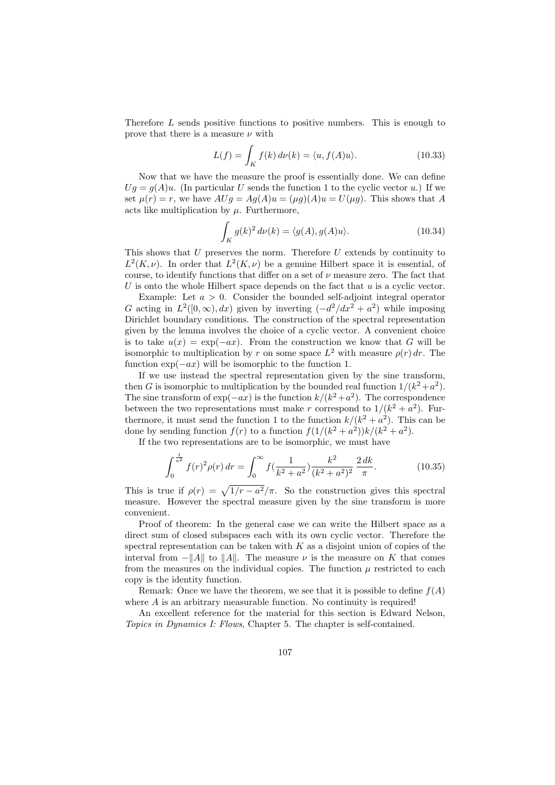Therefore L sends positive functions to positive numbers. This is enough to prove that there is a measure  $\nu$  with

$$
L(f) = \int_{K} f(k) d\nu(k) = \langle u, f(A)u \rangle.
$$
 (10.33)

Now that we have the measure the proof is essentially done. We can define  $Ug = g(A)u$ . (In particular U sends the function 1 to the cyclic vector u.) If we set  $\mu(r) = r$ , we have  $A U g = A g(A) u = (\mu g)(A) u = U(\mu g)$ . This shows that A acts like multiplication by  $\mu$ . Furthermore,

$$
\int_{K} g(k)^2 d\nu(k) = \langle g(A), g(A)u \rangle.
$$
\n(10.34)

This shows that  $U$  preserves the norm. Therefore  $U$  extends by continuity to  $L^2(K,\nu)$ . In order that  $L^2(K,\nu)$  be a genuine Hilbert space it is essential, of course, to identify functions that differ on a set of  $\nu$  measure zero. The fact that U is onto the whole Hilbert space depends on the fact that  $u$  is a cyclic vector.

Example: Let  $a > 0$ . Consider the bounded self-adjoint integral operator G acting in  $L^2([0,\infty), dx)$  given by inverting  $(-d^2/dx^2 + a^2)$  while imposing Dirichlet boundary conditions. The construction of the spectral representation given by the lemma involves the choice of a cyclic vector. A convenient choice is to take  $u(x) = \exp(-ax)$ . From the construction we know that G will be isomorphic to multiplication by r on some space  $L^2$  with measure  $\rho(r) dr$ . The function  $\exp(-ax)$  will be isomorphic to the function 1.

If we use instead the spectral representation given by the sine transform, then G is isomorphic to multiplication by the bounded real function  $1/(k^2 + a^2)$ . The sine transform of  $\exp(-ax)$  is the function  $k/(k^2+a^2)$ . The correspondence between the two representations must make r correspond to  $1/(k^2 + a^2)$ . Furthermore, it must send the function 1 to the function  $k/(k^2 + a^2)$ . This can be done by sending function  $f(r)$  to a function  $f(1/(k^2 + a^2))k/(k^2 + a^2)$ .

If the two representations are to be isomorphic, we must have

$$
\int_0^{\frac{1}{a^2}} f(r)^2 \rho(r) \, dr = \int_0^\infty f\left(\frac{1}{k^2 + a^2}\right) \frac{k^2}{(k^2 + a^2)^2} \, \frac{2 \, dk}{\pi}.\tag{10.35}
$$

This is true if  $\rho(r) = \sqrt{1/r - a^2}/\pi$ . So the construction gives this spectral measure. However the spectral measure given by the sine transform is more convenient.

Proof of theorem: In the general case we can write the Hilbert space as a direct sum of closed subspaces each with its own cyclic vector. Therefore the spectral representation can be taken with  $K$  as a disjoint union of copies of the interval from  $-||A||$  to  $||A||$ . The measure  $\nu$  is the measure on K that comes from the measures on the individual copies. The function  $\mu$  restricted to each copy is the identity function.

Remark: Once we have the theorem, we see that it is possible to define  $f(A)$ where A is an arbitrary measurable function. No continuity is required!

An excellent reference for the material for this section is Edward Nelson, Topics in Dynamics I: Flows, Chapter 5. The chapter is self-contained.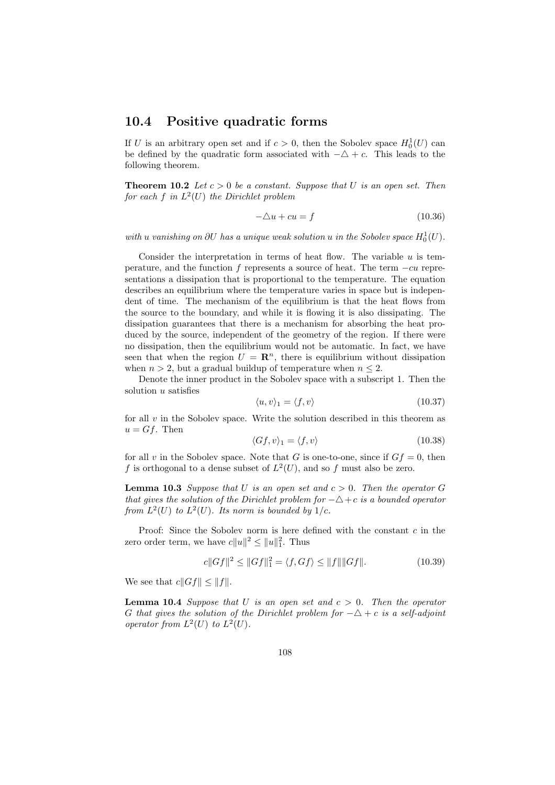#### 10.4 Positive quadratic forms

If U is an arbitrary open set and if  $c > 0$ , then the Sobolev space  $H_0^1(U)$  can be defined by the quadratic form associated with  $-\Delta + c$ . This leads to the following theorem.

**Theorem 10.2** Let  $c > 0$  be a constant. Suppose that U is an open set. Then for each f in  $L^2(U)$  the Dirichlet problem

$$
-\Delta u + cu = f \tag{10.36}
$$

with u vanishing on  $\partial U$  has a unique weak solution u in the Sobolev space  $H^1_0(U)$ .

Consider the interpretation in terms of heat flow. The variable  $u$  is temperature, and the function f represents a source of heat. The term  $-cu$  representations a dissipation that is proportional to the temperature. The equation describes an equilibrium where the temperature varies in space but is independent of time. The mechanism of the equilibrium is that the heat flows from the source to the boundary, and while it is flowing it is also dissipating. The dissipation guarantees that there is a mechanism for absorbing the heat produced by the source, independent of the geometry of the region. If there were no dissipation, then the equilibrium would not be automatic. In fact, we have seen that when the region  $U = \mathbb{R}^n$ , there is equilibrium without dissipation when  $n > 2$ , but a gradual buildup of temperature when  $n \leq 2$ .

Denote the inner product in the Sobolev space with a subscript 1. Then the solution u satisfies

$$
\langle u, v \rangle_1 = \langle f, v \rangle \tag{10.37}
$$

for all v in the Sobolev space. Write the solution described in this theorem as  $u = Gf$ . Then

$$
\langle Gf, v \rangle_1 = \langle f, v \rangle \tag{10.38}
$$

for all v in the Sobolev space. Note that G is one-to-one, since if  $Gf = 0$ , then f is orthogonal to a dense subset of  $L^2(U)$ , and so f must also be zero.

**Lemma 10.3** Suppose that U is an open set and  $c > 0$ . Then the operator G that gives the solution of the Dirichlet problem for  $-\Delta+c$  is a bounded operator from  $L^2(U)$  to  $L^2(U)$ . Its norm is bounded by  $1/c$ .

Proof: Since the Sobolev norm is here defined with the constant  $c$  in the zero order term, we have  $c||u||^2 \le ||u||_1^2$ . Thus

$$
c||Gf||^2 \le ||Gf||_1^2 = \langle f, Gf \rangle \le ||f|| ||Gf||. \tag{10.39}
$$

We see that  $c||Gf|| \leq ||f||$ .

**Lemma 10.4** Suppose that U is an open set and  $c > 0$ . Then the operator G that gives the solution of the Dirichlet problem for  $-\Delta+c$  is a self-adjoint operator from  $L^2(U)$  to  $L^2(U)$ .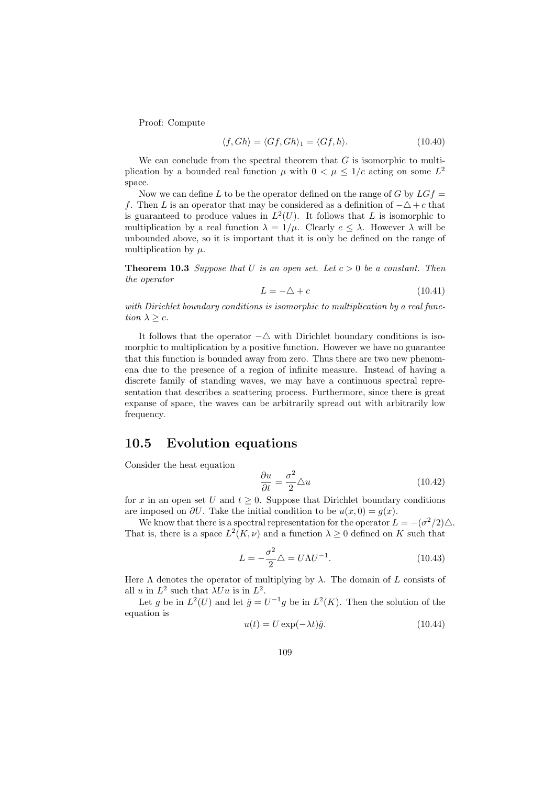Proof: Compute

$$
\langle f, Gh \rangle = \langle Gf, Gh \rangle_1 = \langle Gf, h \rangle. \tag{10.40}
$$

We can conclude from the spectral theorem that  $G$  is isomorphic to multiplication by a bounded real function  $\mu$  with  $0 < \mu \leq 1/c$  acting on some  $L^2$ space.

Now we can define L to be the operator defined on the range of G by  $LGF =$ f. Then L is an operator that may be considered as a definition of  $-\triangle+c$  that is guaranteed to produce values in  $L^2(U)$ . It follows that L is isomorphic to multiplication by a real function  $\lambda = 1/\mu$ . Clearly  $c \leq \lambda$ . However  $\lambda$  will be unbounded above, so it is important that it is only be defined on the range of multiplication by  $\mu$ .

**Theorem 10.3** Suppose that U is an open set. Let  $c > 0$  be a constant. Then the operator

$$
L = -\Delta + c \tag{10.41}
$$

with Dirichlet boundary conditions is isomorphic to multiplication by a real function  $\lambda \geq c$ .

It follows that the operator  $-\Delta$  with Dirichlet boundary conditions is isomorphic to multiplication by a positive function. However we have no guarantee that this function is bounded away from zero. Thus there are two new phenomena due to the presence of a region of infinite measure. Instead of having a discrete family of standing waves, we may have a continuous spectral representation that describes a scattering process. Furthermore, since there is great expanse of space, the waves can be arbitrarily spread out with arbitrarily low frequency.

#### 10.5 Evolution equations

Consider the heat equation

$$
\frac{\partial u}{\partial t} = \frac{\sigma^2}{2} \triangle u \tag{10.42}
$$

for x in an open set U and  $t \geq 0$ . Suppose that Dirichlet boundary conditions are imposed on  $\partial U$ . Take the initial condition to be  $u(x, 0) = g(x)$ .

We know that there is a spectral representation for the operator  $L = -(\sigma^2/2)\Delta$ . That is, there is a space  $L^2(K, \nu)$  and a function  $\lambda \geq 0$  defined on K such that

$$
L = -\frac{\sigma^2}{2} \triangle = U\Lambda U^{-1}.
$$
\n(10.43)

Here  $\Lambda$  denotes the operator of multiplying by  $\lambda$ . The domain of L consists of all u in  $L^2$  such that  $\lambda U u$  is in  $L^2$ .

Let g be in  $L^2(U)$  and let  $\hat{g} = U^{-1}g$  be in  $L^2(K)$ . Then the solution of the equation is

$$
u(t) = U \exp(-\lambda t)\hat{g}.
$$
 (10.44)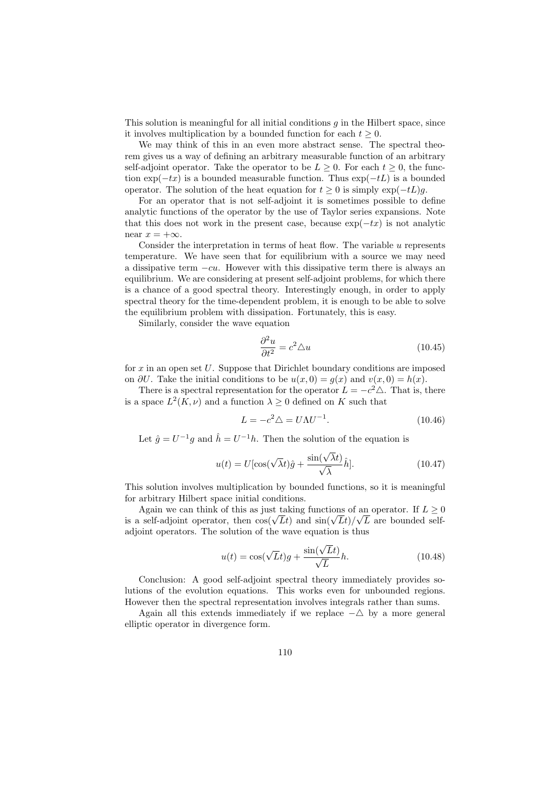This solution is meaningful for all initial conditions  $q$  in the Hilbert space, since it involves multiplication by a bounded function for each  $t \geq 0$ .

We may think of this in an even more abstract sense. The spectral theorem gives us a way of defining an arbitrary measurable function of an arbitrary self-adjoint operator. Take the operator to be  $L \geq 0$ . For each  $t \geq 0$ , the function  $\exp(-tx)$  is a bounded measurable function. Thus  $\exp(-tL)$  is a bounded operator. The solution of the heat equation for  $t > 0$  is simply  $\exp(-tL)q$ .

For an operator that is not self-adjoint it is sometimes possible to define analytic functions of the operator by the use of Taylor series expansions. Note that this does not work in the present case, because  $\exp(-tx)$  is not analytic near  $x = +\infty$ .

Consider the interpretation in terms of heat flow. The variable  $u$  represents temperature. We have seen that for equilibrium with a source we may need a dissipative term  $-cu$ . However with this dissipative term there is always an equilibrium. We are considering at present self-adjoint problems, for which there is a chance of a good spectral theory. Interestingly enough, in order to apply spectral theory for the time-dependent problem, it is enough to be able to solve the equilibrium problem with dissipation. Fortunately, this is easy.

Similarly, consider the wave equation

$$
\frac{\partial^2 u}{\partial t^2} = c^2 \triangle u \tag{10.45}
$$

for x in an open set  $U$ . Suppose that Dirichlet boundary conditions are imposed on  $\partial U$ . Take the initial conditions to be  $u(x, 0) = g(x)$  and  $v(x, 0) = h(x)$ .

There is a spectral representation for the operator  $L = -c^2 \triangle$ . That is, there is a space  $L^2(K, \nu)$  and a function  $\lambda \geq 0$  defined on K such that

$$
L = -c^2 \triangle = U\Lambda U^{-1}.\tag{10.46}
$$

Let  $\hat{g} = U^{-1}g$  and  $\hat{h} = U^{-1}h$ . Then the solution of the equation is

$$
u(t) = U[\cos(\sqrt{\lambda}t)\hat{g} + \frac{\sin(\sqrt{\lambda}t)}{\sqrt{\lambda}}\hat{h}].
$$
 (10.47)

This solution involves multiplication by bounded functions, so it is meaningful for arbitrary Hilbert space initial conditions.

Again we can think of this as just taking functions of an operator. If  $L \geq 0$ Again we can think of this as just taking functions of an operator. If  $L \geq 0$  is a self-adjoint operator, then  $\cos(\sqrt{L}t)$  and  $\sin(\sqrt{L}t)/\sqrt{L}$  are bounded selfadjoint operators. The solution of the wave equation is thus

$$
u(t) = \cos(\sqrt{L}t)g + \frac{\sin(\sqrt{L}t)}{\sqrt{L}}h.
$$
\n(10.48)

Conclusion: A good self-adjoint spectral theory immediately provides solutions of the evolution equations. This works even for unbounded regions. However then the spectral representation involves integrals rather than sums.

Again all this extends immediately if we replace  $-\Delta$  by a more general elliptic operator in divergence form.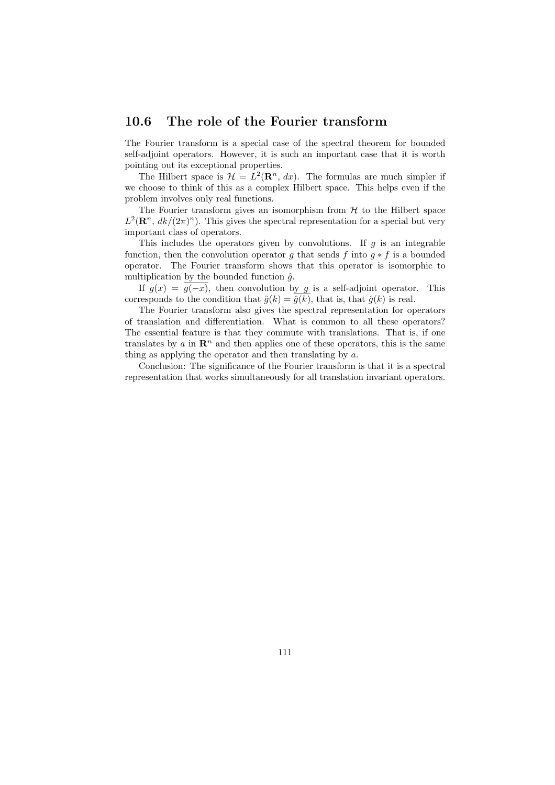#### 10.6 The role of the Fourier transform

The Fourier transform is a special case of the spectral theorem for bounded self-adjoint operators. However, it is such an important case that it is worth pointing out its exceptional properties.

The Hilbert space is  $\mathcal{H} = L^2(\mathbf{R}^n, dx)$ . The formulas are much simpler if we choose to think of this as a complex Hilbert space. This helps even if the problem involves only real functions.

The Fourier transform gives an isomorphism from  $H$  to the Hilbert space  $L^2(\mathbf{R}^n, dk/(2\pi)^n)$ . This gives the spectral representation for a special but very important class of operators.

This includes the operators given by convolutions. If  $g$  is an integrable function, then the convolution operator g that sends f into  $g * f$  is a bounded operator. The Fourier transform shows that this operator is isomorphic to multiplication by the bounded function  $\hat{q}$ .

If  $g(x) = \overline{g(-x)}$ , then convolution by g is a self-adjoint operator. This corresponds to the condition that  $\hat{g}(k) = \overline{\hat{g}(k)}$ , that is, that  $\hat{g}(k)$  is real.

The Fourier transform also gives the spectral representation for operators of translation and differentiation. What is common to all these operators? The essential feature is that they commute with translations. That is, if one translates by a in  $\mathbb{R}^n$  and then applies one of these operators, this is the same thing as applying the operator and then translating by a.

Conclusion: The significance of the Fourier transform is that it is a spectral representation that works simultaneously for all translation invariant operators.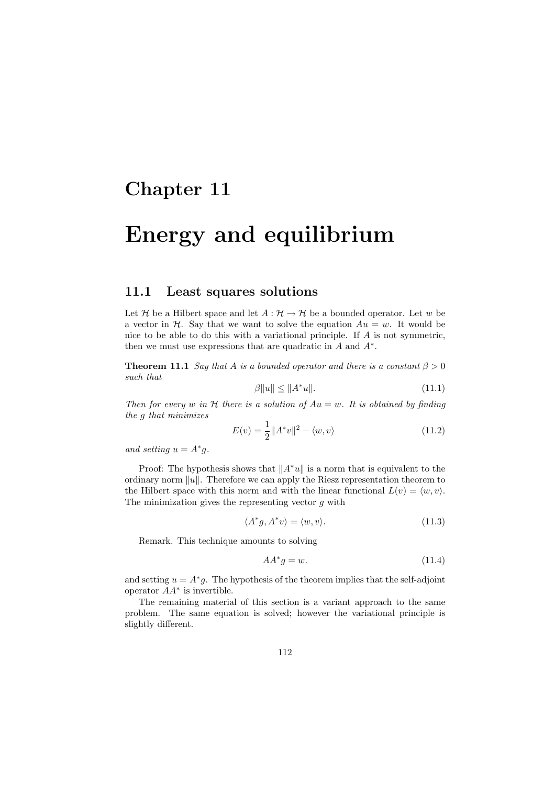### Chapter 11

## Energy and equilibrium

#### 11.1 Least squares solutions

Let H be a Hilbert space and let  $A : \mathcal{H} \to \mathcal{H}$  be a bounded operator. Let w be a vector in  $\mathcal{H}$ . Say that we want to solve the equation  $Au = w$ . It would be nice to be able to do this with a variational principle. If A is not symmetric, then we must use expressions that are quadratic in  $A$  and  $A^*$ .

**Theorem 11.1** Say that A is a bounded operator and there is a constant  $\beta > 0$ such that

$$
\beta \|u\| \le \|A^*u\|.\tag{11.1}
$$

Then for every w in H there is a solution of  $Au = w$ . It is obtained by finding the g that minimizes

$$
E(v) = \frac{1}{2} ||A^*v||^2 - \langle w, v \rangle
$$
 (11.2)

and setting  $u = A^*g$ .

Proof: The hypothesis shows that  $||A^*u||$  is a norm that is equivalent to the ordinary norm  $||u||$ . Therefore we can apply the Riesz representation theorem to the Hilbert space with this norm and with the linear functional  $L(v) = \langle w, v \rangle$ . The minimization gives the representing vector  $g$  with

$$
\langle A^*g, A^*v \rangle = \langle w, v \rangle. \tag{11.3}
$$

Remark. This technique amounts to solving

$$
AA^*g = w.\t(11.4)
$$

and setting  $u = A^*g$ . The hypothesis of the theorem implies that the self-adjoint operator  $AA^*$  is invertible.

The remaining material of this section is a variant approach to the same problem. The same equation is solved; however the variational principle is slightly different.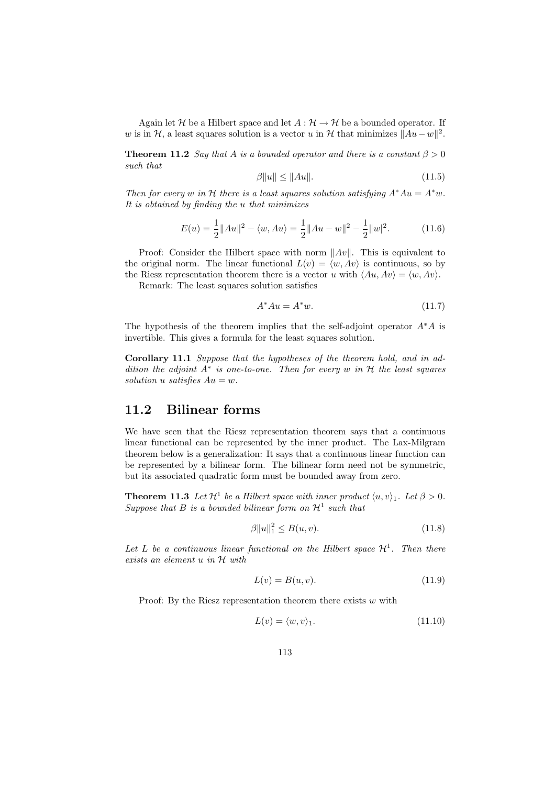Again let H be a Hilbert space and let  $A : \mathcal{H} \to \mathcal{H}$  be a bounded operator. If w is in H, a least squares solution is a vector u in H that minimizes  $||Au - w||^2$ .

**Theorem 11.2** Say that A is a bounded operator and there is a constant  $\beta > 0$ such that

$$
\beta \|u\| \le \|Au\|.\tag{11.5}
$$

Then for every w in H there is a least squares solution satisfying  $A^*Au = A^*w$ . It is obtained by finding the u that minimizes

$$
E(u) = \frac{1}{2} ||Au||^2 - \langle w, Au \rangle = \frac{1}{2} ||Au - w||^2 - \frac{1}{2} ||w|^2.
$$
 (11.6)

Proof: Consider the Hilbert space with norm  $||Av||$ . This is equivalent to the original norm. The linear functional  $L(v) = \langle w, Av \rangle$  is continuous, so by the Riesz representation theorem there is a vector u with  $\langle Au, Av \rangle = \langle w, Av \rangle$ .

Remark: The least squares solution satisfies

$$
A^*Au = A^*w.\tag{11.7}
$$

The hypothesis of the theorem implies that the self-adjoint operator  $A^*A$  is invertible. This gives a formula for the least squares solution.

Corollary 11.1 Suppose that the hypotheses of the theorem hold, and in addition the adjoint  $A^*$  is one-to-one. Then for every w in  $H$  the least squares solution u satisfies  $Au = w$ .

#### 11.2 Bilinear forms

We have seen that the Riesz representation theorem says that a continuous linear functional can be represented by the inner product. The Lax-Milgram theorem below is a generalization: It says that a continuous linear function can be represented by a bilinear form. The bilinear form need not be symmetric, but its associated quadratic form must be bounded away from zero.

**Theorem 11.3** Let  $\mathcal{H}^1$  be a Hilbert space with inner product  $\langle u, v \rangle_1$ . Let  $\beta > 0$ . Suppose that B is a bounded bilinear form on  $\mathcal{H}^1$  such that

$$
\beta \|u\|_1^2 \le B(u, v). \tag{11.8}
$$

Let L be a continuous linear functional on the Hilbert space  $\mathcal{H}^1$ . Then there exists an element u in H with

$$
L(v) = B(u, v). \tag{11.9}
$$

Proof: By the Riesz representation theorem there exists  $w$  with

$$
L(v) = \langle w, v \rangle_1. \tag{11.10}
$$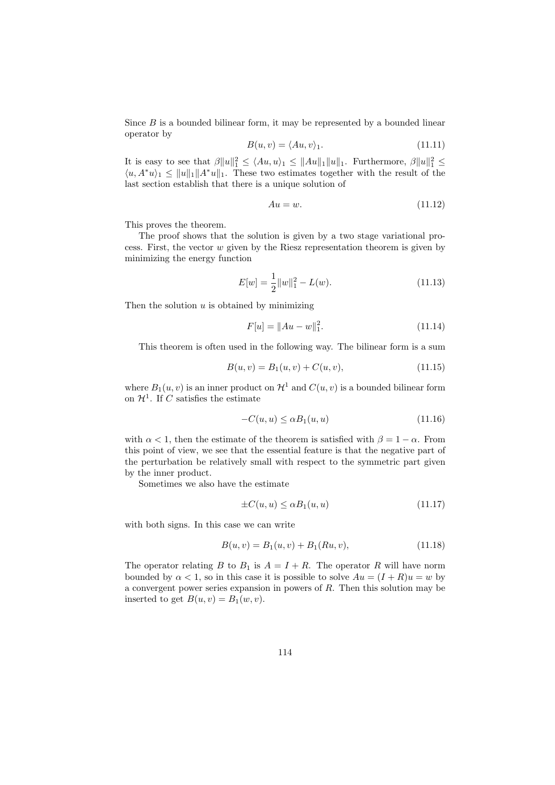Since  $B$  is a bounded bilinear form, it may be represented by a bounded linear operator by

$$
B(u, v) = \langle Au, v \rangle_1. \tag{11.11}
$$

It is easy to see that  $\beta ||u||_1^2 \le \langle Au, u \rangle_1 \le ||Au||_1 ||u||_1$ . Furthermore,  $\beta ||u||_1^2 \le$  $\langle u, A^*u \rangle_1 \leq ||u||_1 ||A^*u||_1$ . These two estimates together with the result of the last section establish that there is a unique solution of

$$
Au = w.\t(11.12)
$$

This proves the theorem.

The proof shows that the solution is given by a two stage variational process. First, the vector  $w$  given by the Riesz representation theorem is given by minimizing the energy function

$$
E[w] = \frac{1}{2} ||w||_1^2 - L(w).
$$
 (11.13)

Then the solution  $u$  is obtained by minimizing

$$
F[u] = ||Au - w||2 \tag{11.14}
$$

This theorem is often used in the following way. The bilinear form is a sum

$$
B(u, v) = B_1(u, v) + C(u, v), \qquad (11.15)
$$

where  $B_1(u, v)$  is an inner product on  $\mathcal{H}^1$  and  $C(u, v)$  is a bounded bilinear form on  $\mathcal{H}^1$ . If C satisfies the estimate

$$
-C(u, u) \le \alpha B_1(u, u) \tag{11.16}
$$

with  $\alpha < 1$ , then the estimate of the theorem is satisfied with  $\beta = 1 - \alpha$ . From this point of view, we see that the essential feature is that the negative part of the perturbation be relatively small with respect to the symmetric part given by the inner product.

Sometimes we also have the estimate

$$
\pm C(u, u) \le \alpha B_1(u, u) \tag{11.17}
$$

with both signs. In this case we can write

$$
B(u, v) = B_1(u, v) + B_1(Ru, v), \qquad (11.18)
$$

The operator relating B to  $B_1$  is  $A = I + R$ . The operator R will have norm bounded by  $\alpha < 1$ , so in this case it is possible to solve  $Au = (I + R)u = w$  by a convergent power series expansion in powers of  $R$ . Then this solution may be inserted to get  $B(u, v) = B_1(w, v)$ .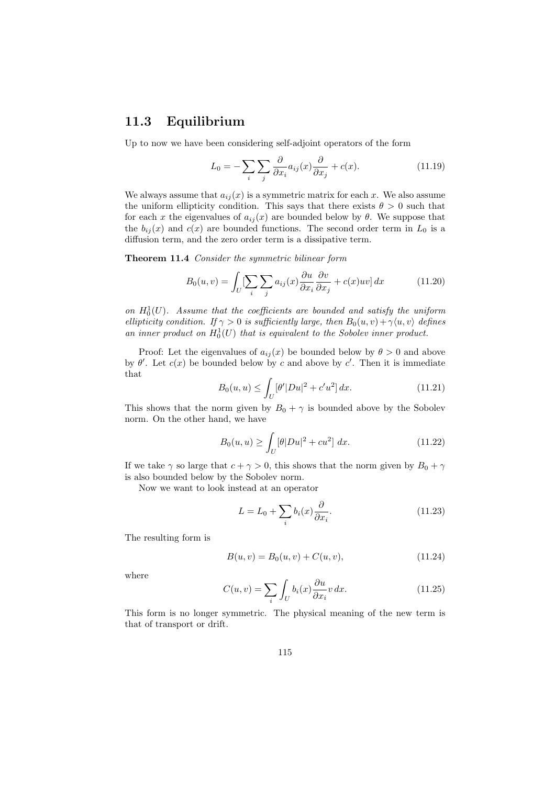#### 11.3 Equilibrium

Up to now we have been considering self-adjoint operators of the form

$$
L_0 = -\sum_{i} \sum_{j} \frac{\partial}{\partial x_i} a_{ij}(x) \frac{\partial}{\partial x_j} + c(x). \tag{11.19}
$$

We always assume that  $a_{ij}(x)$  is a symmetric matrix for each x. We also assume the uniform ellipticity condition. This says that there exists  $\theta > 0$  such that for each x the eigenvalues of  $a_{ij}(x)$  are bounded below by  $\theta$ . We suppose that the  $b_{ij}(x)$  and  $c(x)$  are bounded functions. The second order term in  $L_0$  is a diffusion term, and the zero order term is a dissipative term.

Theorem 11.4 Consider the symmetric bilinear form

$$
B_0(u,v) = \int_U \left[\sum_i \sum_j a_{ij}(x) \frac{\partial u}{\partial x_i} \frac{\partial v}{\partial x_j} + c(x)uv\right] dx \tag{11.20}
$$

on  $H_0^1(U)$ . Assume that the coefficients are bounded and satisfy the uniform ellipticity condition. If  $\gamma > 0$  is sufficiently large, then  $B_0(u, v) + \gamma \langle u, v \rangle$  defines an inner product on  $H_0^1(U)$  that is equivalent to the Sobolev inner product.

Proof: Let the eigenvalues of  $a_{ij}(x)$  be bounded below by  $\theta > 0$  and above by  $\theta'$ . Let  $c(x)$  be bounded below by c and above by c'. Then it is immediate that

$$
B_0(u, u) \le \int_U [\theta' | Du|^2 + c' u^2] \, dx. \tag{11.21}
$$

This shows that the norm given by  $B_0 + \gamma$  is bounded above by the Sobolev norm. On the other hand, we have

$$
B_0(u, u) \ge \int_U [\theta |Du|^2 + cu^2] \ dx.
$$
 (11.22)

If we take  $\gamma$  so large that  $c + \gamma > 0$ , this shows that the norm given by  $B_0 + \gamma$ is also bounded below by the Sobolev norm.

Now we want to look instead at an operator

$$
L = L_0 + \sum_i b_i(x) \frac{\partial}{\partial x_i}.
$$
\n(11.23)

The resulting form is

$$
B(u, v) = B_0(u, v) + C(u, v), \qquad (11.24)
$$

where

$$
C(u,v) = \sum_{i} \int_{U} b_i(x) \frac{\partial u}{\partial x_i} v \, dx. \tag{11.25}
$$

This form is no longer symmetric. The physical meaning of the new term is that of transport or drift.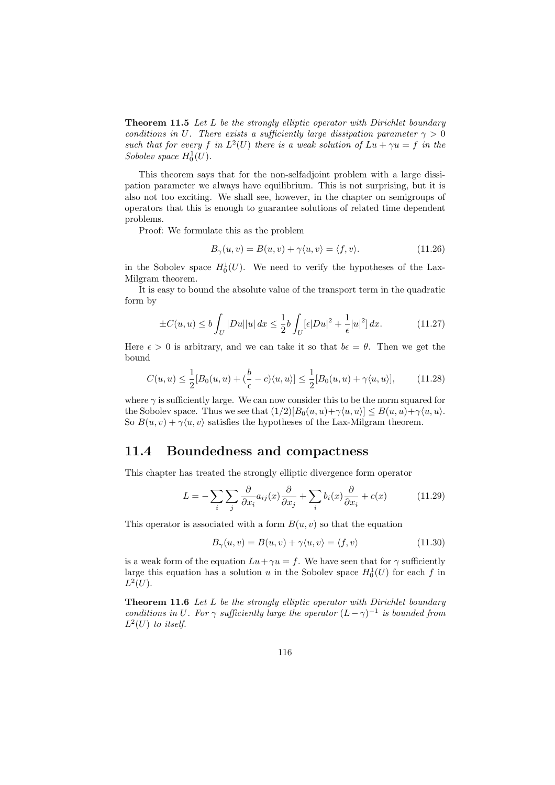Theorem 11.5 Let L be the strongly elliptic operator with Dirichlet boundary conditions in U. There exists a sufficiently large dissipation parameter  $\gamma > 0$ such that for every f in  $L^2(U)$  there is a weak solution of  $Lu + \gamma u = f$  in the Sobolev space  $H_0^1(U)$ .

This theorem says that for the non-selfadjoint problem with a large dissipation parameter we always have equilibrium. This is not surprising, but it is also not too exciting. We shall see, however, in the chapter on semigroups of operators that this is enough to guarantee solutions of related time dependent problems.

Proof: We formulate this as the problem

$$
B_{\gamma}(u,v) = B(u,v) + \gamma \langle u, v \rangle = \langle f, v \rangle.
$$
 (11.26)

in the Sobolev space  $H_0^1(U)$ . We need to verify the hypotheses of the Lax-Milgram theorem.

It is easy to bound the absolute value of the transport term in the quadratic form by

$$
\pm C(u, u) \le b \int_U |Du||u| \, dx \le \frac{1}{2}b \int_U [\epsilon |Du|^2 + \frac{1}{\epsilon} |u|^2] \, dx. \tag{11.27}
$$

Here  $\epsilon > 0$  is arbitrary, and we can take it so that  $b\epsilon = \theta$ . Then we get the bound

$$
C(u, u) \le \frac{1}{2}[B_0(u, u) + (\frac{b}{\epsilon} - c)\langle u, u \rangle] \le \frac{1}{2}[B_0(u, u) + \gamma\langle u, u \rangle], \quad (11.28)
$$

where  $\gamma$  is sufficiently large. We can now consider this to be the norm squared for the Sobolev space. Thus we see that  $(1/2)[B_0(u, u) + \gamma \langle u, u \rangle] \leq B(u, u) + \gamma \langle u, u \rangle$ . So  $B(u, v) + \gamma \langle u, v \rangle$  satisfies the hypotheses of the Lax-Milgram theorem.

#### 11.4 Boundedness and compactness

This chapter has treated the strongly elliptic divergence form operator

$$
L = -\sum_{i} \sum_{j} \frac{\partial}{\partial x_i} a_{ij}(x) \frac{\partial}{\partial x_j} + \sum_{i} b_i(x) \frac{\partial}{\partial x_i} + c(x) \tag{11.29}
$$

This operator is associated with a form  $B(u, v)$  so that the equation

$$
B_{\gamma}(u,v) = B(u,v) + \gamma \langle u, v \rangle = \langle f, v \rangle \tag{11.30}
$$

is a weak form of the equation  $Lu + \gamma u = f$ . We have seen that for  $\gamma$  sufficiently large this equation has a solution u in the Sobolev space  $H_0^1(U)$  for each f in  $L^2(U)$ .

Theorem 11.6 Let L be the strongly elliptic operator with Dirichlet boundary conditions in U. For  $\gamma$  sufficiently large the operator  $(L-\gamma)^{-1}$  is bounded from  $L^2(U)$  to itself.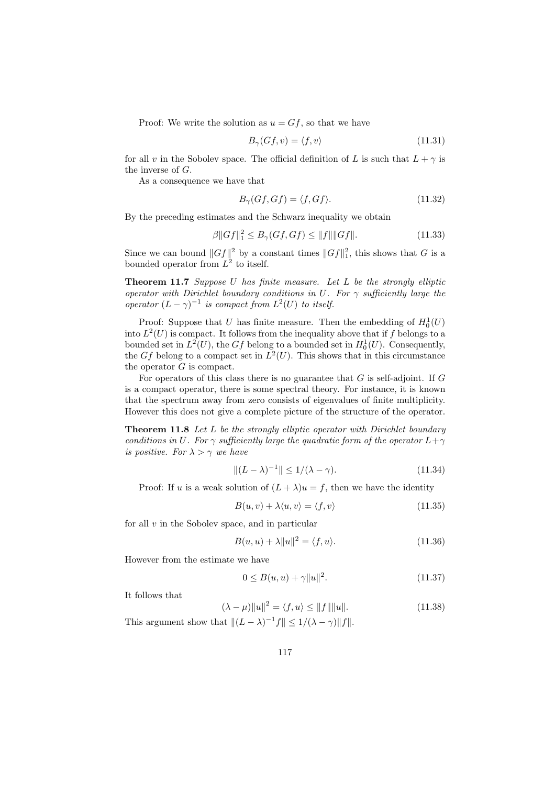Proof: We write the solution as  $u = Gf$ , so that we have

$$
B_{\gamma}(Gf, v) = \langle f, v \rangle \tag{11.31}
$$

for all v in the Sobolev space. The official definition of L is such that  $L + \gamma$  is the inverse of G.

As a consequence we have that

$$
B_{\gamma}(Gf, Gf) = \langle f, Gf \rangle. \tag{11.32}
$$

By the preceding estimates and the Schwarz inequality we obtain

$$
\beta ||Gf||_1^2 \le B_\gamma(Gf, Gf) \le ||f|| ||Gf||. \tag{11.33}
$$

Since we can bound  $||Gf||^2$  by a constant times  $||Gf||_1^2$ , this shows that G is a bounded operator from  $L^2$  to itself.

**Theorem 11.7** Suppose U has finite measure. Let L be the strongly elliptic operator with Dirichlet boundary conditions in U. For  $\gamma$  sufficiently large the operator  $(L - \gamma)^{-1}$  is compact from  $L^2(U)$  to itself.

Proof: Suppose that U has finite measure. Then the embedding of  $H_0^1(U)$ into  $L^2(U)$  is compact. It follows from the inequality above that if f belongs to a bounded set in  $L^2(U)$ , the Gf belong to a bounded set in  $H_0^1(U)$ . Consequently, the Gf belong to a compact set in  $L^2(U)$ . This shows that in this circumstance the operator  $G$  is compact.

For operators of this class there is no guarantee that  $G$  is self-adjoint. If  $G$ is a compact operator, there is some spectral theory. For instance, it is known that the spectrum away from zero consists of eigenvalues of finite multiplicity. However this does not give a complete picture of the structure of the operator.

Theorem 11.8 Let L be the strongly elliptic operator with Dirichlet boundary conditions in U. For  $\gamma$  sufficiently large the quadratic form of the operator  $L+\gamma$ is positive. For  $\lambda > \gamma$  we have

$$
||(L - \lambda)^{-1}|| \le 1/(\lambda - \gamma).
$$
 (11.34)

Proof: If u is a weak solution of  $(L + \lambda)u = f$ , then we have the identity

$$
B(u, v) + \lambda \langle u, v \rangle = \langle f, v \rangle \tag{11.35}
$$

for all  $v$  in the Sobolev space, and in particular

$$
B(u, u) + \lambda ||u||^2 = \langle f, u \rangle.
$$
\n(11.36)

However from the estimate we have

$$
0 \le B(u, u) + \gamma ||u||^2. \tag{11.37}
$$

It follows that

$$
(\lambda - \mu) \|u\|^2 = \langle f, u \rangle \le \|f\| \|u\|. \tag{11.38}
$$

This argument show that  $||(L - \lambda)^{-1}f|| \leq 1/(\lambda - \gamma) ||f||$ .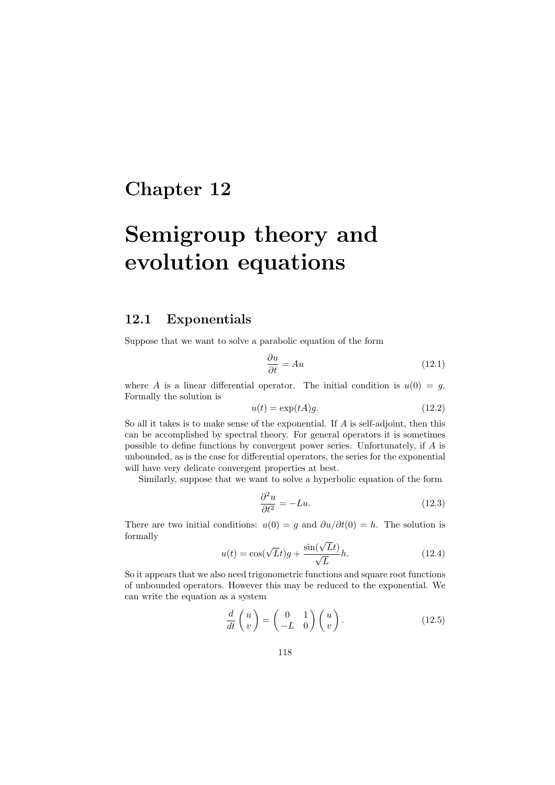### Chapter 12

# Semigroup theory and evolution equations

#### 12.1 Exponentials

Suppose that we want to solve a parabolic equation of the form

$$
\frac{\partial u}{\partial t} = Au \tag{12.1}
$$

where A is a linear differential operator. The initial condition is  $u(0) = g$ . Formally the solution is

$$
u(t) = \exp(tA)g.
$$
\n(12.2)

So all it takes is to make sense of the exponential. If A is self-adjoint, then this can be accomplished by spectral theory. For general operators it is sometimes possible to define functions by convergent power series. Unfortunately, if A is unbounded, as is the case for differential operators, the series for the exponential will have very delicate convergent properties at best.

Similarly, suppose that we want to solve a hyperbolic equation of the form

$$
\frac{\partial^2 u}{\partial t^2} = -Lu.\tag{12.3}
$$

There are two initial conditions:  $u(0) = g$  and  $\frac{\partial u}{\partial t}(0) = h$ . The solution is formally

$$
u(t) = \cos(\sqrt{L}t)g + \frac{\sin(\sqrt{L}t)}{\sqrt{L}}h.
$$
\n(12.4)

So it appears that we also need trigonometric functions and square root functions of unbounded operators. However this may be reduced to the exponential. We can write the equation as a system

$$
\frac{d}{dt}\begin{pmatrix} u \\ v \end{pmatrix} = \begin{pmatrix} 0 & 1 \\ -L & 0 \end{pmatrix} \begin{pmatrix} u \\ v \end{pmatrix}.
$$
 (12.5)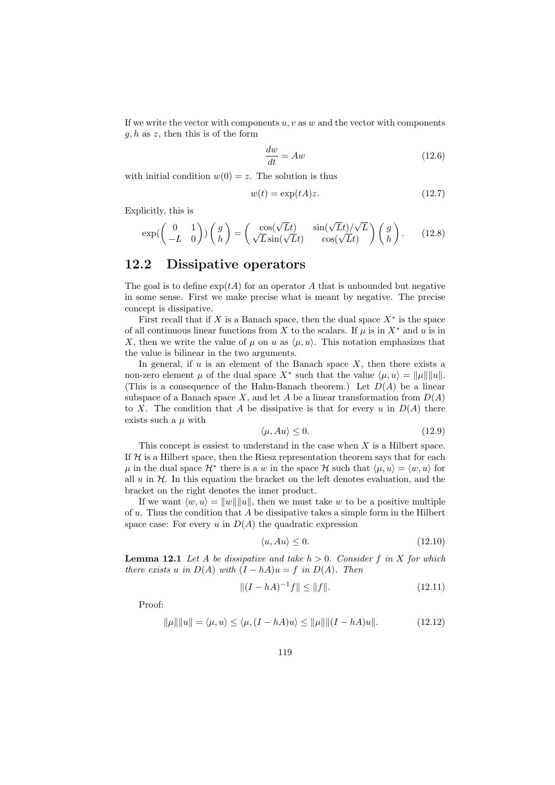If we write the vector with components  $u, v$  as w and the vector with components  $g, h$  as z, then this is of the form

$$
\frac{dw}{dt} = Aw \tag{12.6}
$$

with initial condition  $w(0) = z$ . The solution is thus

$$
w(t) = \exp(tA)z.
$$
\n(12.7)

Explicitly, this is

$$
\exp(\begin{pmatrix} 0 & 1 \\ -L & 0 \end{pmatrix}) \begin{pmatrix} g \\ h \end{pmatrix} = \begin{pmatrix} \cos(\sqrt{L}t) & \sin(\sqrt{L}t)/\sqrt{L} \\ \sqrt{L}\sin(\sqrt{L}t) & \cos(\sqrt{L}t) \end{pmatrix} \begin{pmatrix} g \\ h \end{pmatrix}.
$$
 (12.8)

#### 12.2 Dissipative operators

The goal is to define  $\exp(tA)$  for an operator A that is unbounded but negative in some sense. First we make precise what is meant by negative. The precise concept is dissipative.

First recall that if X is a Banach space, then the dual space  $X^*$  is the space of all continuous linear functions from X to the scalars. If  $\mu$  is in  $X^*$  and u is in X, then we write the value of  $\mu$  on u as  $\langle \mu, u \rangle$ . This notation emphasizes that the value is bilinear in the two arguments.

In general, if  $u$  is an element of the Banach space  $X$ , then there exists a non-zero element  $\mu$  of the dual space  $X^*$  such that the value  $\langle \mu, u \rangle = ||\mu|| ||u||$ . (This is a consequence of the Hahn-Banach theorem.) Let  $D(A)$  be a linear subspace of a Banach space X, and let A be a linear transformation from  $D(A)$ to X. The condition that A be dissipative is that for every u in  $D(A)$  there exists such a  $\mu$  with

$$
\langle \mu, Au \rangle \le 0. \tag{12.9}
$$

This concept is easiest to understand in the case when  $X$  is a Hilbert space. If  $H$  is a Hilbert space, then the Riesz representation theorem says that for each  $\mu$  in the dual space  $\mathcal{H}^*$  there is a w in the space  $\mathcal{H}$  such that  $\langle \mu, u \rangle = \langle w, u \rangle$  for all  $u$  in  $H$ . In this equation the bracket on the left denotes evaluation, and the bracket on the right denotes the inner product.

If we want  $\langle w, u \rangle = ||w|| ||u||$ , then we must take w to be a positive multiple of  $u$ . Thus the condition that  $A$  be dissipative takes a simple form in the Hilbert space case: For every u in  $D(A)$  the quadratic expression

$$
\langle u, Au \rangle \le 0. \tag{12.10}
$$

**Lemma 12.1** Let A be dissipative and take  $h > 0$ . Consider f in X for which there exists u in  $D(A)$  with  $(I - hA)u = f$  in  $D(A)$ . Then

$$
||(I - hA)^{-1}f|| \le ||f||. \tag{12.11}
$$

Proof:

$$
\|\mu\| \|u\| = \langle \mu, u \rangle \le \langle \mu, (I - hA)u \rangle \le \|\mu\| \| (I - hA)u \|.
$$
 (12.12)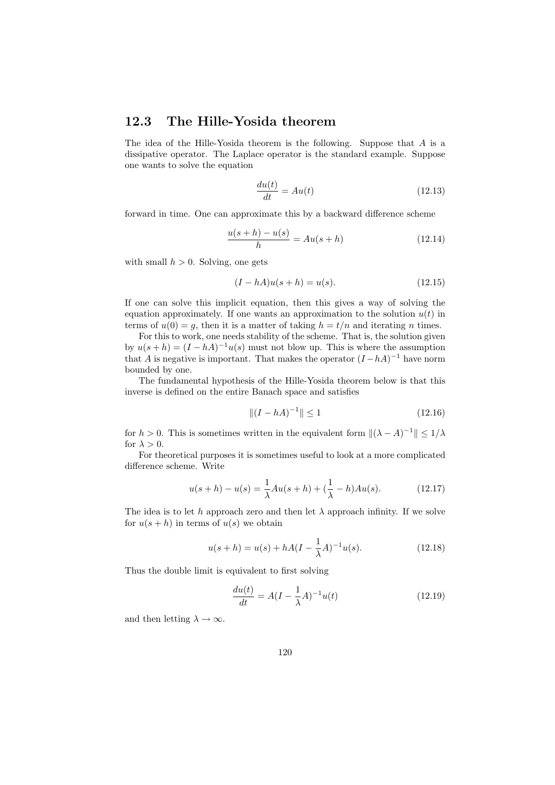#### 12.3 The Hille-Yosida theorem

The idea of the Hille-Yosida theorem is the following. Suppose that A is a dissipative operator. The Laplace operator is the standard example. Suppose one wants to solve the equation

$$
\frac{du(t)}{dt} = Au(t) \tag{12.13}
$$

forward in time. One can approximate this by a backward difference scheme

$$
\frac{u(s+h) - u(s)}{h} = Au(s+h)
$$
 (12.14)

with small  $h > 0$ . Solving, one gets

$$
(I - hA)u(s + h) = u(s).
$$
 (12.15)

If one can solve this implicit equation, then this gives a way of solving the equation approximately. If one wants an approximation to the solution  $u(t)$  in terms of  $u(0) = g$ , then it is a matter of taking  $h = t/n$  and iterating n times.

For this to work, one needs stability of the scheme. That is, the solution given by  $u(s+h) = (I - hA)^{-1}u(s)$  must not blow up. This is where the assumption that A is negative is important. That makes the operator  $(I - hA)^{-1}$  have norm bounded by one.

The fundamental hypothesis of the Hille-Yosida theorem below is that this inverse is defined on the entire Banach space and satisfies

$$
||(I - hA)^{-1}|| \le 1\tag{12.16}
$$

for  $h > 0$ . This is sometimes written in the equivalent form  $\|(\lambda - A)^{-1}\| \leq 1/\lambda$ for  $\lambda > 0$ .

For theoretical purposes it is sometimes useful to look at a more complicated difference scheme. Write

$$
u(s+h) - u(s) = \frac{1}{\lambda}Au(s+h) + (\frac{1}{\lambda} - h)Au(s).
$$
 (12.17)

The idea is to let h approach zero and then let  $\lambda$  approach infinity. If we solve for  $u(s+h)$  in terms of  $u(s)$  we obtain

$$
u(s+h) = u(s) + hA(I - \frac{1}{\lambda}A)^{-1}u(s).
$$
 (12.18)

Thus the double limit is equivalent to first solving

$$
\frac{du(t)}{dt} = A(I - \frac{1}{\lambda}A)^{-1}u(t)
$$
\n(12.19)

and then letting  $\lambda \to \infty$ .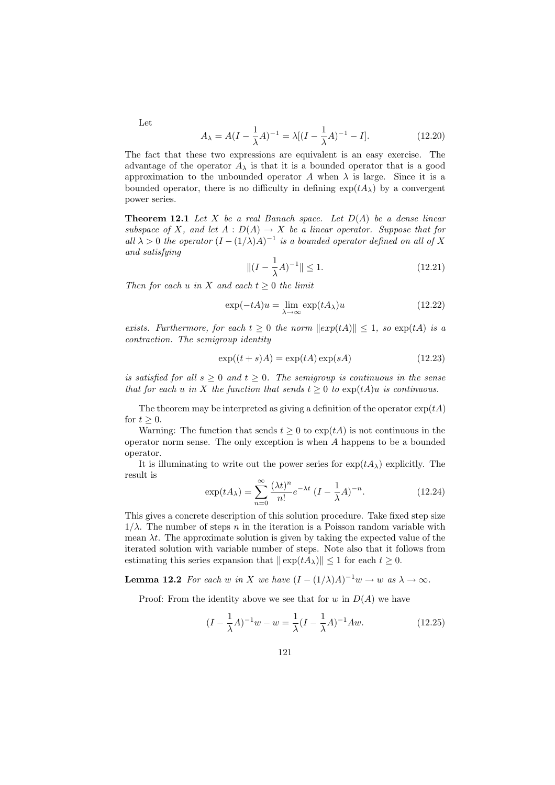$$
A_{\lambda} = A(I - \frac{1}{\lambda}A)^{-1} = \lambda[(I - \frac{1}{\lambda}A)^{-1} - I].
$$
 (12.20)

The fact that these two expressions are equivalent is an easy exercise. The advantage of the operator  $A_{\lambda}$  is that it is a bounded operator that is a good approximation to the unbounded operator A when  $\lambda$  is large. Since it is a bounded operator, there is no difficulty in defining  $\exp(tA_\lambda)$  by a convergent power series.

**Theorem 12.1** Let X be a real Banach space. Let  $D(A)$  be a dense linear subspace of X, and let  $A: D(A) \to X$  be a linear operator. Suppose that for all  $\lambda > 0$  the operator  $(I - (1/\lambda)A)^{-1}$  is a bounded operator defined on all of X and satisfying

$$
\|(I - \frac{1}{\lambda}A)^{-1}\| \le 1.
$$
\n(12.21)

Then for each u in X and each  $t \geq 0$  the limit

$$
\exp(-tA)u = \lim_{\lambda \to \infty} \exp(tA_{\lambda})u \tag{12.22}
$$

exists. Furthermore, for each  $t \geq 0$  the norm  $\|exp(tA)\| \leq 1$ , so  $exp(tA)$  is a contraction. The semigroup identity

$$
\exp((t+s)A) = \exp(tA)\exp(sA) \tag{12.23}
$$

is satisfied for all  $s \geq 0$  and  $t \geq 0$ . The semigroup is continuous in the sense that for each u in X the function that sends  $t \geq 0$  to  $\exp(tA)u$  is continuous.

The theorem may be interpreted as giving a definition of the operator  $\exp(tA)$ for  $t \geq 0$ .

Warning: The function that sends  $t \geq 0$  to  $\exp(tA)$  is not continuous in the operator norm sense. The only exception is when A happens to be a bounded operator.

It is illuminating to write out the power series for  $\exp(tA_\lambda)$  explicitly. The result is

$$
\exp(tA_{\lambda}) = \sum_{n=0}^{\infty} \frac{(\lambda t)^n}{n!} e^{-\lambda t} \left(I - \frac{1}{\lambda}A\right)^{-n}.
$$
 (12.24)

This gives a concrete description of this solution procedure. Take fixed step size  $1/\lambda$ . The number of steps n in the iteration is a Poisson random variable with mean  $\lambda t$ . The approximate solution is given by taking the expected value of the iterated solution with variable number of steps. Note also that it follows from estimating this series expansion that  $\|\exp(tA_\lambda)\| \leq 1$  for each  $t \geq 0$ .

**Lemma 12.2** For each w in X we have  $(I - (1/\lambda)A)^{-1}w \to w$  as  $\lambda \to \infty$ .

Proof: From the identity above we see that for w in  $D(A)$  we have

$$
(I - \frac{1}{\lambda}A)^{-1}w - w = \frac{1}{\lambda}(I - \frac{1}{\lambda}A)^{-1}Aw.
$$
 (12.25)

121

Let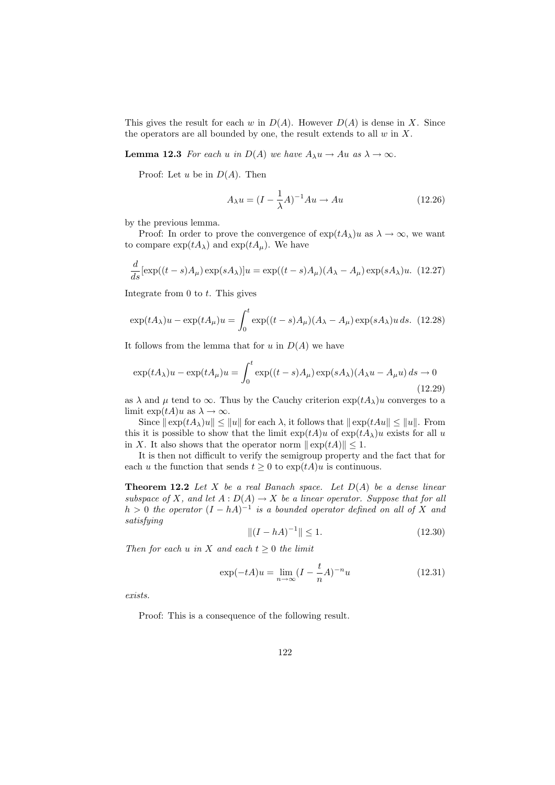This gives the result for each w in  $D(A)$ . However  $D(A)$  is dense in X. Since the operators are all bounded by one, the result extends to all  $w$  in  $X$ .

**Lemma 12.3** For each u in  $D(A)$  we have  $A_{\lambda}u \to Au$  as  $\lambda \to \infty$ .

Proof: Let u be in  $D(A)$ . Then

$$
A_{\lambda}u = (I - \frac{1}{\lambda}A)^{-1}Au \to Au \tag{12.26}
$$

by the previous lemma.

Proof: In order to prove the convergence of  $\exp(tA_\lambda)u$  as  $\lambda \to \infty$ , we want to compare  $\exp(tA_\lambda)$  and  $\exp(tA_\mu)$ . We have

$$
\frac{d}{ds}[\exp((t-s)A_{\mu})\exp(sA_{\lambda})]u = \exp((t-s)A_{\mu})(A_{\lambda} - A_{\mu})\exp(sA_{\lambda})u.
$$
 (12.27)

Integrate from  $0$  to  $t$ . This gives

$$
\exp(tA_{\lambda})u - \exp(tA_{\mu})u = \int_0^t \exp((t-s)A_{\mu})(A_{\lambda} - A_{\mu})\exp(sA_{\lambda})u ds. \tag{12.28}
$$

It follows from the lemma that for u in  $D(A)$  we have

$$
\exp(tA_{\lambda})u - \exp(tA_{\mu})u = \int_0^t \exp((t-s)A_{\mu})\exp(sA_{\lambda})(A_{\lambda}u - A_{\mu}u) ds \to 0
$$
\n(12.29)

as  $\lambda$  and  $\mu$  tend to  $\infty$ . Thus by the Cauchy criterion  $\exp(tA_\lambda)u$  converges to a limit  $\exp(tA)u$  as  $\lambda \to \infty$ .

Since  $\|\exp(tA_\lambda)u\| \leq \|u\|$  for each  $\lambda$ , it follows that  $\|\exp(tAu\| \leq \|u\|$ . From this it is possible to show that the limit  $\exp(tA)u$  of  $\exp(tA_{\lambda})u$  exists for all u in X. It also shows that the operator norm  $\|\exp(tA)\| \leq 1$ .

It is then not difficult to verify the semigroup property and the fact that for each u the function that sends  $t \geq 0$  to  $\exp(tA)u$  is continuous.

**Theorem 12.2** Let X be a real Banach space. Let  $D(A)$  be a dense linear subspace of X, and let  $A: D(A) \to X$  be a linear operator. Suppose that for all  $h > 0$  the operator  $(I - hA)^{-1}$  is a bounded operator defined on all of X and satisfying

$$
||(I - hA)^{-1}|| \le 1.
$$
\n(12.30)

Then for each u in X and each  $t \geq 0$  the limit

$$
\exp(-tA)u = \lim_{n \to \infty} (I - \frac{t}{n}A)^{-n}u
$$
\n(12.31)

exists.

Proof: This is a consequence of the following result.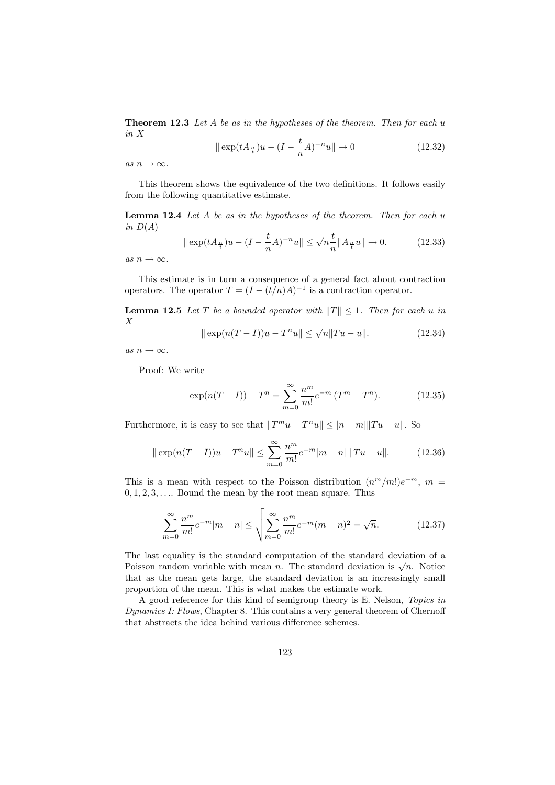Theorem 12.3 Let A be as in the hypotheses of the theorem. Then for each u in X

$$
\|\exp(tA_{\frac{n}{t}})u - (I - \frac{t}{n}A)^{-n}u\| \to 0
$$
\n(12.32)

as  $n \to \infty$ .

This theorem shows the equivalence of the two definitions. It follows easily from the following quantitative estimate.

**Lemma 12.4** Let  $A$  be as in the hypotheses of the theorem. Then for each  $u$ in  $D(A)$ 

$$
\|\exp(tA_{\frac{n}{t}})u - (I - \frac{t}{n}A)^{-n}u\| \le \sqrt{n}\frac{t}{n}\|A_{\frac{n}{t}}u\| \to 0. \tag{12.33}
$$

as  $n \to \infty$ .

This estimate is in turn a consequence of a general fact about contraction operators. The operator  $T = (I - (t/n)A)^{-1}$  is a contraction operator.

**Lemma 12.5** Let T be a bounded operator with  $||T|| \leq 1$ . Then for each u in X

$$
\|\exp(n(T - I))u - T^n u\| \le \sqrt{n} \|Tu - u\|.
$$
 (12.34)

as  $n \to \infty$ .

Proof: We write

$$
\exp(n(T - I)) - T^n = \sum_{m=0}^{\infty} \frac{n^m}{m!} e^{-m} (T^m - T^n). \tag{12.35}
$$

Furthermore, it is easy to see that  $||T^m u - T^n u|| \leq |n - m| ||Tu - u||$ . So

$$
\|\exp(n(T-I))u - T^n u\| \le \sum_{m=0}^{\infty} \frac{n^m}{m!} e^{-m}|m-n| \|Tu - u\|.
$$
 (12.36)

This is a mean with respect to the Poisson distribution  $(n^m/m!)e^{-m}$ ,  $m =$  $0, 1, 2, 3, \ldots$  Bound the mean by the root mean square. Thus

$$
\sum_{m=0}^{\infty} \frac{n^m}{m!} e^{-m} |m - n| \le \sqrt{\sum_{m=0}^{\infty} \frac{n^m}{m!} e^{-m} (m - n)^2} = \sqrt{n}.
$$
 (12.37)

The last equality is the standard computation of the standard deviation of a The last equality is the standard computation of the standard deviation of a<br>Poisson random variable with mean n. The standard deviation is  $\sqrt{n}$ . Notice that as the mean gets large, the standard deviation is an increasingly small proportion of the mean. This is what makes the estimate work.

A good reference for this kind of semigroup theory is E. Nelson, Topics in Dynamics I: Flows, Chapter 8. This contains a very general theorem of Chernoff that abstracts the idea behind various difference schemes.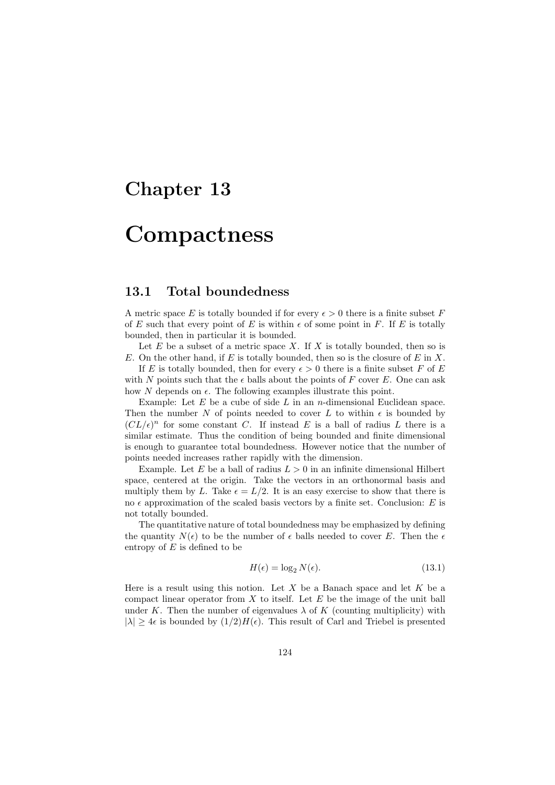### Chapter 13

## **Compactness**

#### 13.1 Total boundedness

A metric space E is totally bounded if for every  $\epsilon > 0$  there is a finite subset F of E such that every point of E is within  $\epsilon$  of some point in F. If E is totally bounded, then in particular it is bounded.

Let  $E$  be a subset of a metric space  $X$ . If  $X$  is totally bounded, then so is E. On the other hand, if E is totally bounded, then so is the closure of E in X.

If E is totally bounded, then for every  $\epsilon > 0$  there is a finite subset F of E with N points such that the  $\epsilon$  balls about the points of F cover E. One can ask how N depends on  $\epsilon$ . The following examples illustrate this point.

Example: Let  $E$  be a cube of side  $L$  in an *n*-dimensional Euclidean space. Then the number N of points needed to cover L to within  $\epsilon$  is bounded by  $(CL/\epsilon)^n$  for some constant C. If instead E is a ball of radius L there is a similar estimate. Thus the condition of being bounded and finite dimensional is enough to guarantee total boundedness. However notice that the number of points needed increases rather rapidly with the dimension.

Example. Let E be a ball of radius  $L > 0$  in an infinite dimensional Hilbert space, centered at the origin. Take the vectors in an orthonormal basis and multiply them by L. Take  $\epsilon = L/2$ . It is an easy exercise to show that there is no  $\epsilon$  approximation of the scaled basis vectors by a finite set. Conclusion: E is not totally bounded.

The quantitative nature of total boundedness may be emphasized by defining the quantity  $N(\epsilon)$  to be the number of  $\epsilon$  balls needed to cover E. Then the  $\epsilon$ entropy of  $E$  is defined to be

$$
H(\epsilon) = \log_2 N(\epsilon). \tag{13.1}
$$

Here is a result using this notion. Let  $X$  be a Banach space and let  $K$  be a compact linear operator from  $X$  to itself. Let  $E$  be the image of the unit ball under K. Then the number of eigenvalues  $\lambda$  of K (counting multiplicity) with  $|\lambda| > 4\epsilon$  is bounded by  $(1/2)H(\epsilon)$ . This result of Carl and Triebel is presented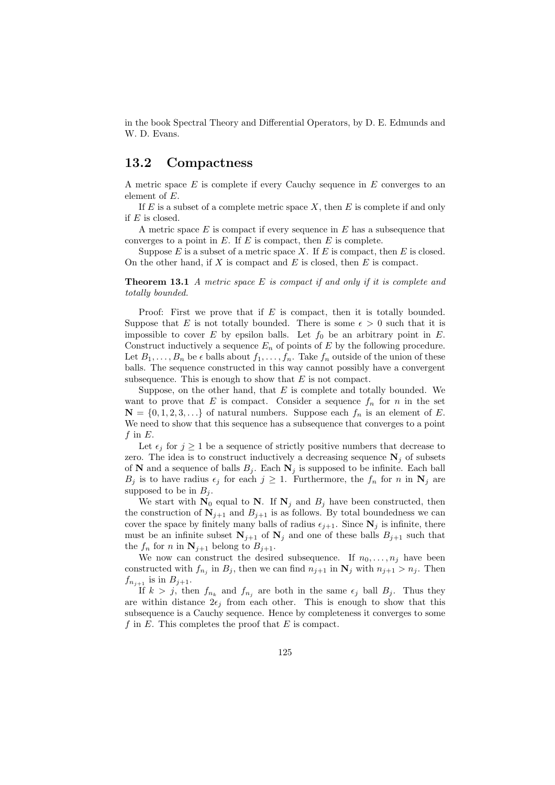in the book Spectral Theory and Differential Operators, by D. E. Edmunds and W. D. Evans.

#### 13.2 Compactness

A metric space E is complete if every Cauchy sequence in E converges to an element of E.

If  $E$  is a subset of a complete metric space  $X$ , then  $E$  is complete if and only if  $E$  is closed.

A metric space  $E$  is compact if every sequence in  $E$  has a subsequence that converges to a point in  $E$ . If  $E$  is compact, then  $E$  is complete.

Suppose  $E$  is a subset of a metric space X. If  $E$  is compact, then  $E$  is closed. On the other hand, if  $X$  is compact and  $E$  is closed, then  $E$  is compact.

**Theorem 13.1** A metric space E is compact if and only if it is complete and totally bounded.

Proof: First we prove that if  $E$  is compact, then it is totally bounded. Suppose that E is not totally bounded. There is some  $\epsilon > 0$  such that it is impossible to cover  $E$  by epsilon balls. Let  $f_0$  be an arbitrary point in  $E$ . Construct inductively a sequence  $E_n$  of points of E by the following procedure. Let  $B_1, \ldots, B_n$  be  $\epsilon$  balls about  $f_1, \ldots, f_n$ . Take  $f_n$  outside of the union of these balls. The sequence constructed in this way cannot possibly have a convergent subsequence. This is enough to show that  $E$  is not compact.

Suppose, on the other hand, that  $E$  is complete and totally bounded. We want to prove that E is compact. Consider a sequence  $f_n$  for n in the set  $N = \{0, 1, 2, 3, \ldots\}$  of natural numbers. Suppose each  $f_n$  is an element of E. We need to show that this sequence has a subsequence that converges to a point f in  $E$ .

Let  $\epsilon_i$  for  $j \geq 1$  be a sequence of strictly positive numbers that decrease to zero. The idea is to construct inductively a decreasing sequence  $N_i$  of subsets of **N** and a sequence of balls  $B_j$ . Each  $N_j$  is supposed to be infinite. Each ball  $B_j$  is to have radius  $\epsilon_j$  for each  $j \geq 1$ . Furthermore, the  $f_n$  for n in  $N_j$  are supposed to be in  $B_j$ .

We start with  $N_0$  equal to N. If  $N_j$  and  $B_j$  have been constructed, then the construction of  $N_{j+1}$  and  $B_{j+1}$  is as follows. By total boundedness we can cover the space by finitely many balls of radius  $\epsilon_{j+1}$ . Since  $N_j$  is infinite, there must be an infinite subset  $N_{i+1}$  of  $N_i$  and one of these balls  $B_{i+1}$  such that the  $f_n$  for n in  $N_{i+1}$  belong to  $B_{i+1}$ .

We now can construct the desired subsequence. If  $n_0, \ldots, n_j$  have been constructed with  $f_{n_j}$  in  $B_j$ , then we can find  $n_{j+1}$  in  $N_j$  with  $n_{j+1} > n_j$ . Then  $f_{n_{j+1}}$  is in  $B_{j+1}$ .

If  $k > j$ , then  $f_{n_k}$  and  $f_{n_j}$  are both in the same  $\epsilon_j$  ball  $B_j$ . Thus they are within distance  $2\epsilon_j$  from each other. This is enough to show that this subsequence is a Cauchy sequence. Hence by completeness it converges to some f in E. This completes the proof that  $E$  is compact.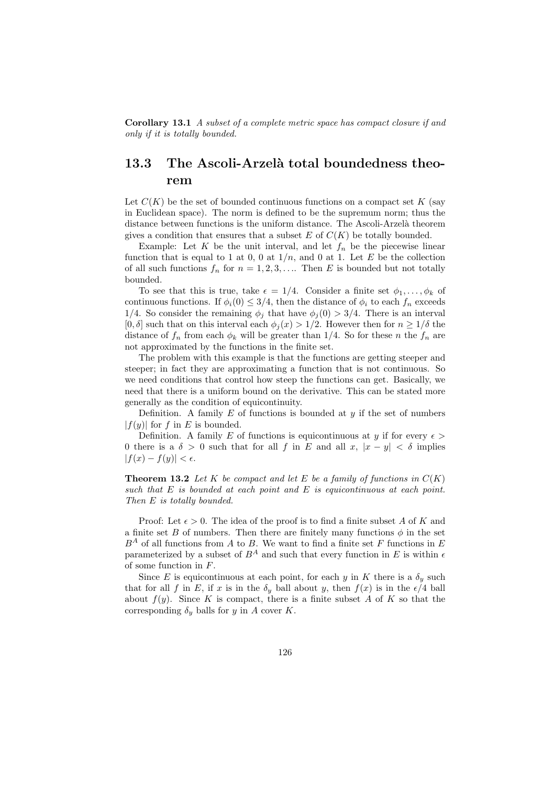Corollary 13.1 A subset of a complete metric space has compact closure if and only if it is totally bounded.

### 13.3 The Ascoli-Arzelà total boundedness theorem

Let  $C(K)$  be the set of bounded continuous functions on a compact set K (say in Euclidean space). The norm is defined to be the supremum norm; thus the distance between functions is the uniform distance. The Ascoli-Arzelà theorem gives a condition that ensures that a subset  $E$  of  $C(K)$  be totally bounded.

Example: Let K be the unit interval, and let  $f_n$  be the piecewise linear function that is equal to 1 at 0, 0 at  $1/n$ , and 0 at 1. Let E be the collection of all such functions  $f_n$  for  $n = 1, 2, 3, \ldots$  Then E is bounded but not totally bounded.

To see that this is true, take  $\epsilon = 1/4$ . Consider a finite set  $\phi_1, \ldots, \phi_k$  of continuous functions. If  $\phi_i(0) \leq 3/4$ , then the distance of  $\phi_i$  to each  $f_n$  exceeds 1/4. So consider the remaining  $\phi_i$  that have  $\phi_i(0) > 3/4$ . There is an interval  $[0, \delta]$  such that on this interval each  $\phi_j(x) > 1/2$ . However then for  $n \geq 1/\delta$  the distance of  $f_n$  from each  $\phi_k$  will be greater than 1/4. So for these n the  $f_n$  are not approximated by the functions in the finite set.

The problem with this example is that the functions are getting steeper and steeper; in fact they are approximating a function that is not continuous. So we need conditions that control how steep the functions can get. Basically, we need that there is a uniform bound on the derivative. This can be stated more generally as the condition of equicontinuity.

Definition. A family  $E$  of functions is bounded at  $y$  if the set of numbers  $|f(y)|$  for f in E is bounded.

Definition. A family E of functions is equicontinuous at y if for every  $\epsilon$ 0 there is a  $\delta > 0$  such that for all f in E and all x,  $|x - y| < \delta$  implies  $|f(x) - f(y)| < \epsilon.$ 

**Theorem 13.2** Let K be compact and let E be a family of functions in  $C(K)$ such that  $E$  is bounded at each point and  $E$  is equicontinuous at each point. Then E is totally bounded.

Proof: Let  $\epsilon > 0$ . The idea of the proof is to find a finite subset A of K and a finite set B of numbers. Then there are finitely many functions  $\phi$  in the set  $B^A$  of all functions from A to B. We want to find a finite set F functions in E parameterized by a subset of  $B^A$  and such that every function in E is within  $\epsilon$ of some function in F.

Since E is equicontinuous at each point, for each y in K there is a  $\delta_y$  such that for all f in E, if x is in the  $\delta_y$  ball about y, then  $f(x)$  is in the  $\epsilon/4$  ball about  $f(y)$ . Since K is compact, there is a finite subset A of K so that the corresponding  $\delta_y$  balls for y in A cover K.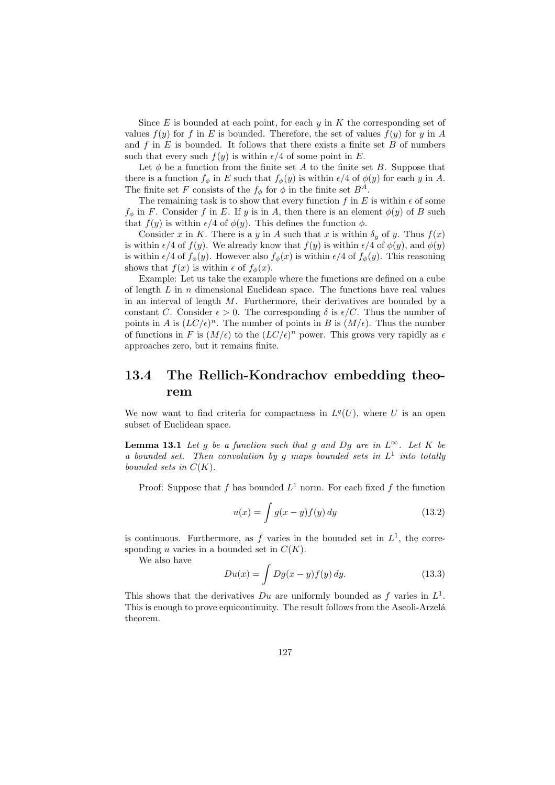Since  $E$  is bounded at each point, for each  $y$  in  $K$  the corresponding set of values  $f(y)$  for f in E is bounded. Therefore, the set of values  $f(y)$  for y in A and  $f$  in  $E$  is bounded. It follows that there exists a finite set  $B$  of numbers such that every such  $f(y)$  is within  $\epsilon/4$  of some point in E.

Let  $\phi$  be a function from the finite set A to the finite set B. Suppose that there is a function  $f_{\phi}$  in E such that  $f_{\phi}(y)$  is within  $\epsilon/4$  of  $\phi(y)$  for each y in A. The finite set F consists of the  $f_{\phi}$  for  $\phi$  in the finite set  $B^A$ .

The remaining task is to show that every function f in E is within  $\epsilon$  of some  $f_{\phi}$  in F. Consider f in E. If y is in A, then there is an element  $\phi(y)$  of B such that  $f(y)$  is within  $\epsilon/4$  of  $\phi(y)$ . This defines the function  $\phi$ .

Consider x in K. There is a y in A such that x is within  $\delta_y$  of y. Thus  $f(x)$ is within  $\epsilon/4$  of  $f(y)$ . We already know that  $f(y)$  is within  $\epsilon/4$  of  $\phi(y)$ , and  $\phi(y)$ is within  $\epsilon/4$  of  $f_{\phi}(y)$ . However also  $f_{\phi}(x)$  is within  $\epsilon/4$  of  $f_{\phi}(y)$ . This reasoning shows that  $f(x)$  is within  $\epsilon$  of  $f_{\phi}(x)$ .

Example: Let us take the example where the functions are defined on a cube of length  $L$  in  $n$  dimensional Euclidean space. The functions have real values in an interval of length  $M$ . Furthermore, their derivatives are bounded by a constant C. Consider  $\epsilon > 0$ . The corresponding  $\delta$  is  $\epsilon/C$ . Thus the number of points in A is  $(LC/\epsilon)^n$ . The number of points in B is  $(M/\epsilon)$ . Thus the number of functions in F is  $(M/\epsilon)$  to the  $(LC/\epsilon)^n$  power. This grows very rapidly as  $\epsilon$ approaches zero, but it remains finite.

### 13.4 The Rellich-Kondrachov embedding theorem

We now want to find criteria for compactness in  $L^q(U)$ , where U is an open subset of Euclidean space.

**Lemma 13.1** Let g be a function such that g and Dg are in  $L^{\infty}$ . Let K be a bounded set. Then convolution by g maps bounded sets in  $L^1$  into totally bounded sets in  $C(K)$ .

Proof: Suppose that f has bounded  $L^1$  norm. For each fixed f the function

$$
u(x) = \int g(x - y) f(y) dy
$$
\n(13.2)

is continuous. Furthermore, as f varies in the bounded set in  $L^1$ , the corresponding u varies in a bounded set in  $C(K)$ .

We also have

$$
Du(x) = \int Dg(x - y)f(y) dy.
$$
 (13.3)

This shows that the derivatives  $Du$  are uniformly bounded as f varies in  $L^1$ . This is enough to prove equicontinuity. The result follows from the Ascoli-Arzelá theorem.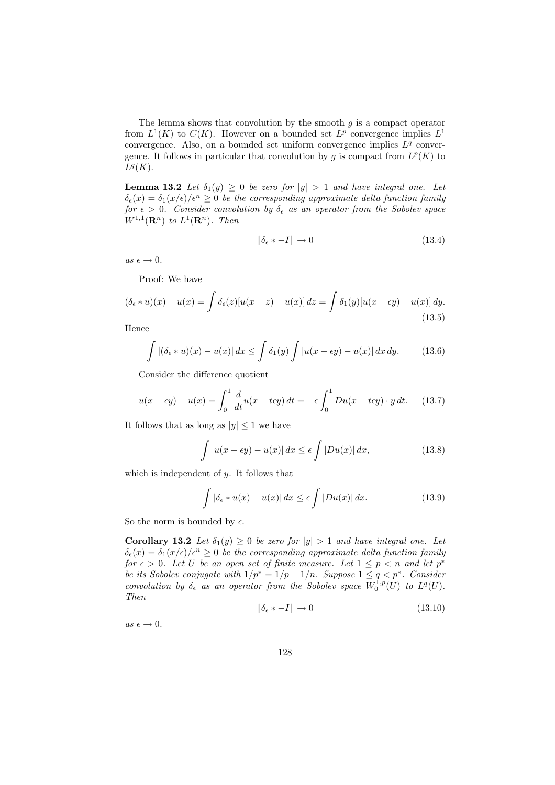The lemma shows that convolution by the smooth  $g$  is a compact operator from  $L^1(K)$  to  $C(K)$ . However on a bounded set  $L^p$  convergence implies  $L^1$ convergence. Also, on a bounded set uniform convergence implies  $L<sup>q</sup>$  convergence. It follows in particular that convolution by g is compact from  $L^p(K)$  to  $L^q(K)$ .

**Lemma 13.2** Let  $\delta_1(y) \geq 0$  be zero for  $|y| > 1$  and have integral one. Let  $\delta_{\epsilon}(x) = \delta_1(x/\epsilon)/\epsilon^n \geq 0$  be the corresponding approximate delta function family for  $\epsilon > 0$ . Consider convolution by  $\delta_{\epsilon}$  as an operator from the Sobolev space  $W^{1,1}(\mathbf{R}^n)$  to  $L^1(\mathbf{R}^n)$ . Then

$$
\|\delta_{\epsilon} * -I\| \to 0 \tag{13.4}
$$

 $as \epsilon \rightarrow 0.$ 

Proof: We have

$$
(\delta_{\epsilon} * u)(x) - u(x) = \int \delta_{\epsilon}(z)[u(x - z) - u(x)] dz = \int \delta_{1}(y)[u(x - \epsilon y) - u(x)] dy.
$$
\n(13.5)

Hence

$$
\int |(\delta_{\epsilon} * u)(x) - u(x)| dx \le \int \delta_1(y) \int |u(x - \epsilon y) - u(x)| dx dy.
$$
 (13.6)

Consider the difference quotient

$$
u(x - \epsilon y) - u(x) = \int_0^1 \frac{d}{dt} u(x - t\epsilon y) dt = -\epsilon \int_0^1 Du(x - t\epsilon y) \cdot y dt.
$$
 (13.7)

It follows that as long as  $|y| \leq 1$  we have

$$
\int |u(x - \epsilon y) - u(x)| dx \le \epsilon \int |Du(x)| dx,
$$
\n(13.8)

which is independent of  $y$ . It follows that

$$
\int |\delta_{\epsilon} * u(x) - u(x)| dx \le \epsilon \int |Du(x)| dx.
$$
 (13.9)

So the norm is bounded by  $\epsilon$ .

**Corollary 13.2** Let  $\delta_1(y) \geq 0$  be zero for  $|y| > 1$  and have integral one. Let  $\delta_{\epsilon}(x) = \delta_1(x/\epsilon)/\epsilon^n \geq 0$  be the corresponding approximate delta function family for  $\epsilon > 0$ . Let U be an open set of finite measure. Let  $1 \leq p < n$  and let  $p^*$ be its Sobolev conjugate with  $1/p^* = 1/p - 1/n$ . Suppose  $1 \leq q < p^*$ . Consider convolution by  $\delta_{\epsilon}$  as an operator from the Sobolev space  $\overline{W}^{\hat{1},p}_0(U)$  to  $L^q(U)$ . Then

$$
\|\delta_{\epsilon} * -I\| \to 0 \tag{13.10}
$$

 $as \epsilon \rightarrow 0.$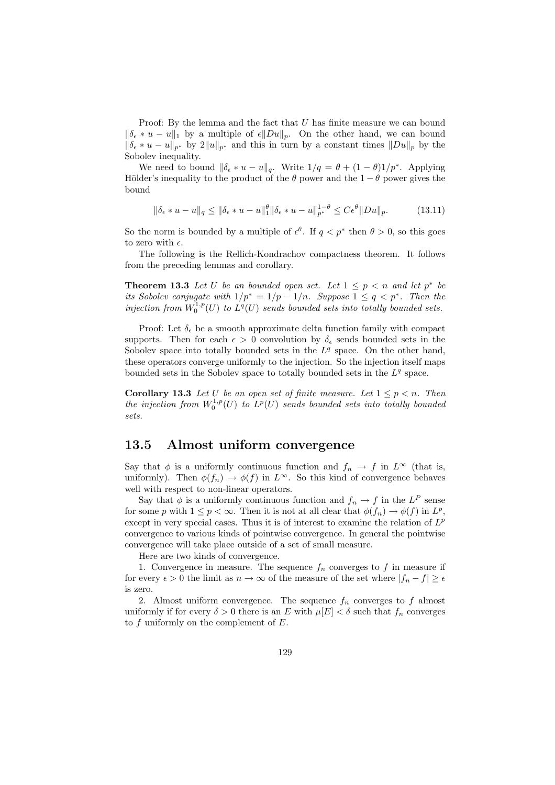Proof: By the lemma and the fact that  $U$  has finite measure we can bound  $\|\delta_{\epsilon} * u - u\|_{1}$  by a multiple of  $\epsilon \|Du\|_{p}$ . On the other hand, we can bound  $\|\delta_{\epsilon} * u - u\|_{p^*}$  by 2 $\|u\|_{p^*}$  and this in turn by a constant times  $\|Du\|_p$  by the Sobolev inequality.

We need to bound  $\|\delta_{\epsilon} * u - u\|_{q}$ . Write  $1/q = \theta + (1 - \theta)1/p^*$ . Applying Hölder's inequality to the product of the  $\theta$  power and the  $1 - \theta$  power gives the bound

$$
\|\delta_{\epsilon} * u - u\|_{q} \le \|\delta_{\epsilon} * u - u\|_{1}^{\theta} \|\delta_{\epsilon} * u - u\|_{p^{*}}^{1-\theta} \le C\epsilon^{\theta} \|Du\|_{p}.
$$
 (13.11)

So the norm is bounded by a multiple of  $\epsilon^{\theta}$ . If  $q < p^*$  then  $\theta > 0$ , so this goes to zero with  $\epsilon$ .

The following is the Rellich-Kondrachov compactness theorem. It follows from the preceding lemmas and corollary.

**Theorem 13.3** Let U be an bounded open set. Let  $1 \leq p \leq n$  and let  $p^*$  be its Sobolev conjugate with  $1/p^* = 1/p - 1/n$ . Suppose  $1 \leq q \leq p^*$ . Then the injection from  $W_0^{1,p}(U)$  to  $L^q(U)$  sends bounded sets into totally bounded sets.

Proof: Let  $\delta_{\epsilon}$  be a smooth approximate delta function family with compact supports. Then for each  $\epsilon > 0$  convolution by  $\delta_{\epsilon}$  sends bounded sets in the Sobolev space into totally bounded sets in the  $L<sup>q</sup>$  space. On the other hand, these operators converge uniformly to the injection. So the injection itself maps bounded sets in the Sobolev space to totally bounded sets in the  $L<sup>q</sup>$  space.

**Corollary 13.3** Let U be an open set of finite measure. Let  $1 \leq p \leq n$ . Then the injection from  $W_0^{1,p}(U)$  to  $L^p(U)$  sends bounded sets into totally bounded sets.

#### 13.5 Almost uniform convergence

Say that  $\phi$  is a uniformly continuous function and  $f_n \to f$  in  $L^{\infty}$  (that is, uniformly). Then  $\phi(f_n) \to \phi(f)$  in  $L^{\infty}$ . So this kind of convergence behaves well with respect to non-linear operators.

Say that  $\phi$  is a uniformly continuous function and  $f_n \to f$  in the  $L^P$  sense for some p with  $1 \le p < \infty$ . Then it is not at all clear that  $\phi(f_n) \to \phi(f)$  in  $L^p$ , except in very special cases. Thus it is of interest to examine the relation of  $L^p$ convergence to various kinds of pointwise convergence. In general the pointwise convergence will take place outside of a set of small measure.

Here are two kinds of convergence.

1. Convergence in measure. The sequence  $f_n$  converges to f in measure if for every  $\epsilon > 0$  the limit as  $n \to \infty$  of the measure of the set where  $|f_n - f| \ge \epsilon$ is zero.

2. Almost uniform convergence. The sequence  $f_n$  converges to f almost uniformly if for every  $\delta > 0$  there is an E with  $\mu[E] < \delta$  such that  $f_n$  converges to  $f$  uniformly on the complement of  $E$ .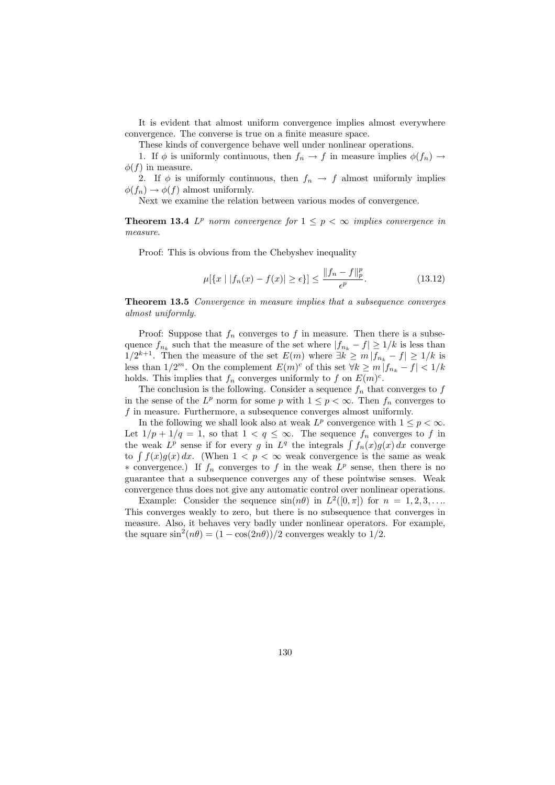It is evident that almost uniform convergence implies almost everywhere convergence. The converse is true on a finite measure space.

These kinds of convergence behave well under nonlinear operations.

1. If  $\phi$  is uniformly continuous, then  $f_n \to f$  in measure implies  $\phi(f_n) \to$  $\phi(f)$  in measure.

2. If  $\phi$  is uniformly continuous, then  $f_n \to f$  almost uniformly implies  $\phi(f_n) \to \phi(f)$  almost uniformly.

Next we examine the relation between various modes of convergence.

**Theorem 13.4**  $L^p$  norm convergence for  $1 \leq p < \infty$  implies convergence in measure.

Proof: This is obvious from the Chebyshev inequality

$$
\mu[\{x \mid |f_n(x) - f(x)| \ge \epsilon\}] \le \frac{\|f_n - f\|_p^p}{\epsilon^p}.
$$
\n(13.12)

Theorem 13.5 Convergence in measure implies that a subsequence converges almost uniformly.

Proof: Suppose that  $f_n$  converges to f in measure. Then there is a subsequence  $f_{n_k}$  such that the measure of the set where  $|f_{n_k} - f| \geq 1/k$  is less than  $1/2^{k+1}$ . Then the measure of the set  $E(m)$  where  $\exists k \geq m |f_{n_k} - f| \geq 1/k$  is less than  $1/2^m$ . On the complement  $E(m)^c$  of this set  $\forall k \ge m |f_{n_k} - f| < 1/k$ holds. This implies that  $f_n$  converges uniformly to f on  $E(m)^c$ .

The conclusion is the following. Consider a sequence  $f_n$  that converges to f in the sense of the  $L^p$  norm for some p with  $1 \leq p < \infty$ . Then  $f_n$  converges to f in measure. Furthermore, a subsequence converges almost uniformly.

In the following we shall look also at weak  $L^p$  convergence with  $1 \leq p < \infty$ . Let  $1/p + 1/q = 1$ , so that  $1 < q \leq \infty$ . The sequence  $f_n$  converges to f in Let  $1/p + 1/q = 1$ , so that  $1 < q \le \infty$ . The sequence  $f_n$  converges to f in the weak  $L^p$  sense if for every g in  $L^q$  the integrals  $\int f_n(x)g(x) dx$  converge the weak  $L^r$  sense if for every g in  $L^r$  the integrals  $\int f_n(x)g(x) dx$  converge<br>to  $\int f(x)g(x) dx$ . (When  $1 < p < \infty$  weak convergence is the same as weak \* convergence.) If  $f_n$  converges to f in the weak  $L^p$  sense, then there is no guarantee that a subsequence converges any of these pointwise senses. Weak convergence thus does not give any automatic control over nonlinear operations.

Example: Consider the sequence  $sin(n\theta)$  in  $L^2([0, \pi])$  for  $n = 1, 2, 3, ...$ This converges weakly to zero, but there is no subsequence that converges in measure. Also, it behaves very badly under nonlinear operators. For example, the square  $\sin^2(n\theta) = (1 - \cos(2n\theta))/2$  converges weakly to 1/2.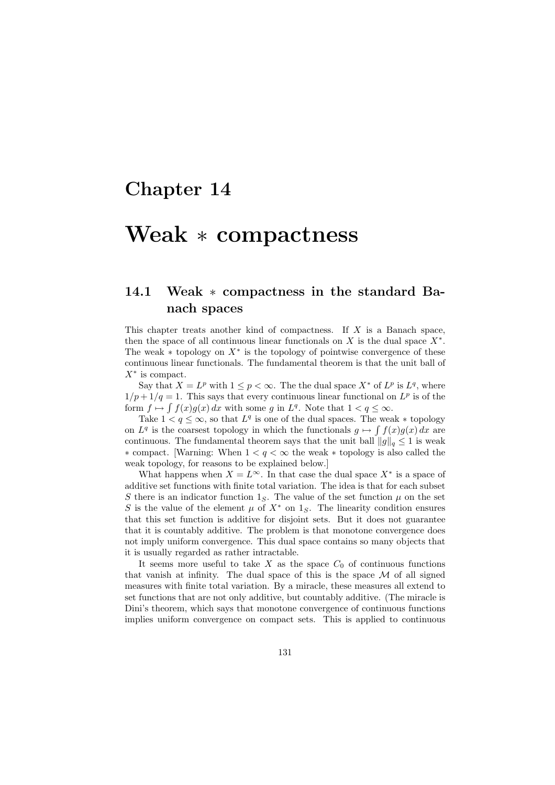### Chapter 14

## Weak ∗ compactness

### 14.1 Weak \* compactness in the standard Banach spaces

This chapter treats another kind of compactness. If  $X$  is a Banach space, then the space of all continuous linear functionals on  $X$  is the dual space  $X^*$ . The weak  $*$  topology on  $X^*$  is the topology of pointwise convergence of these continuous linear functionals. The fundamental theorem is that the unit ball of  $X^*$  is compact.

Say that  $X = L^p$  with  $1 \leq p < \infty$ . The the dual space  $X^*$  of  $L^p$  is  $L^q$ , where  $1/p + 1/q = 1$ . This says that every continuous linear functional on  $L^p$  is of the form  $f \mapsto \int f(x)g(x) dx$  with some g in  $L^q$ . Note that  $1 < q \leq \infty$ .

Take  $1 < q \leq \infty$ , so that  $L^q$  is one of the dual spaces. The weak  $*$  topology on  $L^q$  is the coarsest topology in which the functionals  $g \mapsto \int f(x)g(x) dx$  are continuous. The fundamental theorem says that the unit ball  $||g||_q \leq 1$  is weak ∗ compact. [Warning: When 1 < q < ∞ the weak ∗ topology is also called the weak topology, for reasons to be explained below.]

What happens when  $X = L^{\infty}$ . In that case the dual space  $X^*$  is a space of additive set functions with finite total variation. The idea is that for each subset S there is an indicator function  $1<sub>S</sub>$ . The value of the set function  $\mu$  on the set S is the value of the element  $\mu$  of  $X^*$  on  $1_S$ . The linearity condition ensures that this set function is additive for disjoint sets. But it does not guarantee that it is countably additive. The problem is that monotone convergence does not imply uniform convergence. This dual space contains so many objects that it is usually regarded as rather intractable.

It seems more useful to take X as the space  $C_0$  of continuous functions that vanish at infinity. The dual space of this is the space  $\mathcal M$  of all signed measures with finite total variation. By a miracle, these measures all extend to set functions that are not only additive, but countably additive. (The miracle is Dini's theorem, which says that monotone convergence of continuous functions implies uniform convergence on compact sets. This is applied to continuous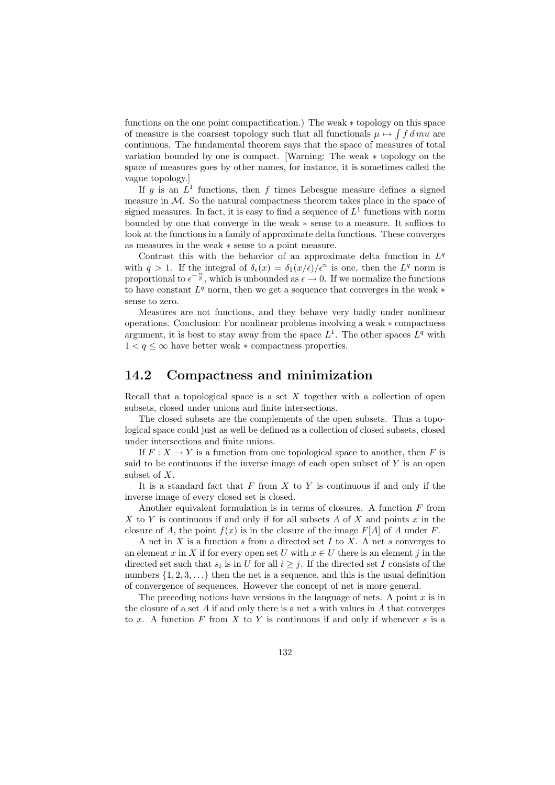functions on the one point compactification.) The weak ∗ topology on this space R of measure is the coarsest topology such that all functionals  $\mu \mapsto \int f dm u$  are continuous. The fundamental theorem says that the space of measures of total variation bounded by one is compact. [Warning: The weak ∗ topology on the space of measures goes by other names, for instance, it is sometimes called the vague topology.]

If g is an  $L^1$  functions, then f times Lebesgue measure defines a signed measure in  $\mathcal M$ . So the natural compactness theorem takes place in the space of signed measures. In fact, it is easy to find a sequence of  $L^1$  functions with norm bounded by one that converge in the weak ∗ sense to a measure. It suffices to look at the functions in a family of approximate delta functions. These converges as measures in the weak ∗ sense to a point measure.

Contrast this with the behavior of an approximate delta function in  $L^q$ with  $q > 1$ . If the integral of  $\delta_{\epsilon}(x) = \delta_1(x/\epsilon)/\epsilon^n$  is one, then the  $L^q$  norm is proportional to  $\epsilon^{-\frac{n}{p}}$ , which is unbounded as  $\epsilon \to 0$ . If we normalize the functions to have constant  $L^q$  norm, then we get a sequence that converges in the weak  $*$ sense to zero.

Measures are not functions, and they behave very badly under nonlinear operations. Conclusion: For nonlinear problems involving a weak ∗ compactness argument, it is best to stay away from the space  $L^1$ . The other spaces  $L^q$  with  $1 < q \leq \infty$  have better weak  $*$  compactness properties.

#### 14.2 Compactness and minimization

Recall that a topological space is a set  $X$  together with a collection of open subsets, closed under unions and finite intersections.

The closed subsets are the complements of the open subsets. Thus a topological space could just as well be defined as a collection of closed subsets, closed under intersections and finite unions.

If  $F: X \to Y$  is a function from one topological space to another, then F is said to be continuous if the inverse image of each open subset of  $Y$  is an open subset of X.

It is a standard fact that  $F$  from  $X$  to  $Y$  is continuous if and only if the inverse image of every closed set is closed.

Another equivalent formulation is in terms of closures. A function  $F$  from X to Y is continuous if and only if for all subsets A of X and points  $x$  in the closure of A, the point  $f(x)$  is in the closure of the image  $F[A]$  of A under F.

A net in X is a function s from a directed set I to X. A net s converges to an element x in X if for every open set U with  $x \in U$  there is an element j in the directed set such that  $s_i$  is in U for all  $i \geq j$ . If the directed set I consists of the numbers  $\{1, 2, 3, \ldots\}$  then the net is a sequence, and this is the usual definition of convergence of sequences. However the concept of net is more general.

The preceding notions have versions in the language of nets. A point  $x$  is in the closure of a set A if and only there is a net s with values in A that converges to x. A function  $F$  from  $X$  to  $Y$  is continuous if and only if whenever  $s$  is a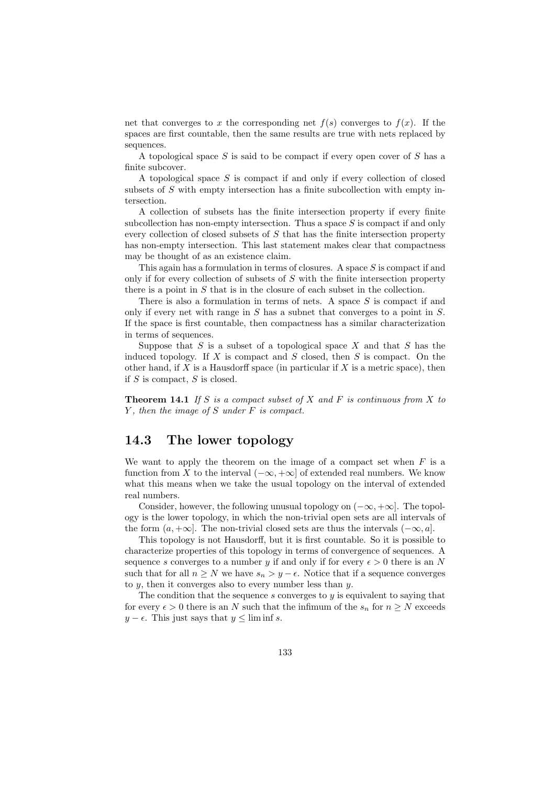net that converges to x the corresponding net  $f(s)$  converges to  $f(x)$ . If the spaces are first countable, then the same results are true with nets replaced by sequences.

A topological space  $S$  is said to be compact if every open cover of  $S$  has a finite subcover.

A topological space  $S$  is compact if and only if every collection of closed subsets of S with empty intersection has a finite subcollection with empty intersection.

A collection of subsets has the finite intersection property if every finite subcollection has non-empty intersection. Thus a space  $S$  is compact if and only every collection of closed subsets of S that has the finite intersection property has non-empty intersection. This last statement makes clear that compactness may be thought of as an existence claim.

This again has a formulation in terms of closures. A space  $S$  is compact if and only if for every collection of subsets of S with the finite intersection property there is a point in S that is in the closure of each subset in the collection.

There is also a formulation in terms of nets. A space  $S$  is compact if and only if every net with range in S has a subnet that converges to a point in S. If the space is first countable, then compactness has a similar characterization in terms of sequences.

Suppose that S is a subset of a topological space X and that S has the induced topology. If  $X$  is compact and  $S$  closed, then  $S$  is compact. On the other hand, if  $X$  is a Hausdorff space (in particular if  $X$  is a metric space), then if  $S$  is compact,  $S$  is closed.

**Theorem 14.1** If S is a compact subset of X and F is continuous from X to Y, then the image of S under F is compact.

#### 14.3 The lower topology

We want to apply the theorem on the image of a compact set when  $F$  is a function from X to the interval  $(-\infty, +\infty]$  of extended real numbers. We know what this means when we take the usual topology on the interval of extended real numbers.

Consider, however, the following unusual topology on  $(-\infty, +\infty]$ . The topology is the lower topology, in which the non-trivial open sets are all intervals of the form  $(a, +\infty)$ . The non-trivial closed sets are thus the intervals  $(-\infty, a]$ .

This topology is not Hausdorff, but it is first countable. So it is possible to characterize properties of this topology in terms of convergence of sequences. A sequence s converges to a number y if and only if for every  $\epsilon > 0$  there is an N such that for all  $n \geq N$  we have  $s_n > y - \epsilon$ . Notice that if a sequence converges to y, then it converges also to every number less than y.

The condition that the sequence  $s$  converges to  $y$  is equivalent to saying that for every  $\epsilon > 0$  there is an N such that the infimum of the  $s_n$  for  $n \geq N$  exceeds  $y - \epsilon$ . This just says that  $y \leq \liminf s$ .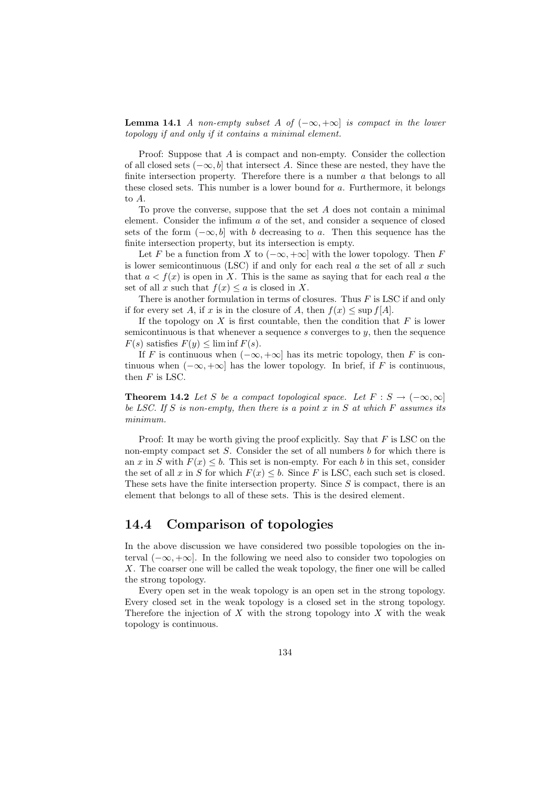**Lemma 14.1** A non-empty subset A of  $(-\infty, +\infty]$  is compact in the lower topology if and only if it contains a minimal element.

Proof: Suppose that A is compact and non-empty. Consider the collection of all closed sets  $(-\infty, b]$  that intersect A. Since these are nested, they have the finite intersection property. Therefore there is a number a that belongs to all these closed sets. This number is a lower bound for a. Furthermore, it belongs to A.

To prove the converse, suppose that the set A does not contain a minimal element. Consider the infimum a of the set, and consider a sequence of closed sets of the form  $(-\infty, b]$  with b decreasing to a. Then this sequence has the finite intersection property, but its intersection is empty.

Let F be a function from X to  $(-\infty, +\infty]$  with the lower topology. Then F is lower semicontinuous (LSC) if and only for each real  $a$  the set of all  $x$  such that  $a < f(x)$  is open in X. This is the same as saying that for each real a the set of all x such that  $f(x) \leq a$  is closed in X.

There is another formulation in terms of closures. Thus  $F$  is LSC if and only if for every set A, if x is in the closure of A, then  $f(x) \leq \sup f[A]$ .

If the topology on  $X$  is first countable, then the condition that  $F$  is lower semicontinuous is that whenever a sequence s converges to  $y$ , then the sequence  $F(s)$  satisfies  $F(y) \leq \liminf F(s)$ .

If F is continuous when  $(-\infty, +\infty]$  has its metric topology, then F is continuous when  $(-\infty, +\infty]$  has the lower topology. In brief, if F is continuous, then  $F$  is LSC.

**Theorem 14.2** Let S be a compact topological space. Let  $F : S \to (-\infty, \infty]$ be LSC. If S is non-empty, then there is a point  $x$  in S at which  $F$  assumes its minimum.

Proof: It may be worth giving the proof explicitly. Say that  $F$  is LSC on the non-empty compact set S. Consider the set of all numbers b for which there is an x in S with  $F(x) \leq b$ . This set is non-empty. For each b in this set, consider the set of all x in S for which  $F(x) \leq b$ . Since F is LSC, each such set is closed. These sets have the finite intersection property. Since  $S$  is compact, there is an element that belongs to all of these sets. This is the desired element.

#### 14.4 Comparison of topologies

In the above discussion we have considered two possible topologies on the interval  $(-\infty, +\infty]$ . In the following we need also to consider two topologies on X. The coarser one will be called the weak topology, the finer one will be called the strong topology.

Every open set in the weak topology is an open set in the strong topology. Every closed set in the weak topology is a closed set in the strong topology. Therefore the injection of X with the strong topology into X with the weak topology is continuous.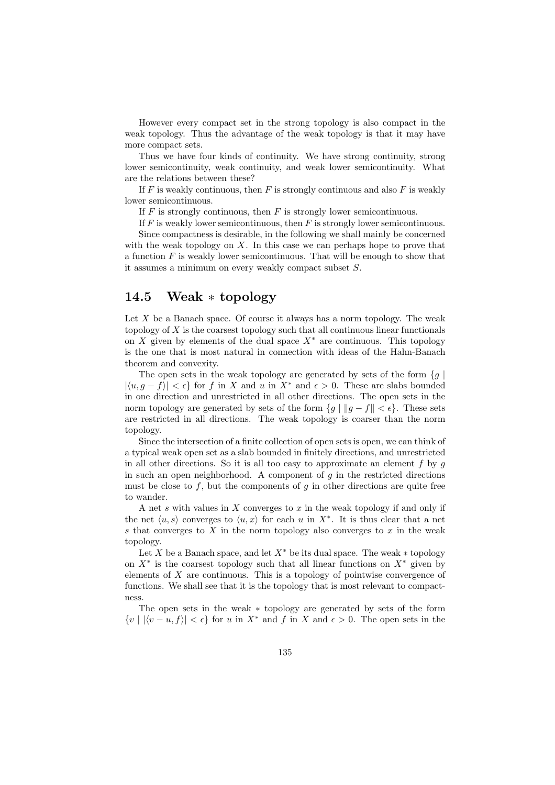However every compact set in the strong topology is also compact in the weak topology. Thus the advantage of the weak topology is that it may have more compact sets.

Thus we have four kinds of continuity. We have strong continuity, strong lower semicontinuity, weak continuity, and weak lower semicontinuity. What are the relations between these?

If  $F$  is weakly continuous, then  $F$  is strongly continuous and also  $F$  is weakly lower semicontinuous.

If  $F$  is strongly continuous, then  $F$  is strongly lower semicontinuous.

If  $F$  is weakly lower semicontinuous, then  $F$  is strongly lower semicontinuous. Since compactness is desirable, in the following we shall mainly be concerned with the weak topology on  $X$ . In this case we can perhaps hope to prove that a function  $F$  is weakly lower semicontinuous. That will be enough to show that it assumes a minimum on every weakly compact subset S.

#### 14.5 Weak ∗ topology

Let  $X$  be a Banach space. Of course it always has a norm topology. The weak topology of  $X$  is the coarsest topology such that all continuous linear functionals on X given by elements of the dual space  $X^*$  are continuous. This topology is the one that is most natural in connection with ideas of the Hahn-Banach theorem and convexity.

The open sets in the weak topology are generated by sets of the form  $\{g\}$  $|\langle u, g - f \rangle| < \epsilon$  for f in X and u in X<sup>\*</sup> and  $\epsilon > 0$ . These are slabs bounded in one direction and unrestricted in all other directions. The open sets in the norm topology are generated by sets of the form  ${g | \|g - f\| < \epsilon}$ . These sets are restricted in all directions. The weak topology is coarser than the norm topology.

Since the intersection of a finite collection of open sets is open, we can think of a typical weak open set as a slab bounded in finitely directions, and unrestricted in all other directions. So it is all too easy to approximate an element  $f$  by  $g$ in such an open neighborhood. A component of  $q$  in the restricted directions must be close to f, but the components of  $g$  in other directions are quite free to wander.

A net s with values in X converges to x in the weak topology if and only if the net  $\langle u, s \rangle$  converges to  $\langle u, x \rangle$  for each u in X<sup>\*</sup>. It is thus clear that a net s that converges to X in the norm topology also converges to  $x$  in the weak topology.

Let X be a Banach space, and let  $X^*$  be its dual space. The weak  $*$  topology on  $X^*$  is the coarsest topology such that all linear functions on  $X^*$  given by elements of  $X$  are continuous. This is a topology of pointwise convergence of functions. We shall see that it is the topology that is most relevant to compactness.

The open sets in the weak ∗ topology are generated by sets of the form  $\{v \mid |\langle v - u, f \rangle| < \epsilon\}$  for u in  $X^*$  and f in X and  $\epsilon > 0$ . The open sets in the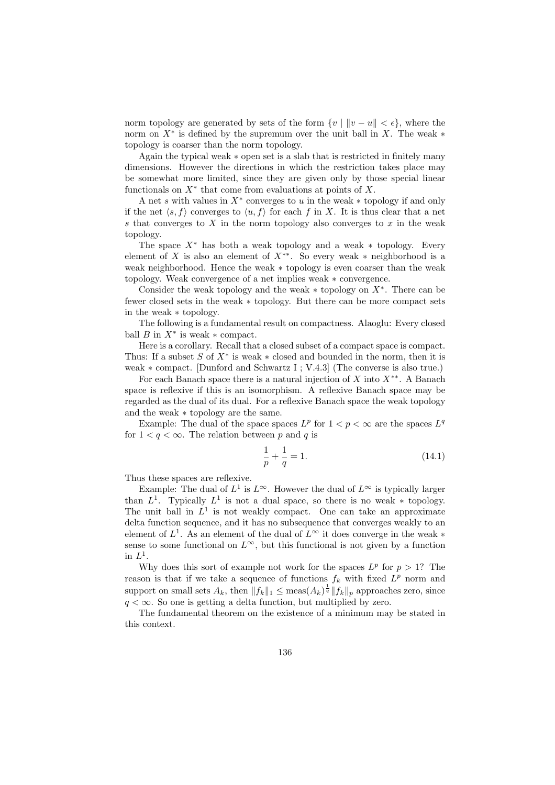norm topology are generated by sets of the form  $\{v \mid ||v - u|| < \epsilon\}$ , where the norm on  $X^*$  is defined by the supremum over the unit ball in X. The weak  $*$ topology is coarser than the norm topology.

Again the typical weak ∗ open set is a slab that is restricted in finitely many dimensions. However the directions in which the restriction takes place may be somewhat more limited, since they are given only by those special linear functionals on  $X^*$  that come from evaluations at points of  $X$ .

A net s with values in  $X^*$  converges to u in the weak  $*$  topology if and only if the net  $\langle s, f \rangle$  converges to  $\langle u, f \rangle$  for each f in X. It is thus clear that a net s that converges to X in the norm topology also converges to  $x$  in the weak topology.

The space  $X^*$  has both a weak topology and a weak  $*$  topology. Every element of X is also an element of  $X^{**}$ . So every weak  $*$  neighborhood is a weak neighborhood. Hence the weak ∗ topology is even coarser than the weak topology. Weak convergence of a net implies weak ∗ convergence.

Consider the weak topology and the weak  $*$  topology on  $X^*$ . There can be fewer closed sets in the weak ∗ topology. But there can be more compact sets in the weak ∗ topology.

The following is a fundamental result on compactness. Alaoglu: Every closed ball  $B$  in  $X^*$  is weak  $*$  compact.

Here is a corollary. Recall that a closed subset of a compact space is compact. Thus: If a subset  $S$  of  $X^*$  is weak  $*$  closed and bounded in the norm, then it is weak ∗ compact. [Dunford and Schwartz I ; V.4.3] (The converse is also true.)

For each Banach space there is a natural injection of X into  $X^{**}$ . A Banach space is reflexive if this is an isomorphism. A reflexive Banach space may be regarded as the dual of its dual. For a reflexive Banach space the weak topology and the weak ∗ topology are the same.

Example: The dual of the space spaces  $L^p$  for  $1 < p < \infty$  are the spaces  $L^q$ for  $1 < q < \infty$ . The relation between p and q is

$$
\frac{1}{p} + \frac{1}{q} = 1.
$$
\n(14.1)

Thus these spaces are reflexive.

Example: The dual of  $L^1$  is  $L^{\infty}$ . However the dual of  $L^{\infty}$  is typically larger than  $L^1$ . Typically  $L^1$  is not a dual space, so there is no weak  $*$  topology. The unit ball in  $L^1$  is not weakly compact. One can take an approximate delta function sequence, and it has no subsequence that converges weakly to an element of  $L^1$ . As an element of the dual of  $L^{\infty}$  it does converge in the weak  $*$ sense to some functional on  $L^{\infty}$ , but this functional is not given by a function in  $L^1$ .

Why does this sort of example not work for the spaces  $L^p$  for  $p > 1$ ? The reason is that if we take a sequence of functions  $f_k$  with fixed  $L^p$  norm and support on small sets  $A_k$ , then  $||f_k||_1 \leq$  meas $(A_k)^{\frac{1}{q}} ||f_k||_p$  approaches zero, since  $q < \infty$ . So one is getting a delta function, but multiplied by zero.

The fundamental theorem on the existence of a minimum may be stated in this context.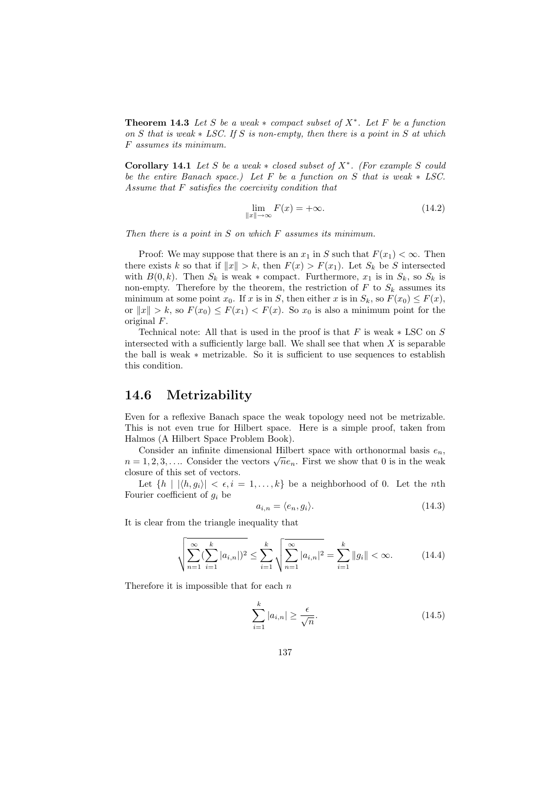**Theorem 14.3** Let S be a weak  $*$  compact subset of  $X^*$ . Let F be a function on S that is weak  $*$  LSC. If S is non-empty, then there is a point in S at which F assumes its minimum.

Corollary 14.1 Let S be a weak  $*$  closed subset of  $X^*$ . (For example S could be the entire Banach space.) Let F be a function on S that is weak  $*$  LSC. Assume that F satisfies the coercivity condition that

$$
\lim_{\|x\| \to \infty} F(x) = +\infty. \tag{14.2}
$$

Then there is a point in  $S$  on which  $F$  assumes its minimum.

Proof: We may suppose that there is an  $x_1$  in S such that  $F(x_1) < \infty$ . Then there exists k so that if  $||x|| > k$ , then  $F(x) > F(x_1)$ . Let  $S_k$  be S intersected with  $B(0, k)$ . Then  $S_k$  is weak  $*$  compact. Furthermore,  $x_1$  is in  $S_k$ , so  $S_k$  is non-empty. Therefore by the theorem, the restriction of  $F$  to  $S_k$  assumes its minimum at some point  $x_0$ . If x is in S, then either x is in  $S_k$ , so  $F(x_0) \leq F(x)$ , or  $||x|| > k$ , so  $F(x_0) \leq F(x_1) < F(x)$ . So  $x_0$  is also a minimum point for the original F.

Technical note: All that is used in the proof is that F is weak  $*$  LSC on S intersected with a sufficiently large ball. We shall see that when  $X$  is separable the ball is weak ∗ metrizable. So it is sufficient to use sequences to establish this condition.

#### 14.6 Metrizability

Even for a reflexive Banach space the weak topology need not be metrizable. This is not even true for Hilbert space. Here is a simple proof, taken from Halmos (A Hilbert Space Problem Book).

Consider an infinite dimensional Hilbert space with orthonormal basis  $e_n$ , Consider an immediate dimensional Thibert space with orthonormal basis  $e_n$ ,<br>  $n = 1, 2, 3, \ldots$  Consider the vectors  $\sqrt{n}e_n$ . First we show that 0 is in the weak closure of this set of vectors.

Let  $\{h \mid |\langle h, g_i \rangle| < \epsilon, i = 1, \ldots, k\}$  be a neighborhood of 0. Let the *n*th Fourier coefficient of  $q_i$  be

$$
a_{i,n} = \langle e_n, g_i \rangle. \tag{14.3}
$$

It is clear from the triangle inequality that

$$
\sqrt{\sum_{n=1}^{\infty} \left(\sum_{i=1}^{k} |a_{i,n}|\right)^2} \le \sum_{i=1}^{k} \sqrt{\sum_{n=1}^{\infty} |a_{i,n}|^2} = \sum_{i=1}^{k} \|g_i\| < \infty.
$$
 (14.4)

Therefore it is impossible that for each  $n$ 

$$
\sum_{i=1}^{k} |a_{i,n}| \ge \frac{\epsilon}{\sqrt{n}}.\tag{14.5}
$$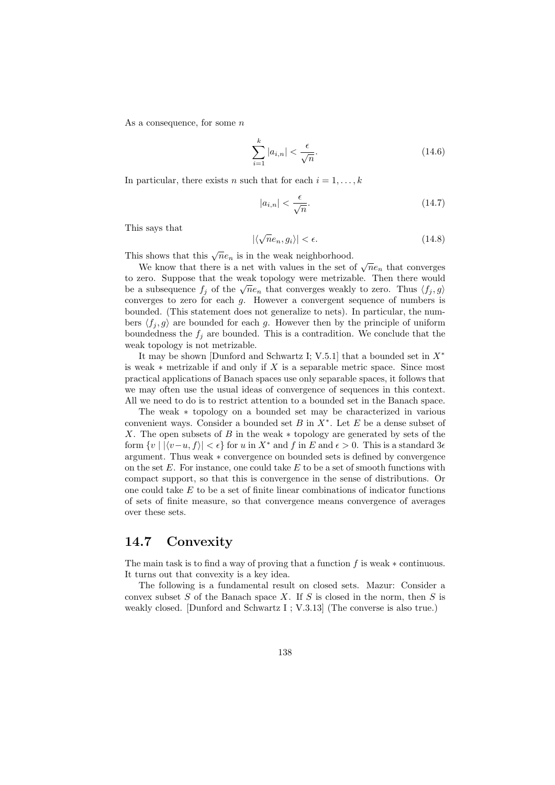As a consequence, for some  $n$ 

$$
\sum_{i=1}^{k} |a_{i,n}| < \frac{\epsilon}{\sqrt{n}}.\tag{14.6}
$$

In particular, there exists n such that for each  $i = 1, \ldots, k$ 

$$
|a_{i,n}| < \frac{\epsilon}{\sqrt{n}}.\tag{14.7}
$$

This says that

$$
|\langle \sqrt{n}e_n, g_i \rangle| < \epsilon. \tag{14.8}
$$

This shows that this  $\sqrt{n}e_n$  is in the weak neighborhood.

S shows that this  $\sqrt{n}e_n$  is in the weak heighborhood.<br>We know that there is a net with values in the set of  $\sqrt{n}e_n$  that converges to zero. Suppose that the weak topology were metrizable. Then there would to zero. Suppose that the weak topology were metrizable. Then there would<br>be a subsequence  $f_j$  of the  $\sqrt{n}e_n$  that converges weakly to zero. Thus  $\langle f_j, g \rangle$ converges to zero for each g. However a convergent sequence of numbers is bounded. (This statement does not generalize to nets). In particular, the numbers  $\langle f_i, g \rangle$  are bounded for each g. However then by the principle of uniform boundedness the  $f_i$  are bounded. This is a contradition. We conclude that the weak topology is not metrizable.

It may be shown [Dunford and Schwartz I; V.5.1] that a bounded set in  $X^*$ is weak  $*$  metrizable if and only if  $X$  is a separable metric space. Since most practical applications of Banach spaces use only separable spaces, it follows that we may often use the usual ideas of convergence of sequences in this context. All we need to do is to restrict attention to a bounded set in the Banach space.

The weak ∗ topology on a bounded set may be characterized in various convenient ways. Consider a bounded set  $B$  in  $X^*$ . Let  $E$  be a dense subset of X. The open subsets of B in the weak  $*$  topology are generated by sets of the form  $\{v \mid |\langle v-u, f \rangle| < \epsilon\}$  for u in  $X^*$  and f in E and  $\epsilon > 0$ . This is a standard  $3\epsilon$ argument. Thus weak ∗ convergence on bounded sets is defined by convergence on the set  $E$ . For instance, one could take  $E$  to be a set of smooth functions with compact support, so that this is convergence in the sense of distributions. Or one could take E to be a set of finite linear combinations of indicator functions of sets of finite measure, so that convergence means convergence of averages over these sets.

#### 14.7 Convexity

The main task is to find a way of proving that a function  $f$  is weak  $*$  continuous. It turns out that convexity is a key idea.

The following is a fundamental result on closed sets. Mazur: Consider a convex subset  $S$  of the Banach space  $X$ . If  $S$  is closed in the norm, then  $S$  is weakly closed. [Dunford and Schwartz I ; V.3.13] (The converse is also true.)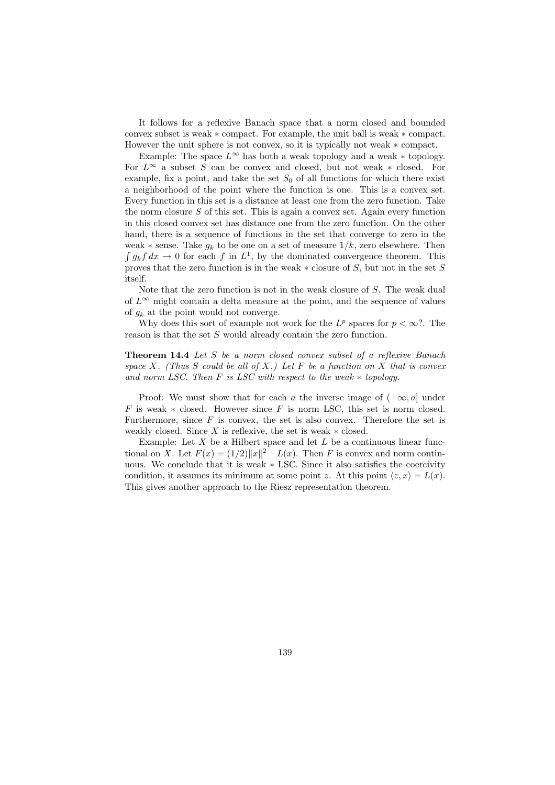It follows for a reflexive Banach space that a norm closed and bounded convex subset is weak ∗ compact. For example, the unit ball is weak ∗ compact. However the unit sphere is not convex, so it is typically not weak ∗ compact.

Example: The space  $L^{\infty}$  has both a weak topology and a weak  $*$  topology. For  $L^{\infty}$  a subset S can be convex and closed, but not weak  $*$  closed. For example, fix a point, and take the set  $S_0$  of all functions for which there exist a neighborhood of the point where the function is one. This is a convex set. Every function in this set is a distance at least one from the zero function. Take the norm closure  $S$  of this set. This is again a convex set. Again every function in this closed convex set has distance one from the zero function. On the other hand, there is a sequence of functions in the set that converge to zero in the weak  $*$  sense. Take  $g_k$  to be one on a set of measure  $1/k$ , zero elsewhere. Then  $g_k f dx \to 0$  for each f in  $L^1$ , by the dominated convergence theorem. This proves that the zero function is in the weak ∗ closure of S, but not in the set S itself.

Note that the zero function is not in the weak closure of S. The weak dual of  $L^{\infty}$  might contain a delta measure at the point, and the sequence of values of  $g_k$  at the point would not converge.

Why does this sort of example not work for the  $L^p$  spaces for  $p < \infty$ ?. The reason is that the set S would already contain the zero function.

Theorem 14.4 Let S be a norm closed convex subset of a reflexive Banach space X. (Thus S could be all of X.) Let F be a function on X that is convex and norm LSC. Then  $F$  is LSC with respect to the weak  $*$  topology.

Proof: We must show that for each a the inverse image of  $(-\infty, a]$  under F is weak  $*$  closed. However since F is norm LSC, this set is norm closed. Furthermore, since  $F$  is convex, the set is also convex. Therefore the set is weakly closed. Since  $X$  is reflexive, the set is weak  $*$  closed.

Example: Let  $X$  be a Hilbert space and let  $L$  be a continuous linear functional on X. Let  $F(x) = (1/2)||x||^2 - L(x)$ . Then F is convex and norm continuous. We conclude that it is weak ∗ LSC. Since it also satisfies the coercivity condition, it assumes its minimum at some point z. At this point  $\langle z, x \rangle = L(x)$ . This gives another approach to the Riesz representation theorem.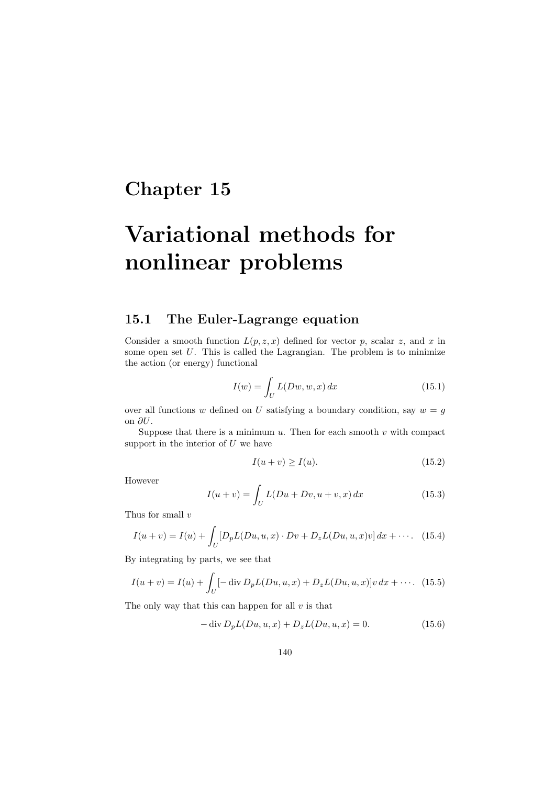## Chapter 15

# Variational methods for nonlinear problems

### 15.1 The Euler-Lagrange equation

Consider a smooth function  $L(p, z, x)$  defined for vector p, scalar z, and x in some open set  $U$ . This is called the Lagrangian. The problem is to minimize the action (or energy) functional

$$
I(w) = \int_{U} L(Dw, w, x) dx
$$
\n(15.1)

over all functions w defined on U satisfying a boundary condition, say  $w = g$ on ∂U.

Suppose that there is a minimum  $u$ . Then for each smooth  $v$  with compact support in the interior of  $U$  we have

$$
I(u+v) \ge I(u). \tag{15.2}
$$

However

$$
I(u + v) = \int_{U} L(Du + Dv, u + v, x) dx
$$
 (15.3)

Thus for small  $v$ 

$$
I(u + v) = I(u) + \int_{U} [D_p L(Du, u, x) \cdot Dv + D_z L(Du, u, x)v] dx + \cdots
$$
 (15.4)

By integrating by parts, we see that

$$
I(u + v) = I(u) + \int_{U} [-\operatorname{div} D_{p}L(Du, u, x) + D_{z}L(Du, u, x)]v dx + \cdots
$$
 (15.5)

The only way that this can happen for all  $v$  is that

$$
- \operatorname{div} D_p L(Du, u, x) + D_z L(Du, u, x) = 0.
$$
 (15.6)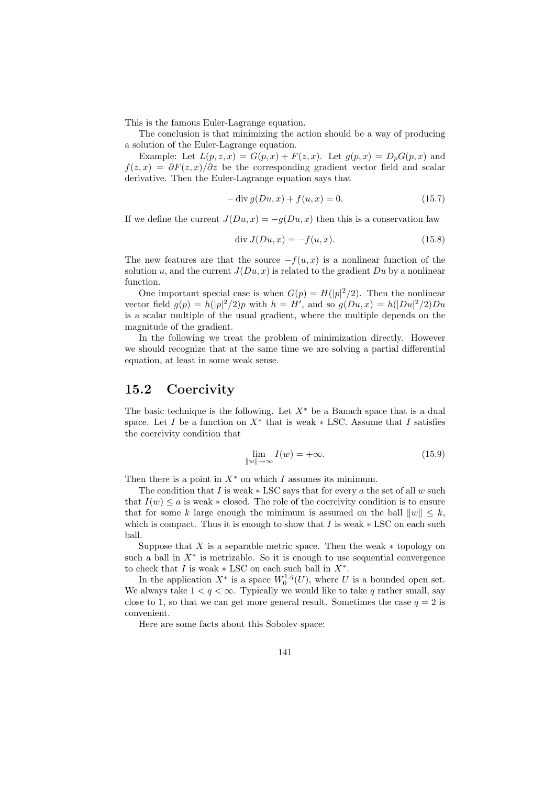This is the famous Euler-Lagrange equation.

The conclusion is that minimizing the action should be a way of producing a solution of the Euler-Lagrange equation.

Example: Let  $L(p, z, x) = G(p, x) + F(z, x)$ . Let  $q(p, x) = D_pG(p, x)$  and  $f(z, x) = \partial F(z, x)/\partial z$  be the corresponding gradient vector field and scalar derivative. Then the Euler-Lagrange equation says that

$$
- \operatorname{div} g(Du, x) + f(u, x) = 0. \tag{15.7}
$$

If we define the current  $J(Du, x) = -g(Du, x)$  then this is a conservation law

$$
\operatorname{div} J(Du, x) = -f(u, x). \tag{15.8}
$$

The new features are that the source  $-f(u, x)$  is a nonlinear function of the solution u, and the current  $J(Du, x)$  is related to the gradient Du by a nonlinear function.

One important special case is when  $G(p) = H(|p|^2/2)$ . Then the nonlinear vector field  $g(p) = h(|p|^2/2)p$  with  $h = H'$ , and so  $g(Du, x) = h(|Du|^2/2)Du$ is a scalar multiple of the usual gradient, where the multiple depends on the magnitude of the gradient.

In the following we treat the problem of minimization directly. However we should recognize that at the same time we are solving a partial differential equation, at least in some weak sense.

#### 15.2 Coercivity

The basic technique is the following. Let  $X^*$  be a Banach space that is a dual space. Let I be a function on  $X^*$  that is weak  $*$  LSC. Assume that I satisfies the coercivity condition that

$$
\lim_{\|w\| \to \infty} I(w) = +\infty. \tag{15.9}
$$

Then there is a point in  $X^*$  on which I assumes its minimum.

The condition that I is weak  $*$  LSC says that for every a the set of all w such that  $I(w) \leq a$  is weak  $*$  closed. The role of the coercivity condition is to ensure that for some k large enough the minimum is assumed on the ball  $||w|| \leq k$ , which is compact. Thus it is enough to show that  $I$  is weak  $*$  LSC on each such ball.

Suppose that X is a separable metric space. Then the weak  $*$  topology on such a ball in  $X^*$  is metrizable. So it is enough to use sequential convergence to check that I is weak  $*$  LSC on each such ball in  $X^*$ .

In the application  $X^*$  is a space  $W_0^{1,q}(U)$ , where U is a bounded open set. We always take  $1 < q < \infty$ . Typically we would like to take q rather small, say close to 1, so that we can get more general result. Sometimes the case  $q = 2$  is convenient.

Here are some facts about this Sobolev space: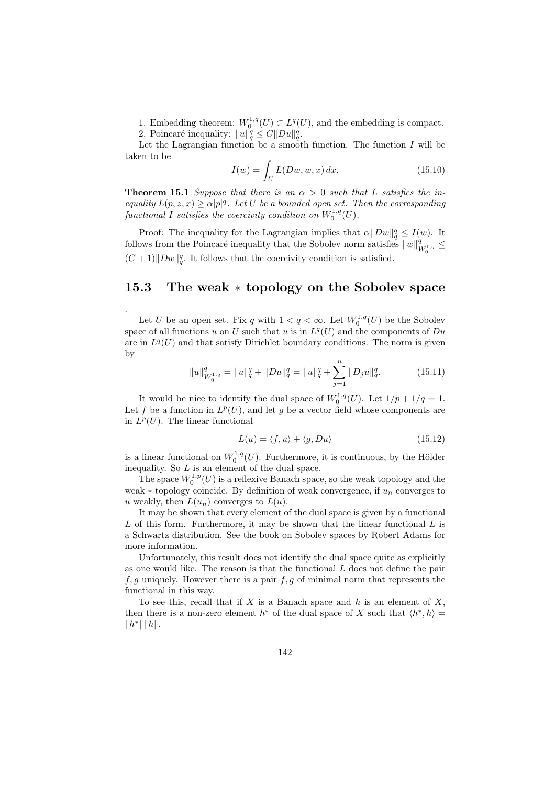1. Embedding theorem:  $W_0^{1,q}(U) \subset L^q(U)$ , and the embedding is compact. 2. Poincaré inequality:  $||u||_q^q \leq C ||Du||_q^q$ .

Let the Lagrangian function be a smooth function. The function  $I$  will be taken to be

$$
I(w) = \int_{U} L(Dw, w, x) dx.
$$
 (15.10)

**Theorem 15.1** Suppose that there is an  $\alpha > 0$  such that L satisfies the inequality  $L(p, z, x) \ge \alpha |p|^q$ . Let U be a bounded open set. Then the corresponding functional I satisfies the coercivity condition on  $W_0^{1,q}(U)$ .

Proof: The inequality for the Lagrangian implies that  $\alpha \|Dw\|_q^q \leq I(w)$ . It follows from the Poincaré inequality that the Sobolev norm satisfies  $||w||_{W_0^{1,q}}^q \leq$  $(C+1)$ ||Dw||q. It follows that the coercivity condition is satisfied.

#### 15.3 The weak ∗ topology on the Sobolev space

.

Let U be an open set. Fix q with  $1 < q < \infty$ . Let  $W_0^{1,q}(U)$  be the Sobolev space of all functions u on U such that u is in  $L<sup>q</sup>(U)$  and the components of Du are in  $L^q(U)$  and that satisfy Dirichlet boundary conditions. The norm is given by

$$
||u||_{W_0^{1,q}}^q = ||u||_q^q + ||Du||_q^q = ||u||_q^q + \sum_{j=1}^n ||D_j u||_q^q.
$$
 (15.11)

It would be nice to identify the dual space of  $W_0^{1,q}(U)$ . Let  $1/p + 1/q = 1$ . Let f be a function in  $L^p(U)$ , and let g be a vector field whose components are in  $L^p(U)$ . The linear functional

$$
L(u) = \langle f, u \rangle + \langle g, Du \rangle \tag{15.12}
$$

is a linear functional on  $W_0^{1,q}(U)$ . Furthermore, it is continuous, by the Hölder inequality. So L is an element of the dual space.

The space  $W_0^{1,p}(U)$  is a reflexive Banach space, so the weak topology and the weak  $*$  topology coincide. By definition of weak convergence, if  $u_n$  converges to u weakly, then  $L(u_n)$  converges to  $L(u)$ .

It may be shown that every element of the dual space is given by a functional  $L$  of this form. Furthermore, it may be shown that the linear functional  $L$  is a Schwartz distribution. See the book on Sobolev spaces by Robert Adams for more information.

Unfortunately, this result does not identify the dual space quite as explicitly as one would like. The reason is that the functional  $L$  does not define the pair  $f, g$  uniquely. However there is a pair  $f, g$  of minimal norm that represents the functional in this way.

To see this, recall that if  $X$  is a Banach space and  $h$  is an element of  $X$ , then there is a non-zero element  $h^*$  of the dual space of X such that  $\langle h^*, h \rangle =$  $||h^*|| ||h||.$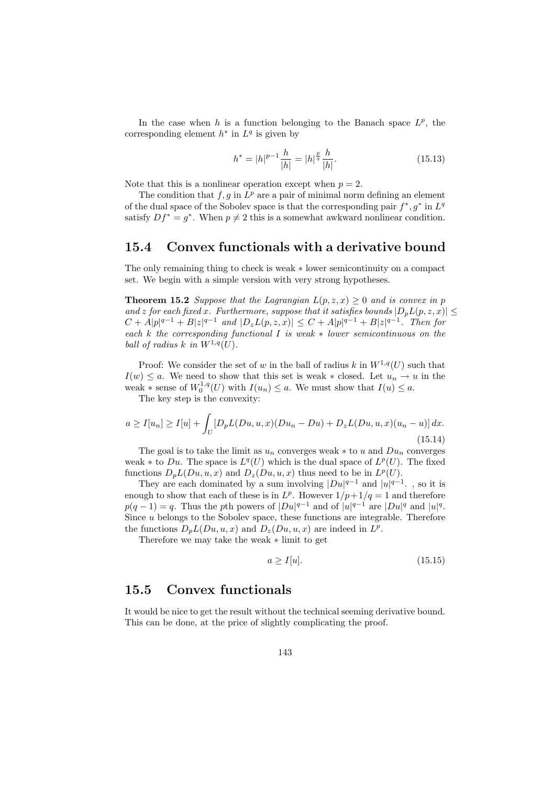In the case when h is a function belonging to the Banach space  $L^p$ , the corresponding element  $h^*$  in  $L^q$  is given by

$$
h^* = |h|^{p-1} \frac{h}{|h|} = |h|^{\frac{p}{q}} \frac{h}{|h|}.
$$
\n(15.13)

Note that this is a nonlinear operation except when  $p = 2$ .

The condition that  $f, g$  in  $L^p$  are a pair of minimal norm defining an element of the dual space of the Sobolev space is that the corresponding pair  $f^*, g^*$  in  $L^q$ satisfy  $Df^* = g^*$ . When  $p \neq 2$  this is a somewhat awkward nonlinear condition.

#### 15.4 Convex functionals with a derivative bound

The only remaining thing to check is weak ∗ lower semicontinuity on a compact set. We begin with a simple version with very strong hypotheses.

**Theorem 15.2** Suppose that the Lagrangian  $L(p, z, x) \geq 0$  and is convex in p and z for each fixed x. Furthermore, suppose that it satisfies bounds  $|D_pL(p, z, x)| \leq$  $C + A|p|^{q-1} + B|z|^{q-1}$  and  $|D_zL(p, z, x)| \leq C + A|p|^{q-1} + B|z|^{q-1}$ . Then for each k the corresponding functional I is weak  $*$  lower semicontinuous on the ball of radius k in  $W^{1,q}(U)$ .

Proof: We consider the set of w in the ball of radius k in  $W^{1,q}(U)$  such that  $I(w) \leq a$ . We need to show that this set is weak \* closed. Let  $u_n \to u$  in the weak  $*$  sense of  $W_0^{1,q}(U)$  with  $I(u_n) \leq a$ . We must show that  $I(u) \leq a$ .

The key step is the convexity:

$$
a \ge I[u_n] \ge I[u] + \int_U [D_p L(Du, u, x)(Du_n - Du) + D_z L(Du, u, x)(u_n - u)] dx.
$$
\n(15.14)

The goal is to take the limit as  $u_n$  converges weak  $*$  to u and  $Du_n$  converges weak \* to Du. The space is  $L^q(U)$  which is the dual space of  $L^p(U)$ . The fixed functions  $D_p L(Du, u, x)$  and  $D_z(Du, u, x)$  thus need to be in  $L^p(U)$ .

They are each dominated by a sum involving  $|Du|^{q-1}$  and  $|u|^{q-1}$ ., so it is enough to show that each of these is in  $L^p$ . However  $1/p+1/q=1$  and therefore  $p(q-1) = q$ . Thus the pth powers of  $|Du|^{q-1}$  and of  $|u|^{q-1}$  are  $|Du|^q$  and  $|u|^q$ . Since u belongs to the Sobolev space, these functions are integrable. Therefore the functions  $D_p L(Du, u, x)$  and  $D_z(Du, u, x)$  are indeed in  $L^p$ .

Therefore we may take the weak ∗ limit to get

$$
a \ge I[u].\tag{15.15}
$$

#### 15.5 Convex functionals

It would be nice to get the result without the technical seeming derivative bound. This can be done, at the price of slightly complicating the proof.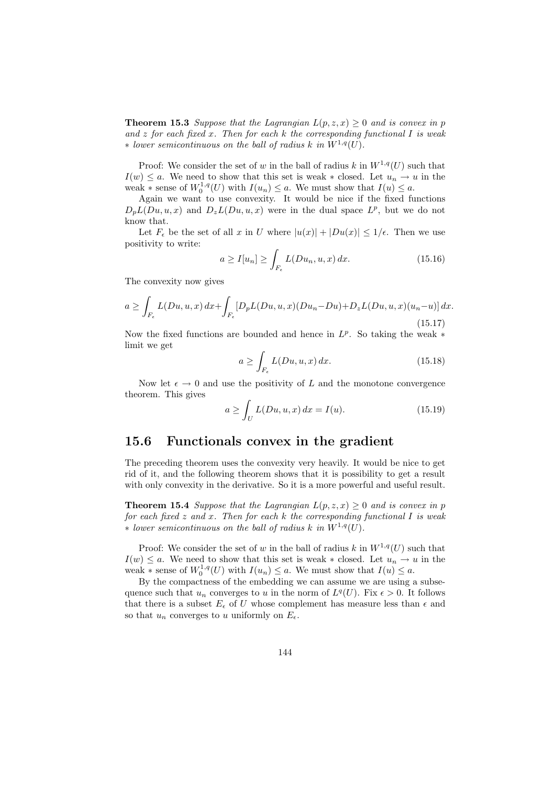**Theorem 15.3** Suppose that the Lagrangian  $L(p, z, x) \geq 0$  and is convex in p and z for each fixed x. Then for each  $k$  the corresponding functional  $I$  is weak  $\ast$  lower semicontinuous on the ball of radius k in  $W^{1,q}(U)$ .

Proof: We consider the set of w in the ball of radius k in  $W^{1,q}(U)$  such that  $I(w) \leq a$ . We need to show that this set is weak \* closed. Let  $u_n \to u$  in the weak  $*$  sense of  $W_0^{1,q}(U)$  with  $I(u_n) \leq a$ . We must show that  $I(u) \leq a$ .

Again we want to use convexity. It would be nice if the fixed functions  $D_p L(Du, u, x)$  and  $D_z L(Du, u, x)$  were in the dual space  $L^p$ , but we do not know that.

Let  $F_{\epsilon}$  be the set of all x in U where  $|u(x)| + |Du(x)| \leq 1/\epsilon$ . Then we use positivity to write:

$$
a \ge I[u_n] \ge \int_{F_{\epsilon}} L(Du_n, u, x) dx.
$$
 (15.16)

The convexity now gives

$$
a \ge \int_{F_{\epsilon}} L(Du, u, x) dx + \int_{F_{\epsilon}} [D_p L(Du, u, x)(Du_n - Du) + D_z L(Du, u, x)(u_n - u)] dx.
$$
\n(15.17)

Now the fixed functions are bounded and hence in  $L^p$ . So taking the weak  $*$ limit we get

$$
a \ge \int_{F_{\epsilon}} L(Du, u, x) dx.
$$
 (15.18)

Now let  $\epsilon \to 0$  and use the positivity of L and the monotone convergence theorem. This gives

$$
a \ge \int_{U} L(Du, u, x) dx = I(u). \tag{15.19}
$$

#### 15.6 Functionals convex in the gradient

The preceding theorem uses the convexity very heavily. It would be nice to get rid of it, and the following theorem shows that it is possibility to get a result with only convexity in the derivative. So it is a more powerful and useful result.

**Theorem 15.4** Suppose that the Lagrangian  $L(p, z, x) > 0$  and is convex in p for each fixed z and x. Then for each  $k$  the corresponding functional I is weak  $\ast$  lower semicontinuous on the ball of radius k in  $W^{1,q}(U)$ .

Proof: We consider the set of w in the ball of radius k in  $W^{1,q}(U)$  such that  $I(w) \le a$ . We need to show that this set is weak \* closed. Let  $u_n \to u$  in the weak  $*$  sense of  $W_0^{1,q}(U)$  with  $I(u_n) \leq a$ . We must show that  $I(u) \leq a$ .

By the compactness of the embedding we can assume we are using a subsequence such that  $u_n$  converges to u in the norm of  $L^q(U)$ . Fix  $\epsilon > 0$ . It follows that there is a subset  $E_{\epsilon}$  of U whose complement has measure less than  $\epsilon$  and so that  $u_n$  converges to u uniformly on  $E_{\epsilon}$ .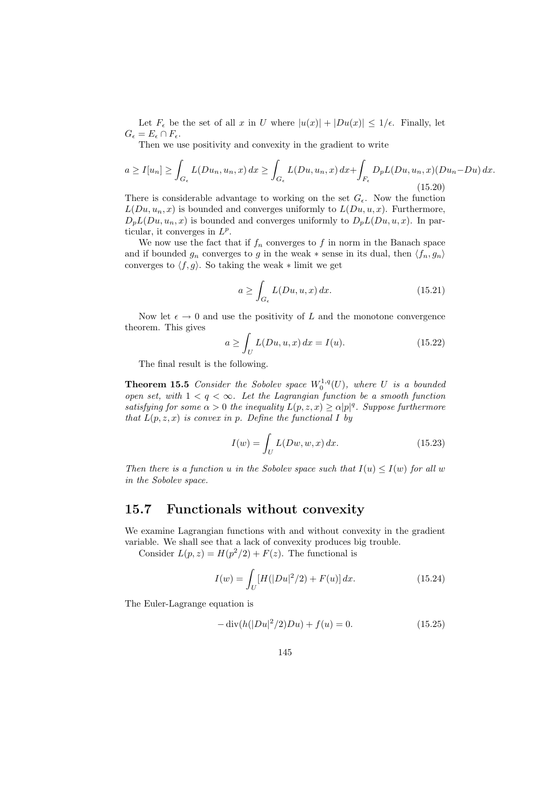Let  $F_{\epsilon}$  be the set of all x in U where  $|u(x)| + |Du(x)| \leq 1/\epsilon$ . Finally, let  $G_{\epsilon}=E_{\epsilon}\cap F_{\epsilon}.$ 

Then we use positivity and convexity in the gradient to write

$$
a \ge I[u_n] \ge \int_{G_{\epsilon}} L(Du_n, u_n, x) dx \ge \int_{G_{\epsilon}} L(Du, u_n, x) dx + \int_{F_{\epsilon}} D_p L(Du, u_n, x) (Du_n - Du) dx.
$$
\n(15.20)

There is considerable advantage to working on the set  $G_{\epsilon}$ . Now the function  $L(Du, u_n, x)$  is bounded and converges uniformly to  $L(Du, u, x)$ . Furthermore,  $D_pL(Du, u_n, x)$  is bounded and converges uniformly to  $D_pL(Du, u, x)$ . In particular, it converges in  $L^p$ .

We now use the fact that if  $f_n$  converges to f in norm in the Banach space and if bounded  $g_n$  converges to g in the weak  $*$  sense in its dual, then  $\langle f_n, g_n \rangle$ converges to  $\langle f, g \rangle$ . So taking the weak ∗ limit we get

$$
a \ge \int_{G_{\epsilon}} L(Du, u, x) dx.
$$
 (15.21)

Now let  $\epsilon \to 0$  and use the positivity of L and the monotone convergence theorem. This gives

$$
a \ge \int_{U} L(Du, u, x) dx = I(u). \tag{15.22}
$$

The final result is the following.

**Theorem 15.5** Consider the Sobolev space  $W_0^{1,q}(U)$ , where U is a bounded open set, with  $1 < q < \infty$ . Let the Lagrangian function be a smooth function satisfying for some  $\alpha > 0$  the inequality  $L(p, z, x) \ge \alpha |p|^q$ . Suppose furthermore that  $L(p, z, x)$  is convex in p. Define the functional I by

$$
I(w) = \int_{U} L(Dw, w, x) dx.
$$
 (15.23)

Then there is a function u in the Sobolev space such that  $I(u) \leq I(w)$  for all w in the Sobolev space.

## 15.7 Functionals without convexity

We examine Lagrangian functions with and without convexity in the gradient variable. We shall see that a lack of convexity produces big trouble.

Consider  $L(p, z) = H(p^2/2) + F(z)$ . The functional is

$$
I(w) = \int_{U} [H(|Du|^2/2) + F(u)] dx.
$$
 (15.24)

The Euler-Lagrange equation is

$$
-\operatorname{div}(h(|Du|^2/2)Du) + f(u) = 0.
$$
 (15.25)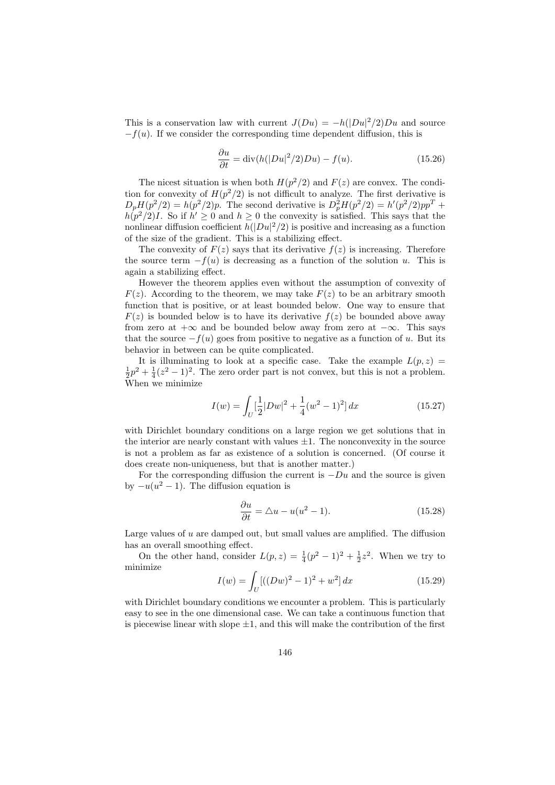This is a conservation law with current  $J(Du) = -h(|Du|^2/2)Du$  and source  $-f(u)$ . If we consider the corresponding time dependent diffusion, this is

$$
\frac{\partial u}{\partial t} = \text{div}(h(|Du|^2/2)Du) - f(u). \tag{15.26}
$$

The nicest situation is when both  $H(p^2/2)$  and  $F(z)$  are convex. The condition for convexity of  $H(p^2/2)$  is not difficult to analyze. The first derivative is  $D_p H(p^2/2) = h(p^2/2)p$ . The second derivative is  $D_p^2 H(p^2/2) = h'(p^2/2)pp^T +$  $h(p^2/2)I$ . So if  $h' \geq 0$  and  $h \geq 0$  the convexity is satisfied. This says that the nonlinear diffusion coefficient  $h(|Du|^2/2)$  is positive and increasing as a function of the size of the gradient. This is a stabilizing effect.

The convexity of  $F(z)$  says that its derivative  $f(z)$  is increasing. Therefore the source term  $-f(u)$  is decreasing as a function of the solution u. This is again a stabilizing effect.

However the theorem applies even without the assumption of convexity of  $F(z)$ . According to the theorem, we may take  $F(z)$  to be an arbitrary smooth function that is positive, or at least bounded below. One way to ensure that  $F(z)$  is bounded below is to have its derivative  $f(z)$  be bounded above away from zero at  $+\infty$  and be bounded below away from zero at  $-\infty$ . This says that the source  $-f(u)$  goes from positive to negative as a function of u. But its behavior in between can be quite complicated.

It is illuminating to look at a specific case. Take the example  $L(p, z)$  $\frac{1}{2}p^2 + \frac{1}{4}(z^2 - 1)^2$ . The zero order part is not convex, but this is not a problem. When we minimize

$$
I(w) = \int_{U} \left[\frac{1}{2}|Dw|^{2} + \frac{1}{4}(w^{2} - 1)^{2}\right] dx
$$
 (15.27)

with Dirichlet boundary conditions on a large region we get solutions that in the interior are nearly constant with values  $\pm 1$ . The nonconvexity in the source is not a problem as far as existence of a solution is concerned. (Of course it does create non-uniqueness, but that is another matter.)

For the corresponding diffusion the current is  $-Du$  and the source is given by  $-u(u^2-1)$ . The diffusion equation is

$$
\frac{\partial u}{\partial t} = \triangle u - u(u^2 - 1). \tag{15.28}
$$

Large values of  $u$  are damped out, but small values are amplified. The diffusion has an overall smoothing effect.

On the other hand, consider  $L(p, z) = \frac{1}{4}(p^2 - 1)^2 + \frac{1}{2}z^2$ . When we try to minimize

$$
I(w) = \int_{U} [( (Dw)^{2} - 1)^{2} + w^{2} ] \, dx \tag{15.29}
$$

with Dirichlet boundary conditions we encounter a problem. This is particularly easy to see in the one dimensional case. We can take a continuous function that is piecewise linear with slope  $\pm 1$ , and this will make the contribution of the first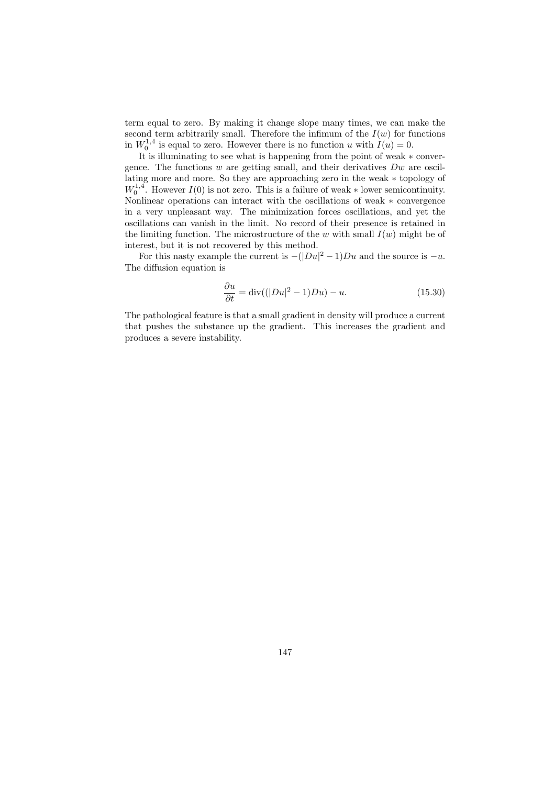term equal to zero. By making it change slope many times, we can make the second term arbitrarily small. Therefore the infimum of the  $I(w)$  for functions in  $W_0^{1,4}$  is equal to zero. However there is no function u with  $I(u) = 0$ .

It is illuminating to see what is happening from the point of weak ∗ convergence. The functions  $w$  are getting small, and their derivatives  $Dw$  are oscillating more and more. So they are approaching zero in the weak ∗ topology of  $W_0^{1,4}$ . However  $I(0)$  is not zero. This is a failure of weak  $*$  lower semicontinuity. Nonlinear operations can interact with the oscillations of weak ∗ convergence in a very unpleasant way. The minimization forces oscillations, and yet the oscillations can vanish in the limit. No record of their presence is retained in the limiting function. The microstructure of the w with small  $I(w)$  might be of interest, but it is not recovered by this method.

For this nasty example the current is  $-(|Du|^2 - 1)Du$  and the source is  $-u$ . The diffusion equation is

$$
\frac{\partial u}{\partial t} = \text{div}((|Du|^2 - 1)Du) - u.
$$
\n(15.30)

The pathological feature is that a small gradient in density will produce a current that pushes the substance up the gradient. This increases the gradient and produces a severe instability.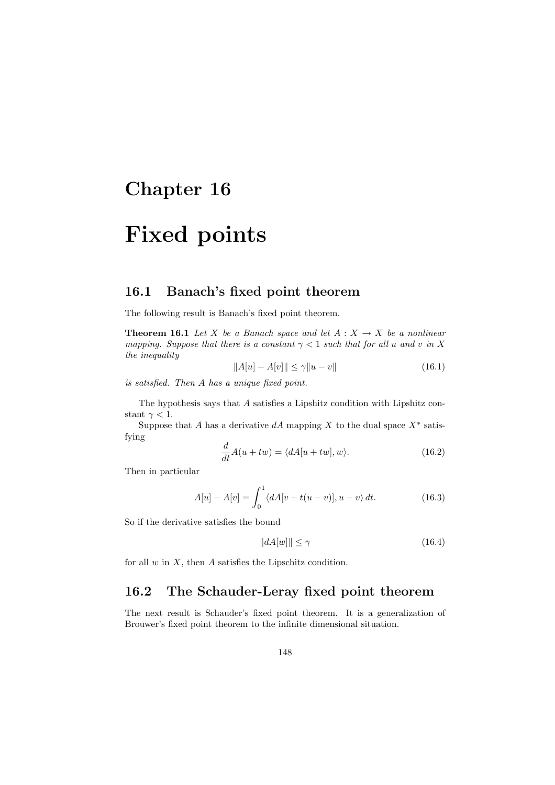## Chapter 16

# Fixed points

### 16.1 Banach's fixed point theorem

The following result is Banach's fixed point theorem.

**Theorem 16.1** Let X be a Banach space and let  $A: X \rightarrow X$  be a nonlinear mapping. Suppose that there is a constant  $\gamma < 1$  such that for all u and v in X the inequality

$$
||A[u] - A[v]|| \le \gamma ||u - v|| \tag{16.1}
$$

is satisfied. Then A has a unique fixed point.

The hypothesis says that A satisfies a Lipshitz condition with Lipshitz constant  $\gamma < 1$ .

Suppose that A has a derivative dA mapping X to the dual space  $X^*$  satisfying

$$
\frac{d}{dt}A(u+tw) = \langle dA[u+tw], w \rangle.
$$
 (16.2)

Then in particular

$$
A[u] - A[v] = \int_0^1 \langle dA[v + t(u - v)], u - v \rangle dt.
$$
 (16.3)

So if the derivative satisfies the bound

$$
||dA[w]|| \le \gamma \tag{16.4}
$$

for all  $w$  in  $X$ , then  $A$  satisfies the Lipschitz condition.

## 16.2 The Schauder-Leray fixed point theorem

The next result is Schauder's fixed point theorem. It is a generalization of Brouwer's fixed point theorem to the infinite dimensional situation.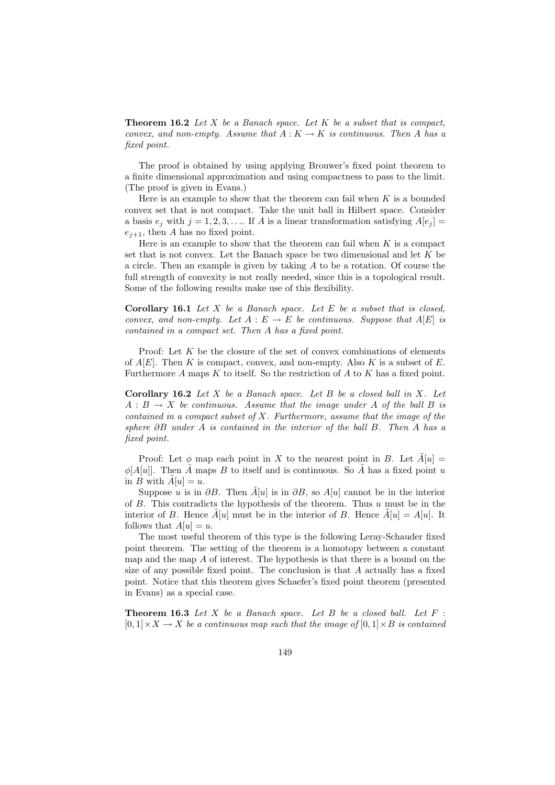**Theorem 16.2** Let X be a Banach space. Let K be a subset that is compact, convex, and non-empty. Assume that  $A: K \to K$  is continuous. Then A has a fixed point.

The proof is obtained by using applying Brouwer's fixed point theorem to a finite dimensional approximation and using compactness to pass to the limit. (The proof is given in Evans.)

Here is an example to show that the theorem can fail when  $K$  is a bounded convex set that is not compact. Take the unit ball in Hilbert space. Consider a basis  $e_j$  with  $j = 1, 2, 3, \ldots$  If A is a linear transformation satisfying  $A[e_j] =$  $e_{i+1}$ , then A has no fixed point.

Here is an example to show that the theorem can fail when  $K$  is a compact set that is not convex. Let the Banach space be two dimensional and let  $K$  be a circle. Then an example is given by taking A to be a rotation. Of course the full strength of convexity is not really needed, since this is a topological result. Some of the following results make use of this flexibility.

**Corollary 16.1** Let  $X$  be a Banach space. Let  $E$  be a subset that is closed, convex, and non-empty. Let  $A : E \to E$  be continuous. Suppose that  $A[E]$  is contained in a compact set. Then A has a fixed point.

Proof: Let  $K$  be the closure of the set of convex combinations of elements of  $A[E]$ . Then K is compact, convex, and non-empty. Also K is a subset of E. Furthermore A maps  $K$  to itself. So the restriction of A to  $K$  has a fixed point.

**Corollary 16.2** Let  $X$  be a Banach space. Let  $B$  be a closed ball in  $X$ . Let  $A : B \to X$  be continuous. Assume that the image under A of the ball B is contained in a compact subset of  $X$ . Furthermore, assume that the image of the sphere ∂B under A is contained in the interior of the ball B. Then A has a fixed point.

Proof: Let  $\phi$  map each point in X to the nearest point in B. Let  $\hat{A}[u] =$  $\phi[A[u]]$ . Then A maps B to itself and is continuous. So A has a fixed point u in B with  $A[u] = u$ .

Suppose u is in  $\partial B$ . Then  $\tilde{A}[u]$  is in  $\partial B$ , so  $A[u]$  cannot be in the interior of  $B$ . This contradicts the hypothesis of the theorem. Thus  $u$  must be in the interior of B. Hence  $A[u]$  must be in the interior of B. Hence  $A[u] = A[u]$ . It follows that  $A[u] = u$ .

The most useful theorem of this type is the following Leray-Schauder fixed point theorem. The setting of the theorem is a homotopy between a constant map and the map  $\tilde{A}$  of interest. The hypothesis is that there is a bound on the size of any possible fixed point. The conclusion is that  $A$  actually has a fixed point. Notice that this theorem gives Schaefer's fixed point theorem (presented in Evans) as a special case.

**Theorem 16.3** Let  $X$  be a Banach space. Let  $B$  be a closed ball. Let  $F$ :  $[0,1] \times X \to X$  be a continuous map such that the image of  $[0,1] \times B$  is contained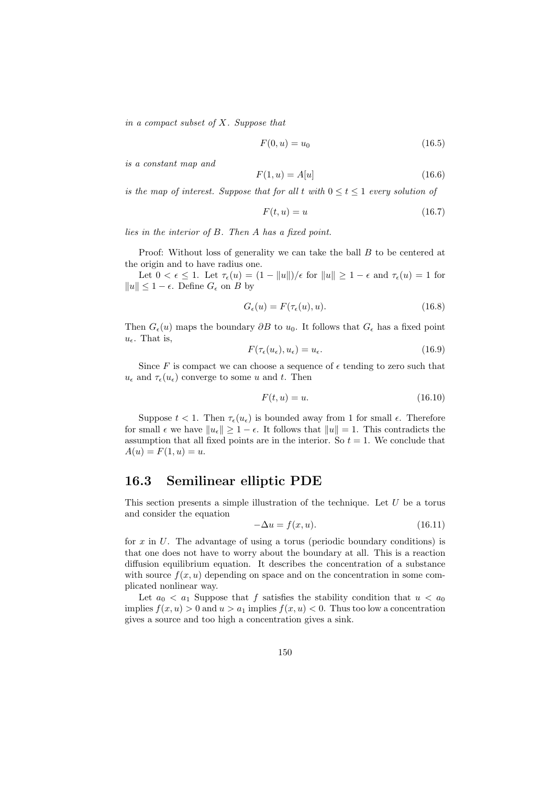in a compact subset of X. Suppose that

$$
F(0, u) = u_0 \tag{16.5}
$$

is a constant map and

$$
F(1, u) = A[u] \tag{16.6}
$$

is the map of interest. Suppose that for all t with  $0 \le t \le 1$  every solution of

$$
F(t, u) = u \tag{16.7}
$$

lies in the interior of B. Then A has a fixed point.

Proof: Without loss of generality we can take the ball B to be centered at the origin and to have radius one.

Let  $0 < \epsilon \leq 1$ . Let  $\tau_{\epsilon}(u) = (1 - ||u||)/\epsilon$  for  $||u|| \geq 1 - \epsilon$  and  $\tau_{\epsilon}(u) = 1$  for  $||u||$  ≤ 1 −  $\epsilon$ . Define  $G_{\epsilon}$  on B by

$$
G_{\epsilon}(u) = F(\tau_{\epsilon}(u), u). \tag{16.8}
$$

Then  $G_{\epsilon}(u)$  maps the boundary  $\partial B$  to  $u_0$ . It follows that  $G_{\epsilon}$  has a fixed point  $u_{\epsilon}$ . That is,

$$
F(\tau_{\epsilon}(u_{\epsilon}), u_{\epsilon}) = u_{\epsilon}.\tag{16.9}
$$

Since F is compact we can choose a sequence of  $\epsilon$  tending to zero such that  $u_{\epsilon}$  and  $\tau_{\epsilon}(u_{\epsilon})$  converge to some u and t. Then

$$
F(t, u) = u.\t\t(16.10)
$$

Suppose  $t < 1$ . Then  $\tau_{\epsilon}(u_{\epsilon})$  is bounded away from 1 for small  $\epsilon$ . Therefore for small  $\epsilon$  we have  $||u_{\epsilon}|| \geq 1 - \epsilon$ . It follows that  $||u|| = 1$ . This contradicts the assumption that all fixed points are in the interior. So  $t = 1$ . We conclude that  $A(u) = F(1, u) = u.$ 

### 16.3 Semilinear elliptic PDE

This section presents a simple illustration of the technique. Let U be a torus and consider the equation

$$
-\Delta u = f(x, u). \tag{16.11}
$$

for  $x$  in  $U$ . The advantage of using a torus (periodic boundary conditions) is that one does not have to worry about the boundary at all. This is a reaction diffusion equilibrium equation. It describes the concentration of a substance with source  $f(x, u)$  depending on space and on the concentration in some complicated nonlinear way.

Let  $a_0 < a_1$  Suppose that f satisfies the stability condition that  $u < a_0$ implies  $f(x, u) > 0$  and  $u > a_1$  implies  $f(x, u) < 0$ . Thus too low a concentration gives a source and too high a concentration gives a sink.